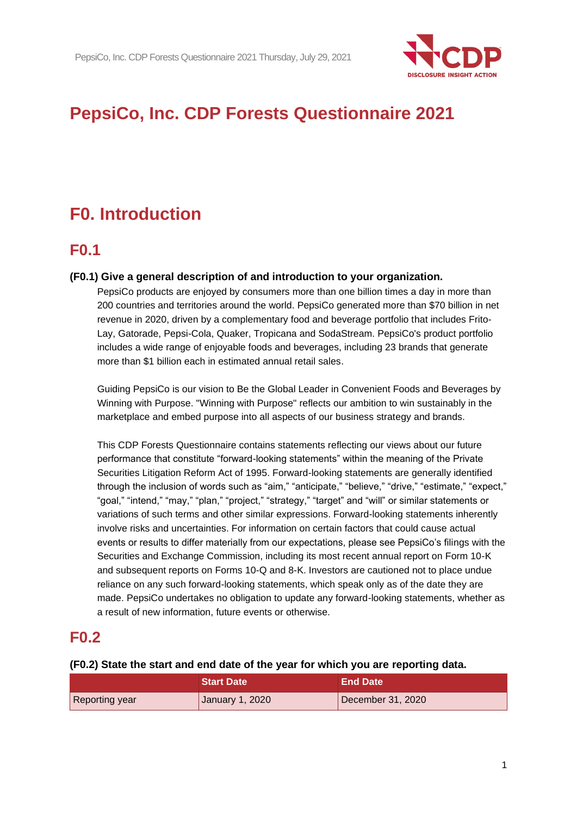

# **PepsiCo, Inc. CDP Forests Questionnaire 2021**

# **F0. Introduction**

# **F0.1**

# **(F0.1) Give a general description of and introduction to your organization.**

PepsiCo products are enjoyed by consumers more than one billion times a day in more than 200 countries and territories around the world. PepsiCo generated more than \$70 billion in net revenue in 2020, driven by a complementary food and beverage portfolio that includes Frito-Lay, Gatorade, Pepsi-Cola, Quaker, Tropicana and SodaStream. PepsiCo's product portfolio includes a wide range of enjoyable foods and beverages, including 23 brands that generate more than \$1 billion each in estimated annual retail sales.

Guiding PepsiCo is our vision to Be the Global Leader in Convenient Foods and Beverages by Winning with Purpose. "Winning with Purpose" reflects our ambition to win sustainably in the marketplace and embed purpose into all aspects of our business strategy and brands.

This CDP Forests Questionnaire contains statements reflecting our views about our future performance that constitute "forward-looking statements" within the meaning of the Private Securities Litigation Reform Act of 1995. Forward-looking statements are generally identified through the inclusion of words such as "aim," "anticipate," "believe," "drive," "estimate," "expect," "goal," "intend," "may," "plan," "project," "strategy," "target" and "will" or similar statements or variations of such terms and other similar expressions. Forward-looking statements inherently involve risks and uncertainties. For information on certain factors that could cause actual events or results to differ materially from our expectations, please see PepsiCo's filings with the Securities and Exchange Commission, including its most recent annual report on Form 10-K and subsequent reports on Forms 10-Q and 8-K. Investors are cautioned not to place undue reliance on any such forward-looking statements, which speak only as of the date they are made. PepsiCo undertakes no obligation to update any forward-looking statements, whether as a result of new information, future events or otherwise.

# **F0.2**

#### **(F0.2) State the start and end date of the year for which you are reporting data.**

|                | <b>Start Date</b> | ⊾End Date \       |
|----------------|-------------------|-------------------|
| Reporting year | January 1, 2020   | December 31, 2020 |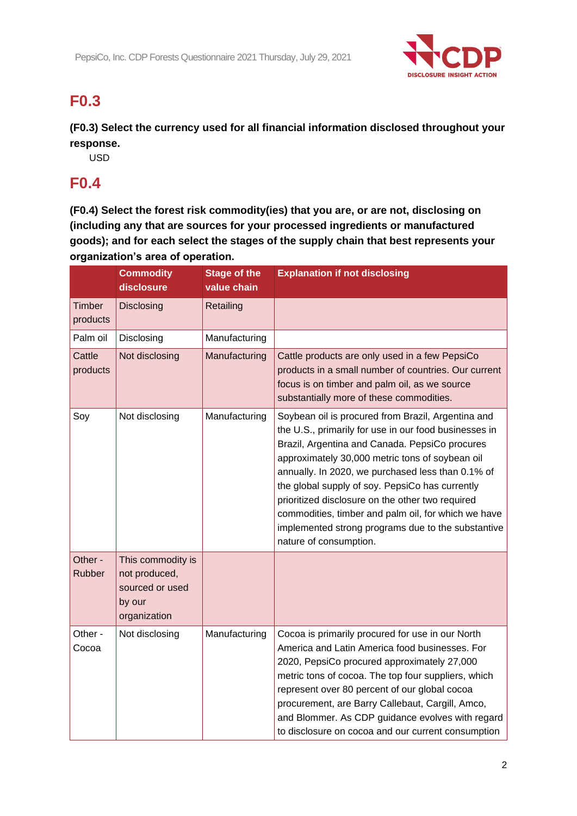

# **F0.3**

**(F0.3) Select the currency used for all financial information disclosed throughout your response.**

USD

# **F0.4**

**(F0.4) Select the forest risk commodity(ies) that you are, or are not, disclosing on (including any that are sources for your processed ingredients or manufactured goods); and for each select the stages of the supply chain that best represents your organization's area of operation.**

|                          | <b>Commodity</b><br>disclosure                                                  | <b>Stage of the</b><br>value chain | <b>Explanation if not disclosing</b>                                                                                                                                                                                                                                                                                                                                                                                                                                                                                |
|--------------------------|---------------------------------------------------------------------------------|------------------------------------|---------------------------------------------------------------------------------------------------------------------------------------------------------------------------------------------------------------------------------------------------------------------------------------------------------------------------------------------------------------------------------------------------------------------------------------------------------------------------------------------------------------------|
| Timber<br>products       | Disclosing                                                                      | Retailing                          |                                                                                                                                                                                                                                                                                                                                                                                                                                                                                                                     |
| Palm oil                 | Disclosing                                                                      | Manufacturing                      |                                                                                                                                                                                                                                                                                                                                                                                                                                                                                                                     |
| Cattle<br>products       | Not disclosing                                                                  | Manufacturing                      | Cattle products are only used in a few PepsiCo<br>products in a small number of countries. Our current<br>focus is on timber and palm oil, as we source<br>substantially more of these commodities.                                                                                                                                                                                                                                                                                                                 |
| Soy                      | Not disclosing                                                                  | Manufacturing                      | Soybean oil is procured from Brazil, Argentina and<br>the U.S., primarily for use in our food businesses in<br>Brazil, Argentina and Canada. PepsiCo procures<br>approximately 30,000 metric tons of soybean oil<br>annually. In 2020, we purchased less than 0.1% of<br>the global supply of soy. PepsiCo has currently<br>prioritized disclosure on the other two required<br>commodities, timber and palm oil, for which we have<br>implemented strong programs due to the substantive<br>nature of consumption. |
| Other -<br><b>Rubber</b> | This commodity is<br>not produced,<br>sourced or used<br>by our<br>organization |                                    |                                                                                                                                                                                                                                                                                                                                                                                                                                                                                                                     |
| Other -<br>Cocoa         | Not disclosing                                                                  | Manufacturing                      | Cocoa is primarily procured for use in our North<br>America and Latin America food businesses. For<br>2020, PepsiCo procured approximately 27,000<br>metric tons of cocoa. The top four suppliers, which<br>represent over 80 percent of our global cocoa<br>procurement, are Barry Callebaut, Cargill, Amco,<br>and Blommer. As CDP guidance evolves with regard<br>to disclosure on cocoa and our current consumption                                                                                             |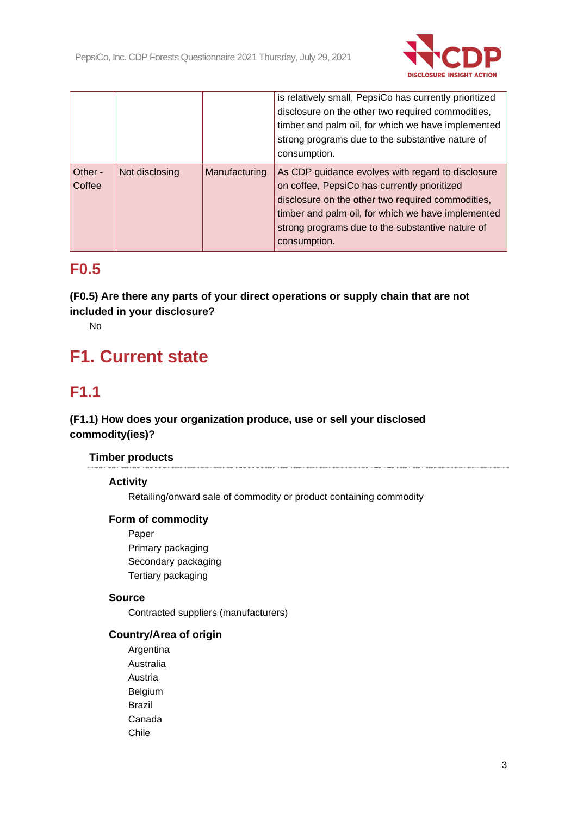

|                   |                |               | is relatively small, PepsiCo has currently prioritized<br>disclosure on the other two required commodities,<br>timber and palm oil, for which we have implemented<br>strong programs due to the substantive nature of<br>consumption.                                            |
|-------------------|----------------|---------------|----------------------------------------------------------------------------------------------------------------------------------------------------------------------------------------------------------------------------------------------------------------------------------|
| Other -<br>Coffee | Not disclosing | Manufacturing | As CDP guidance evolves with regard to disclosure<br>on coffee, PepsiCo has currently prioritized<br>disclosure on the other two required commodities,<br>timber and palm oil, for which we have implemented<br>strong programs due to the substantive nature of<br>consumption. |

# **F0.5**

**(F0.5) Are there any parts of your direct operations or supply chain that are not included in your disclosure?**

No

# **F1. Current state**

# **F1.1**

# **(F1.1) How does your organization produce, use or sell your disclosed commodity(ies)?**

# **Timber products**

# **Activity**

Retailing/onward sale of commodity or product containing commodity

# **Form of commodity**

Paper Primary packaging Secondary packaging Tertiary packaging

# **Source**

Contracted suppliers (manufacturers)

# **Country/Area of origin**

Argentina Australia Austria Belgium Brazil Canada Chile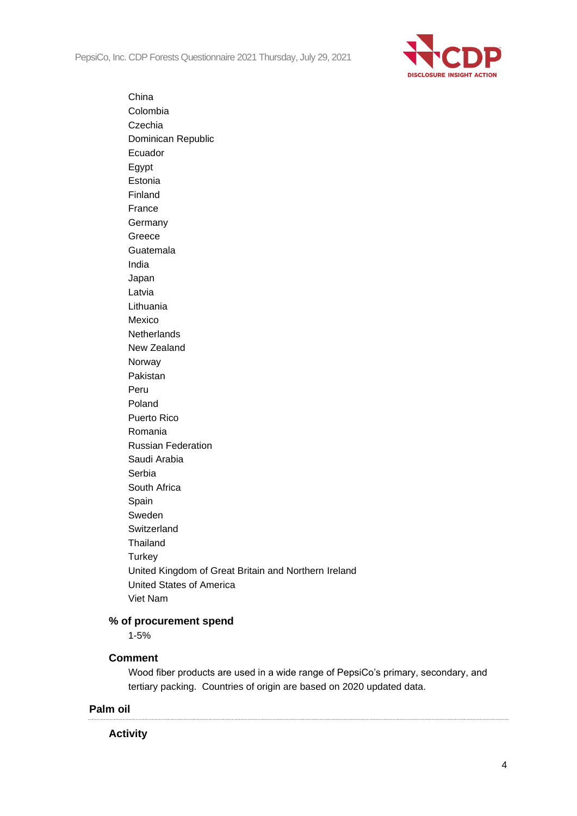PepsiCo, Inc. CDP Forests Questionnaire 2021 Thursday, July 29, 2021

China



Colombia Czechia Dominican Republic Ecuador Egypt Estonia Finland France **Germany** Greece Guatemala India Japan Latvia Lithuania Mexico **Netherlands** New Zealand Norway Pakistan Peru Poland Puerto Rico Romania Russian Federation Saudi Arabia Serbia South Africa Spain Sweden Switzerland **Thailand Turkey** United Kingdom of Great Britain and Northern Ireland United States of America Viet Nam

# **% of procurement spend**

1-5%

#### **Comment**

Wood fiber products are used in a wide range of PepsiCo's primary, secondary, and tertiary packing. Countries of origin are based on 2020 updated data.

# **Palm oil**

# **Activity**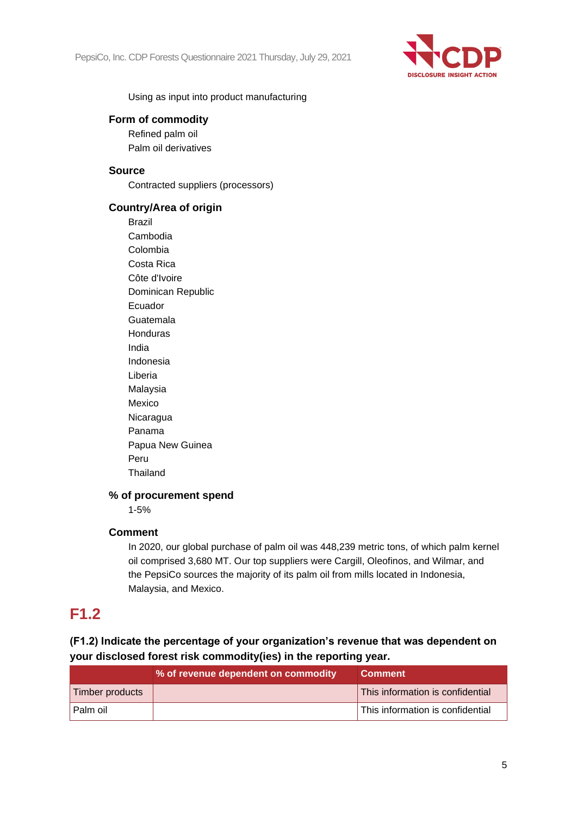

Using as input into product manufacturing

# **Form of commodity**

Refined palm oil Palm oil derivatives

### **Source**

Contracted suppliers (processors)

# **Country/Area of origin**

Brazil Cambodia Colombia Costa Rica Côte d'Ivoire Dominican Republic Ecuador Guatemala Honduras India Indonesia Liberia Malaysia Mexico Nicaragua Panama Papua New Guinea Peru **Thailand** 

# **% of procurement spend**

1-5%

# **Comment**

In 2020, our global purchase of palm oil was 448,239 metric tons, of which palm kernel oil comprised 3,680 MT. Our top suppliers were Cargill, Oleofinos, and Wilmar, and the PepsiCo sources the majority of its palm oil from mills located in Indonesia, Malaysia, and Mexico.

# **F1.2**

# **(F1.2) Indicate the percentage of your organization's revenue that was dependent on your disclosed forest risk commodity(ies) in the reporting year.**

|                 | % of revenue dependent on commodity | <b>Comment</b>                   |
|-----------------|-------------------------------------|----------------------------------|
| Timber products |                                     | This information is confidential |
| l Palm oil      |                                     | This information is confidential |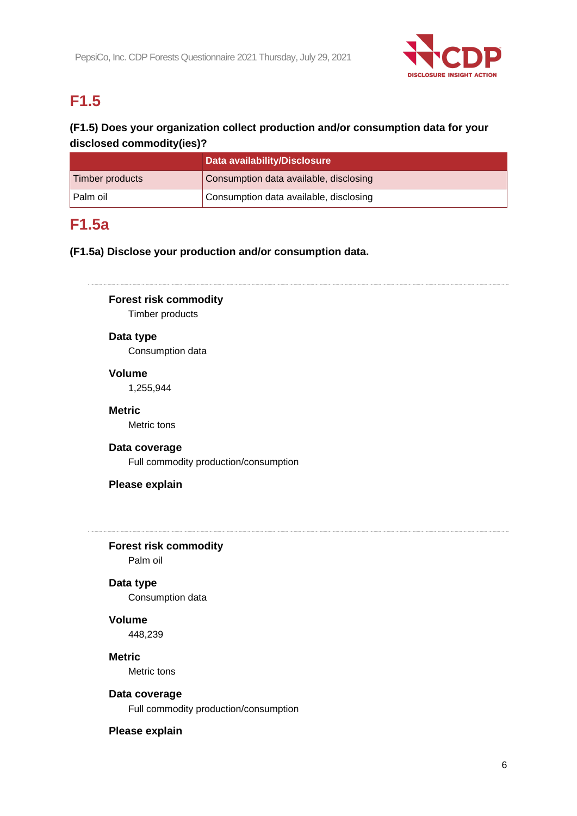

# **F1.5**

# **(F1.5) Does your organization collect production and/or consumption data for your disclosed commodity(ies)?**

|                 | Data availability/Disclosure           |
|-----------------|----------------------------------------|
| Timber products | Consumption data available, disclosing |
| l Palm oil      | Consumption data available, disclosing |

# **F1.5a**

# **(F1.5a) Disclose your production and/or consumption data.**

**Forest risk commodity** Timber products

# **Data type**

Consumption data

# **Volume**

1,255,944

# **Metric**

Metric tons

### **Data coverage**

Full commodity production/consumption

# **Please explain**

#### **Forest risk commodity**

Palm oil

# **Data type**

Consumption data

# **Volume**

448,239

# **Metric**

Metric tons

#### **Data coverage**

Full commodity production/consumption

# **Please explain**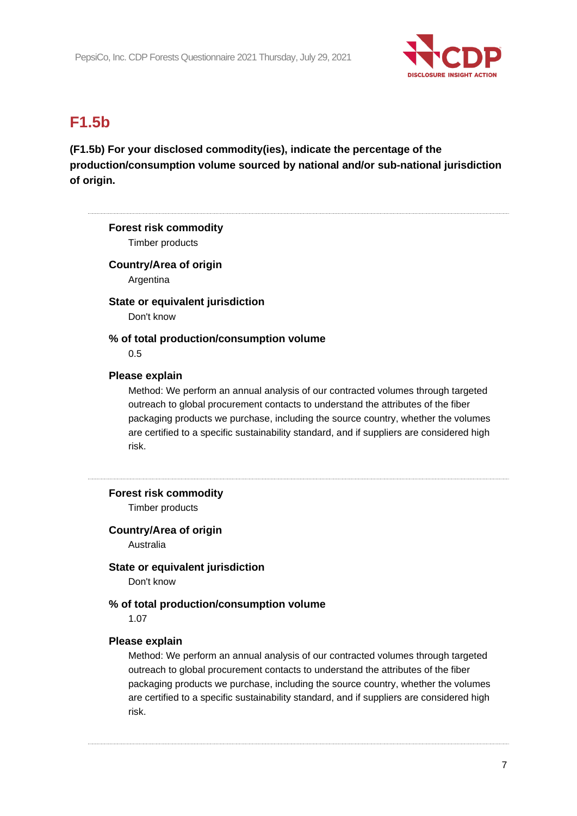

# **F1.5b**

# **(F1.5b) For your disclosed commodity(ies), indicate the percentage of the production/consumption volume sourced by national and/or sub-national jurisdiction of origin.**

# **Forest risk commodity** Timber products **Country/Area of origin** Argentina **State or equivalent jurisdiction** Don't know **% of total production/consumption volume** 0.5 **Please explain** Method: We perform an annual analysis of our contracted volumes through targeted outreach to global procurement contacts to understand the attributes of the fiber packaging products we purchase, including the source country, whether the volumes are certified to a specific sustainability standard, and if suppliers are considered high risk. **Forest risk commodity** Timber products **Country/Area of origin** Australia **State or equivalent jurisdiction** Don't know **% of total production/consumption volume** 1.07 **Please explain** Method: We perform an annual analysis of our contracted volumes through targeted outreach to global procurement contacts to understand the attributes of the fiber packaging products we purchase, including the source country, whether the volumes are certified to a specific sustainability standard, and if suppliers are considered high risk.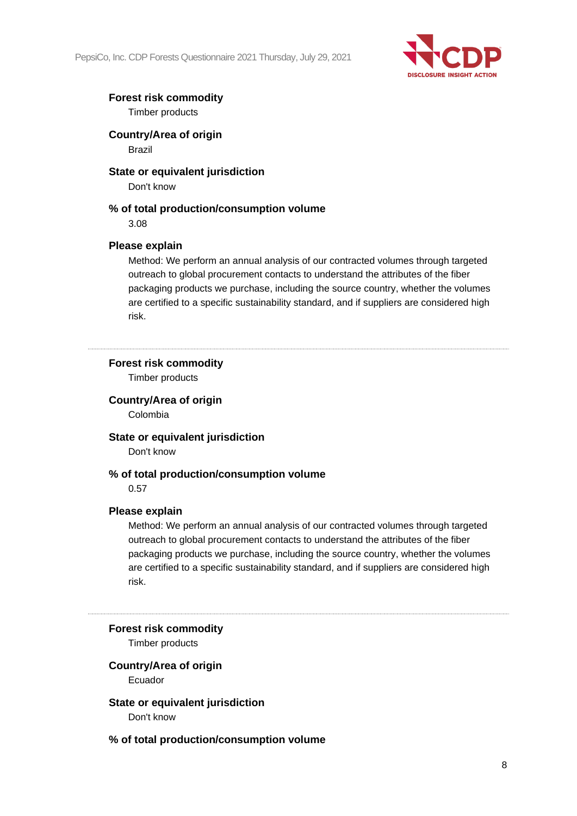PepsiCo, Inc. CDP Forests Questionnaire 2021 Thursday, July 29, 2021



# **Forest risk commodity**

Timber products

**Country/Area of origin**

Brazil

# **State or equivalent jurisdiction**

Don't know

# **% of total production/consumption volume**

3.08

# **Please explain**

Method: We perform an annual analysis of our contracted volumes through targeted outreach to global procurement contacts to understand the attributes of the fiber packaging products we purchase, including the source country, whether the volumes are certified to a specific sustainability standard, and if suppliers are considered high risk.

# **Forest risk commodity**

Timber products

# **Country/Area of origin**

Colombia

# **State or equivalent jurisdiction**

Don't know

# **% of total production/consumption volume**

0.57

# **Please explain**

Method: We perform an annual analysis of our contracted volumes through targeted outreach to global procurement contacts to understand the attributes of the fiber packaging products we purchase, including the source country, whether the volumes are certified to a specific sustainability standard, and if suppliers are considered high risk.

#### **Forest risk commodity**

Timber products

# **Country/Area of origin**

Ecuador

**State or equivalent jurisdiction** Don't know

**% of total production/consumption volume**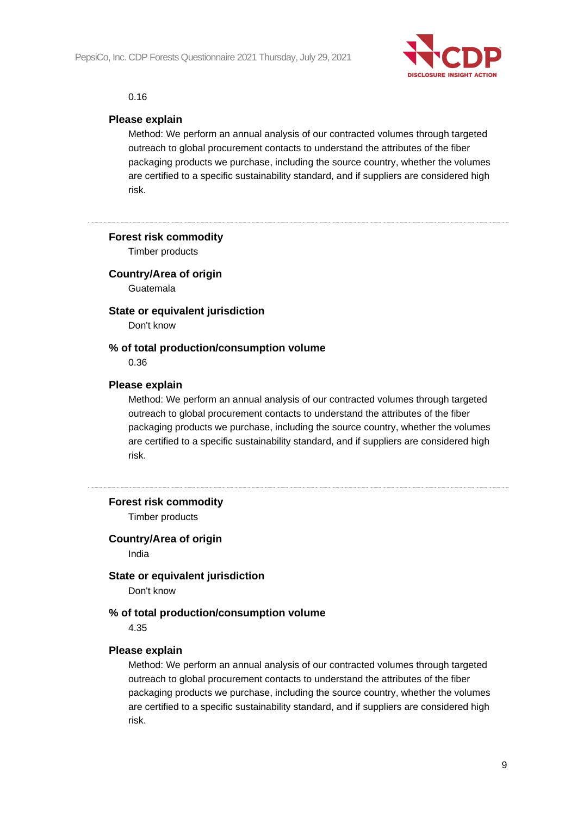

#### 0.16

#### **Please explain**

Method: We perform an annual analysis of our contracted volumes through targeted outreach to global procurement contacts to understand the attributes of the fiber packaging products we purchase, including the source country, whether the volumes are certified to a specific sustainability standard, and if suppliers are considered high risk.

**Forest risk commodity**

Timber products

**Country/Area of origin**

Guatemala

**State or equivalent jurisdiction**

Don't know

#### **% of total production/consumption volume**

0.36

#### **Please explain**

Method: We perform an annual analysis of our contracted volumes through targeted outreach to global procurement contacts to understand the attributes of the fiber packaging products we purchase, including the source country, whether the volumes are certified to a specific sustainability standard, and if suppliers are considered high risk.

#### **Forest risk commodity**

Timber products

#### **Country/Area of origin**

India

#### **State or equivalent jurisdiction**

Don't know

#### **% of total production/consumption volume**

4.35

#### **Please explain**

Method: We perform an annual analysis of our contracted volumes through targeted outreach to global procurement contacts to understand the attributes of the fiber packaging products we purchase, including the source country, whether the volumes are certified to a specific sustainability standard, and if suppliers are considered high risk.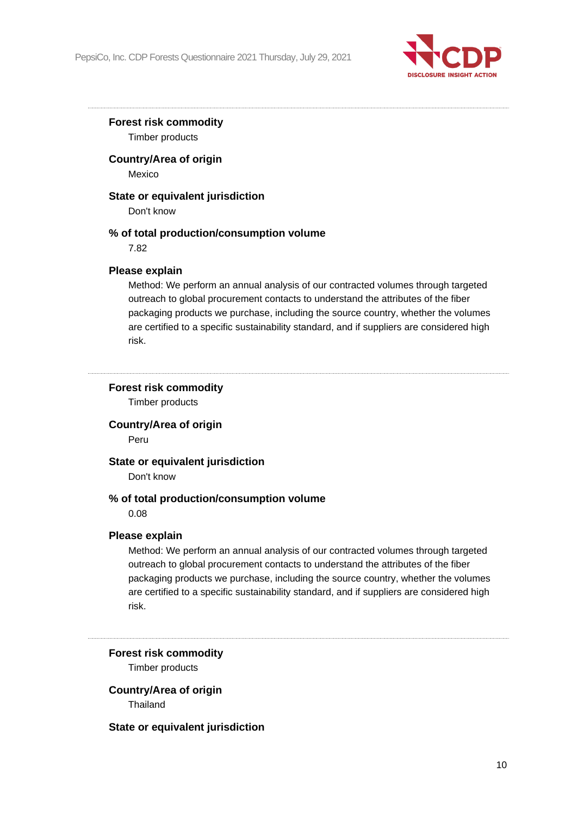

# **Forest risk commodity**

Timber products

# **Country/Area of origin**

Mexico

# **State or equivalent jurisdiction**

Don't know

# **% of total production/consumption volume**

7.82

# **Please explain**

Method: We perform an annual analysis of our contracted volumes through targeted outreach to global procurement contacts to understand the attributes of the fiber packaging products we purchase, including the source country, whether the volumes are certified to a specific sustainability standard, and if suppliers are considered high risk.

# **Forest risk commodity**

Timber products

# **Country/Area of origin**

Peru

#### **State or equivalent jurisdiction**

Don't know

# **% of total production/consumption volume**

0.08

#### **Please explain**

Method: We perform an annual analysis of our contracted volumes through targeted outreach to global procurement contacts to understand the attributes of the fiber packaging products we purchase, including the source country, whether the volumes are certified to a specific sustainability standard, and if suppliers are considered high risk.

# **Forest risk commodity** Timber products

# **Country/Area of origin**

**Thailand** 

#### **State or equivalent jurisdiction**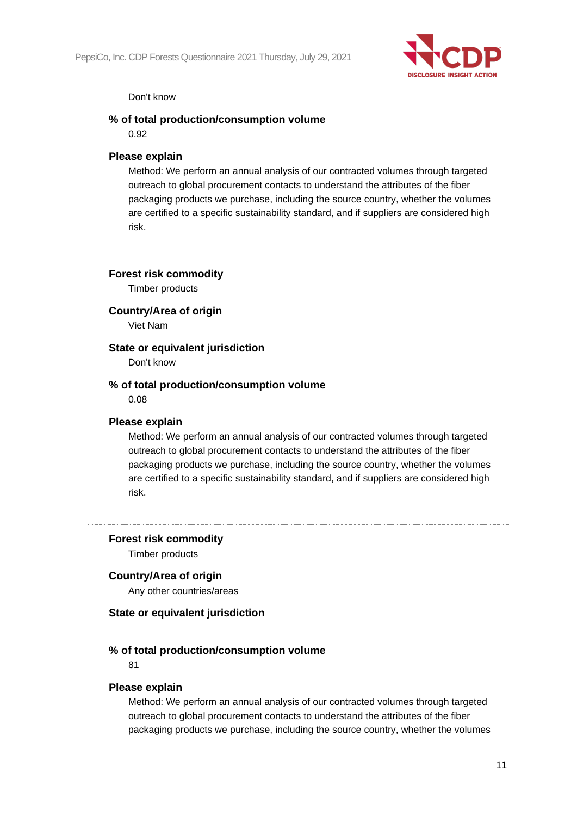

#### Don't know

#### **% of total production/consumption volume**

0.92

### **Please explain**

Method: We perform an annual analysis of our contracted volumes through targeted outreach to global procurement contacts to understand the attributes of the fiber packaging products we purchase, including the source country, whether the volumes are certified to a specific sustainability standard, and if suppliers are considered high risk.

#### **Forest risk commodity**

Timber products

#### **Country/Area of origin**

Viet Nam

#### **State or equivalent jurisdiction**

Don't know

#### **% of total production/consumption volume**

0.08

#### **Please explain**

Method: We perform an annual analysis of our contracted volumes through targeted outreach to global procurement contacts to understand the attributes of the fiber packaging products we purchase, including the source country, whether the volumes are certified to a specific sustainability standard, and if suppliers are considered high risk.

#### **Forest risk commodity**

Timber products

#### **Country/Area of origin**

Any other countries/areas

#### **State or equivalent jurisdiction**

#### **% of total production/consumption volume**

81

#### **Please explain**

Method: We perform an annual analysis of our contracted volumes through targeted outreach to global procurement contacts to understand the attributes of the fiber packaging products we purchase, including the source country, whether the volumes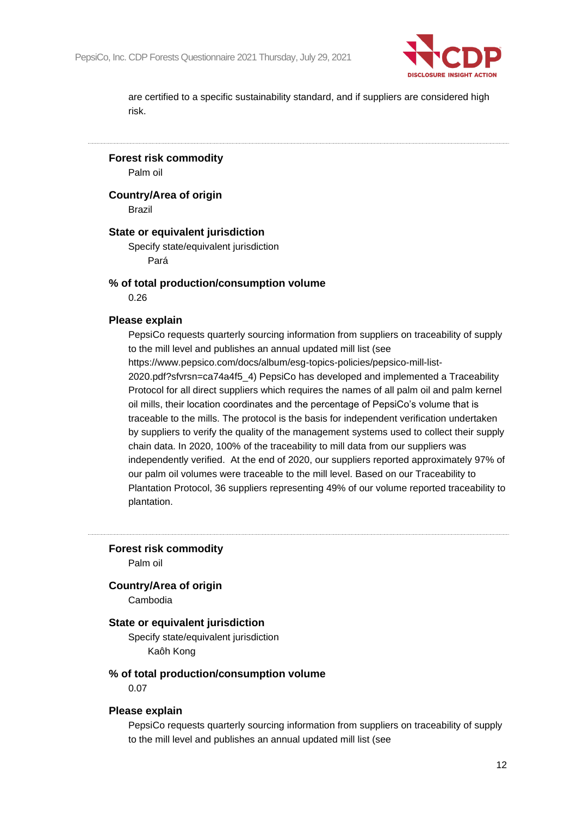

are certified to a specific sustainability standard, and if suppliers are considered high risk.

**Forest risk commodity**

Palm oil

**Country/Area of origin**

Brazil

#### **State or equivalent jurisdiction**

Specify state/equivalent jurisdiction Pará

#### **% of total production/consumption volume**

0.26

#### **Please explain**

PepsiCo requests quarterly sourcing information from suppliers on traceability of supply to the mill level and publishes an annual updated mill list (see https://www.pepsico.com/docs/album/esg-topics-policies/pepsico-mill-list-2020.pdf?sfvrsn=ca74a4f5\_4) PepsiCo has developed and implemented a Traceability

Protocol for all direct suppliers which requires the names of all palm oil and palm kernel oil mills, their location coordinates and the percentage of PepsiCo's volume that is traceable to the mills. The protocol is the basis for independent verification undertaken by suppliers to verify the quality of the management systems used to collect their supply chain data. In 2020, 100% of the traceability to mill data from our suppliers was independently verified. At the end of 2020, our suppliers reported approximately 97% of our palm oil volumes were traceable to the mill level. Based on our Traceability to Plantation Protocol, 36 suppliers representing 49% of our volume reported traceability to plantation.

**Forest risk commodity**

Palm oil

#### **Country/Area of origin**

Cambodia

#### **State or equivalent jurisdiction**

Specify state/equivalent jurisdiction Kaôh Kong

#### **% of total production/consumption volume**

0.07

#### **Please explain**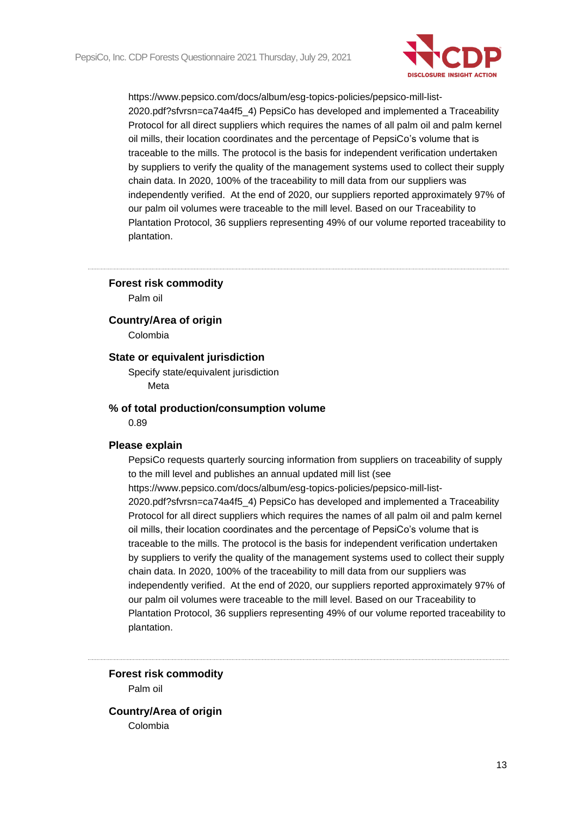

#### **Forest risk commodity**

Palm oil

**Country/Area of origin**

Colombia

# **State or equivalent jurisdiction**

Specify state/equivalent jurisdiction Meta

#### **% of total production/consumption volume**

0.89

#### **Please explain**

PepsiCo requests quarterly sourcing information from suppliers on traceability of supply to the mill level and publishes an annual updated mill list (see https://www.pepsico.com/docs/album/esg-topics-policies/pepsico-mill-list-2020.pdf?sfvrsn=ca74a4f5\_4) PepsiCo has developed and implemented a Traceability Protocol for all direct suppliers which requires the names of all palm oil and palm kernel oil mills, their location coordinates and the percentage of PepsiCo's volume that is traceable to the mills. The protocol is the basis for independent verification undertaken by suppliers to verify the quality of the management systems used to collect their supply chain data. In 2020, 100% of the traceability to mill data from our suppliers was independently verified. At the end of 2020, our suppliers reported approximately 97% of our palm oil volumes were traceable to the mill level. Based on our Traceability to Plantation Protocol, 36 suppliers representing 49% of our volume reported traceability to plantation.

**Forest risk commodity** Palm oil

**Country/Area of origin** Colombia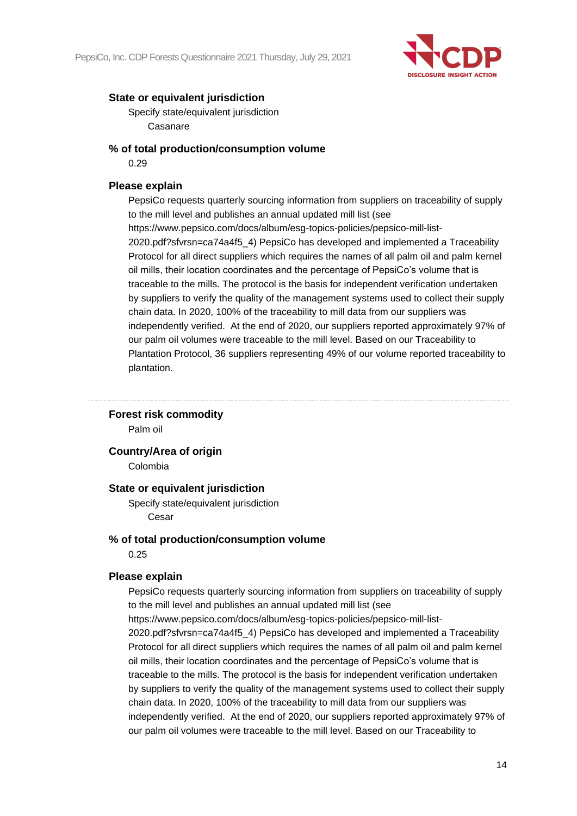

Specify state/equivalent jurisdiction Casanare

# **% of total production/consumption volume**

0.29

# **Please explain**

PepsiCo requests quarterly sourcing information from suppliers on traceability of supply to the mill level and publishes an annual updated mill list (see https://www.pepsico.com/docs/album/esg-topics-policies/pepsico-mill-list-2020.pdf?sfvrsn=ca74a4f5\_4) PepsiCo has developed and implemented a Traceability Protocol for all direct suppliers which requires the names of all palm oil and palm kernel oil mills, their location coordinates and the percentage of PepsiCo's volume that is traceable to the mills. The protocol is the basis for independent verification undertaken by suppliers to verify the quality of the management systems used to collect their supply chain data. In 2020, 100% of the traceability to mill data from our suppliers was independently verified. At the end of 2020, our suppliers reported approximately 97% of our palm oil volumes were traceable to the mill level. Based on our Traceability to Plantation Protocol, 36 suppliers representing 49% of our volume reported traceability to plantation.

### **Forest risk commodity**

Palm oil

### **Country/Area of origin**

Colombia

#### **State or equivalent jurisdiction**

Specify state/equivalent jurisdiction Cesar

#### **% of total production/consumption volume**

0.25

#### **Please explain**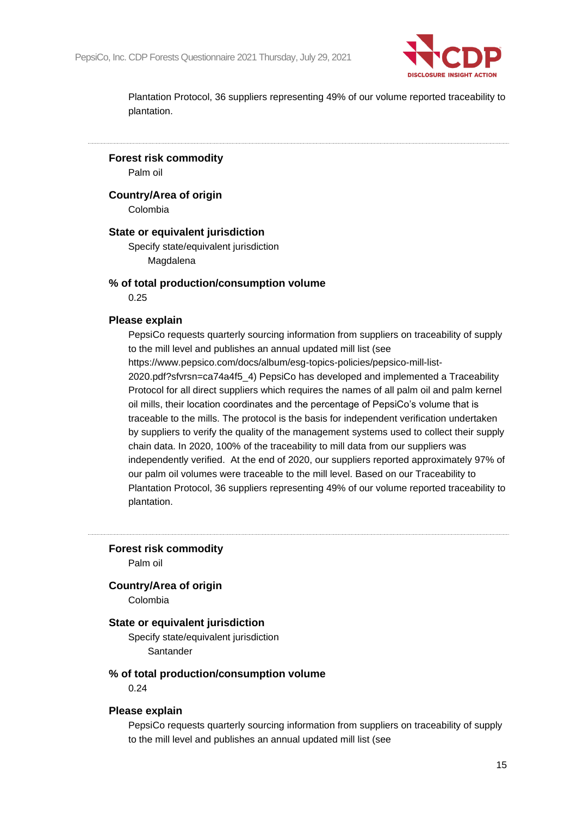

**Forest risk commodity**

Palm oil

**Country/Area of origin**

Colombia

#### **State or equivalent jurisdiction**

Specify state/equivalent jurisdiction Magdalena

#### **% of total production/consumption volume**

0.25

#### **Please explain**

PepsiCo requests quarterly sourcing information from suppliers on traceability of supply to the mill level and publishes an annual updated mill list (see https://www.pepsico.com/docs/album/esg-topics-policies/pepsico-mill-list-2020.pdf?sfvrsn=ca74a4f5\_4) PepsiCo has developed and implemented a Traceability Protocol for all direct suppliers which requires the names of all palm oil and palm kernel oil mills, their location coordinates and the percentage of PepsiCo's volume that is traceable to the mills. The protocol is the basis for independent verification undertaken by suppliers to verify the quality of the management systems used to collect their supply chain data. In 2020, 100% of the traceability to mill data from our suppliers was independently verified. At the end of 2020, our suppliers reported approximately 97% of our palm oil volumes were traceable to the mill level. Based on our Traceability to Plantation Protocol, 36 suppliers representing 49% of our volume reported traceability to plantation.

**Forest risk commodity**

Palm oil

#### **Country/Area of origin**

Colombia

# **State or equivalent jurisdiction**

Specify state/equivalent jurisdiction **Santander** 

#### **% of total production/consumption volume**

0.24

#### **Please explain**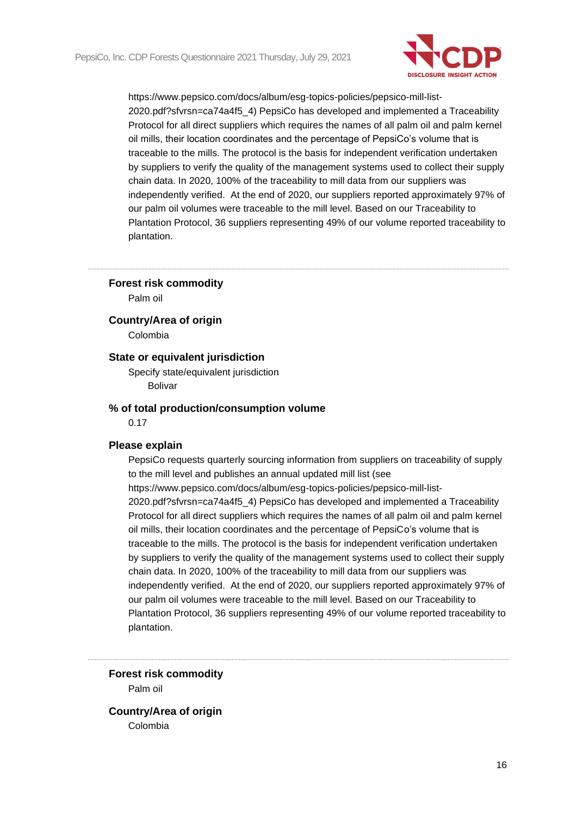

#### **Forest risk commodity**

Palm oil

#### **Country/Area of origin**

Colombia

### **State or equivalent jurisdiction**

Specify state/equivalent jurisdiction Bolivar

#### **% of total production/consumption volume**

0.17

#### **Please explain**

PepsiCo requests quarterly sourcing information from suppliers on traceability of supply to the mill level and publishes an annual updated mill list (see https://www.pepsico.com/docs/album/esg-topics-policies/pepsico-mill-list-2020.pdf?sfvrsn=ca74a4f5\_4) PepsiCo has developed and implemented a Traceability Protocol for all direct suppliers which requires the names of all palm oil and palm kernel oil mills, their location coordinates and the percentage of PepsiCo's volume that is traceable to the mills. The protocol is the basis for independent verification undertaken by suppliers to verify the quality of the management systems used to collect their supply chain data. In 2020, 100% of the traceability to mill data from our suppliers was independently verified. At the end of 2020, our suppliers reported approximately 97% of our palm oil volumes were traceable to the mill level. Based on our Traceability to Plantation Protocol, 36 suppliers representing 49% of our volume reported traceability to plantation.

**Forest risk commodity** Palm oil

**Country/Area of origin** Colombia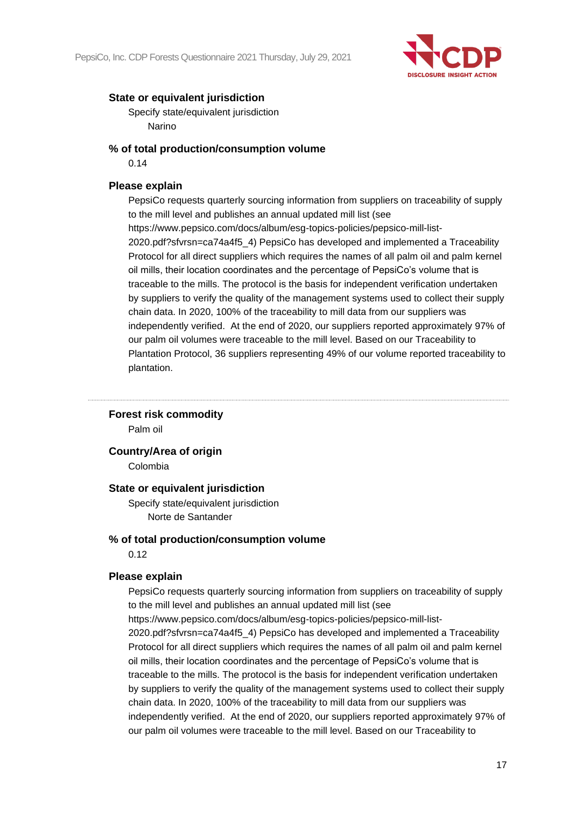

Specify state/equivalent jurisdiction Narino

### **% of total production/consumption volume**

0.14

# **Please explain**

PepsiCo requests quarterly sourcing information from suppliers on traceability of supply to the mill level and publishes an annual updated mill list (see https://www.pepsico.com/docs/album/esg-topics-policies/pepsico-mill-list-2020.pdf?sfvrsn=ca74a4f5\_4) PepsiCo has developed and implemented a Traceability Protocol for all direct suppliers which requires the names of all palm oil and palm kernel oil mills, their location coordinates and the percentage of PepsiCo's volume that is traceable to the mills. The protocol is the basis for independent verification undertaken by suppliers to verify the quality of the management systems used to collect their supply chain data. In 2020, 100% of the traceability to mill data from our suppliers was independently verified. At the end of 2020, our suppliers reported approximately 97% of our palm oil volumes were traceable to the mill level. Based on our Traceability to Plantation Protocol, 36 suppliers representing 49% of our volume reported traceability to plantation.

# **Forest risk commodity**

Palm oil

**Country/Area of origin**

Colombia

#### **State or equivalent jurisdiction**

Specify state/equivalent jurisdiction Norte de Santander

#### **% of total production/consumption volume**

0.12

#### **Please explain**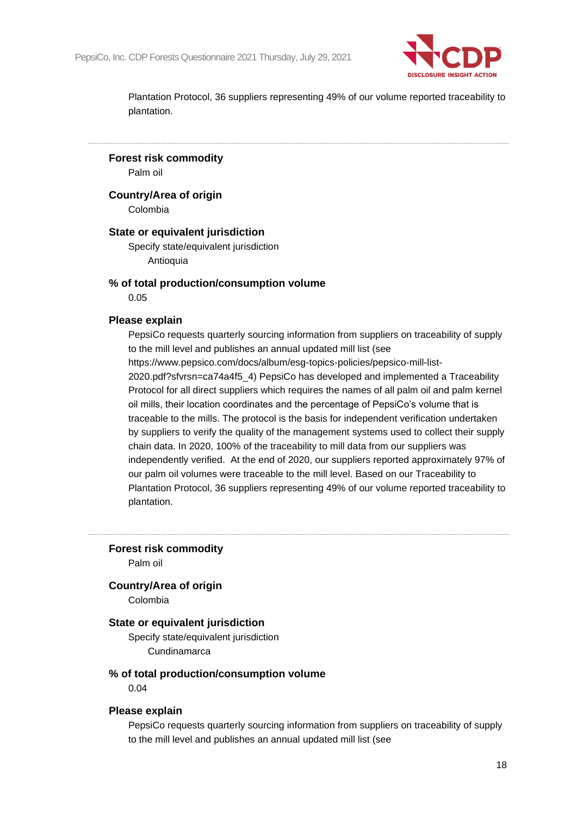

**Forest risk commodity**

Palm oil

**Country/Area of origin**

Colombia

#### **State or equivalent jurisdiction**

Specify state/equivalent jurisdiction **Antioquia** 

#### **% of total production/consumption volume**

0.05

#### **Please explain**

PepsiCo requests quarterly sourcing information from suppliers on traceability of supply to the mill level and publishes an annual updated mill list (see https://www.pepsico.com/docs/album/esg-topics-policies/pepsico-mill-list-2020.pdf?sfvrsn=ca74a4f5\_4) PepsiCo has developed and implemented a Traceability Protocol for all direct suppliers which requires the names of all palm oil and palm kernel oil mills, their location coordinates and the percentage of PepsiCo's volume that is traceable to the mills. The protocol is the basis for independent verification undertaken by suppliers to verify the quality of the management systems used to collect their supply chain data. In 2020, 100% of the traceability to mill data from our suppliers was independently verified. At the end of 2020, our suppliers reported approximately 97% of our palm oil volumes were traceable to the mill level. Based on our Traceability to Plantation Protocol, 36 suppliers representing 49% of our volume reported traceability to plantation.

**Forest risk commodity**

Palm oil

#### **Country/Area of origin**

Colombia

# **State or equivalent jurisdiction**

Specify state/equivalent jurisdiction **Cundinamarca** 

#### **% of total production/consumption volume**

0.04

#### **Please explain**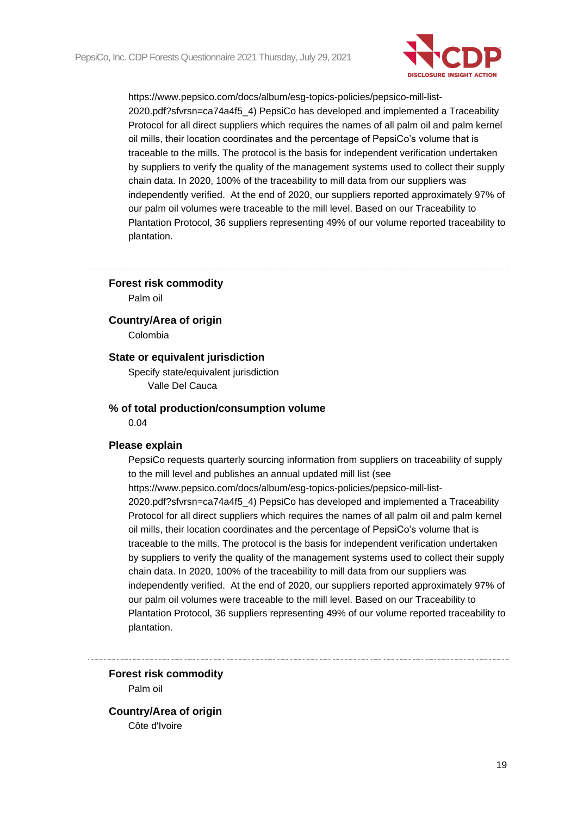

#### **Forest risk commodity**

Palm oil

**Country/Area of origin**

Colombia

# **State or equivalent jurisdiction**

Specify state/equivalent jurisdiction Valle Del Cauca

#### **% of total production/consumption volume**

0.04

#### **Please explain**

PepsiCo requests quarterly sourcing information from suppliers on traceability of supply to the mill level and publishes an annual updated mill list (see https://www.pepsico.com/docs/album/esg-topics-policies/pepsico-mill-list-2020.pdf?sfvrsn=ca74a4f5\_4) PepsiCo has developed and implemented a Traceability Protocol for all direct suppliers which requires the names of all palm oil and palm kernel oil mills, their location coordinates and the percentage of PepsiCo's volume that is traceable to the mills. The protocol is the basis for independent verification undertaken by suppliers to verify the quality of the management systems used to collect their supply chain data. In 2020, 100% of the traceability to mill data from our suppliers was independently verified. At the end of 2020, our suppliers reported approximately 97% of our palm oil volumes were traceable to the mill level. Based on our Traceability to Plantation Protocol, 36 suppliers representing 49% of our volume reported traceability to plantation.

**Forest risk commodity** Palm oil

**Country/Area of origin** Côte d'Ivoire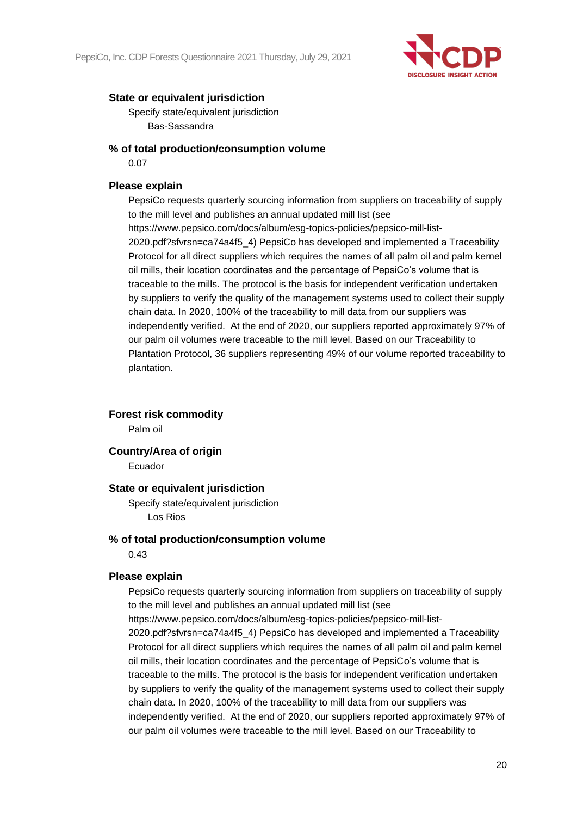

Specify state/equivalent jurisdiction Bas-Sassandra

### **% of total production/consumption volume**

0.07

# **Please explain**

PepsiCo requests quarterly sourcing information from suppliers on traceability of supply to the mill level and publishes an annual updated mill list (see https://www.pepsico.com/docs/album/esg-topics-policies/pepsico-mill-list-2020.pdf?sfvrsn=ca74a4f5\_4) PepsiCo has developed and implemented a Traceability Protocol for all direct suppliers which requires the names of all palm oil and palm kernel oil mills, their location coordinates and the percentage of PepsiCo's volume that is traceable to the mills. The protocol is the basis for independent verification undertaken by suppliers to verify the quality of the management systems used to collect their supply chain data. In 2020, 100% of the traceability to mill data from our suppliers was independently verified. At the end of 2020, our suppliers reported approximately 97% of our palm oil volumes were traceable to the mill level. Based on our Traceability to Plantation Protocol, 36 suppliers representing 49% of our volume reported traceability to plantation.

#### **Forest risk commodity**

Palm oil

# **Country/Area of origin**

Ecuador

#### **State or equivalent jurisdiction**

Specify state/equivalent jurisdiction Los Rios

#### **% of total production/consumption volume**

0.43

#### **Please explain**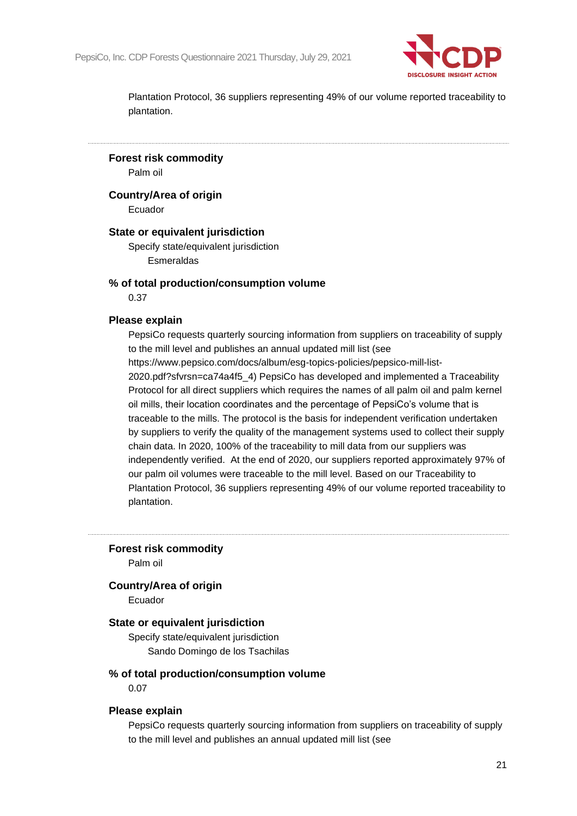

**Forest risk commodity**

Palm oil

**Country/Area of origin**

Ecuador

#### **State or equivalent jurisdiction**

Specify state/equivalent jurisdiction Esmeraldas

#### **% of total production/consumption volume**

0.37

#### **Please explain**

PepsiCo requests quarterly sourcing information from suppliers on traceability of supply to the mill level and publishes an annual updated mill list (see https://www.pepsico.com/docs/album/esg-topics-policies/pepsico-mill-list-2020.pdf?sfvrsn=ca74a4f5\_4) PepsiCo has developed and implemented a Traceability Protocol for all direct suppliers which requires the names of all palm oil and palm kernel oil mills, their location coordinates and the percentage of PepsiCo's volume that is traceable to the mills. The protocol is the basis for independent verification undertaken by suppliers to verify the quality of the management systems used to collect their supply chain data. In 2020, 100% of the traceability to mill data from our suppliers was independently verified. At the end of 2020, our suppliers reported approximately 97% of our palm oil volumes were traceable to the mill level. Based on our Traceability to Plantation Protocol, 36 suppliers representing 49% of our volume reported traceability to

plantation.

**Forest risk commodity**

Palm oil

#### **Country/Area of origin**

Ecuador

#### **State or equivalent jurisdiction**

Specify state/equivalent jurisdiction Sando Domingo de los Tsachilas

#### **% of total production/consumption volume**

0.07

#### **Please explain**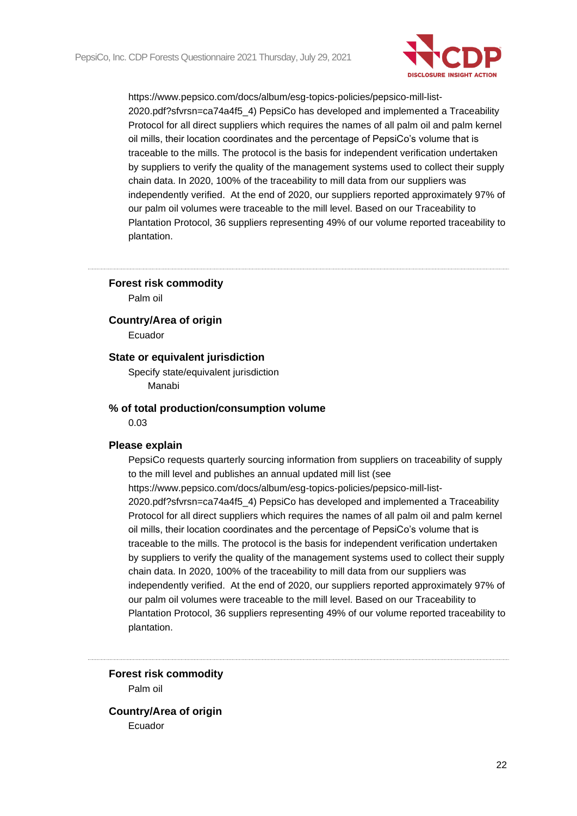

#### **Forest risk commodity**

Palm oil

**Country/Area of origin**

Ecuador

# **State or equivalent jurisdiction**

Specify state/equivalent jurisdiction Manabi

#### **% of total production/consumption volume**

0.03

#### **Please explain**

PepsiCo requests quarterly sourcing information from suppliers on traceability of supply to the mill level and publishes an annual updated mill list (see https://www.pepsico.com/docs/album/esg-topics-policies/pepsico-mill-list-2020.pdf?sfvrsn=ca74a4f5\_4) PepsiCo has developed and implemented a Traceability Protocol for all direct suppliers which requires the names of all palm oil and palm kernel oil mills, their location coordinates and the percentage of PepsiCo's volume that is traceable to the mills. The protocol is the basis for independent verification undertaken by suppliers to verify the quality of the management systems used to collect their supply chain data. In 2020, 100% of the traceability to mill data from our suppliers was independently verified. At the end of 2020, our suppliers reported approximately 97% of our palm oil volumes were traceable to the mill level. Based on our Traceability to Plantation Protocol, 36 suppliers representing 49% of our volume reported traceability to plantation.

**Forest risk commodity** Palm oil

**Country/Area of origin** Ecuador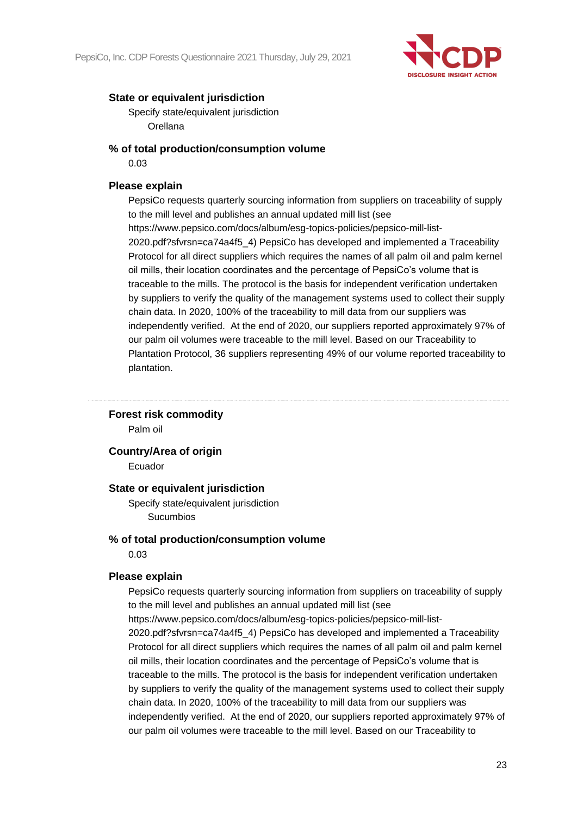

Specify state/equivalent jurisdiction Orellana

# **% of total production/consumption volume**

0.03

# **Please explain**

PepsiCo requests quarterly sourcing information from suppliers on traceability of supply to the mill level and publishes an annual updated mill list (see https://www.pepsico.com/docs/album/esg-topics-policies/pepsico-mill-list-2020.pdf?sfvrsn=ca74a4f5\_4) PepsiCo has developed and implemented a Traceability Protocol for all direct suppliers which requires the names of all palm oil and palm kernel oil mills, their location coordinates and the percentage of PepsiCo's volume that is traceable to the mills. The protocol is the basis for independent verification undertaken by suppliers to verify the quality of the management systems used to collect their supply chain data. In 2020, 100% of the traceability to mill data from our suppliers was independently verified. At the end of 2020, our suppliers reported approximately 97% of our palm oil volumes were traceable to the mill level. Based on our Traceability to Plantation Protocol, 36 suppliers representing 49% of our volume reported traceability to plantation.

#### **Forest risk commodity**

Palm oil

# **Country/Area of origin**

Ecuador

#### **State or equivalent jurisdiction**

Specify state/equivalent jurisdiction Sucumbios

#### **% of total production/consumption volume**

0.03

#### **Please explain**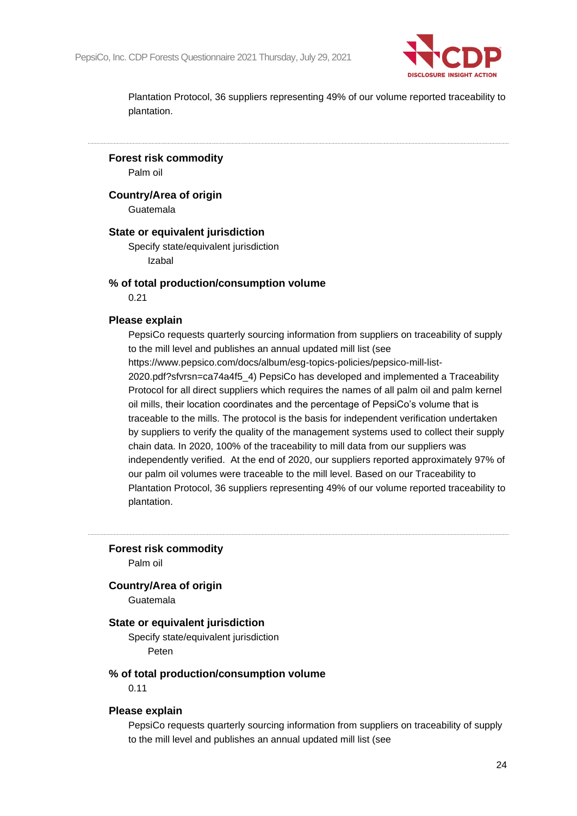

**Forest risk commodity**

Palm oil

**Country/Area of origin**

Guatemala

#### **State or equivalent jurisdiction**

Specify state/equivalent jurisdiction Izabal

#### **% of total production/consumption volume**

0.21

#### **Please explain**

PepsiCo requests quarterly sourcing information from suppliers on traceability of supply to the mill level and publishes an annual updated mill list (see https://www.pepsico.com/docs/album/esg-topics-policies/pepsico-mill-list-2020.pdf?sfvrsn=ca74a4f5\_4) PepsiCo has developed and implemented a Traceability Protocol for all direct suppliers which requires the names of all palm oil and palm kernel oil mills, their location coordinates and the percentage of PepsiCo's volume that is traceable to the mills. The protocol is the basis for independent verification undertaken by suppliers to verify the quality of the management systems used to collect their supply chain data. In 2020, 100% of the traceability to mill data from our suppliers was independently verified. At the end of 2020, our suppliers reported approximately 97% of our palm oil volumes were traceable to the mill level. Based on our Traceability to Plantation Protocol, 36 suppliers representing 49% of our volume reported traceability to

plantation.

**Forest risk commodity**

Palm oil

#### **Country/Area of origin**

Guatemala

#### **State or equivalent jurisdiction**

Specify state/equivalent jurisdiction Peten

# **% of total production/consumption volume**

0.11

#### **Please explain**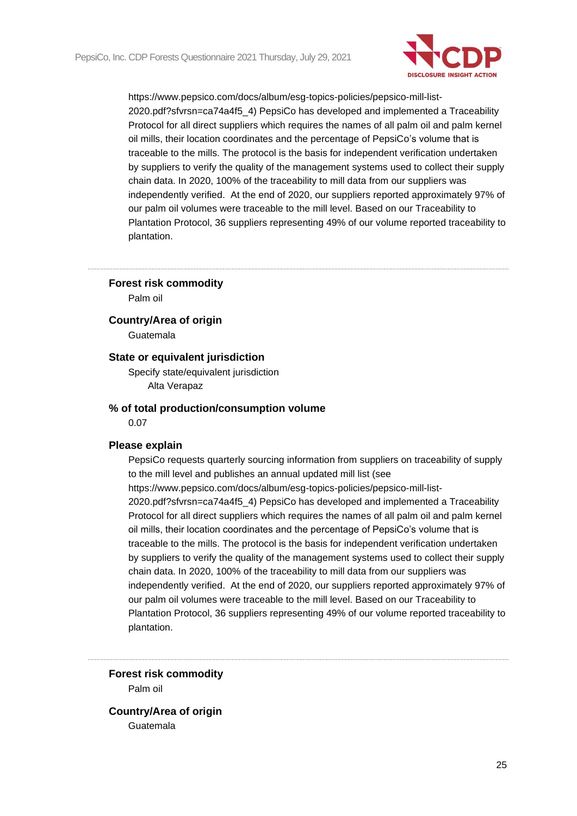

**Forest risk commodity**

Palm oil

**Country/Area of origin**

Guatemala

# **State or equivalent jurisdiction**

Specify state/equivalent jurisdiction Alta Verapaz

#### **% of total production/consumption volume**

0.07

#### **Please explain**

PepsiCo requests quarterly sourcing information from suppliers on traceability of supply to the mill level and publishes an annual updated mill list (see https://www.pepsico.com/docs/album/esg-topics-policies/pepsico-mill-list-2020.pdf?sfvrsn=ca74a4f5\_4) PepsiCo has developed and implemented a Traceability Protocol for all direct suppliers which requires the names of all palm oil and palm kernel oil mills, their location coordinates and the percentage of PepsiCo's volume that is traceable to the mills. The protocol is the basis for independent verification undertaken by suppliers to verify the quality of the management systems used to collect their supply chain data. In 2020, 100% of the traceability to mill data from our suppliers was independently verified. At the end of 2020, our suppliers reported approximately 97% of our palm oil volumes were traceable to the mill level. Based on our Traceability to Plantation Protocol, 36 suppliers representing 49% of our volume reported traceability to plantation.

**Forest risk commodity** Palm oil

**Country/Area of origin** Guatemala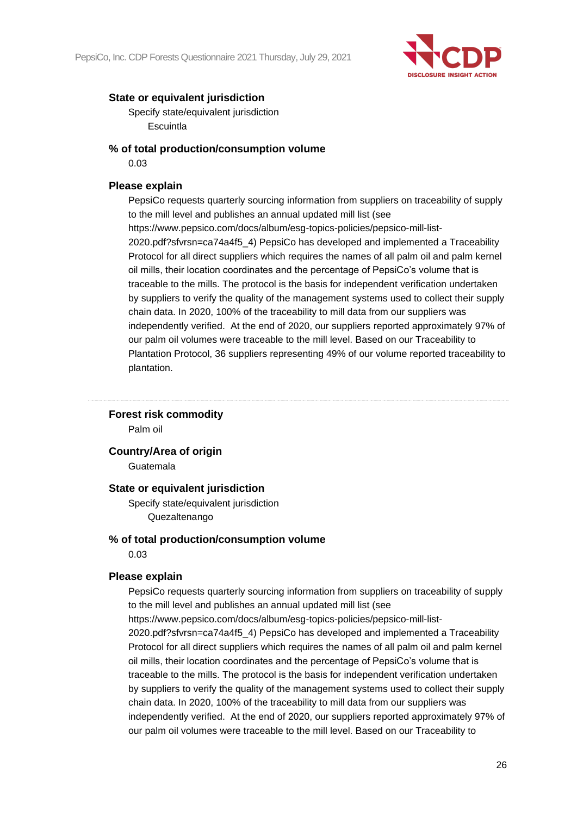

Specify state/equivalent jurisdiction **Escuintla** 

### **% of total production/consumption volume**

0.03

# **Please explain**

PepsiCo requests quarterly sourcing information from suppliers on traceability of supply to the mill level and publishes an annual updated mill list (see https://www.pepsico.com/docs/album/esg-topics-policies/pepsico-mill-list-2020.pdf?sfvrsn=ca74a4f5\_4) PepsiCo has developed and implemented a Traceability Protocol for all direct suppliers which requires the names of all palm oil and palm kernel oil mills, their location coordinates and the percentage of PepsiCo's volume that is traceable to the mills. The protocol is the basis for independent verification undertaken by suppliers to verify the quality of the management systems used to collect their supply chain data. In 2020, 100% of the traceability to mill data from our suppliers was independently verified. At the end of 2020, our suppliers reported approximately 97% of our palm oil volumes were traceable to the mill level. Based on our Traceability to Plantation Protocol, 36 suppliers representing 49% of our volume reported traceability to plantation.

#### **Forest risk commodity**

Palm oil

**Country/Area of origin**

Guatemala

#### **State or equivalent jurisdiction**

Specify state/equivalent jurisdiction Quezaltenango

#### **% of total production/consumption volume**

0.03

#### **Please explain**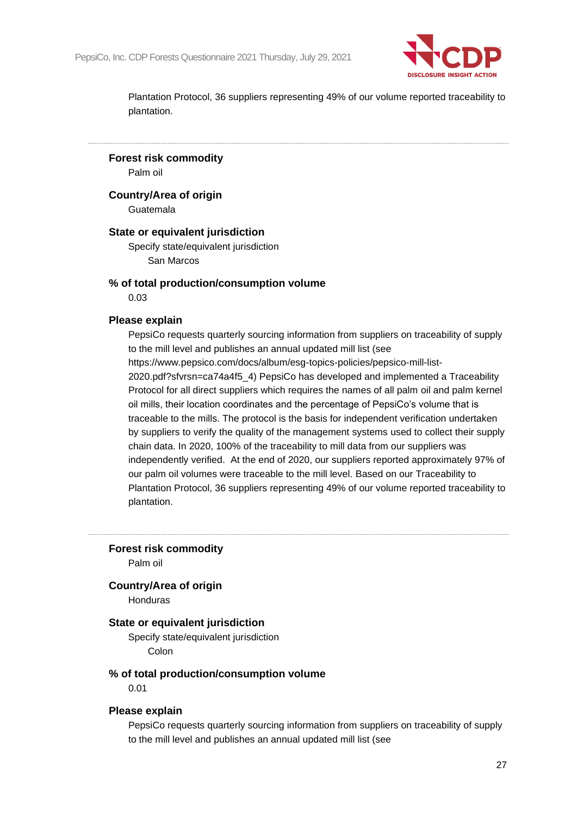

**Forest risk commodity**

Palm oil

**Country/Area of origin**

Guatemala

#### **State or equivalent jurisdiction**

Specify state/equivalent jurisdiction San Marcos

#### **% of total production/consumption volume**

0.03

#### **Please explain**

PepsiCo requests quarterly sourcing information from suppliers on traceability of supply to the mill level and publishes an annual updated mill list (see https://www.pepsico.com/docs/album/esg-topics-policies/pepsico-mill-list-2020.pdf?sfvrsn=ca74a4f5\_4) PepsiCo has developed and implemented a Traceability Protocol for all direct suppliers which requires the names of all palm oil and palm kernel oil mills, their location coordinates and the percentage of PepsiCo's volume that is traceable to the mills. The protocol is the basis for independent verification undertaken by suppliers to verify the quality of the management systems used to collect their supply chain data. In 2020, 100% of the traceability to mill data from our suppliers was independently verified. At the end of 2020, our suppliers reported approximately 97% of our palm oil volumes were traceable to the mill level. Based on our Traceability to Plantation Protocol, 36 suppliers representing 49% of our volume reported traceability to plantation.

**Forest risk commodity**

Palm oil

#### **Country/Area of origin**

Honduras

# **State or equivalent jurisdiction**

Specify state/equivalent jurisdiction Colon

#### **% of total production/consumption volume**

0.01

#### **Please explain**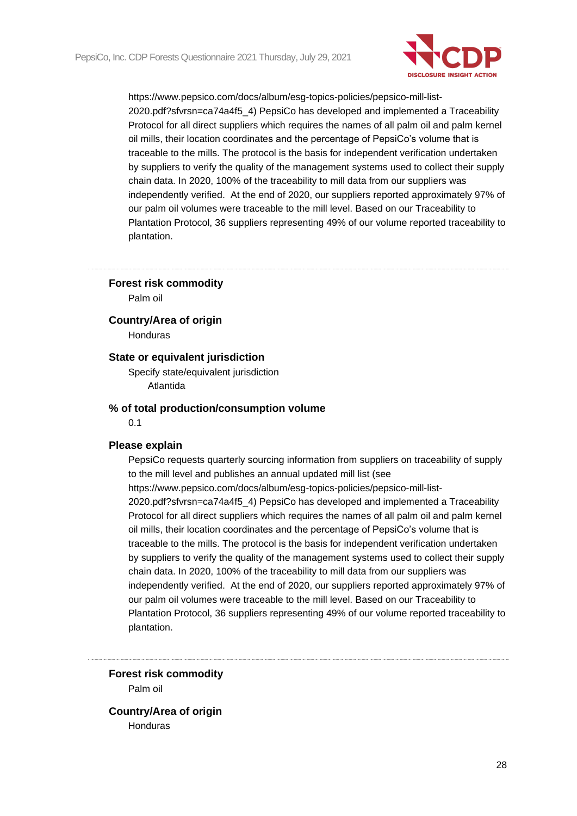

#### **Forest risk commodity**

Palm oil

#### **Country/Area of origin**

Honduras

### **State or equivalent jurisdiction**

Specify state/equivalent jurisdiction Atlantida

#### **% of total production/consumption volume**

0.1

#### **Please explain**

PepsiCo requests quarterly sourcing information from suppliers on traceability of supply to the mill level and publishes an annual updated mill list (see https://www.pepsico.com/docs/album/esg-topics-policies/pepsico-mill-list-2020.pdf?sfvrsn=ca74a4f5\_4) PepsiCo has developed and implemented a Traceability Protocol for all direct suppliers which requires the names of all palm oil and palm kernel oil mills, their location coordinates and the percentage of PepsiCo's volume that is traceable to the mills. The protocol is the basis for independent verification undertaken by suppliers to verify the quality of the management systems used to collect their supply chain data. In 2020, 100% of the traceability to mill data from our suppliers was independently verified. At the end of 2020, our suppliers reported approximately 97% of our palm oil volumes were traceable to the mill level. Based on our Traceability to Plantation Protocol, 36 suppliers representing 49% of our volume reported traceability to plantation.

**Forest risk commodity** Palm oil

**Country/Area of origin** Honduras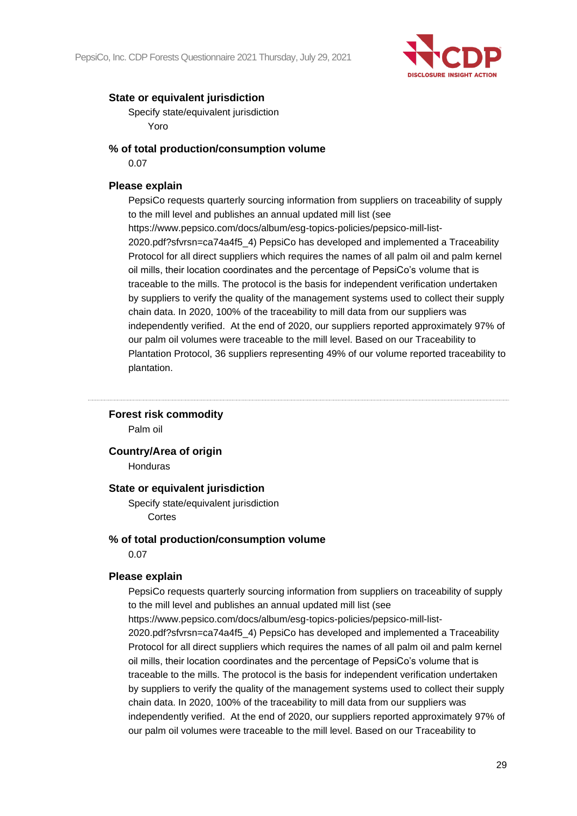

Specify state/equivalent jurisdiction Yoro

### **% of total production/consumption volume**

0.07

# **Please explain**

PepsiCo requests quarterly sourcing information from suppliers on traceability of supply to the mill level and publishes an annual updated mill list (see https://www.pepsico.com/docs/album/esg-topics-policies/pepsico-mill-list-2020.pdf?sfvrsn=ca74a4f5\_4) PepsiCo has developed and implemented a Traceability Protocol for all direct suppliers which requires the names of all palm oil and palm kernel oil mills, their location coordinates and the percentage of PepsiCo's volume that is traceable to the mills. The protocol is the basis for independent verification undertaken by suppliers to verify the quality of the management systems used to collect their supply chain data. In 2020, 100% of the traceability to mill data from our suppliers was independently verified. At the end of 2020, our suppliers reported approximately 97% of our palm oil volumes were traceable to the mill level. Based on our Traceability to Plantation Protocol, 36 suppliers representing 49% of our volume reported traceability to plantation.

#### **Forest risk commodity**

Palm oil

# **Country/Area of origin**

Honduras

#### **State or equivalent jurisdiction**

Specify state/equivalent jurisdiction Cortes

#### **% of total production/consumption volume**

0.07

#### **Please explain**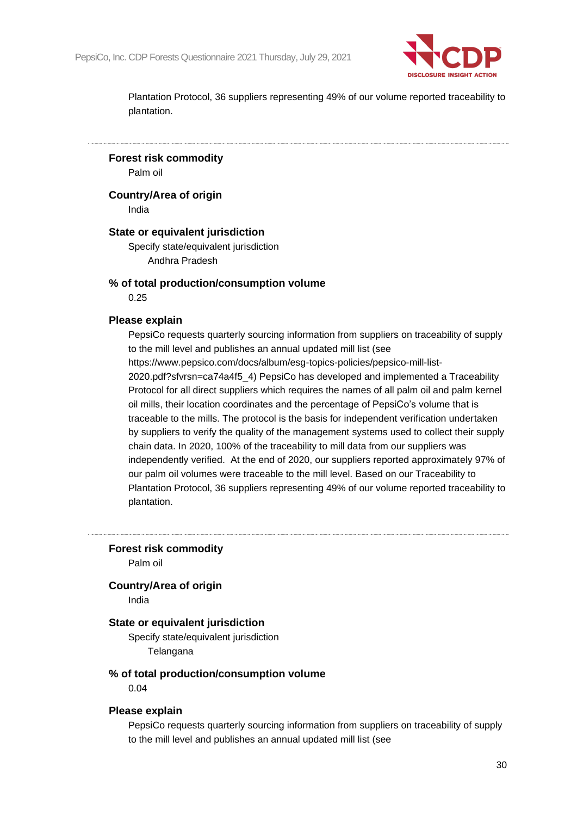

**Forest risk commodity**

Palm oil

**Country/Area of origin**

India

#### **State or equivalent jurisdiction**

Specify state/equivalent jurisdiction Andhra Pradesh

#### **% of total production/consumption volume**

0.25

#### **Please explain**

PepsiCo requests quarterly sourcing information from suppliers on traceability of supply to the mill level and publishes an annual updated mill list (see https://www.pepsico.com/docs/album/esg-topics-policies/pepsico-mill-list-2020.pdf?sfvrsn=ca74a4f5\_4) PepsiCo has developed and implemented a Traceability Protocol for all direct suppliers which requires the names of all palm oil and palm kernel oil mills, their location coordinates and the percentage of PepsiCo's volume that is traceable to the mills. The protocol is the basis for independent verification undertaken by suppliers to verify the quality of the management systems used to collect their supply chain data. In 2020, 100% of the traceability to mill data from our suppliers was independently verified. At the end of 2020, our suppliers reported approximately 97% of our palm oil volumes were traceable to the mill level. Based on our Traceability to Plantation Protocol, 36 suppliers representing 49% of our volume reported traceability to

plantation.

**Forest risk commodity**

Palm oil

#### **Country/Area of origin**

India

#### **State or equivalent jurisdiction**

Specify state/equivalent jurisdiction Telangana

#### **% of total production/consumption volume**

0.04

#### **Please explain**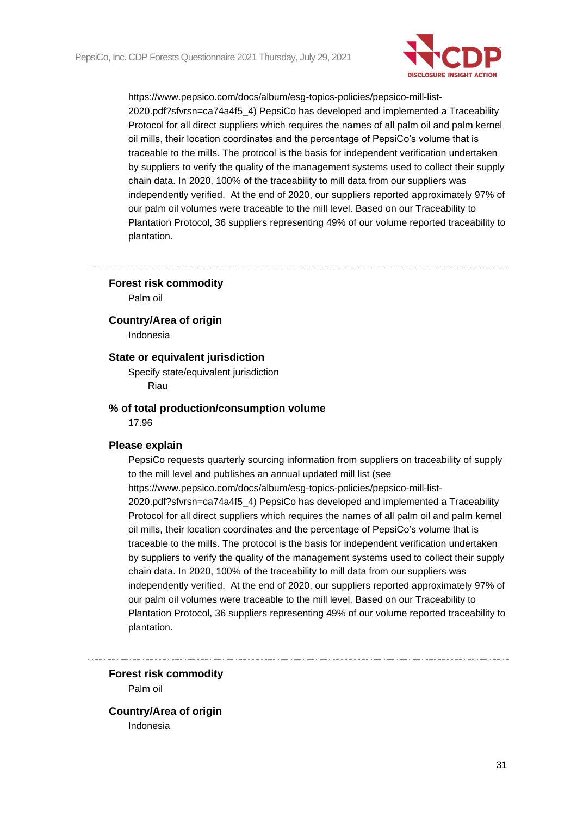

#### **Forest risk commodity**

Palm oil

#### **Country/Area of origin**

Indonesia

### **State or equivalent jurisdiction**

Specify state/equivalent jurisdiction Riau

#### **% of total production/consumption volume**

17.96

#### **Please explain**

PepsiCo requests quarterly sourcing information from suppliers on traceability of supply to the mill level and publishes an annual updated mill list (see https://www.pepsico.com/docs/album/esg-topics-policies/pepsico-mill-list-2020.pdf?sfvrsn=ca74a4f5\_4) PepsiCo has developed and implemented a Traceability Protocol for all direct suppliers which requires the names of all palm oil and palm kernel oil mills, their location coordinates and the percentage of PepsiCo's volume that is traceable to the mills. The protocol is the basis for independent verification undertaken by suppliers to verify the quality of the management systems used to collect their supply chain data. In 2020, 100% of the traceability to mill data from our suppliers was independently verified. At the end of 2020, our suppliers reported approximately 97% of our palm oil volumes were traceable to the mill level. Based on our Traceability to Plantation Protocol, 36 suppliers representing 49% of our volume reported traceability to plantation.

**Forest risk commodity** Palm oil

**Country/Area of origin** Indonesia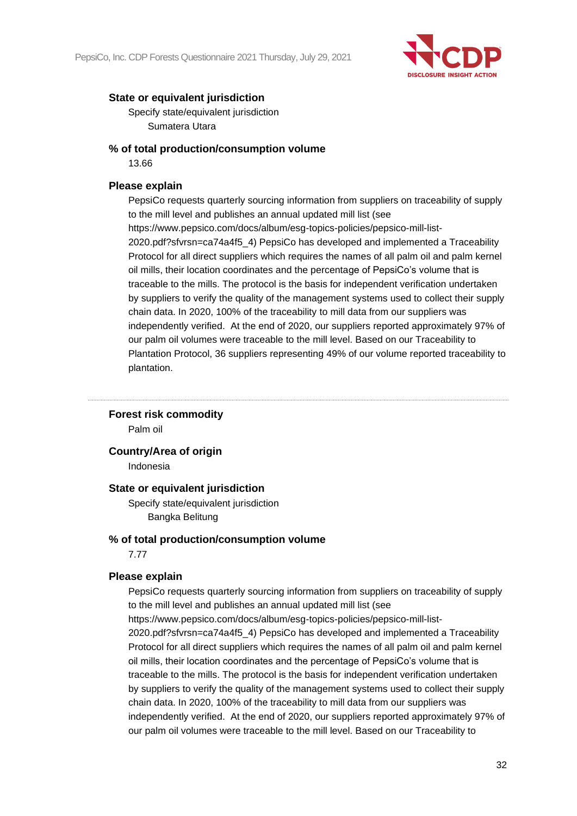

Specify state/equivalent jurisdiction Sumatera Utara

### **% of total production/consumption volume**

13.66

# **Please explain**

PepsiCo requests quarterly sourcing information from suppliers on traceability of supply to the mill level and publishes an annual updated mill list (see https://www.pepsico.com/docs/album/esg-topics-policies/pepsico-mill-list-2020.pdf?sfvrsn=ca74a4f5\_4) PepsiCo has developed and implemented a Traceability Protocol for all direct suppliers which requires the names of all palm oil and palm kernel oil mills, their location coordinates and the percentage of PepsiCo's volume that is traceable to the mills. The protocol is the basis for independent verification undertaken by suppliers to verify the quality of the management systems used to collect their supply chain data. In 2020, 100% of the traceability to mill data from our suppliers was independently verified. At the end of 2020, our suppliers reported approximately 97% of our palm oil volumes were traceable to the mill level. Based on our Traceability to Plantation Protocol, 36 suppliers representing 49% of our volume reported traceability to plantation.

# **Forest risk commodity**

Palm oil

**Country/Area of origin**

Indonesia

#### **State or equivalent jurisdiction**

Specify state/equivalent jurisdiction Bangka Belitung

### **% of total production/consumption volume**

7.77

#### **Please explain**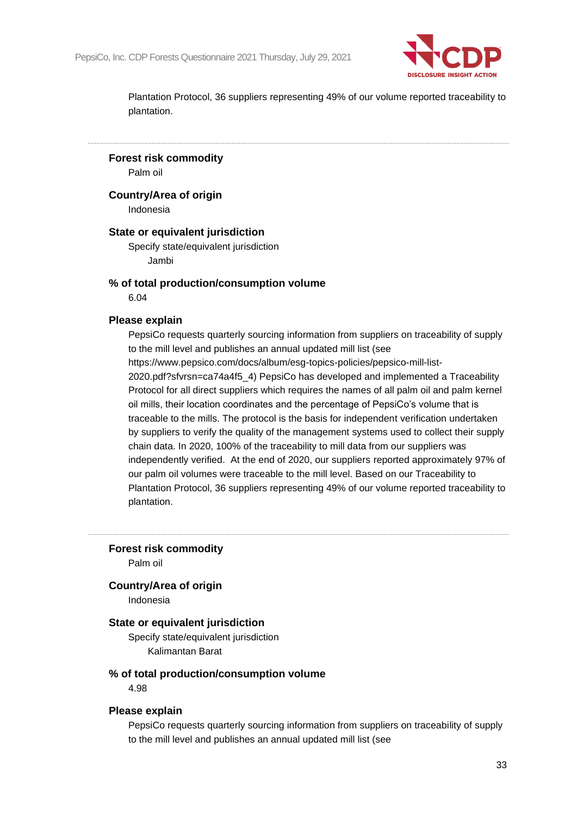

**Forest risk commodity**

Palm oil

**Country/Area of origin**

Indonesia

### **State or equivalent jurisdiction**

Specify state/equivalent jurisdiction Jambi

#### **% of total production/consumption volume**

6.04

#### **Please explain**

PepsiCo requests quarterly sourcing information from suppliers on traceability of supply to the mill level and publishes an annual updated mill list (see https://www.pepsico.com/docs/album/esg-topics-policies/pepsico-mill-list-2020.pdf?sfvrsn=ca74a4f5\_4) PepsiCo has developed and implemented a Traceability Protocol for all direct suppliers which requires the names of all palm oil and palm kernel oil mills, their location coordinates and the percentage of PepsiCo's volume that is traceable to the mills. The protocol is the basis for independent verification undertaken by suppliers to verify the quality of the management systems used to collect their supply chain data. In 2020, 100% of the traceability to mill data from our suppliers was independently verified. At the end of 2020, our suppliers reported approximately 97% of our palm oil volumes were traceable to the mill level. Based on our Traceability to Plantation Protocol, 36 suppliers representing 49% of our volume reported traceability to plantation.

**Forest risk commodity**

Palm oil

#### **Country/Area of origin**

Indonesia

#### **State or equivalent jurisdiction**

Specify state/equivalent jurisdiction Kalimantan Barat

#### **% of total production/consumption volume**

4.98

#### **Please explain**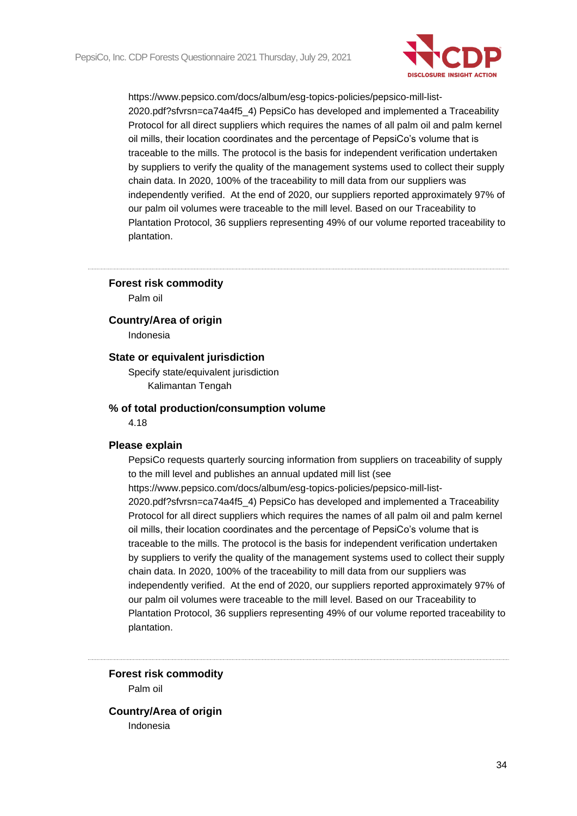

#### **Forest risk commodity**

Palm oil

**Country/Area of origin**

Indonesia

# **State or equivalent jurisdiction**

Specify state/equivalent jurisdiction Kalimantan Tengah

#### **% of total production/consumption volume**

4.18

#### **Please explain**

PepsiCo requests quarterly sourcing information from suppliers on traceability of supply to the mill level and publishes an annual updated mill list (see https://www.pepsico.com/docs/album/esg-topics-policies/pepsico-mill-list-2020.pdf?sfvrsn=ca74a4f5\_4) PepsiCo has developed and implemented a Traceability Protocol for all direct suppliers which requires the names of all palm oil and palm kernel oil mills, their location coordinates and the percentage of PepsiCo's volume that is traceable to the mills. The protocol is the basis for independent verification undertaken by suppliers to verify the quality of the management systems used to collect their supply chain data. In 2020, 100% of the traceability to mill data from our suppliers was independently verified. At the end of 2020, our suppliers reported approximately 97% of our palm oil volumes were traceable to the mill level. Based on our Traceability to Plantation Protocol, 36 suppliers representing 49% of our volume reported traceability to plantation.

**Forest risk commodity** Palm oil

**Country/Area of origin** Indonesia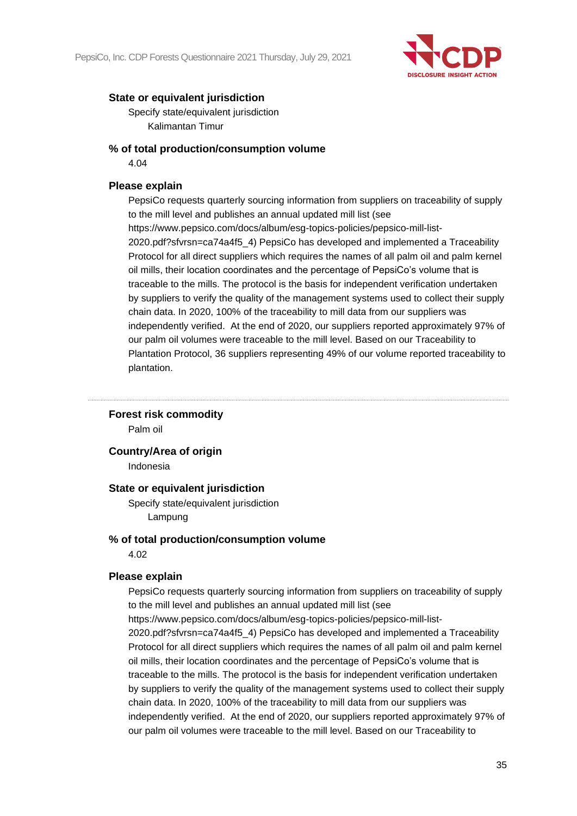

Specify state/equivalent jurisdiction Kalimantan Timur

# **% of total production/consumption volume**

4.04

# **Please explain**

PepsiCo requests quarterly sourcing information from suppliers on traceability of supply to the mill level and publishes an annual updated mill list (see https://www.pepsico.com/docs/album/esg-topics-policies/pepsico-mill-list-2020.pdf?sfvrsn=ca74a4f5\_4) PepsiCo has developed and implemented a Traceability Protocol for all direct suppliers which requires the names of all palm oil and palm kernel oil mills, their location coordinates and the percentage of PepsiCo's volume that is traceable to the mills. The protocol is the basis for independent verification undertaken by suppliers to verify the quality of the management systems used to collect their supply chain data. In 2020, 100% of the traceability to mill data from our suppliers was independently verified. At the end of 2020, our suppliers reported approximately 97% of our palm oil volumes were traceable to the mill level. Based on our Traceability to Plantation Protocol, 36 suppliers representing 49% of our volume reported traceability to plantation.

#### **Forest risk commodity**

Palm oil

#### **Country/Area of origin**

Indonesia

#### **State or equivalent jurisdiction**

Specify state/equivalent jurisdiction Lampung

#### **% of total production/consumption volume**

4.02

#### **Please explain**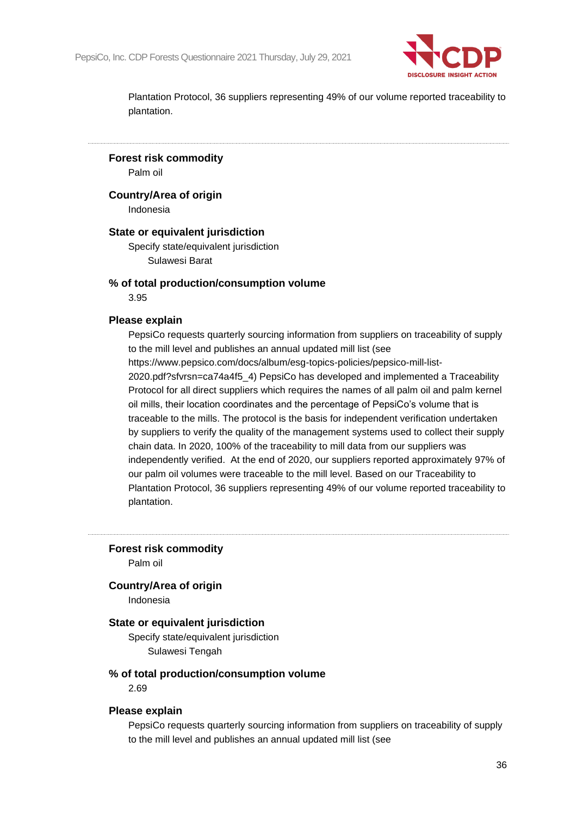

**Forest risk commodity**

Palm oil

**Country/Area of origin**

Indonesia

#### **State or equivalent jurisdiction**

Specify state/equivalent jurisdiction Sulawesi Barat

### **% of total production/consumption volume**

3.95

#### **Please explain**

PepsiCo requests quarterly sourcing information from suppliers on traceability of supply to the mill level and publishes an annual updated mill list (see https://www.pepsico.com/docs/album/esg-topics-policies/pepsico-mill-list-2020.pdf?sfvrsn=ca74a4f5\_4) PepsiCo has developed and implemented a Traceability Protocol for all direct suppliers which requires the names of all palm oil and palm kernel oil mills, their location coordinates and the percentage of PepsiCo's volume that is traceable to the mills. The protocol is the basis for independent verification undertaken by suppliers to verify the quality of the management systems used to collect their supply chain data. In 2020, 100% of the traceability to mill data from our suppliers was independently verified. At the end of 2020, our suppliers reported approximately 97% of our palm oil volumes were traceable to the mill level. Based on our Traceability to Plantation Protocol, 36 suppliers representing 49% of our volume reported traceability to plantation.

**Forest risk commodity**

Palm oil

#### **Country/Area of origin**

Indonesia

#### **State or equivalent jurisdiction**

Specify state/equivalent jurisdiction Sulawesi Tengah

#### **% of total production/consumption volume**

2.69

#### **Please explain**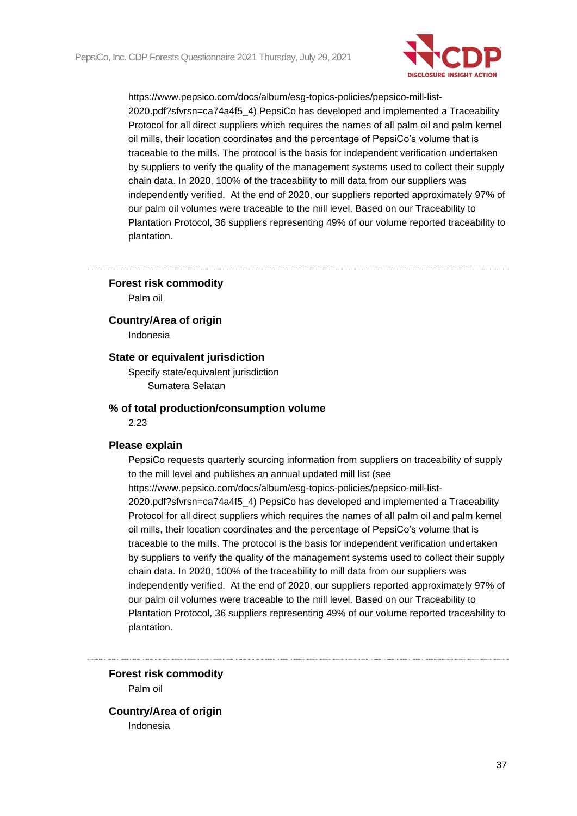

### **Forest risk commodity**

Palm oil

**Country/Area of origin**

Indonesia

## **State or equivalent jurisdiction**

Specify state/equivalent jurisdiction Sumatera Selatan

#### **% of total production/consumption volume**

2.23

## **Please explain**

PepsiCo requests quarterly sourcing information from suppliers on traceability of supply to the mill level and publishes an annual updated mill list (see https://www.pepsico.com/docs/album/esg-topics-policies/pepsico-mill-list-2020.pdf?sfvrsn=ca74a4f5\_4) PepsiCo has developed and implemented a Traceability Protocol for all direct suppliers which requires the names of all palm oil and palm kernel oil mills, their location coordinates and the percentage of PepsiCo's volume that is traceable to the mills. The protocol is the basis for independent verification undertaken by suppliers to verify the quality of the management systems used to collect their supply chain data. In 2020, 100% of the traceability to mill data from our suppliers was independently verified. At the end of 2020, our suppliers reported approximately 97% of our palm oil volumes were traceable to the mill level. Based on our Traceability to Plantation Protocol, 36 suppliers representing 49% of our volume reported traceability to plantation.

**Forest risk commodity** Palm oil

**Country/Area of origin** Indonesia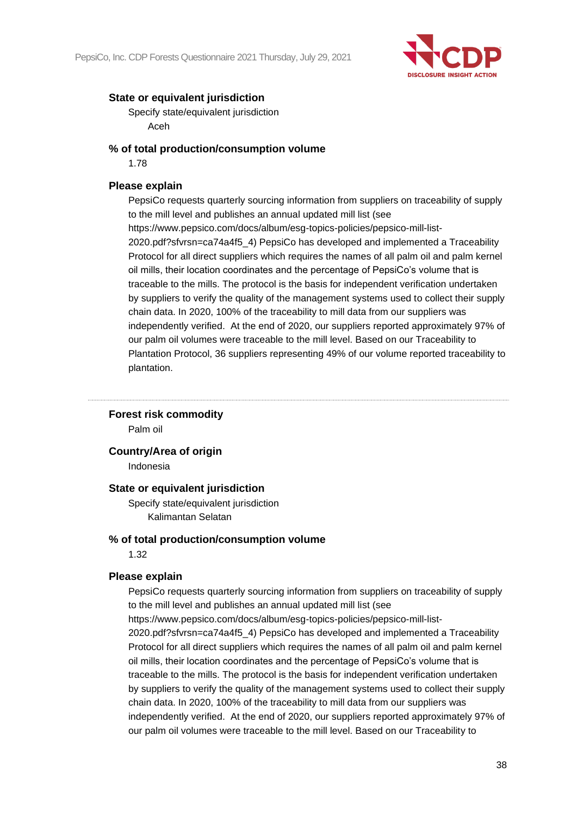

Specify state/equivalent jurisdiction Aceh

## **% of total production/consumption volume**

1.78

## **Please explain**

PepsiCo requests quarterly sourcing information from suppliers on traceability of supply to the mill level and publishes an annual updated mill list (see https://www.pepsico.com/docs/album/esg-topics-policies/pepsico-mill-list-2020.pdf?sfvrsn=ca74a4f5\_4) PepsiCo has developed and implemented a Traceability Protocol for all direct suppliers which requires the names of all palm oil and palm kernel oil mills, their location coordinates and the percentage of PepsiCo's volume that is traceable to the mills. The protocol is the basis for independent verification undertaken by suppliers to verify the quality of the management systems used to collect their supply chain data. In 2020, 100% of the traceability to mill data from our suppliers was independently verified. At the end of 2020, our suppliers reported approximately 97% of our palm oil volumes were traceable to the mill level. Based on our Traceability to Plantation Protocol, 36 suppliers representing 49% of our volume reported traceability to plantation.

## **Forest risk commodity**

Palm oil

## **Country/Area of origin**

Indonesia

## **State or equivalent jurisdiction**

Specify state/equivalent jurisdiction Kalimantan Selatan

## **% of total production/consumption volume**

1.32

## **Please explain**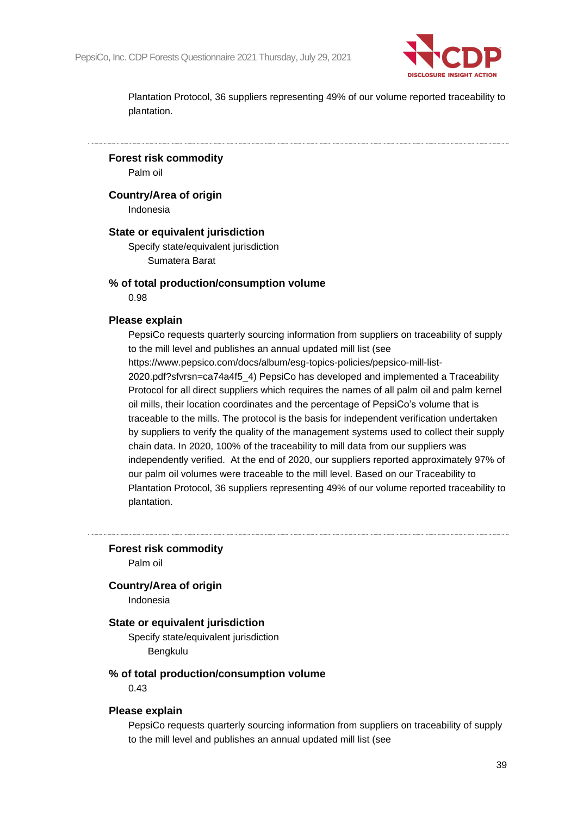

**Forest risk commodity**

Palm oil

**Country/Area of origin**

Indonesia

## **State or equivalent jurisdiction**

Specify state/equivalent jurisdiction Sumatera Barat

## **% of total production/consumption volume**

0.98

### **Please explain**

PepsiCo requests quarterly sourcing information from suppliers on traceability of supply to the mill level and publishes an annual updated mill list (see https://www.pepsico.com/docs/album/esg-topics-policies/pepsico-mill-list-2020.pdf?sfvrsn=ca74a4f5\_4) PepsiCo has developed and implemented a Traceability Protocol for all direct suppliers which requires the names of all palm oil and palm kernel oil mills, their location coordinates and the percentage of PepsiCo's volume that is traceable to the mills. The protocol is the basis for independent verification undertaken by suppliers to verify the quality of the management systems used to collect their supply chain data. In 2020, 100% of the traceability to mill data from our suppliers was independently verified. At the end of 2020, our suppliers reported approximately 97% of our palm oil volumes were traceable to the mill level. Based on our Traceability to Plantation Protocol, 36 suppliers representing 49% of our volume reported traceability to plantation.

**Forest risk commodity**

Palm oil

### **Country/Area of origin**

Indonesia

### **State or equivalent jurisdiction**

Specify state/equivalent jurisdiction Bengkulu

### **% of total production/consumption volume**

0.43

#### **Please explain**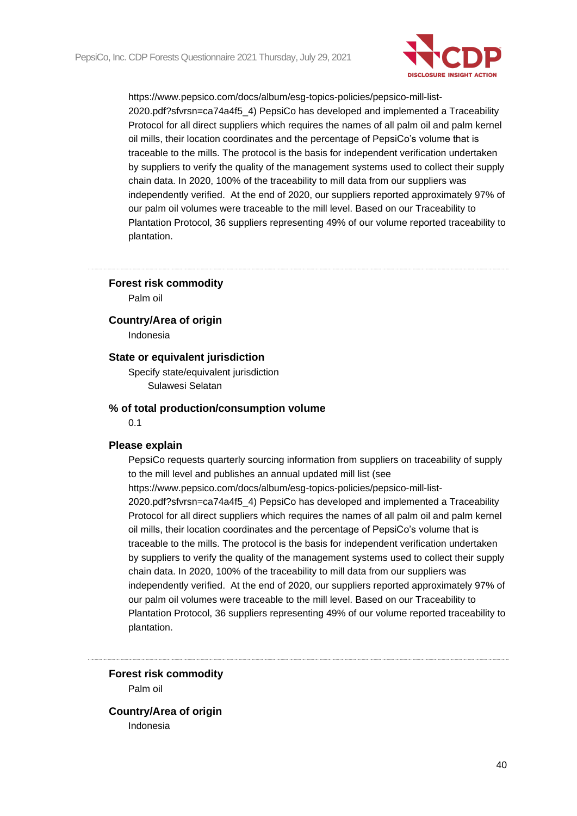

### **Forest risk commodity**

Palm oil

**Country/Area of origin**

Indonesia

## **State or equivalent jurisdiction**

Specify state/equivalent jurisdiction Sulawesi Selatan

#### **% of total production/consumption volume**

0.1

#### **Please explain**

PepsiCo requests quarterly sourcing information from suppliers on traceability of supply to the mill level and publishes an annual updated mill list (see https://www.pepsico.com/docs/album/esg-topics-policies/pepsico-mill-list-2020.pdf?sfvrsn=ca74a4f5\_4) PepsiCo has developed and implemented a Traceability Protocol for all direct suppliers which requires the names of all palm oil and palm kernel oil mills, their location coordinates and the percentage of PepsiCo's volume that is traceable to the mills. The protocol is the basis for independent verification undertaken by suppliers to verify the quality of the management systems used to collect their supply chain data. In 2020, 100% of the traceability to mill data from our suppliers was independently verified. At the end of 2020, our suppliers reported approximately 97% of our palm oil volumes were traceable to the mill level. Based on our Traceability to Plantation Protocol, 36 suppliers representing 49% of our volume reported traceability to plantation.

**Forest risk commodity** Palm oil

**Country/Area of origin** Indonesia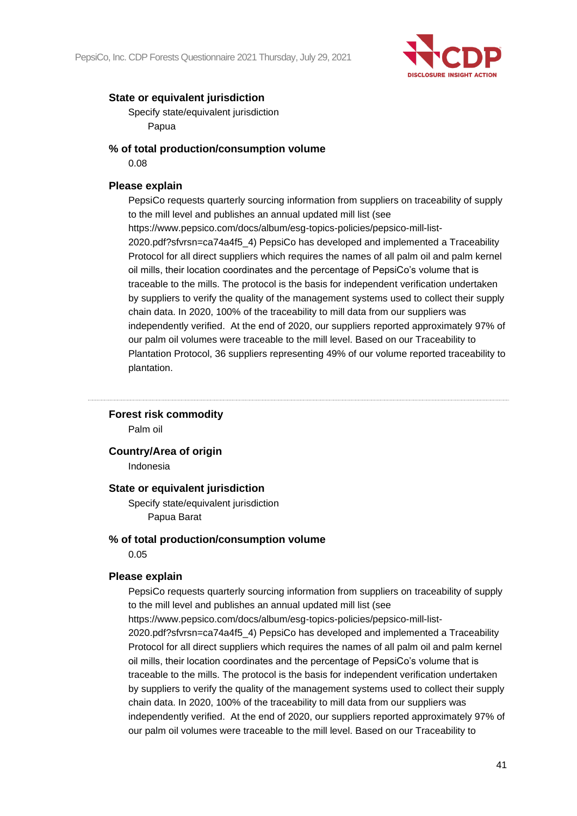

Specify state/equivalent jurisdiction Papua

## **% of total production/consumption volume**

0.08

## **Please explain**

PepsiCo requests quarterly sourcing information from suppliers on traceability of supply to the mill level and publishes an annual updated mill list (see https://www.pepsico.com/docs/album/esg-topics-policies/pepsico-mill-list-2020.pdf?sfvrsn=ca74a4f5\_4) PepsiCo has developed and implemented a Traceability Protocol for all direct suppliers which requires the names of all palm oil and palm kernel oil mills, their location coordinates and the percentage of PepsiCo's volume that is traceable to the mills. The protocol is the basis for independent verification undertaken by suppliers to verify the quality of the management systems used to collect their supply chain data. In 2020, 100% of the traceability to mill data from our suppliers was independently verified. At the end of 2020, our suppliers reported approximately 97% of our palm oil volumes were traceable to the mill level. Based on our Traceability to Plantation Protocol, 36 suppliers representing 49% of our volume reported traceability to plantation.

## **Forest risk commodity**

Palm oil

## **Country/Area of origin**

Indonesia

## **State or equivalent jurisdiction**

Specify state/equivalent jurisdiction Papua Barat

## **% of total production/consumption volume**

0.05

## **Please explain**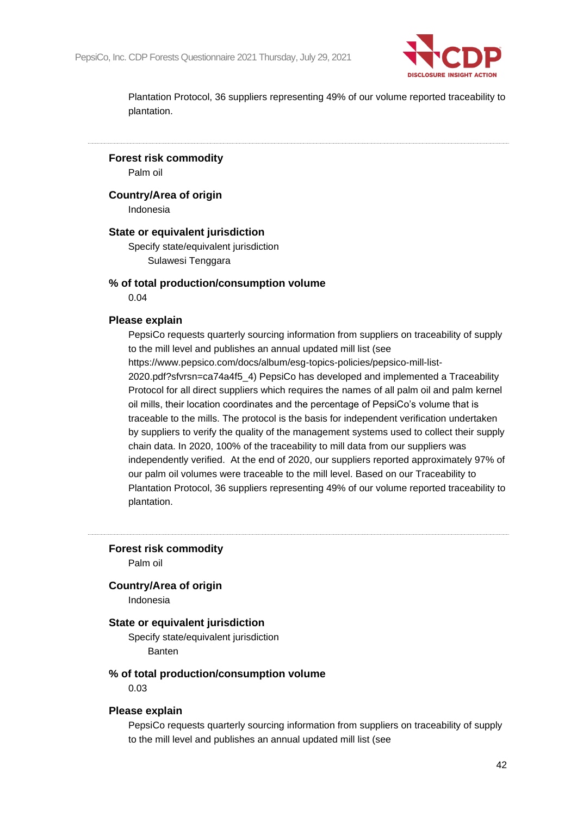

**Forest risk commodity** Palm oil

**Country/Area of origin**

Indonesia

## **State or equivalent jurisdiction**

Specify state/equivalent jurisdiction Sulawesi Tenggara

## **% of total production/consumption volume**

0.04

## **Please explain**

PepsiCo requests quarterly sourcing information from suppliers on traceability of supply to the mill level and publishes an annual updated mill list (see https://www.pepsico.com/docs/album/esg-topics-policies/pepsico-mill-list-2020.pdf?sfvrsn=ca74a4f5\_4) PepsiCo has developed and implemented a Traceability Protocol for all direct suppliers which requires the names of all palm oil and palm kernel oil mills, their location coordinates and the percentage of PepsiCo's volume that is traceable to the mills. The protocol is the basis for independent verification undertaken by suppliers to verify the quality of the management systems used to collect their supply chain data. In 2020, 100% of the traceability to mill data from our suppliers was independently verified. At the end of 2020, our suppliers reported approximately 97% of our palm oil volumes were traceable to the mill level. Based on our Traceability to Plantation Protocol, 36 suppliers representing 49% of our volume reported traceability to plantation.

**Forest risk commodity**

Palm oil

## **Country/Area of origin**

Indonesia

## **State or equivalent jurisdiction**

Specify state/equivalent jurisdiction Banten

### **% of total production/consumption volume**

0.03

#### **Please explain**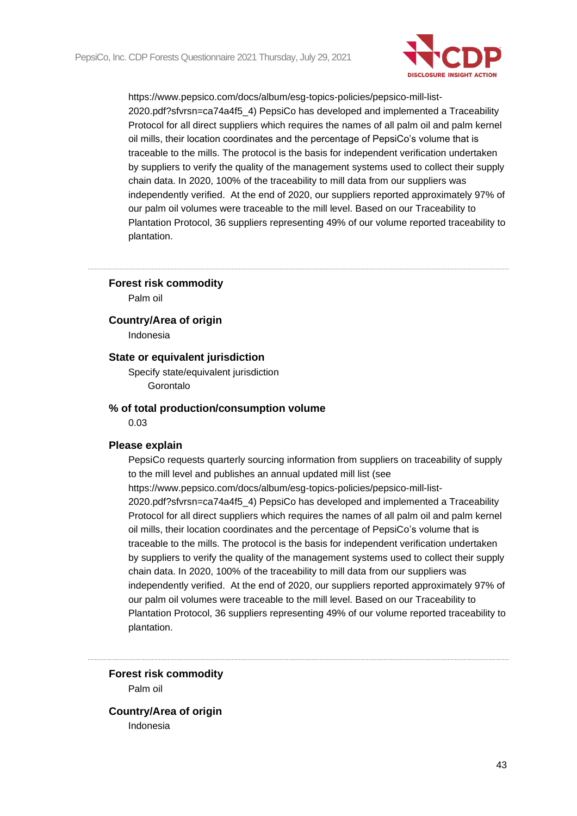

### **Forest risk commodity**

Palm oil

### **Country/Area of origin**

Indonesia

## **State or equivalent jurisdiction**

Specify state/equivalent jurisdiction Gorontalo

#### **% of total production/consumption volume**

0.03

#### **Please explain**

PepsiCo requests quarterly sourcing information from suppliers on traceability of supply to the mill level and publishes an annual updated mill list (see https://www.pepsico.com/docs/album/esg-topics-policies/pepsico-mill-list-2020.pdf?sfvrsn=ca74a4f5\_4) PepsiCo has developed and implemented a Traceability Protocol for all direct suppliers which requires the names of all palm oil and palm kernel oil mills, their location coordinates and the percentage of PepsiCo's volume that is traceable to the mills. The protocol is the basis for independent verification undertaken by suppliers to verify the quality of the management systems used to collect their supply chain data. In 2020, 100% of the traceability to mill data from our suppliers was independently verified. At the end of 2020, our suppliers reported approximately 97% of our palm oil volumes were traceable to the mill level. Based on our Traceability to Plantation Protocol, 36 suppliers representing 49% of our volume reported traceability to plantation.

**Forest risk commodity** Palm oil

**Country/Area of origin** Indonesia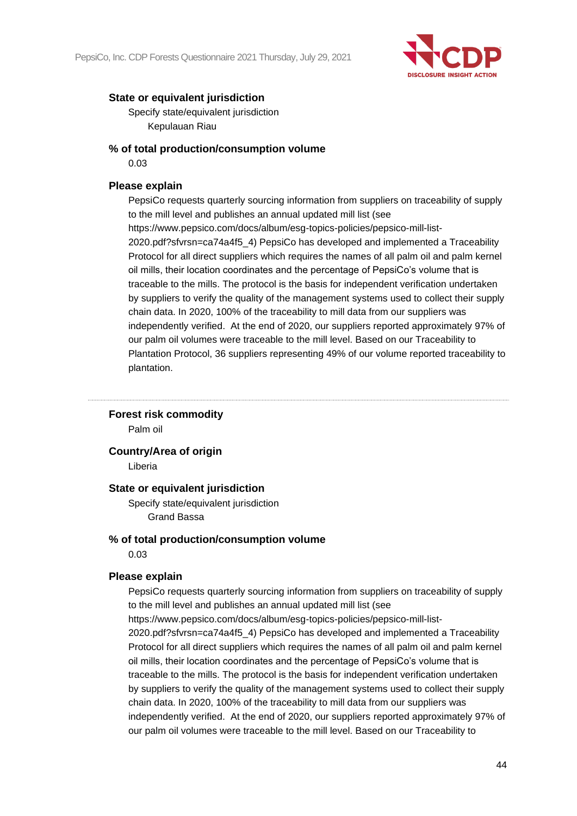

Specify state/equivalent jurisdiction Kepulauan Riau

## **% of total production/consumption volume**

0.03

## **Please explain**

PepsiCo requests quarterly sourcing information from suppliers on traceability of supply to the mill level and publishes an annual updated mill list (see https://www.pepsico.com/docs/album/esg-topics-policies/pepsico-mill-list-2020.pdf?sfvrsn=ca74a4f5\_4) PepsiCo has developed and implemented a Traceability Protocol for all direct suppliers which requires the names of all palm oil and palm kernel oil mills, their location coordinates and the percentage of PepsiCo's volume that is traceable to the mills. The protocol is the basis for independent verification undertaken by suppliers to verify the quality of the management systems used to collect their supply chain data. In 2020, 100% of the traceability to mill data from our suppliers was independently verified. At the end of 2020, our suppliers reported approximately 97% of our palm oil volumes were traceable to the mill level. Based on our Traceability to Plantation Protocol, 36 suppliers representing 49% of our volume reported traceability to plantation.

## **Forest risk commodity**

Palm oil

## **Country/Area of origin**

Liberia

## **State or equivalent jurisdiction**

Specify state/equivalent jurisdiction Grand Bassa

## **% of total production/consumption volume**

0.03

## **Please explain**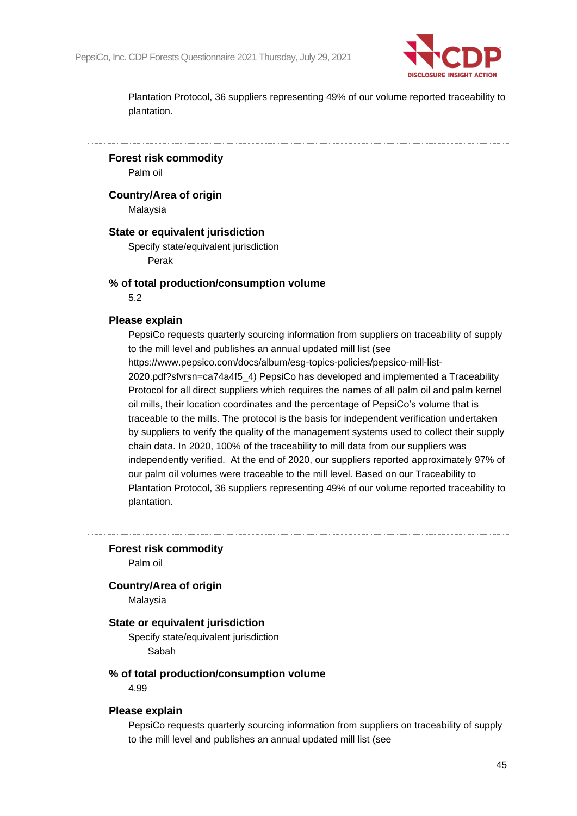

**Forest risk commodity**

Palm oil

**Country/Area of origin**

Malaysia

## **State or equivalent jurisdiction**

Specify state/equivalent jurisdiction Perak

## **% of total production/consumption volume**

5.2

## **Please explain**

PepsiCo requests quarterly sourcing information from suppliers on traceability of supply to the mill level and publishes an annual updated mill list (see https://www.pepsico.com/docs/album/esg-topics-policies/pepsico-mill-list-2020.pdf?sfvrsn=ca74a4f5\_4) PepsiCo has developed and implemented a Traceability Protocol for all direct suppliers which requires the names of all palm oil and palm kernel oil mills, their location coordinates and the percentage of PepsiCo's volume that is traceable to the mills. The protocol is the basis for independent verification undertaken by suppliers to verify the quality of the management systems used to collect their supply chain data. In 2020, 100% of the traceability to mill data from our suppliers was independently verified. At the end of 2020, our suppliers reported approximately 97% of our palm oil volumes were traceable to the mill level. Based on our Traceability to Plantation Protocol, 36 suppliers representing 49% of our volume reported traceability to

plantation.

**Forest risk commodity**

Palm oil

## **Country/Area of origin**

Malaysia

### **State or equivalent jurisdiction**

Specify state/equivalent jurisdiction Sabah

### **% of total production/consumption volume**

4.99

#### **Please explain**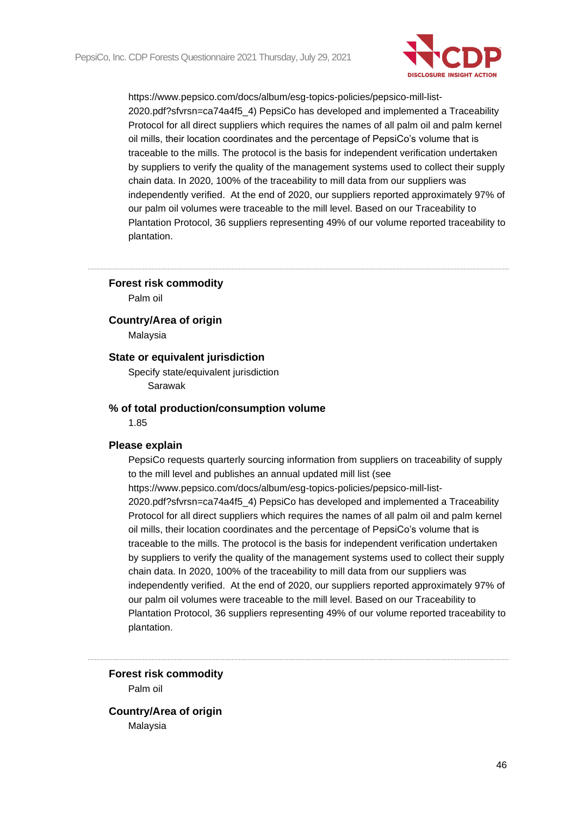

### **Forest risk commodity**

Palm oil

### **Country/Area of origin**

Malaysia

## **State or equivalent jurisdiction**

Specify state/equivalent jurisdiction Sarawak

#### **% of total production/consumption volume**

1.85

#### **Please explain**

PepsiCo requests quarterly sourcing information from suppliers on traceability of supply to the mill level and publishes an annual updated mill list (see https://www.pepsico.com/docs/album/esg-topics-policies/pepsico-mill-list-2020.pdf?sfvrsn=ca74a4f5\_4) PepsiCo has developed and implemented a Traceability Protocol for all direct suppliers which requires the names of all palm oil and palm kernel oil mills, their location coordinates and the percentage of PepsiCo's volume that is traceable to the mills. The protocol is the basis for independent verification undertaken by suppliers to verify the quality of the management systems used to collect their supply chain data. In 2020, 100% of the traceability to mill data from our suppliers was independently verified. At the end of 2020, our suppliers reported approximately 97% of our palm oil volumes were traceable to the mill level. Based on our Traceability to Plantation Protocol, 36 suppliers representing 49% of our volume reported traceability to plantation.

**Forest risk commodity** Palm oil

**Country/Area of origin** Malaysia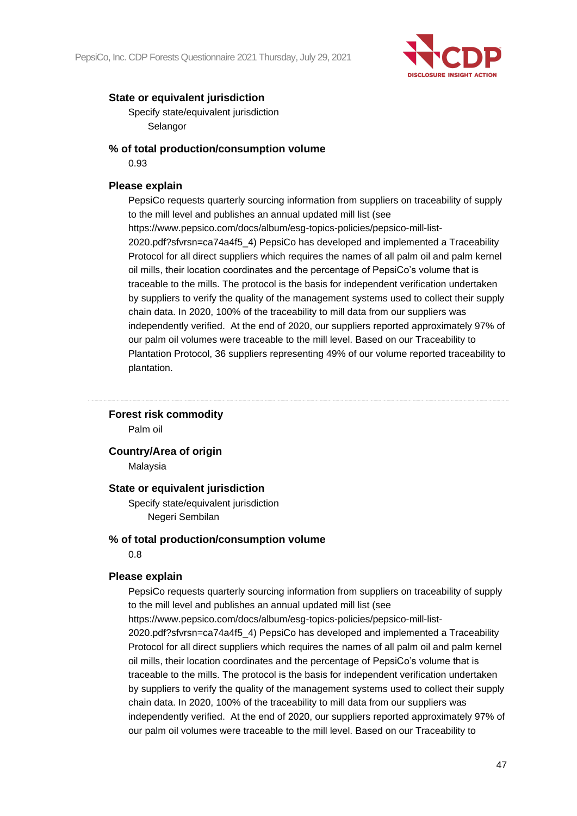

Specify state/equivalent jurisdiction Selangor

## **% of total production/consumption volume**

0.93

## **Please explain**

PepsiCo requests quarterly sourcing information from suppliers on traceability of supply to the mill level and publishes an annual updated mill list (see https://www.pepsico.com/docs/album/esg-topics-policies/pepsico-mill-list-2020.pdf?sfvrsn=ca74a4f5\_4) PepsiCo has developed and implemented a Traceability Protocol for all direct suppliers which requires the names of all palm oil and palm kernel oil mills, their location coordinates and the percentage of PepsiCo's volume that is traceable to the mills. The protocol is the basis for independent verification undertaken by suppliers to verify the quality of the management systems used to collect their supply chain data. In 2020, 100% of the traceability to mill data from our suppliers was independently verified. At the end of 2020, our suppliers reported approximately 97% of our palm oil volumes were traceable to the mill level. Based on our Traceability to Plantation Protocol, 36 suppliers representing 49% of our volume reported traceability to plantation.

## **Forest risk commodity**

Palm oil

## **Country/Area of origin**

Malaysia

## **State or equivalent jurisdiction**

Specify state/equivalent jurisdiction Negeri Sembilan

## **% of total production/consumption volume**

0.8

## **Please explain**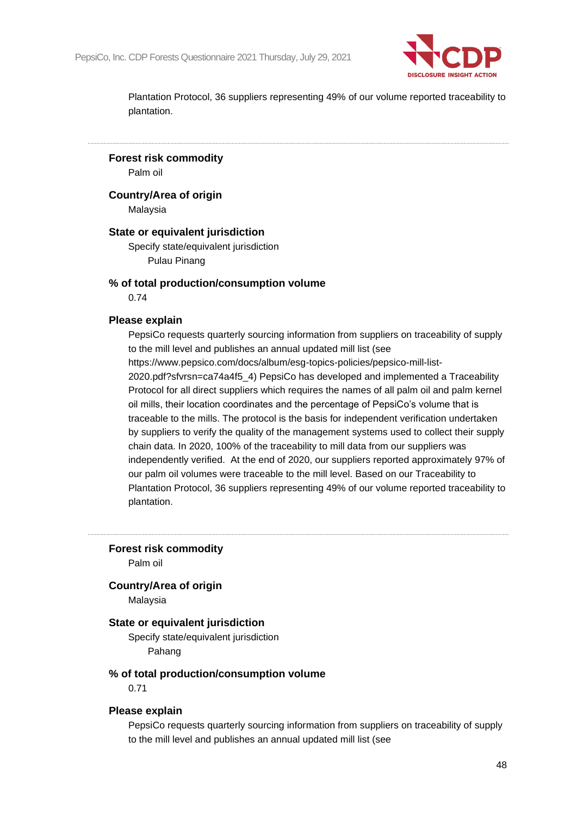

**Forest risk commodity**

Palm oil

**Country/Area of origin**

Malaysia

## **State or equivalent jurisdiction**

Specify state/equivalent jurisdiction Pulau Pinang

## **% of total production/consumption volume**

0.74

### **Please explain**

PepsiCo requests quarterly sourcing information from suppliers on traceability of supply to the mill level and publishes an annual updated mill list (see https://www.pepsico.com/docs/album/esg-topics-policies/pepsico-mill-list-2020.pdf?sfvrsn=ca74a4f5\_4) PepsiCo has developed and implemented a Traceability Protocol for all direct suppliers which requires the names of all palm oil and palm kernel oil mills, their location coordinates and the percentage of PepsiCo's volume that is traceable to the mills. The protocol is the basis for independent verification undertaken by suppliers to verify the quality of the management systems used to collect their supply chain data. In 2020, 100% of the traceability to mill data from our suppliers was independently verified. At the end of 2020, our suppliers reported approximately 97% of our palm oil volumes were traceable to the mill level. Based on our Traceability to Plantation Protocol, 36 suppliers representing 49% of our volume reported traceability to plantation.

**Forest risk commodity**

Palm oil

### **Country/Area of origin**

Malaysia

### **State or equivalent jurisdiction**

Specify state/equivalent jurisdiction Pahang

## **% of total production/consumption volume**

0.71

#### **Please explain**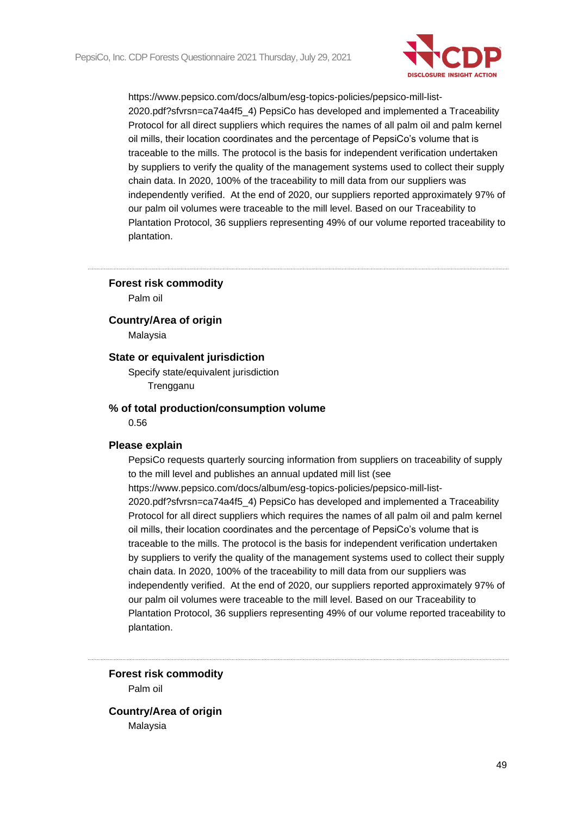

### **Forest risk commodity**

Palm oil

### **Country/Area of origin**

Malaysia

## **State or equivalent jurisdiction**

Specify state/equivalent jurisdiction **Trengganu** 

#### **% of total production/consumption volume**

0.56

#### **Please explain**

PepsiCo requests quarterly sourcing information from suppliers on traceability of supply to the mill level and publishes an annual updated mill list (see https://www.pepsico.com/docs/album/esg-topics-policies/pepsico-mill-list-2020.pdf?sfvrsn=ca74a4f5\_4) PepsiCo has developed and implemented a Traceability Protocol for all direct suppliers which requires the names of all palm oil and palm kernel oil mills, their location coordinates and the percentage of PepsiCo's volume that is traceable to the mills. The protocol is the basis for independent verification undertaken by suppliers to verify the quality of the management systems used to collect their supply chain data. In 2020, 100% of the traceability to mill data from our suppliers was independently verified. At the end of 2020, our suppliers reported approximately 97% of our palm oil volumes were traceable to the mill level. Based on our Traceability to Plantation Protocol, 36 suppliers representing 49% of our volume reported traceability to plantation.

**Forest risk commodity** Palm oil

**Country/Area of origin** Malaysia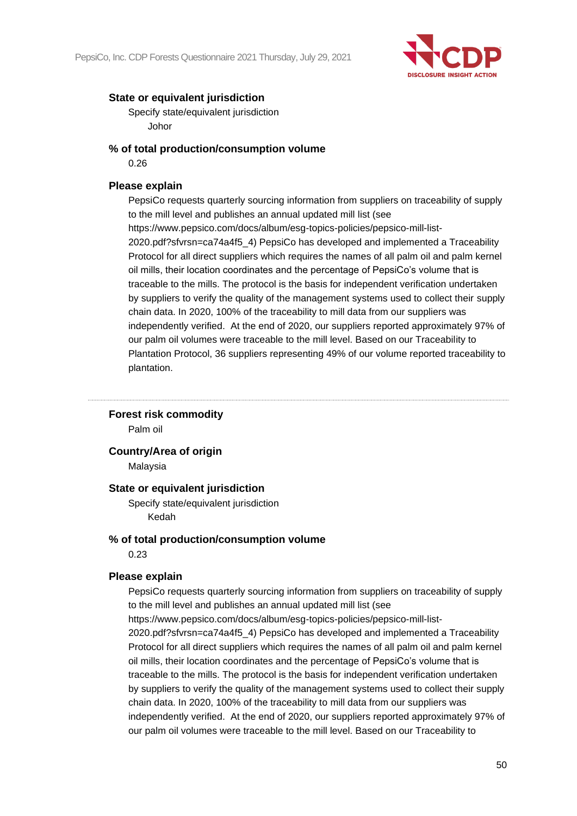

Specify state/equivalent jurisdiction Johor

## **% of total production/consumption volume**

0.26

## **Please explain**

PepsiCo requests quarterly sourcing information from suppliers on traceability of supply to the mill level and publishes an annual updated mill list (see https://www.pepsico.com/docs/album/esg-topics-policies/pepsico-mill-list-2020.pdf?sfvrsn=ca74a4f5\_4) PepsiCo has developed and implemented a Traceability Protocol for all direct suppliers which requires the names of all palm oil and palm kernel oil mills, their location coordinates and the percentage of PepsiCo's volume that is traceable to the mills. The protocol is the basis for independent verification undertaken by suppliers to verify the quality of the management systems used to collect their supply chain data. In 2020, 100% of the traceability to mill data from our suppliers was independently verified. At the end of 2020, our suppliers reported approximately 97% of our palm oil volumes were traceable to the mill level. Based on our Traceability to Plantation Protocol, 36 suppliers representing 49% of our volume reported traceability to plantation.

## **Forest risk commodity**

Palm oil

## **Country/Area of origin**

Malaysia

## **State or equivalent jurisdiction**

Specify state/equivalent jurisdiction Kedah

## **% of total production/consumption volume**

0.23

## **Please explain**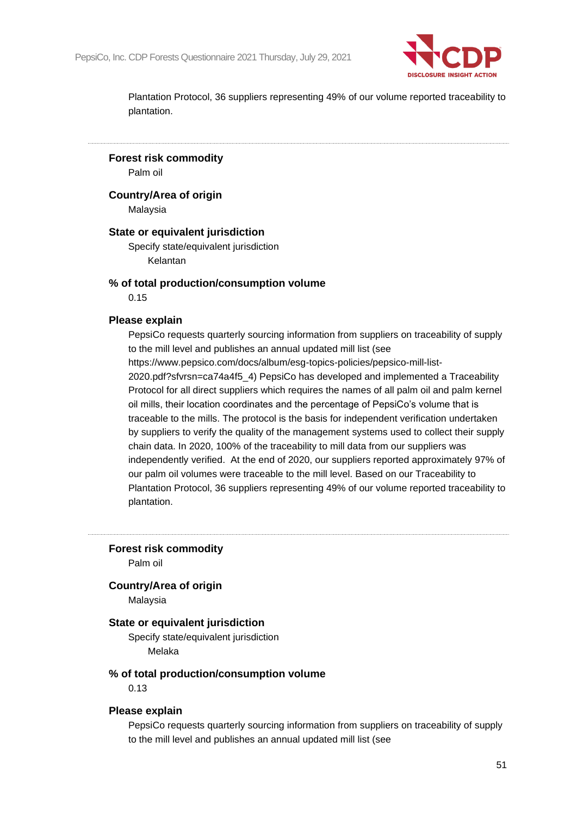

**Forest risk commodity** Palm oil

**Country/Area of origin**

Malaysia

## **State or equivalent jurisdiction**

Specify state/equivalent jurisdiction Kelantan

## **% of total production/consumption volume**

0.15

### **Please explain**

PepsiCo requests quarterly sourcing information from suppliers on traceability of supply to the mill level and publishes an annual updated mill list (see https://www.pepsico.com/docs/album/esg-topics-policies/pepsico-mill-list-2020.pdf?sfvrsn=ca74a4f5\_4) PepsiCo has developed and implemented a Traceability Protocol for all direct suppliers which requires the names of all palm oil and palm kernel oil mills, their location coordinates and the percentage of PepsiCo's volume that is traceable to the mills. The protocol is the basis for independent verification undertaken by suppliers to verify the quality of the management systems used to collect their supply chain data. In 2020, 100% of the traceability to mill data from our suppliers was independently verified. At the end of 2020, our suppliers reported approximately 97% of our palm oil volumes were traceable to the mill level. Based on our Traceability to Plantation Protocol, 36 suppliers representing 49% of our volume reported traceability to

plantation.

**Forest risk commodity**

Palm oil

## **Country/Area of origin**

Malaysia

## **State or equivalent jurisdiction**

Specify state/equivalent jurisdiction Melaka

### **% of total production/consumption volume**

0.13

#### **Please explain**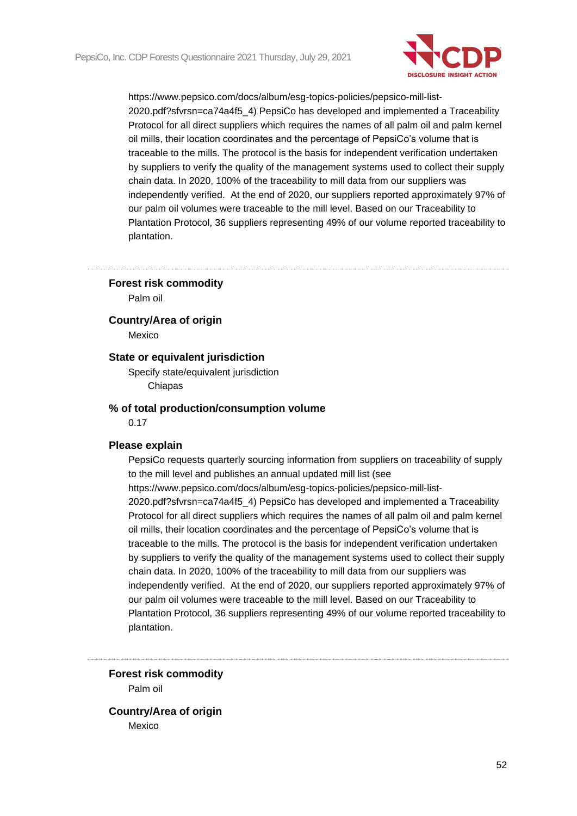

### **Forest risk commodity**

Palm oil

#### **Country/Area of origin**

Mexico

## **State or equivalent jurisdiction**

Specify state/equivalent jurisdiction Chiapas

#### **% of total production/consumption volume**

0.17

#### **Please explain**

PepsiCo requests quarterly sourcing information from suppliers on traceability of supply to the mill level and publishes an annual updated mill list (see https://www.pepsico.com/docs/album/esg-topics-policies/pepsico-mill-list-2020.pdf?sfvrsn=ca74a4f5\_4) PepsiCo has developed and implemented a Traceability Protocol for all direct suppliers which requires the names of all palm oil and palm kernel oil mills, their location coordinates and the percentage of PepsiCo's volume that is traceable to the mills. The protocol is the basis for independent verification undertaken by suppliers to verify the quality of the management systems used to collect their supply chain data. In 2020, 100% of the traceability to mill data from our suppliers was independently verified. At the end of 2020, our suppliers reported approximately 97% of our palm oil volumes were traceable to the mill level. Based on our Traceability to Plantation Protocol, 36 suppliers representing 49% of our volume reported traceability to plantation.

**Forest risk commodity** Palm oil

**Country/Area of origin** Mexico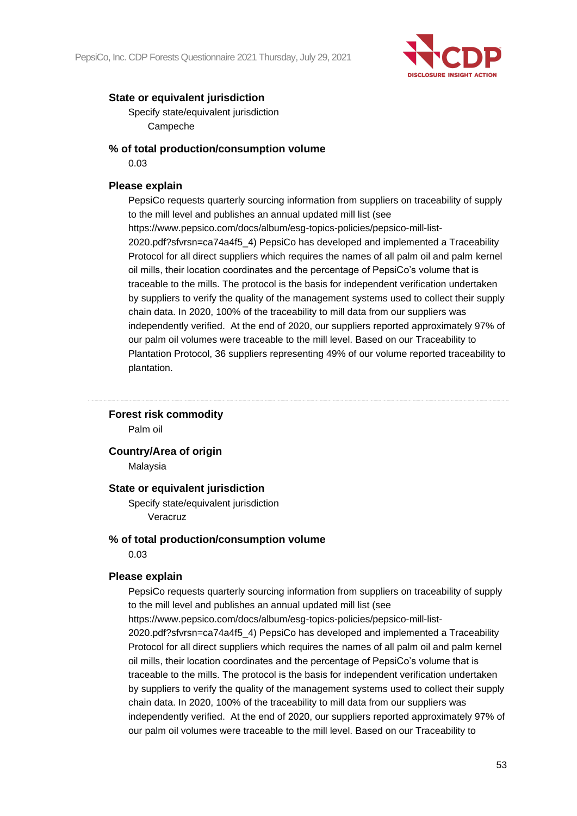

Specify state/equivalent jurisdiction Campeche

## **% of total production/consumption volume**

0.03

## **Please explain**

PepsiCo requests quarterly sourcing information from suppliers on traceability of supply to the mill level and publishes an annual updated mill list (see https://www.pepsico.com/docs/album/esg-topics-policies/pepsico-mill-list-2020.pdf?sfvrsn=ca74a4f5\_4) PepsiCo has developed and implemented a Traceability Protocol for all direct suppliers which requires the names of all palm oil and palm kernel oil mills, their location coordinates and the percentage of PepsiCo's volume that is traceable to the mills. The protocol is the basis for independent verification undertaken by suppliers to verify the quality of the management systems used to collect their supply chain data. In 2020, 100% of the traceability to mill data from our suppliers was independently verified. At the end of 2020, our suppliers reported approximately 97% of our palm oil volumes were traceable to the mill level. Based on our Traceability to Plantation Protocol, 36 suppliers representing 49% of our volume reported traceability to plantation.

## **Forest risk commodity**

Palm oil

## **Country/Area of origin**

Malaysia

## **State or equivalent jurisdiction**

Specify state/equivalent jurisdiction Veracruz

## **% of total production/consumption volume**

0.03

## **Please explain**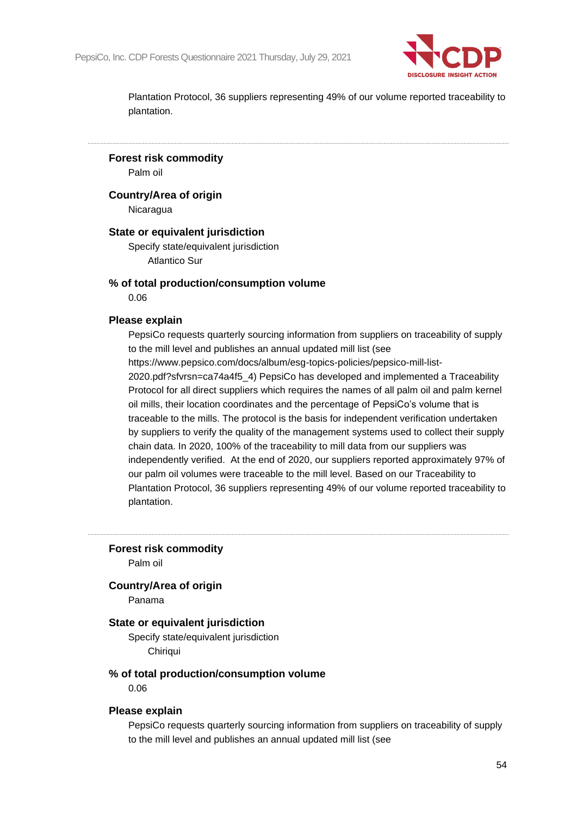

**Forest risk commodity**

Palm oil

**Country/Area of origin**

**Nicaragua** 

## **State or equivalent jurisdiction**

Specify state/equivalent jurisdiction Atlantico Sur

## **% of total production/consumption volume**

0.06

### **Please explain**

PepsiCo requests quarterly sourcing information from suppliers on traceability of supply to the mill level and publishes an annual updated mill list (see https://www.pepsico.com/docs/album/esg-topics-policies/pepsico-mill-list-2020.pdf?sfvrsn=ca74a4f5\_4) PepsiCo has developed and implemented a Traceability Protocol for all direct suppliers which requires the names of all palm oil and palm kernel oil mills, their location coordinates and the percentage of PepsiCo's volume that is traceable to the mills. The protocol is the basis for independent verification undertaken by suppliers to verify the quality of the management systems used to collect their supply chain data. In 2020, 100% of the traceability to mill data from our suppliers was independently verified. At the end of 2020, our suppliers reported approximately 97% of our palm oil volumes were traceable to the mill level. Based on our Traceability to Plantation Protocol, 36 suppliers representing 49% of our volume reported traceability to plantation.

**Forest risk commodity**

Palm oil

### **Country/Area of origin**

Panama

### **State or equivalent jurisdiction**

Specify state/equivalent jurisdiction Chiriqui

### **% of total production/consumption volume**

0.06

#### **Please explain**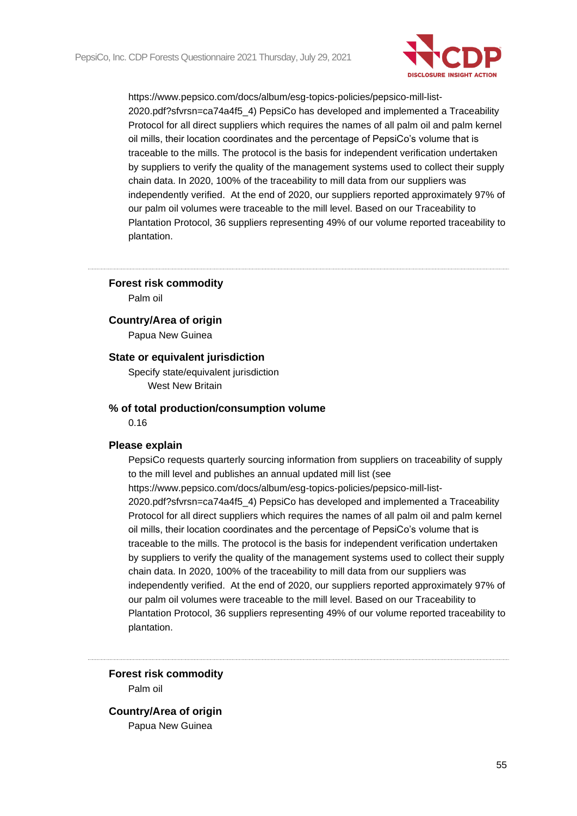

## **Forest risk commodity**

Palm oil

## **Country/Area of origin**

Papua New Guinea

## **State or equivalent jurisdiction**

Specify state/equivalent jurisdiction West New Britain

## **% of total production/consumption volume**

0.16

#### **Please explain**

PepsiCo requests quarterly sourcing information from suppliers on traceability of supply to the mill level and publishes an annual updated mill list (see https://www.pepsico.com/docs/album/esg-topics-policies/pepsico-mill-list-2020.pdf?sfvrsn=ca74a4f5\_4) PepsiCo has developed and implemented a Traceability Protocol for all direct suppliers which requires the names of all palm oil and palm kernel oil mills, their location coordinates and the percentage of PepsiCo's volume that is traceable to the mills. The protocol is the basis for independent verification undertaken by suppliers to verify the quality of the management systems used to collect their supply chain data. In 2020, 100% of the traceability to mill data from our suppliers was independently verified. At the end of 2020, our suppliers reported approximately 97% of our palm oil volumes were traceable to the mill level. Based on our Traceability to Plantation Protocol, 36 suppliers representing 49% of our volume reported traceability to plantation.

**Forest risk commodity** Palm oil

**Country/Area of origin** Papua New Guinea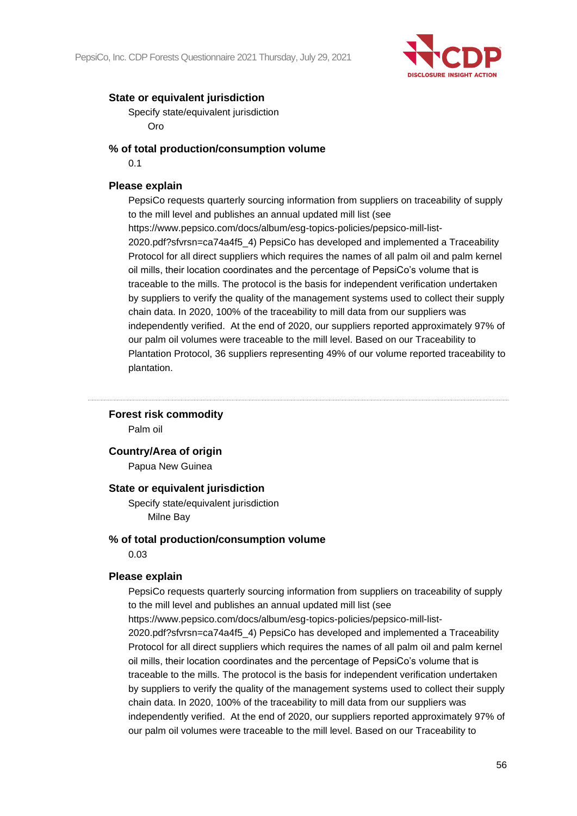

Specify state/equivalent jurisdiction Oro

## **% of total production/consumption volume**

0.1

## **Please explain**

PepsiCo requests quarterly sourcing information from suppliers on traceability of supply to the mill level and publishes an annual updated mill list (see https://www.pepsico.com/docs/album/esg-topics-policies/pepsico-mill-list-2020.pdf?sfvrsn=ca74a4f5\_4) PepsiCo has developed and implemented a Traceability Protocol for all direct suppliers which requires the names of all palm oil and palm kernel oil mills, their location coordinates and the percentage of PepsiCo's volume that is traceable to the mills. The protocol is the basis for independent verification undertaken by suppliers to verify the quality of the management systems used to collect their supply chain data. In 2020, 100% of the traceability to mill data from our suppliers was independently verified. At the end of 2020, our suppliers reported approximately 97% of our palm oil volumes were traceable to the mill level. Based on our Traceability to Plantation Protocol, 36 suppliers representing 49% of our volume reported traceability to plantation.

## **Forest risk commodity**

Palm oil

## **Country/Area of origin**

Papua New Guinea

## **State or equivalent jurisdiction**

Specify state/equivalent jurisdiction Milne Bay

## **% of total production/consumption volume**

0.03

## **Please explain**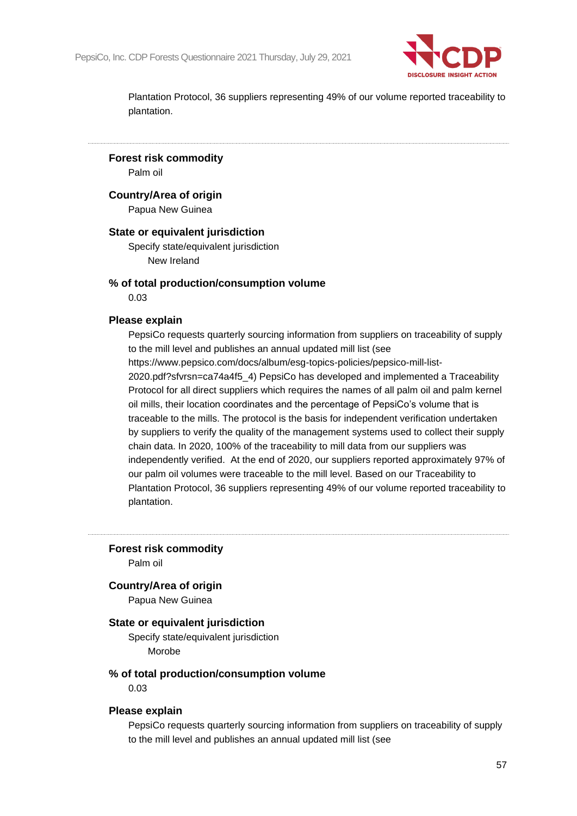

**Forest risk commodity**

Palm oil

## **Country/Area of origin**

Papua New Guinea

## **State or equivalent jurisdiction**

Specify state/equivalent jurisdiction New Ireland

## **% of total production/consumption volume**

0.03

#### **Please explain**

PepsiCo requests quarterly sourcing information from suppliers on traceability of supply to the mill level and publishes an annual updated mill list (see https://www.pepsico.com/docs/album/esg-topics-policies/pepsico-mill-list-2020.pdf?sfvrsn=ca74a4f5\_4) PepsiCo has developed and implemented a Traceability Protocol for all direct suppliers which requires the names of all palm oil and palm kernel oil mills, their location coordinates and the percentage of PepsiCo's volume that is traceable to the mills. The protocol is the basis for independent verification undertaken by suppliers to verify the quality of the management systems used to collect their supply chain data. In 2020, 100% of the traceability to mill data from our suppliers was independently verified. At the end of 2020, our suppliers reported approximately 97% of our palm oil volumes were traceable to the mill level. Based on our Traceability to Plantation Protocol, 36 suppliers representing 49% of our volume reported traceability to plantation.

**Forest risk commodity**

Palm oil

### **Country/Area of origin**

Papua New Guinea

#### **State or equivalent jurisdiction**

Specify state/equivalent jurisdiction Morobe

### **% of total production/consumption volume**

0.03

#### **Please explain**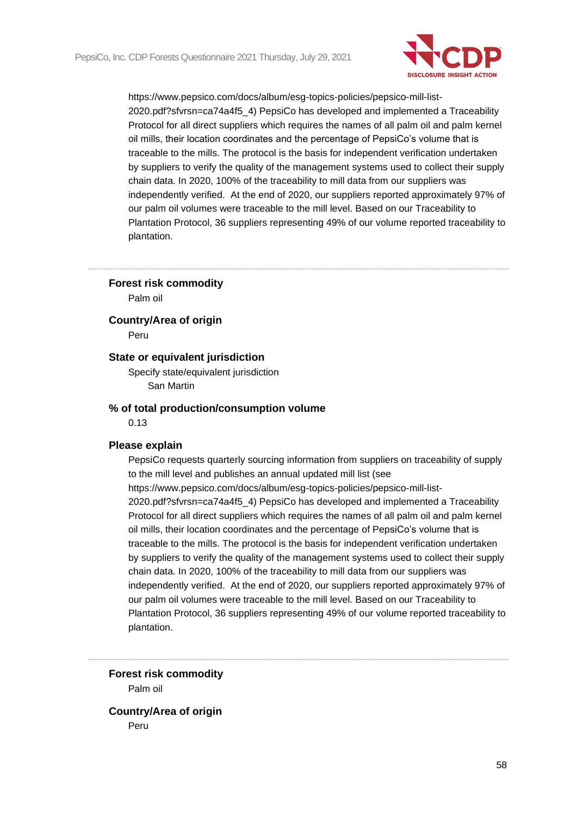

### **Forest risk commodity**

Palm oil

**Country/Area of origin**

Peru

## **State or equivalent jurisdiction**

Specify state/equivalent jurisdiction San Martin

#### **% of total production/consumption volume**

0.13

#### **Please explain**

PepsiCo requests quarterly sourcing information from suppliers on traceability of supply to the mill level and publishes an annual updated mill list (see https://www.pepsico.com/docs/album/esg-topics-policies/pepsico-mill-list-2020.pdf?sfvrsn=ca74a4f5\_4) PepsiCo has developed and implemented a Traceability Protocol for all direct suppliers which requires the names of all palm oil and palm kernel oil mills, their location coordinates and the percentage of PepsiCo's volume that is traceable to the mills. The protocol is the basis for independent verification undertaken by suppliers to verify the quality of the management systems used to collect their supply chain data. In 2020, 100% of the traceability to mill data from our suppliers was independently verified. At the end of 2020, our suppliers reported approximately 97% of our palm oil volumes were traceable to the mill level. Based on our Traceability to Plantation Protocol, 36 suppliers representing 49% of our volume reported traceability to plantation.

**Forest risk commodity** Palm oil

**Country/Area of origin** Peru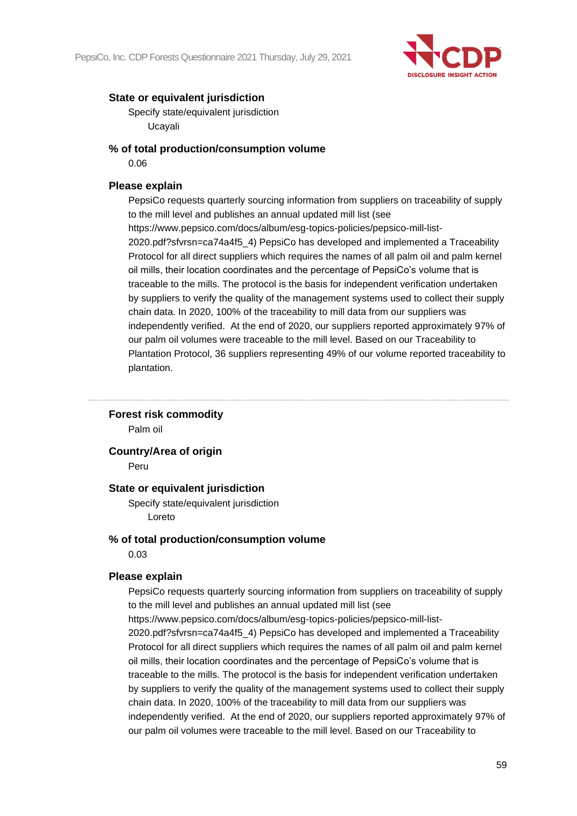

Specify state/equivalent jurisdiction Ucayali

## **% of total production/consumption volume**

0.06

## **Please explain**

PepsiCo requests quarterly sourcing information from suppliers on traceability of supply to the mill level and publishes an annual updated mill list (see https://www.pepsico.com/docs/album/esg-topics-policies/pepsico-mill-list-2020.pdf?sfvrsn=ca74a4f5\_4) PepsiCo has developed and implemented a Traceability Protocol for all direct suppliers which requires the names of all palm oil and palm kernel oil mills, their location coordinates and the percentage of PepsiCo's volume that is traceable to the mills. The protocol is the basis for independent verification undertaken by suppliers to verify the quality of the management systems used to collect their supply chain data. In 2020, 100% of the traceability to mill data from our suppliers was independently verified. At the end of 2020, our suppliers reported approximately 97% of our palm oil volumes were traceable to the mill level. Based on our Traceability to Plantation Protocol, 36 suppliers representing 49% of our volume reported traceability to plantation.

## **Forest risk commodity**

Palm oil

## **Country/Area of origin**

Peru

## **State or equivalent jurisdiction**

Specify state/equivalent jurisdiction Loreto

## **% of total production/consumption volume**

0.03

## **Please explain**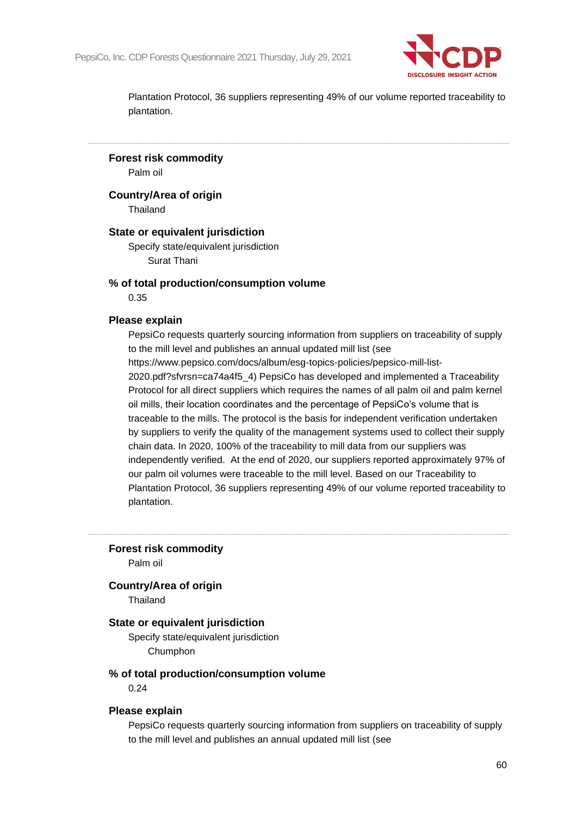

**Forest risk commodity**

Palm oil

**Country/Area of origin**

Thailand

## **State or equivalent jurisdiction**

Specify state/equivalent jurisdiction Surat Thani

## **% of total production/consumption volume**

0.35

### **Please explain**

PepsiCo requests quarterly sourcing information from suppliers on traceability of supply to the mill level and publishes an annual updated mill list (see https://www.pepsico.com/docs/album/esg-topics-policies/pepsico-mill-list-2020.pdf?sfvrsn=ca74a4f5\_4) PepsiCo has developed and implemented a Traceability Protocol for all direct suppliers which requires the names of all palm oil and palm kernel oil mills, their location coordinates and the percentage of PepsiCo's volume that is traceable to the mills. The protocol is the basis for independent verification undertaken by suppliers to verify the quality of the management systems used to collect their supply chain data. In 2020, 100% of the traceability to mill data from our suppliers was independently verified. At the end of 2020, our suppliers reported approximately 97% of our palm oil volumes were traceable to the mill level. Based on our Traceability to Plantation Protocol, 36 suppliers representing 49% of our volume reported traceability to plantation.

**Forest risk commodity**

Palm oil

### **Country/Area of origin**

Thailand

### **State or equivalent jurisdiction**

Specify state/equivalent jurisdiction Chumphon

### **% of total production/consumption volume**

0.24

#### **Please explain**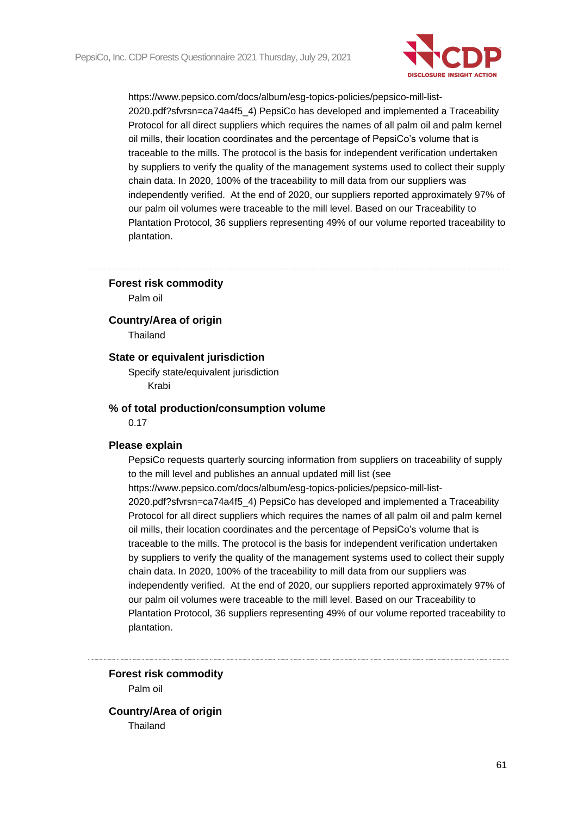

### **Forest risk commodity**

Palm oil

### **Country/Area of origin**

Thailand

## **State or equivalent jurisdiction**

Specify state/equivalent jurisdiction Krabi

## **% of total production/consumption volume**

0.17

#### **Please explain**

PepsiCo requests quarterly sourcing information from suppliers on traceability of supply to the mill level and publishes an annual updated mill list (see https://www.pepsico.com/docs/album/esg-topics-policies/pepsico-mill-list-2020.pdf?sfvrsn=ca74a4f5\_4) PepsiCo has developed and implemented a Traceability Protocol for all direct suppliers which requires the names of all palm oil and palm kernel oil mills, their location coordinates and the percentage of PepsiCo's volume that is traceable to the mills. The protocol is the basis for independent verification undertaken by suppliers to verify the quality of the management systems used to collect their supply chain data. In 2020, 100% of the traceability to mill data from our suppliers was independently verified. At the end of 2020, our suppliers reported approximately 97% of our palm oil volumes were traceable to the mill level. Based on our Traceability to Plantation Protocol, 36 suppliers representing 49% of our volume reported traceability to plantation.

**Forest risk commodity** Palm oil

**Country/Area of origin Thailand**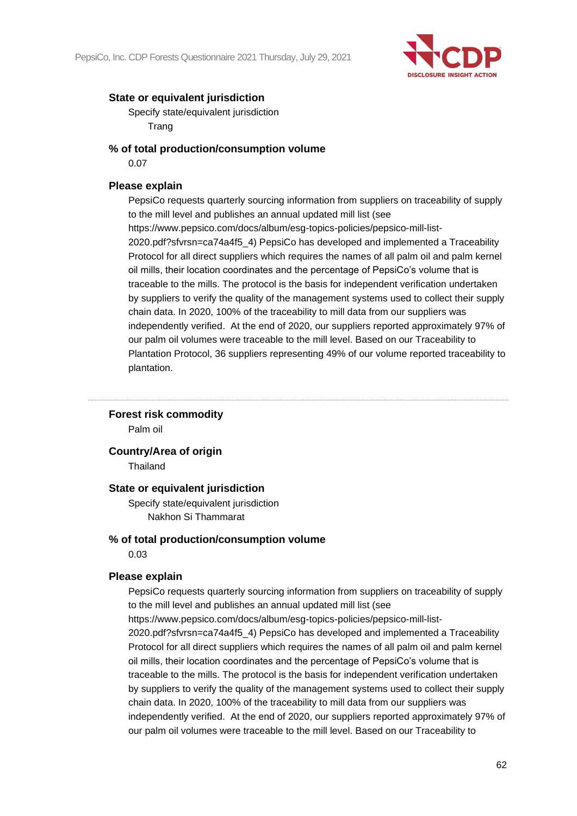

Specify state/equivalent jurisdiction Trang

## **% of total production/consumption volume**

0.07

## **Please explain**

PepsiCo requests quarterly sourcing information from suppliers on traceability of supply to the mill level and publishes an annual updated mill list (see https://www.pepsico.com/docs/album/esg-topics-policies/pepsico-mill-list-2020.pdf?sfvrsn=ca74a4f5\_4) PepsiCo has developed and implemented a Traceability Protocol for all direct suppliers which requires the names of all palm oil and palm kernel oil mills, their location coordinates and the percentage of PepsiCo's volume that is traceable to the mills. The protocol is the basis for independent verification undertaken by suppliers to verify the quality of the management systems used to collect their supply chain data. In 2020, 100% of the traceability to mill data from our suppliers was independently verified. At the end of 2020, our suppliers reported approximately 97% of our palm oil volumes were traceable to the mill level. Based on our Traceability to Plantation Protocol, 36 suppliers representing 49% of our volume reported traceability to plantation.

## **Forest risk commodity**

Palm oil

## **Country/Area of origin**

Thailand

## **State or equivalent jurisdiction**

Specify state/equivalent jurisdiction Nakhon Si Thammarat

## **% of total production/consumption volume**

0.03

## **Please explain**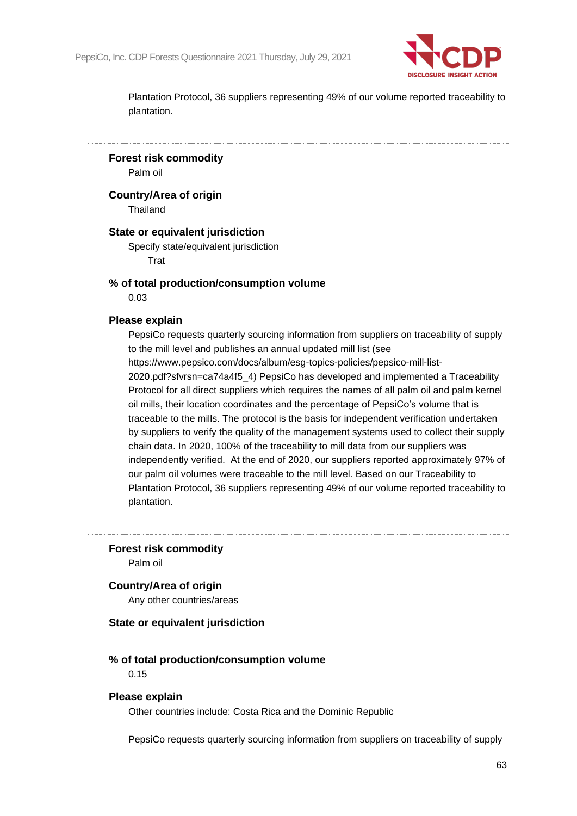

**Forest risk commodity**

Palm oil

**Country/Area of origin**

Thailand

## **State or equivalent jurisdiction**

Specify state/equivalent jurisdiction Trat

## **% of total production/consumption volume**

0.03

### **Please explain**

PepsiCo requests quarterly sourcing information from suppliers on traceability of supply to the mill level and publishes an annual updated mill list (see https://www.pepsico.com/docs/album/esg-topics-policies/pepsico-mill-list-

2020.pdf?sfvrsn=ca74a4f5\_4) PepsiCo has developed and implemented a Traceability Protocol for all direct suppliers which requires the names of all palm oil and palm kernel oil mills, their location coordinates and the percentage of PepsiCo's volume that is traceable to the mills. The protocol is the basis for independent verification undertaken by suppliers to verify the quality of the management systems used to collect their supply chain data. In 2020, 100% of the traceability to mill data from our suppliers was independently verified. At the end of 2020, our suppliers reported approximately 97% of our palm oil volumes were traceable to the mill level. Based on our Traceability to Plantation Protocol, 36 suppliers representing 49% of our volume reported traceability to plantation.

**Forest risk commodity**

Palm oil

### **Country/Area of origin**

Any other countries/areas

#### **State or equivalent jurisdiction**

## **% of total production/consumption volume**

0.15

## **Please explain**

Other countries include: Costa Rica and the Dominic Republic

PepsiCo requests quarterly sourcing information from suppliers on traceability of supply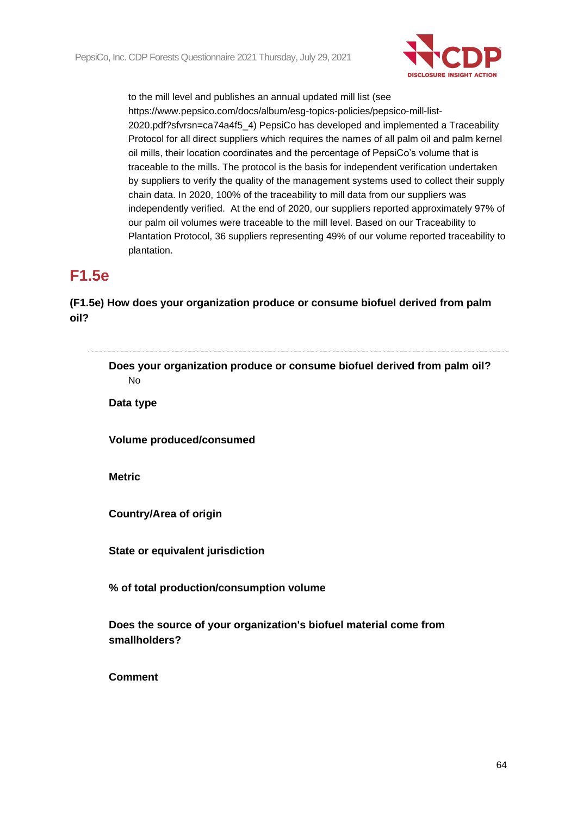

# **F1.5e**

**(F1.5e) How does your organization produce or consume biofuel derived from palm oil?**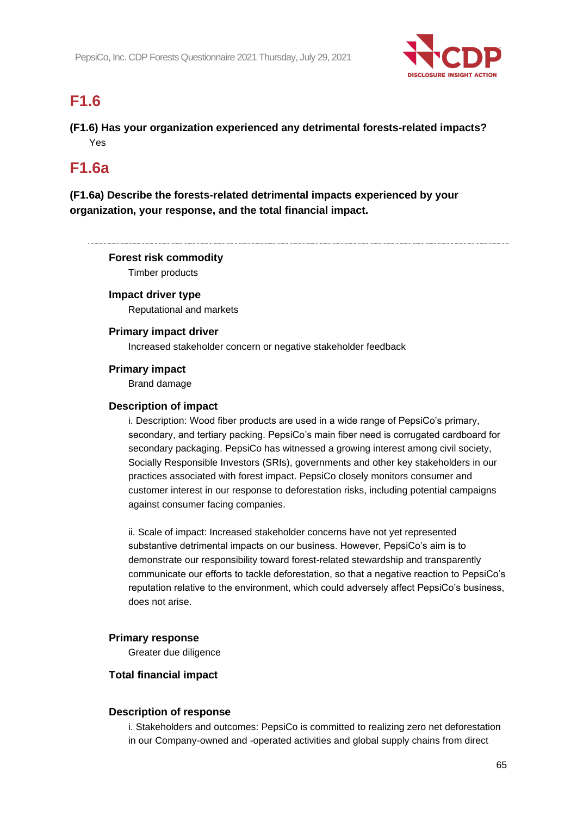

# **F1.6**

**(F1.6) Has your organization experienced any detrimental forests-related impacts?** Yes

## **F1.6a**

**(F1.6a) Describe the forests-related detrimental impacts experienced by your organization, your response, and the total financial impact.**

## **Forest risk commodity**

Timber products

## **Impact driver type**

Reputational and markets

## **Primary impact driver**

Increased stakeholder concern or negative stakeholder feedback

## **Primary impact**

Brand damage

## **Description of impact**

i. Description: Wood fiber products are used in a wide range of PepsiCo's primary, secondary, and tertiary packing. PepsiCo's main fiber need is corrugated cardboard for secondary packaging. PepsiCo has witnessed a growing interest among civil society, Socially Responsible Investors (SRIs), governments and other key stakeholders in our practices associated with forest impact. PepsiCo closely monitors consumer and customer interest in our response to deforestation risks, including potential campaigns against consumer facing companies.

ii. Scale of impact: Increased stakeholder concerns have not yet represented substantive detrimental impacts on our business. However, PepsiCo's aim is to demonstrate our responsibility toward forest-related stewardship and transparently communicate our efforts to tackle deforestation, so that a negative reaction to PepsiCo's reputation relative to the environment, which could adversely affect PepsiCo's business, does not arise.

## **Primary response**

Greater due diligence

## **Total financial impact**

## **Description of response**

i. Stakeholders and outcomes: PepsiCo is committed to realizing zero net deforestation in our Company-owned and -operated activities and global supply chains from direct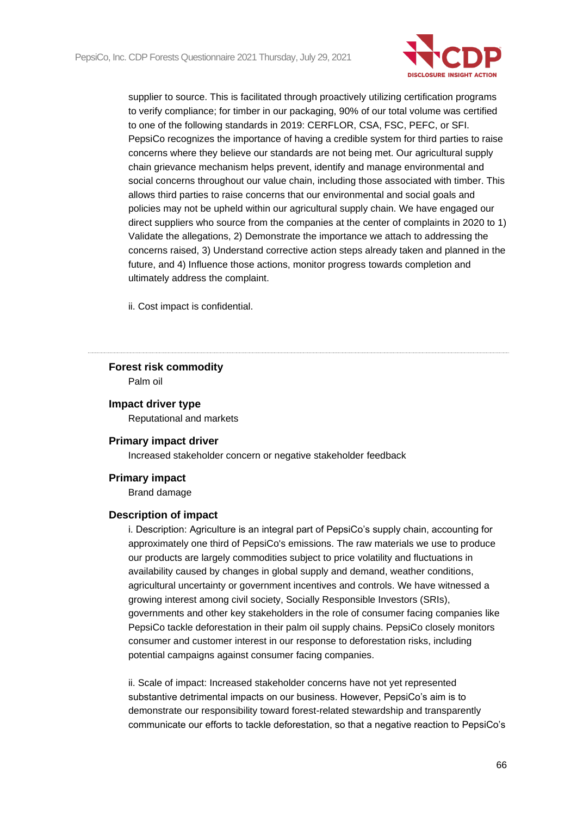

supplier to source. This is facilitated through proactively utilizing certification programs to verify compliance; for timber in our packaging, 90% of our total volume was certified to one of the following standards in 2019: CERFLOR, CSA, FSC, PEFC, or SFI. PepsiCo recognizes the importance of having a credible system for third parties to raise concerns where they believe our standards are not being met. Our agricultural supply chain grievance mechanism helps prevent, identify and manage environmental and social concerns throughout our value chain, including those associated with timber. This allows third parties to raise concerns that our environmental and social goals and policies may not be upheld within our agricultural supply chain. We have engaged our direct suppliers who source from the companies at the center of complaints in 2020 to 1) Validate the allegations, 2) Demonstrate the importance we attach to addressing the concerns raised, 3) Understand corrective action steps already taken and planned in the future, and 4) Influence those actions, monitor progress towards completion and ultimately address the complaint.

ii. Cost impact is confidential.

## **Forest risk commodity**

Palm oil

## **Impact driver type**

Reputational and markets

## **Primary impact driver**

Increased stakeholder concern or negative stakeholder feedback

## **Primary impact**

Brand damage

## **Description of impact**

i. Description: Agriculture is an integral part of PepsiCo's supply chain, accounting for approximately one third of PepsiCo's emissions. The raw materials we use to produce our products are largely commodities subject to price volatility and fluctuations in availability caused by changes in global supply and demand, weather conditions, agricultural uncertainty or government incentives and controls. We have witnessed a growing interest among civil society, Socially Responsible Investors (SRIs), governments and other key stakeholders in the role of consumer facing companies like PepsiCo tackle deforestation in their palm oil supply chains. PepsiCo closely monitors consumer and customer interest in our response to deforestation risks, including potential campaigns against consumer facing companies.

ii. Scale of impact: Increased stakeholder concerns have not yet represented substantive detrimental impacts on our business. However, PepsiCo's aim is to demonstrate our responsibility toward forest-related stewardship and transparently communicate our efforts to tackle deforestation, so that a negative reaction to PepsiCo's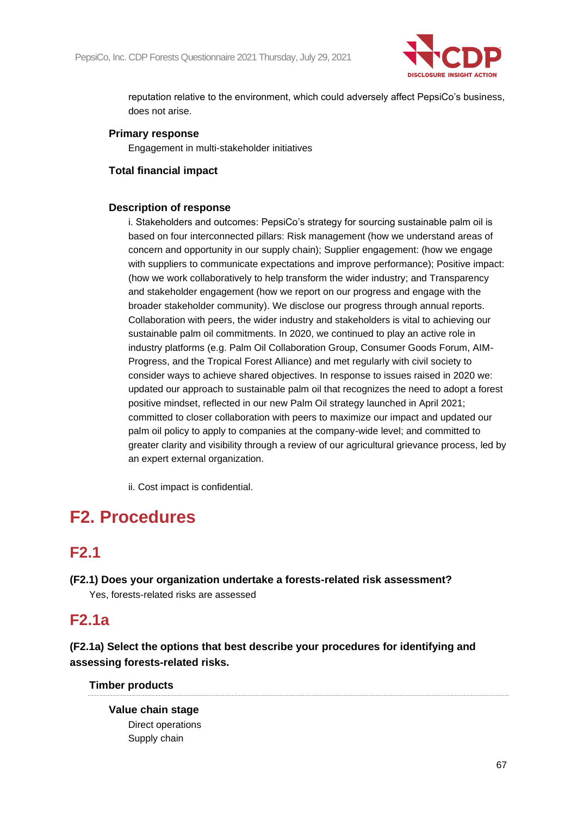

reputation relative to the environment, which could adversely affect PepsiCo's business, does not arise.

## **Primary response**

Engagement in multi-stakeholder initiatives

## **Total financial impact**

## **Description of response**

i. Stakeholders and outcomes: PepsiCo's strategy for sourcing sustainable palm oil is based on four interconnected pillars: Risk management (how we understand areas of concern and opportunity in our supply chain); Supplier engagement: (how we engage with suppliers to communicate expectations and improve performance); Positive impact: (how we work collaboratively to help transform the wider industry; and Transparency and stakeholder engagement (how we report on our progress and engage with the broader stakeholder community). We disclose our progress through annual reports. Collaboration with peers, the wider industry and stakeholders is vital to achieving our sustainable palm oil commitments. In 2020, we continued to play an active role in industry platforms (e.g. Palm Oil Collaboration Group, Consumer Goods Forum, AIM-Progress, and the Tropical Forest Alliance) and met regularly with civil society to consider ways to achieve shared objectives. In response to issues raised in 2020 we: updated our approach to sustainable palm oil that recognizes the need to adopt a forest positive mindset, reflected in our new Palm Oil strategy launched in April 2021; committed to closer collaboration with peers to maximize our impact and updated our palm oil policy to apply to companies at the company-wide level; and committed to greater clarity and visibility through a review of our agricultural grievance process, led by an expert external organization.

ii. Cost impact is confidential.

# **F2. Procedures**

## **F2.1**

**(F2.1) Does your organization undertake a forests-related risk assessment?** Yes, forests-related risks are assessed

## **F2.1a**

**(F2.1a) Select the options that best describe your procedures for identifying and assessing forests-related risks.**

## **Timber products**

**Value chain stage** Direct operations Supply chain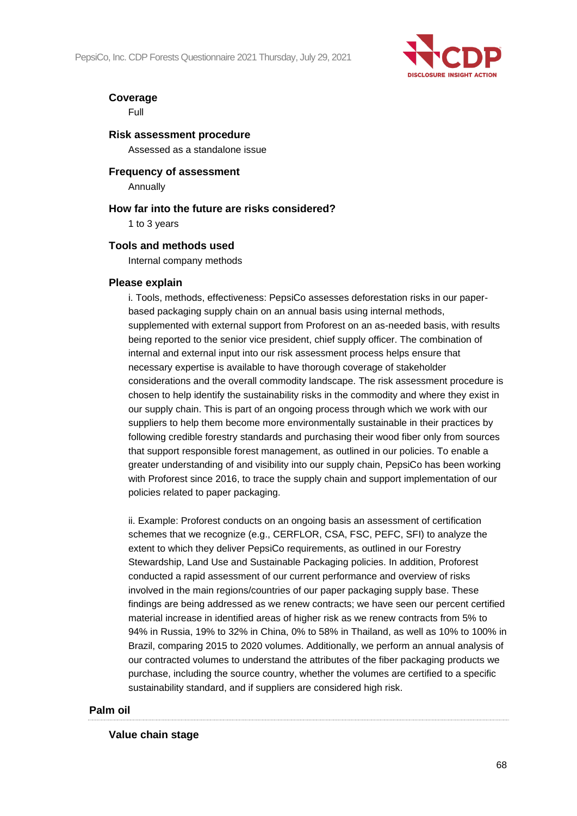

## **Coverage**

Full

## **Risk assessment procedure**

Assessed as a standalone issue

## **Frequency of assessment** Annually

## **How far into the future are risks considered?** 1 to 3 years

## **Tools and methods used**

Internal company methods

## **Please explain**

i. Tools, methods, effectiveness: PepsiCo assesses deforestation risks in our paperbased packaging supply chain on an annual basis using internal methods, supplemented with external support from Proforest on an as-needed basis, with results being reported to the senior vice president, chief supply officer. The combination of internal and external input into our risk assessment process helps ensure that necessary expertise is available to have thorough coverage of stakeholder considerations and the overall commodity landscape. The risk assessment procedure is chosen to help identify the sustainability risks in the commodity and where they exist in our supply chain. This is part of an ongoing process through which we work with our suppliers to help them become more environmentally sustainable in their practices by following credible forestry standards and purchasing their wood fiber only from sources that support responsible forest management, as outlined in our policies. To enable a greater understanding of and visibility into our supply chain, PepsiCo has been working with Proforest since 2016, to trace the supply chain and support implementation of our policies related to paper packaging.

ii. Example: Proforest conducts on an ongoing basis an assessment of certification schemes that we recognize (e.g., CERFLOR, CSA, FSC, PEFC, SFI) to analyze the extent to which they deliver PepsiCo requirements, as outlined in our Forestry Stewardship, Land Use and Sustainable Packaging policies. In addition, Proforest conducted a rapid assessment of our current performance and overview of risks involved in the main regions/countries of our paper packaging supply base. These findings are being addressed as we renew contracts; we have seen our percent certified material increase in identified areas of higher risk as we renew contracts from 5% to 94% in Russia, 19% to 32% in China, 0% to 58% in Thailand, as well as 10% to 100% in Brazil, comparing 2015 to 2020 volumes. Additionally, we perform an annual analysis of our contracted volumes to understand the attributes of the fiber packaging products we purchase, including the source country, whether the volumes are certified to a specific sustainability standard, and if suppliers are considered high risk.

## **Palm oil**

## **Value chain stage**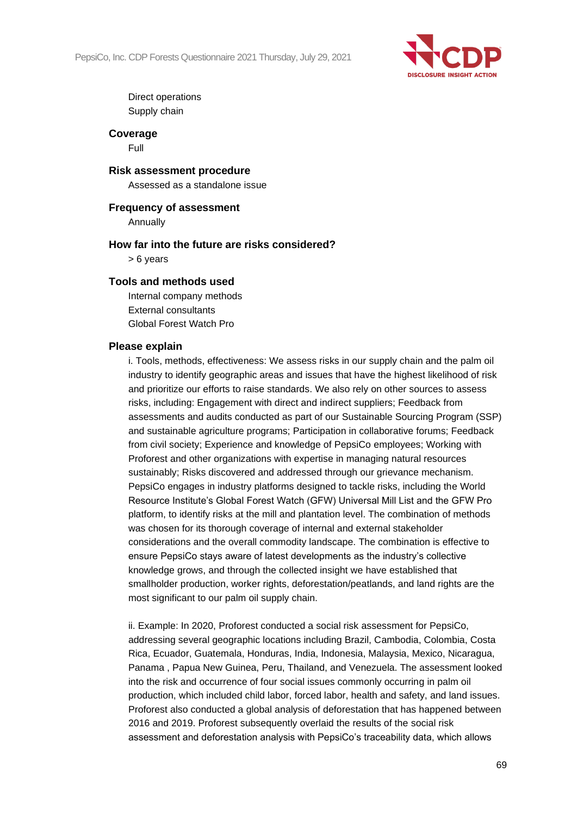

Direct operations Supply chain

### **Coverage**

Full

#### **Risk assessment procedure**

Assessed as a standalone issue

## **Frequency of assessment**

Annually

### **How far into the future are risks considered?**

> 6 years

## **Tools and methods used**

Internal company methods External consultants Global Forest Watch Pro

## **Please explain**

i. Tools, methods, effectiveness: We assess risks in our supply chain and the palm oil industry to identify geographic areas and issues that have the highest likelihood of risk and prioritize our efforts to raise standards. We also rely on other sources to assess risks, including: Engagement with direct and indirect suppliers; Feedback from assessments and audits conducted as part of our Sustainable Sourcing Program (SSP) and sustainable agriculture programs; Participation in collaborative forums; Feedback from civil society; Experience and knowledge of PepsiCo employees; Working with Proforest and other organizations with expertise in managing natural resources sustainably; Risks discovered and addressed through our grievance mechanism. PepsiCo engages in industry platforms designed to tackle risks, including the World Resource Institute's Global Forest Watch (GFW) Universal Mill List and the GFW Pro platform, to identify risks at the mill and plantation level. The combination of methods was chosen for its thorough coverage of internal and external stakeholder considerations and the overall commodity landscape. The combination is effective to ensure PepsiCo stays aware of latest developments as the industry's collective knowledge grows, and through the collected insight we have established that smallholder production, worker rights, deforestation/peatlands, and land rights are the most significant to our palm oil supply chain.

ii. Example: In 2020, Proforest conducted a social risk assessment for PepsiCo, addressing several geographic locations including Brazil, Cambodia, Colombia, Costa Rica, Ecuador, Guatemala, Honduras, India, Indonesia, Malaysia, Mexico, Nicaragua, Panama , Papua New Guinea, Peru, Thailand, and Venezuela. The assessment looked into the risk and occurrence of four social issues commonly occurring in palm oil production, which included child labor, forced labor, health and safety, and land issues. Proforest also conducted a global analysis of deforestation that has happened between 2016 and 2019. Proforest subsequently overlaid the results of the social risk assessment and deforestation analysis with PepsiCo's traceability data, which allows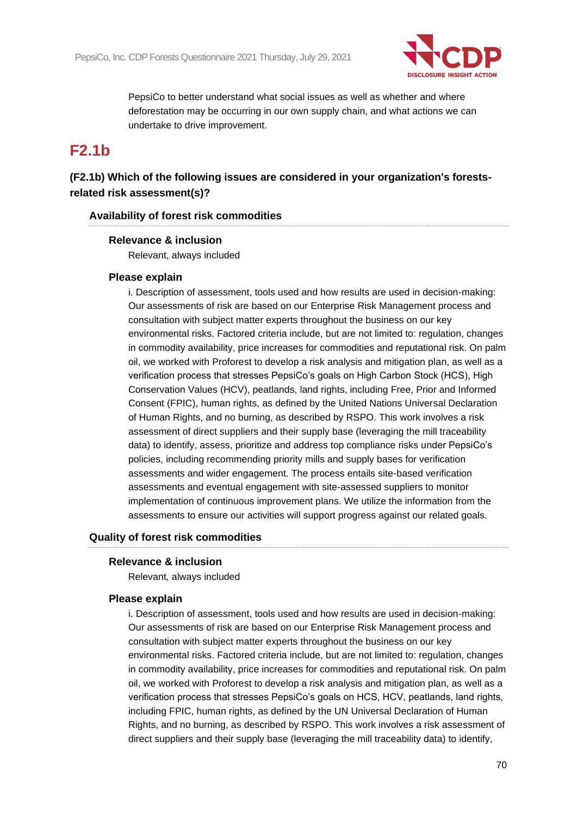

PepsiCo to better understand what social issues as well as whether and where deforestation may be occurring in our own supply chain, and what actions we can undertake to drive improvement.

## **F2.1b**

## **(F2.1b) Which of the following issues are considered in your organization's forestsrelated risk assessment(s)?**

## **Availability of forest risk commodities**

## **Relevance & inclusion**

Relevant, always included

## **Please explain**

i. Description of assessment, tools used and how results are used in decision-making: Our assessments of risk are based on our Enterprise Risk Management process and consultation with subject matter experts throughout the business on our key environmental risks. Factored criteria include, but are not limited to: regulation, changes in commodity availability, price increases for commodities and reputational risk. On palm oil, we worked with Proforest to develop a risk analysis and mitigation plan, as well as a verification process that stresses PepsiCo's goals on High Carbon Stock (HCS), High Conservation Values (HCV), peatlands, land rights, including Free, Prior and Informed Consent (FPIC), human rights, as defined by the United Nations Universal Declaration of Human Rights, and no burning, as described by RSPO. This work involves a risk assessment of direct suppliers and their supply base (leveraging the mill traceability data) to identify, assess, prioritize and address top compliance risks under PepsiCo's policies, including recommending priority mills and supply bases for verification assessments and wider engagement. The process entails site-based verification assessments and eventual engagement with site-assessed suppliers to monitor implementation of continuous improvement plans. We utilize the information from the assessments to ensure our activities will support progress against our related goals.

## **Quality of forest risk commodities**

## **Relevance & inclusion**

Relevant, always included

## **Please explain**

i. Description of assessment, tools used and how results are used in decision-making: Our assessments of risk are based on our Enterprise Risk Management process and consultation with subject matter experts throughout the business on our key environmental risks. Factored criteria include, but are not limited to: regulation, changes in commodity availability, price increases for commodities and reputational risk. On palm oil, we worked with Proforest to develop a risk analysis and mitigation plan, as well as a verification process that stresses PepsiCo's goals on HCS, HCV, peatlands, land rights, including FPIC, human rights, as defined by the UN Universal Declaration of Human Rights, and no burning, as described by RSPO. This work involves a risk assessment of direct suppliers and their supply base (leveraging the mill traceability data) to identify,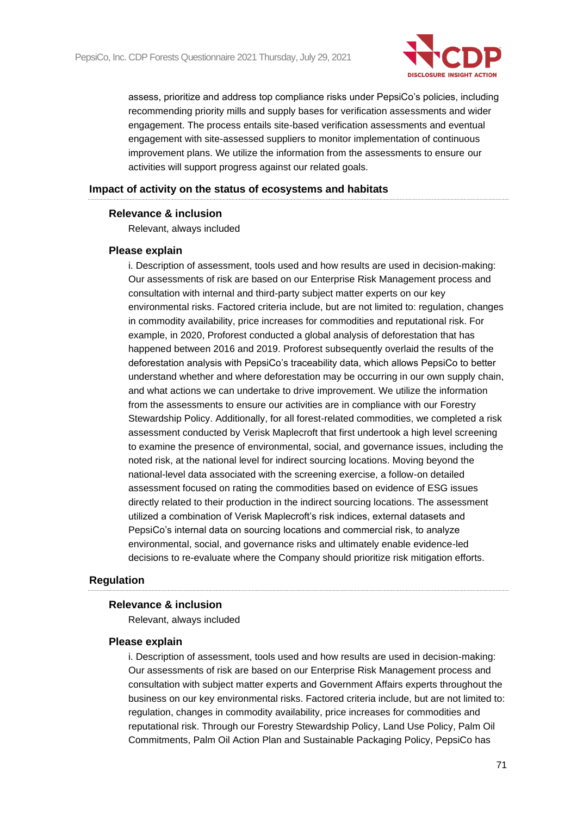

assess, prioritize and address top compliance risks under PepsiCo's policies, including recommending priority mills and supply bases for verification assessments and wider engagement. The process entails site-based verification assessments and eventual engagement with site-assessed suppliers to monitor implementation of continuous improvement plans. We utilize the information from the assessments to ensure our activities will support progress against our related goals.

## **Impact of activity on the status of ecosystems and habitats**

## **Relevance & inclusion**

Relevant, always included

## **Please explain**

i. Description of assessment, tools used and how results are used in decision-making: Our assessments of risk are based on our Enterprise Risk Management process and consultation with internal and third-party subject matter experts on our key environmental risks. Factored criteria include, but are not limited to: regulation, changes in commodity availability, price increases for commodities and reputational risk. For example, in 2020, Proforest conducted a global analysis of deforestation that has happened between 2016 and 2019. Proforest subsequently overlaid the results of the deforestation analysis with PepsiCo's traceability data, which allows PepsiCo to better understand whether and where deforestation may be occurring in our own supply chain, and what actions we can undertake to drive improvement. We utilize the information from the assessments to ensure our activities are in compliance with our Forestry Stewardship Policy. Additionally, for all forest-related commodities, we completed a risk assessment conducted by Verisk Maplecroft that first undertook a high level screening to examine the presence of environmental, social, and governance issues, including the noted risk, at the national level for indirect sourcing locations. Moving beyond the national-level data associated with the screening exercise, a follow-on detailed assessment focused on rating the commodities based on evidence of ESG issues directly related to their production in the indirect sourcing locations. The assessment utilized a combination of Verisk Maplecroft's risk indices, external datasets and PepsiCo's internal data on sourcing locations and commercial risk, to analyze environmental, social, and governance risks and ultimately enable evidence-led decisions to re-evaluate where the Company should prioritize risk mitigation efforts.

## **Regulation**

#### **Relevance & inclusion**

Relevant, always included

#### **Please explain**

i. Description of assessment, tools used and how results are used in decision-making: Our assessments of risk are based on our Enterprise Risk Management process and consultation with subject matter experts and Government Affairs experts throughout the business on our key environmental risks. Factored criteria include, but are not limited to: regulation, changes in commodity availability, price increases for commodities and reputational risk. Through our Forestry Stewardship Policy, Land Use Policy, Palm Oil Commitments, Palm Oil Action Plan and Sustainable Packaging Policy, PepsiCo has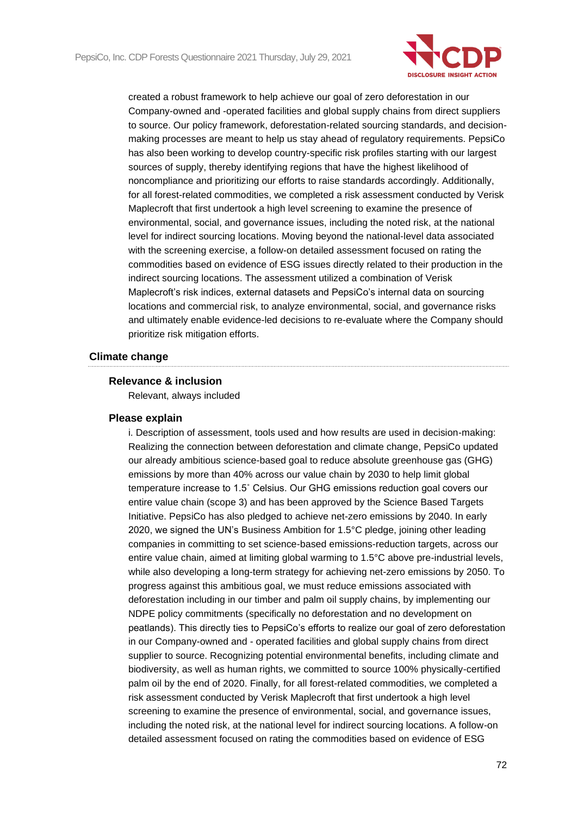

created a robust framework to help achieve our goal of zero deforestation in our Company-owned and -operated facilities and global supply chains from direct suppliers to source. Our policy framework, deforestation-related sourcing standards, and decisionmaking processes are meant to help us stay ahead of regulatory requirements. PepsiCo has also been working to develop country-specific risk profiles starting with our largest sources of supply, thereby identifying regions that have the highest likelihood of noncompliance and prioritizing our efforts to raise standards accordingly. Additionally, for all forest-related commodities, we completed a risk assessment conducted by Verisk Maplecroft that first undertook a high level screening to examine the presence of environmental, social, and governance issues, including the noted risk, at the national level for indirect sourcing locations. Moving beyond the national-level data associated with the screening exercise, a follow-on detailed assessment focused on rating the commodities based on evidence of ESG issues directly related to their production in the indirect sourcing locations. The assessment utilized a combination of Verisk Maplecroft's risk indices, external datasets and PepsiCo's internal data on sourcing locations and commercial risk, to analyze environmental, social, and governance risks and ultimately enable evidence-led decisions to re-evaluate where the Company should prioritize risk mitigation efforts.

## **Climate change**

## **Relevance & inclusion**

Relevant, always included

#### **Please explain**

i. Description of assessment, tools used and how results are used in decision-making: Realizing the connection between deforestation and climate change, PepsiCo updated our already ambitious science-based goal to reduce absolute greenhouse gas (GHG) emissions by more than 40% across our value chain by 2030 to help limit global temperature increase to 1.5˚ Celsius. Our GHG emissions reduction goal covers our entire value chain (scope 3) and has been approved by the Science Based Targets Initiative. PepsiCo has also pledged to achieve net-zero emissions by 2040. In early 2020, we signed the UN's Business Ambition for 1.5°C pledge, joining other leading companies in committing to set science-based emissions-reduction targets, across our entire value chain, aimed at limiting global warming to 1.5°C above pre-industrial levels, while also developing a long-term strategy for achieving net-zero emissions by 2050. To progress against this ambitious goal, we must reduce emissions associated with deforestation including in our timber and palm oil supply chains, by implementing our NDPE policy commitments (specifically no deforestation and no development on peatlands). This directly ties to PepsiCo's efforts to realize our goal of zero deforestation in our Company-owned and - operated facilities and global supply chains from direct supplier to source. Recognizing potential environmental benefits, including climate and biodiversity, as well as human rights, we committed to source 100% physically-certified palm oil by the end of 2020. Finally, for all forest-related commodities, we completed a risk assessment conducted by Verisk Maplecroft that first undertook a high level screening to examine the presence of environmental, social, and governance issues, including the noted risk, at the national level for indirect sourcing locations. A follow-on detailed assessment focused on rating the commodities based on evidence of ESG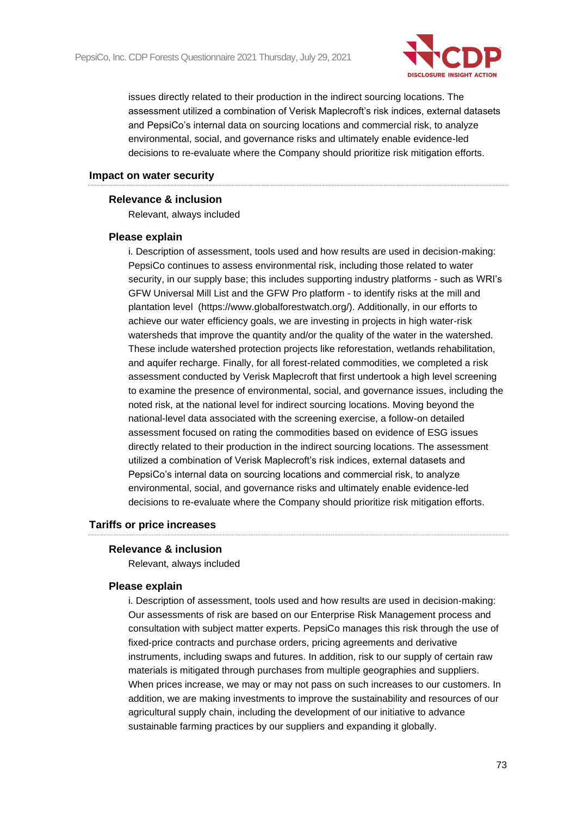

issues directly related to their production in the indirect sourcing locations. The assessment utilized a combination of Verisk Maplecroft's risk indices, external datasets and PepsiCo's internal data on sourcing locations and commercial risk, to analyze environmental, social, and governance risks and ultimately enable evidence-led decisions to re-evaluate where the Company should prioritize risk mitigation efforts.

#### **Impact on water security**

#### **Relevance & inclusion**

Relevant, always included

#### **Please explain**

i. Description of assessment, tools used and how results are used in decision-making: PepsiCo continues to assess environmental risk, including those related to water security, in our supply base; this includes supporting industry platforms - such as WRI's GFW Universal Mill List and the GFW Pro platform - to identify risks at the mill and plantation level (https://www.globalforestwatch.org/). Additionally, in our efforts to achieve our water efficiency goals, we are investing in projects in high water-risk watersheds that improve the quantity and/or the quality of the water in the watershed. These include watershed protection projects like reforestation, wetlands rehabilitation, and aquifer recharge. Finally, for all forest-related commodities, we completed a risk assessment conducted by Verisk Maplecroft that first undertook a high level screening to examine the presence of environmental, social, and governance issues, including the noted risk, at the national level for indirect sourcing locations. Moving beyond the national-level data associated with the screening exercise, a follow-on detailed assessment focused on rating the commodities based on evidence of ESG issues directly related to their production in the indirect sourcing locations. The assessment utilized a combination of Verisk Maplecroft's risk indices, external datasets and PepsiCo's internal data on sourcing locations and commercial risk, to analyze environmental, social, and governance risks and ultimately enable evidence-led decisions to re-evaluate where the Company should prioritize risk mitigation efforts.

#### **Tariffs or price increases**

#### **Relevance & inclusion**

Relevant, always included

#### **Please explain**

i. Description of assessment, tools used and how results are used in decision-making: Our assessments of risk are based on our Enterprise Risk Management process and consultation with subject matter experts. PepsiCo manages this risk through the use of fixed-price contracts and purchase orders, pricing agreements and derivative instruments, including swaps and futures. In addition, risk to our supply of certain raw materials is mitigated through purchases from multiple geographies and suppliers. When prices increase, we may or may not pass on such increases to our customers. In addition, we are making investments to improve the sustainability and resources of our agricultural supply chain, including the development of our initiative to advance sustainable farming practices by our suppliers and expanding it globally.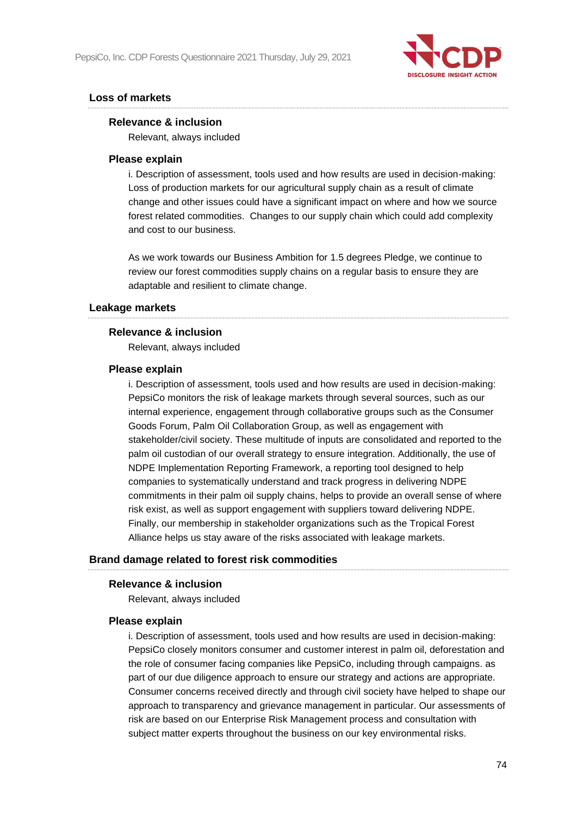

#### **Loss of markets**

#### **Relevance & inclusion**

Relevant, always included

#### **Please explain**

i. Description of assessment, tools used and how results are used in decision-making: Loss of production markets for our agricultural supply chain as a result of climate change and other issues could have a significant impact on where and how we source forest related commodities. Changes to our supply chain which could add complexity and cost to our business.

As we work towards our Business Ambition for 1.5 degrees Pledge, we continue to review our forest commodities supply chains on a regular basis to ensure they are adaptable and resilient to climate change.

#### **Leakage markets**

#### **Relevance & inclusion**

Relevant, always included

#### **Please explain**

i. Description of assessment, tools used and how results are used in decision-making: PepsiCo monitors the risk of leakage markets through several sources, such as our internal experience, engagement through collaborative groups such as the Consumer Goods Forum, Palm Oil Collaboration Group, as well as engagement with stakeholder/civil society. These multitude of inputs are consolidated and reported to the palm oil custodian of our overall strategy to ensure integration. Additionally, the use of NDPE Implementation Reporting Framework, a reporting tool designed to help companies to systematically understand and track progress in delivering NDPE commitments in their palm oil supply chains, helps to provide an overall sense of where risk exist, as well as support engagement with suppliers toward delivering NDPE. Finally, our membership in stakeholder organizations such as the Tropical Forest Alliance helps us stay aware of the risks associated with leakage markets.

#### **Brand damage related to forest risk commodities**

#### **Relevance & inclusion**

Relevant, always included

#### **Please explain**

i. Description of assessment, tools used and how results are used in decision-making: PepsiCo closely monitors consumer and customer interest in palm oil, deforestation and the role of consumer facing companies like PepsiCo, including through campaigns. as part of our due diligence approach to ensure our strategy and actions are appropriate. Consumer concerns received directly and through civil society have helped to shape our approach to transparency and grievance management in particular. Our assessments of risk are based on our Enterprise Risk Management process and consultation with subject matter experts throughout the business on our key environmental risks.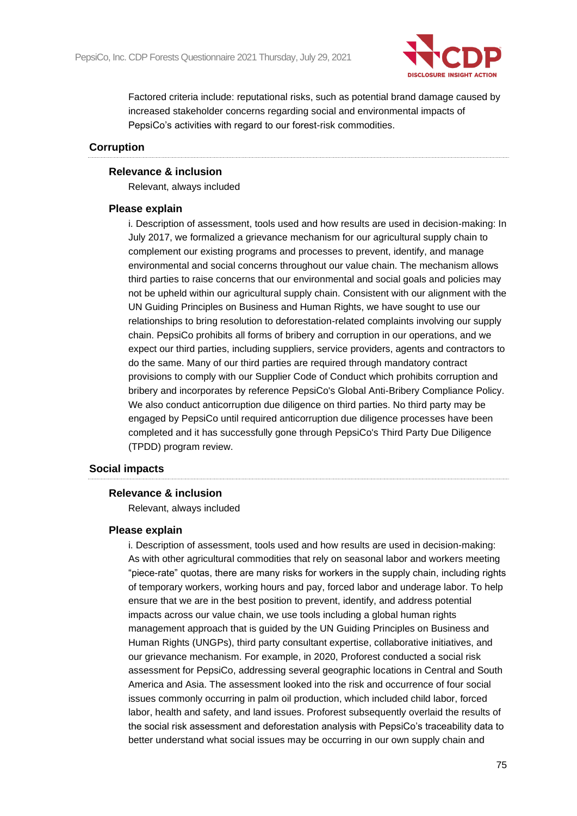

Factored criteria include: reputational risks, such as potential brand damage caused by increased stakeholder concerns regarding social and environmental impacts of PepsiCo's activities with regard to our forest-risk commodities.

#### **Corruption**

#### **Relevance & inclusion**

Relevant, always included

#### **Please explain**

i. Description of assessment, tools used and how results are used in decision-making: In July 2017, we formalized a grievance mechanism for our agricultural supply chain to complement our existing programs and processes to prevent, identify, and manage environmental and social concerns throughout our value chain. The mechanism allows third parties to raise concerns that our environmental and social goals and policies may not be upheld within our agricultural supply chain. Consistent with our alignment with the UN Guiding Principles on Business and Human Rights, we have sought to use our relationships to bring resolution to deforestation-related complaints involving our supply chain. PepsiCo prohibits all forms of bribery and corruption in our operations, and we expect our third parties, including suppliers, service providers, agents and contractors to do the same. Many of our third parties are required through mandatory contract provisions to comply with our Supplier Code of Conduct which prohibits corruption and bribery and incorporates by reference PepsiCo's Global Anti-Bribery Compliance Policy. We also conduct anticorruption due diligence on third parties. No third party may be engaged by PepsiCo until required anticorruption due diligence processes have been completed and it has successfully gone through PepsiCo's Third Party Due Diligence (TPDD) program review.

#### **Social impacts**

#### **Relevance & inclusion**

Relevant, always included

#### **Please explain**

i. Description of assessment, tools used and how results are used in decision-making: As with other agricultural commodities that rely on seasonal labor and workers meeting "piece-rate" quotas, there are many risks for workers in the supply chain, including rights of temporary workers, working hours and pay, forced labor and underage labor. To help ensure that we are in the best position to prevent, identify, and address potential impacts across our value chain, we use tools including a global human rights management approach that is guided by the UN Guiding Principles on Business and Human Rights (UNGPs), third party consultant expertise, collaborative initiatives, and our grievance mechanism. For example, in 2020, Proforest conducted a social risk assessment for PepsiCo, addressing several geographic locations in Central and South America and Asia. The assessment looked into the risk and occurrence of four social issues commonly occurring in palm oil production, which included child labor, forced labor, health and safety, and land issues. Proforest subsequently overlaid the results of the social risk assessment and deforestation analysis with PepsiCo's traceability data to better understand what social issues may be occurring in our own supply chain and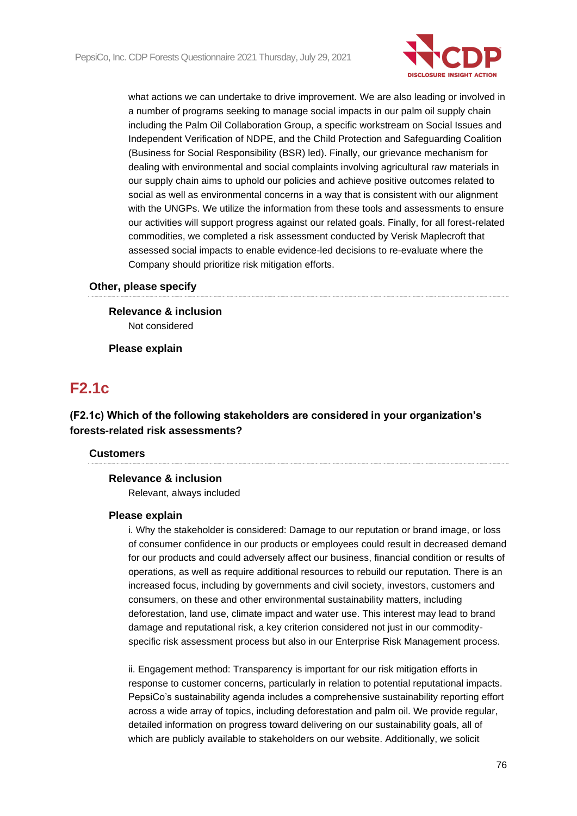

what actions we can undertake to drive improvement. We are also leading or involved in a number of programs seeking to manage social impacts in our palm oil supply chain including the Palm Oil Collaboration Group, a specific workstream on Social Issues and Independent Verification of NDPE, and the Child Protection and Safeguarding Coalition (Business for Social Responsibility (BSR) led). Finally, our grievance mechanism for dealing with environmental and social complaints involving agricultural raw materials in our supply chain aims to uphold our policies and achieve positive outcomes related to social as well as environmental concerns in a way that is consistent with our alignment with the UNGPs. We utilize the information from these tools and assessments to ensure our activities will support progress against our related goals. Finally, for all forest-related commodities, we completed a risk assessment conducted by Verisk Maplecroft that assessed social impacts to enable evidence-led decisions to re-evaluate where the Company should prioritize risk mitigation efforts.

#### **Other, please specify**

**Relevance & inclusion** Not considered

**Please explain**

## **F2.1c**

**(F2.1c) Which of the following stakeholders are considered in your organization's forests-related risk assessments?**

#### **Customers**

#### **Relevance & inclusion**

Relevant, always included

#### **Please explain**

i. Why the stakeholder is considered: Damage to our reputation or brand image, or loss of consumer confidence in our products or employees could result in decreased demand for our products and could adversely affect our business, financial condition or results of operations, as well as require additional resources to rebuild our reputation. There is an increased focus, including by governments and civil society, investors, customers and consumers, on these and other environmental sustainability matters, including deforestation, land use, climate impact and water use. This interest may lead to brand damage and reputational risk, a key criterion considered not just in our commodityspecific risk assessment process but also in our Enterprise Risk Management process.

ii. Engagement method: Transparency is important for our risk mitigation efforts in response to customer concerns, particularly in relation to potential reputational impacts. PepsiCo's sustainability agenda includes a comprehensive sustainability reporting effort across a wide array of topics, including deforestation and palm oil. We provide regular, detailed information on progress toward delivering on our sustainability goals, all of which are publicly available to stakeholders on our website. Additionally, we solicit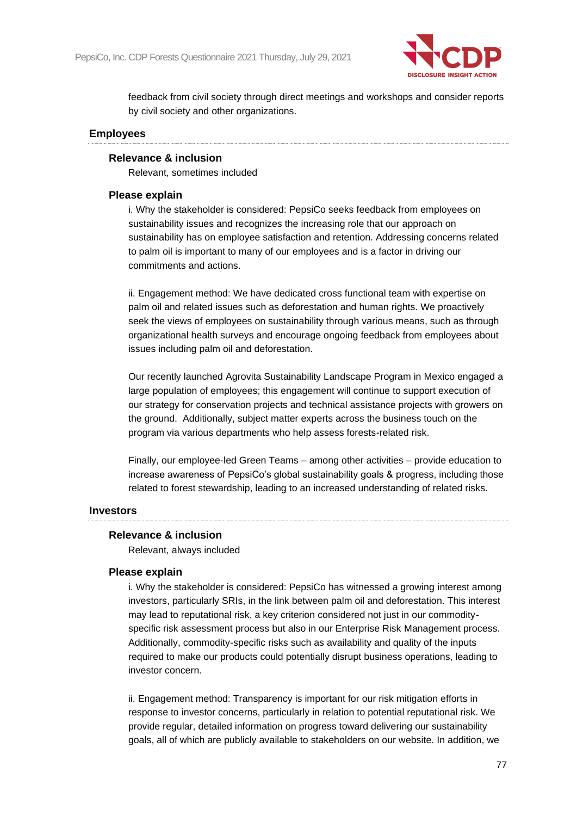

feedback from civil society through direct meetings and workshops and consider reports by civil society and other organizations.

#### **Employees**

#### **Relevance & inclusion**

Relevant, sometimes included

#### **Please explain**

i. Why the stakeholder is considered: PepsiCo seeks feedback from employees on sustainability issues and recognizes the increasing role that our approach on sustainability has on employee satisfaction and retention. Addressing concerns related to palm oil is important to many of our employees and is a factor in driving our commitments and actions.

ii. Engagement method: We have dedicated cross functional team with expertise on palm oil and related issues such as deforestation and human rights. We proactively seek the views of employees on sustainability through various means, such as through organizational health surveys and encourage ongoing feedback from employees about issues including palm oil and deforestation.

Our recently launched Agrovita Sustainability Landscape Program in Mexico engaged a large population of employees; this engagement will continue to support execution of our strategy for conservation projects and technical assistance projects with growers on the ground. Additionally, subject matter experts across the business touch on the program via various departments who help assess forests-related risk.

Finally, our employee-led Green Teams – among other activities – provide education to increase awareness of PepsiCo's global sustainability goals & progress, including those related to forest stewardship, leading to an increased understanding of related risks.

#### **Investors**

#### **Relevance & inclusion**

Relevant, always included

#### **Please explain**

i. Why the stakeholder is considered: PepsiCo has witnessed a growing interest among investors, particularly SRIs, in the link between palm oil and deforestation. This interest may lead to reputational risk, a key criterion considered not just in our commodityspecific risk assessment process but also in our Enterprise Risk Management process. Additionally, commodity-specific risks such as availability and quality of the inputs required to make our products could potentially disrupt business operations, leading to investor concern.

ii. Engagement method: Transparency is important for our risk mitigation efforts in response to investor concerns, particularly in relation to potential reputational risk. We provide regular, detailed information on progress toward delivering our sustainability goals, all of which are publicly available to stakeholders on our website. In addition, we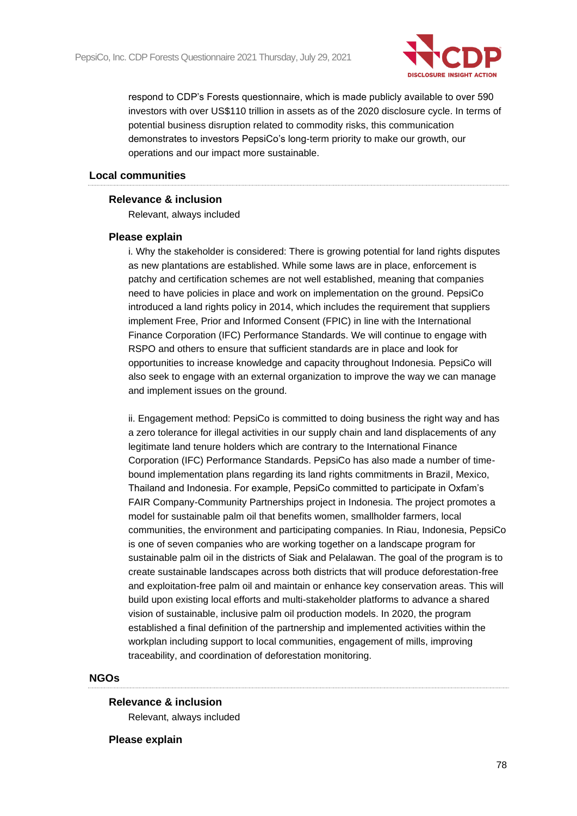

respond to CDP's Forests questionnaire, which is made publicly available to over 590 investors with over US\$110 trillion in assets as of the 2020 disclosure cycle. In terms of potential business disruption related to commodity risks, this communication demonstrates to investors PepsiCo's long-term priority to make our growth, our operations and our impact more sustainable.

#### **Local communities**

#### **Relevance & inclusion**

Relevant, always included

#### **Please explain**

i. Why the stakeholder is considered: There is growing potential for land rights disputes as new plantations are established. While some laws are in place, enforcement is patchy and certification schemes are not well established, meaning that companies need to have policies in place and work on implementation on the ground. PepsiCo introduced a land rights policy in 2014, which includes the requirement that suppliers implement Free, Prior and Informed Consent (FPIC) in line with the International Finance Corporation (IFC) Performance Standards. We will continue to engage with RSPO and others to ensure that sufficient standards are in place and look for opportunities to increase knowledge and capacity throughout Indonesia. PepsiCo will also seek to engage with an external organization to improve the way we can manage and implement issues on the ground.

ii. Engagement method: PepsiCo is committed to doing business the right way and has a zero tolerance for illegal activities in our supply chain and land displacements of any legitimate land tenure holders which are contrary to the International Finance Corporation (IFC) Performance Standards. PepsiCo has also made a number of timebound implementation plans regarding its land rights commitments in Brazil, Mexico, Thailand and Indonesia. For example, PepsiCo committed to participate in Oxfam's FAIR Company-Community Partnerships project in Indonesia. The project promotes a model for sustainable palm oil that benefits women, smallholder farmers, local communities, the environment and participating companies. In Riau, Indonesia, PepsiCo is one of seven companies who are working together on a landscape program for sustainable palm oil in the districts of Siak and Pelalawan. The goal of the program is to create sustainable landscapes across both districts that will produce deforestation-free and exploitation-free palm oil and maintain or enhance key conservation areas. This will build upon existing local efforts and multi-stakeholder platforms to advance a shared vision of sustainable, inclusive palm oil production models. In 2020, the program established a final definition of the partnership and implemented activities within the workplan including support to local communities, engagement of mills, improving traceability, and coordination of deforestation monitoring.

#### **NGOs**

#### **Relevance & inclusion**

Relevant, always included

#### **Please explain**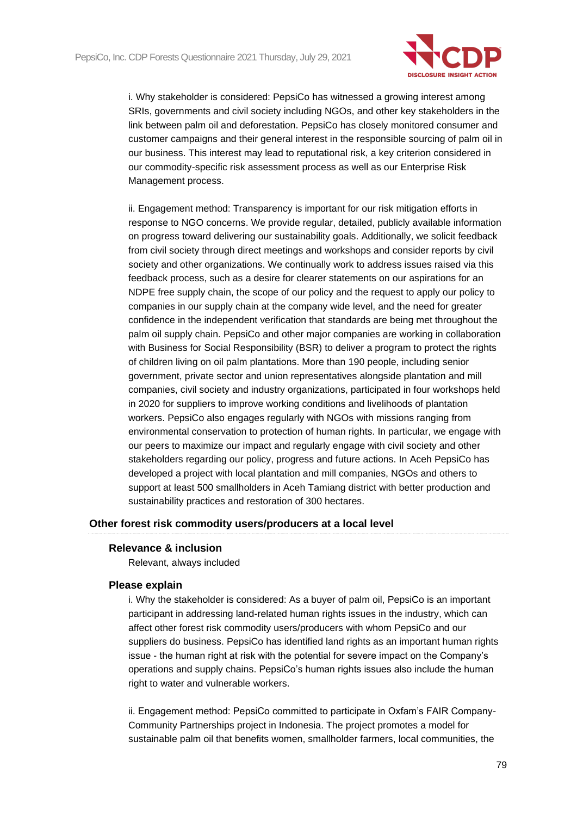

i. Why stakeholder is considered: PepsiCo has witnessed a growing interest among SRIs, governments and civil society including NGOs, and other key stakeholders in the link between palm oil and deforestation. PepsiCo has closely monitored consumer and customer campaigns and their general interest in the responsible sourcing of palm oil in our business. This interest may lead to reputational risk, a key criterion considered in our commodity-specific risk assessment process as well as our Enterprise Risk Management process.

ii. Engagement method: Transparency is important for our risk mitigation efforts in response to NGO concerns. We provide regular, detailed, publicly available information on progress toward delivering our sustainability goals. Additionally, we solicit feedback from civil society through direct meetings and workshops and consider reports by civil society and other organizations. We continually work to address issues raised via this feedback process, such as a desire for clearer statements on our aspirations for an NDPE free supply chain, the scope of our policy and the request to apply our policy to companies in our supply chain at the company wide level, and the need for greater confidence in the independent verification that standards are being met throughout the palm oil supply chain. PepsiCo and other major companies are working in collaboration with Business for Social Responsibility (BSR) to deliver a program to protect the rights of children living on oil palm plantations. More than 190 people, including senior government, private sector and union representatives alongside plantation and mill companies, civil society and industry organizations, participated in four workshops held in 2020 for suppliers to improve working conditions and livelihoods of plantation workers. PepsiCo also engages regularly with NGOs with missions ranging from environmental conservation to protection of human rights. In particular, we engage with our peers to maximize our impact and regularly engage with civil society and other stakeholders regarding our policy, progress and future actions. In Aceh PepsiCo has developed a project with local plantation and mill companies, NGOs and others to support at least 500 smallholders in Aceh Tamiang district with better production and sustainability practices and restoration of 300 hectares.

#### **Other forest risk commodity users/producers at a local level**

#### **Relevance & inclusion**

Relevant, always included

#### **Please explain**

i. Why the stakeholder is considered: As a buyer of palm oil, PepsiCo is an important participant in addressing land-related human rights issues in the industry, which can affect other forest risk commodity users/producers with whom PepsiCo and our suppliers do business. PepsiCo has identified land rights as an important human rights issue - the human right at risk with the potential for severe impact on the Company's operations and supply chains. PepsiCo's human rights issues also include the human right to water and vulnerable workers.

ii. Engagement method: PepsiCo committed to participate in Oxfam's FAIR Company-Community Partnerships project in Indonesia. The project promotes a model for sustainable palm oil that benefits women, smallholder farmers, local communities, the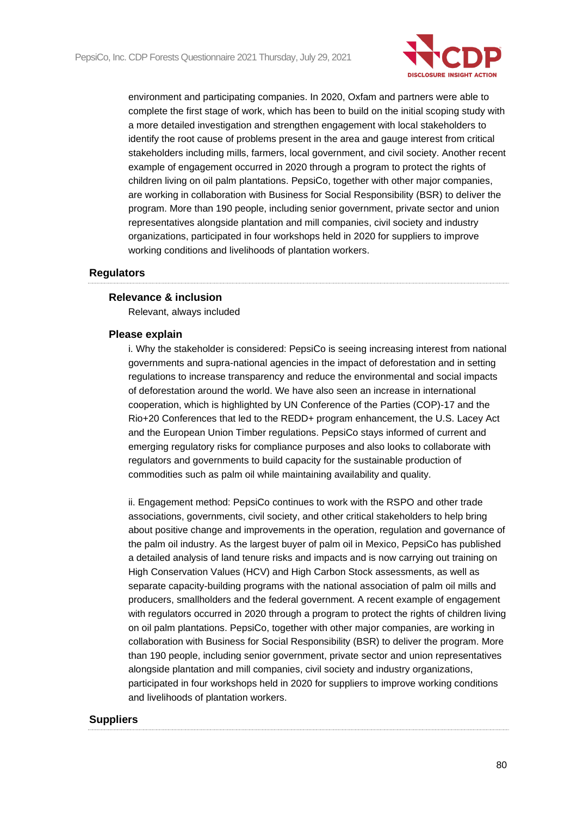

environment and participating companies. In 2020, Oxfam and partners were able to complete the first stage of work, which has been to build on the initial scoping study with a more detailed investigation and strengthen engagement with local stakeholders to identify the root cause of problems present in the area and gauge interest from critical stakeholders including mills, farmers, local government, and civil society. Another recent example of engagement occurred in 2020 through a program to protect the rights of children living on oil palm plantations. PepsiCo, together with other major companies, are working in collaboration with Business for Social Responsibility (BSR) to deliver the program. More than 190 people, including senior government, private sector and union representatives alongside plantation and mill companies, civil society and industry organizations, participated in four workshops held in 2020 for suppliers to improve working conditions and livelihoods of plantation workers.

#### **Regulators**

#### **Relevance & inclusion**

Relevant, always included

#### **Please explain**

i. Why the stakeholder is considered: PepsiCo is seeing increasing interest from national governments and supra-national agencies in the impact of deforestation and in setting regulations to increase transparency and reduce the environmental and social impacts of deforestation around the world. We have also seen an increase in international cooperation, which is highlighted by UN Conference of the Parties (COP)-17 and the Rio+20 Conferences that led to the REDD+ program enhancement, the U.S. Lacey Act and the European Union Timber regulations. PepsiCo stays informed of current and emerging regulatory risks for compliance purposes and also looks to collaborate with regulators and governments to build capacity for the sustainable production of commodities such as palm oil while maintaining availability and quality.

ii. Engagement method: PepsiCo continues to work with the RSPO and other trade associations, governments, civil society, and other critical stakeholders to help bring about positive change and improvements in the operation, regulation and governance of the palm oil industry. As the largest buyer of palm oil in Mexico, PepsiCo has published a detailed analysis of land tenure risks and impacts and is now carrying out training on High Conservation Values (HCV) and High Carbon Stock assessments, as well as separate capacity-building programs with the national association of palm oil mills and producers, smallholders and the federal government. A recent example of engagement with regulators occurred in 2020 through a program to protect the rights of children living on oil palm plantations. PepsiCo, together with other major companies, are working in collaboration with Business for Social Responsibility (BSR) to deliver the program. More than 190 people, including senior government, private sector and union representatives alongside plantation and mill companies, civil society and industry organizations, participated in four workshops held in 2020 for suppliers to improve working conditions and livelihoods of plantation workers.

#### **Suppliers**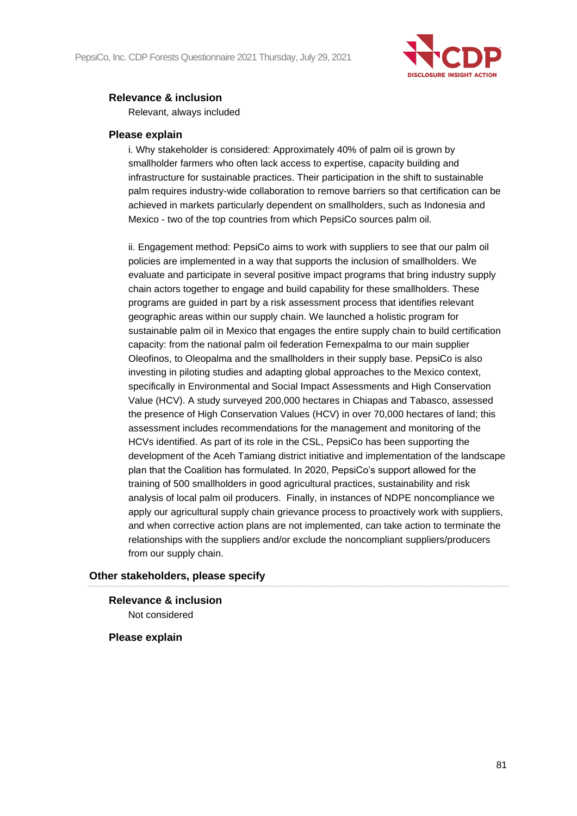

## **Relevance & inclusion**

Relevant, always included

#### **Please explain**

i. Why stakeholder is considered: Approximately 40% of palm oil is grown by smallholder farmers who often lack access to expertise, capacity building and infrastructure for sustainable practices. Their participation in the shift to sustainable palm requires industry-wide collaboration to remove barriers so that certification can be achieved in markets particularly dependent on smallholders, such as Indonesia and Mexico - two of the top countries from which PepsiCo sources palm oil.

ii. Engagement method: PepsiCo aims to work with suppliers to see that our palm oil policies are implemented in a way that supports the inclusion of smallholders. We evaluate and participate in several positive impact programs that bring industry supply chain actors together to engage and build capability for these smallholders. These programs are guided in part by a risk assessment process that identifies relevant geographic areas within our supply chain. We launched a holistic program for sustainable palm oil in Mexico that engages the entire supply chain to build certification capacity: from the national palm oil federation Femexpalma to our main supplier Oleofinos, to Oleopalma and the smallholders in their supply base. PepsiCo is also investing in piloting studies and adapting global approaches to the Mexico context, specifically in Environmental and Social Impact Assessments and High Conservation Value (HCV). A study surveyed 200,000 hectares in Chiapas and Tabasco, assessed the presence of High Conservation Values (HCV) in over 70,000 hectares of land; this assessment includes recommendations for the management and monitoring of the HCVs identified. As part of its role in the CSL, PepsiCo has been supporting the development of the Aceh Tamiang district initiative and implementation of the landscape plan that the Coalition has formulated. In 2020, PepsiCo's support allowed for the training of 500 smallholders in good agricultural practices, sustainability and risk analysis of local palm oil producers. Finally, in instances of NDPE noncompliance we apply our agricultural supply chain grievance process to proactively work with suppliers, and when corrective action plans are not implemented, can take action to terminate the relationships with the suppliers and/or exclude the noncompliant suppliers/producers from our supply chain.

## **Other stakeholders, please specify**

**Relevance & inclusion** Not considered

## **Please explain**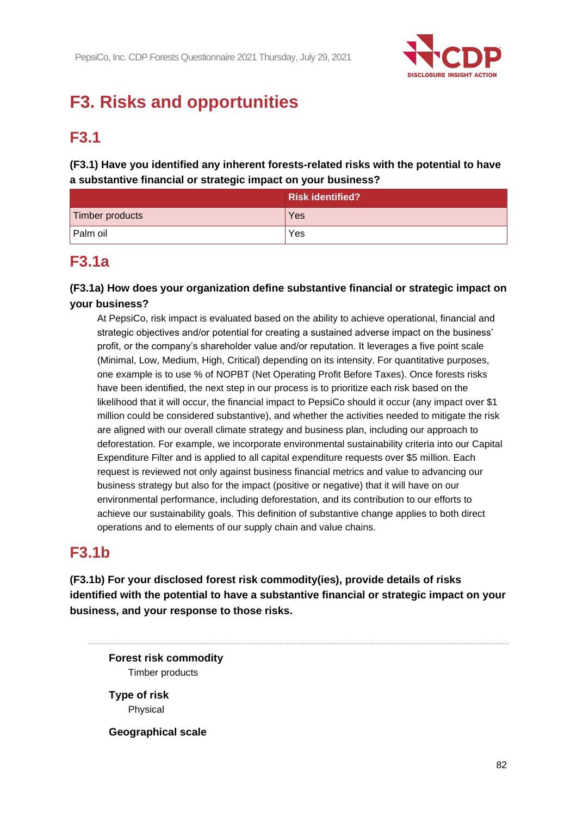

# **F3. Risks and opportunities**

## **F3.1**

**(F3.1) Have you identified any inherent forests-related risks with the potential to have a substantive financial or strategic impact on your business?**

|                 | <b>Risk identified?</b> |
|-----------------|-------------------------|
| Timber products | Yes                     |
| Palm oil        | Yes                     |

## **F3.1a**

**(F3.1a) How does your organization define substantive financial or strategic impact on your business?**

At PepsiCo, risk impact is evaluated based on the ability to achieve operational, financial and strategic objectives and/or potential for creating a sustained adverse impact on the business' profit, or the company's shareholder value and/or reputation. It leverages a five point scale (Minimal, Low, Medium, High, Critical) depending on its intensity. For quantitative purposes, one example is to use % of NOPBT (Net Operating Profit Before Taxes). Once forests risks have been identified, the next step in our process is to prioritize each risk based on the likelihood that it will occur, the financial impact to PepsiCo should it occur (any impact over \$1 million could be considered substantive), and whether the activities needed to mitigate the risk are aligned with our overall climate strategy and business plan, including our approach to deforestation. For example, we incorporate environmental sustainability criteria into our Capital Expenditure Filter and is applied to all capital expenditure requests over \$5 million. Each request is reviewed not only against business financial metrics and value to advancing our business strategy but also for the impact (positive or negative) that it will have on our environmental performance, including deforestation, and its contribution to our efforts to achieve our sustainability goals. This definition of substantive change applies to both direct operations and to elements of our supply chain and value chains.

## **F3.1b**

**(F3.1b) For your disclosed forest risk commodity(ies), provide details of risks identified with the potential to have a substantive financial or strategic impact on your business, and your response to those risks.**

**Forest risk commodity** Timber products

**Type of risk** Physical

**Geographical scale**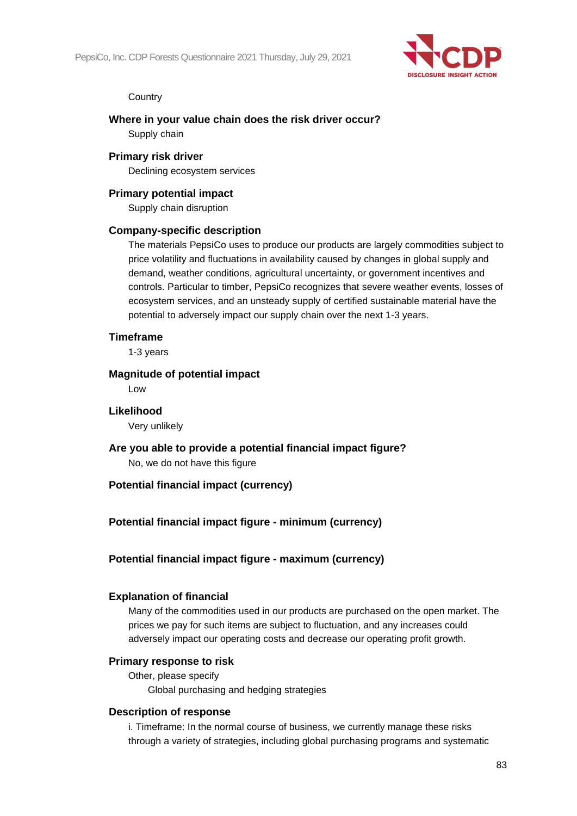

#### **Country**

#### **Where in your value chain does the risk driver occur?**

Supply chain

#### **Primary risk driver**

Declining ecosystem services

### **Primary potential impact**

Supply chain disruption

#### **Company-specific description**

The materials PepsiCo uses to produce our products are largely commodities subject to price volatility and fluctuations in availability caused by changes in global supply and demand, weather conditions, agricultural uncertainty, or government incentives and controls. Particular to timber, PepsiCo recognizes that severe weather events, losses of ecosystem services, and an unsteady supply of certified sustainable material have the potential to adversely impact our supply chain over the next 1-3 years.

#### **Timeframe**

1-3 years

#### **Magnitude of potential impact**

Low

#### **Likelihood**

Very unlikely

**Are you able to provide a potential financial impact figure?** No, we do not have this figure

## **Potential financial impact (currency)**

## **Potential financial impact figure - minimum (currency)**

## **Potential financial impact figure - maximum (currency)**

#### **Explanation of financial**

Many of the commodities used in our products are purchased on the open market. The prices we pay for such items are subject to fluctuation, and any increases could adversely impact our operating costs and decrease our operating profit growth.

#### **Primary response to risk**

Other, please specify Global purchasing and hedging strategies

#### **Description of response**

i. Timeframe: In the normal course of business, we currently manage these risks through a variety of strategies, including global purchasing programs and systematic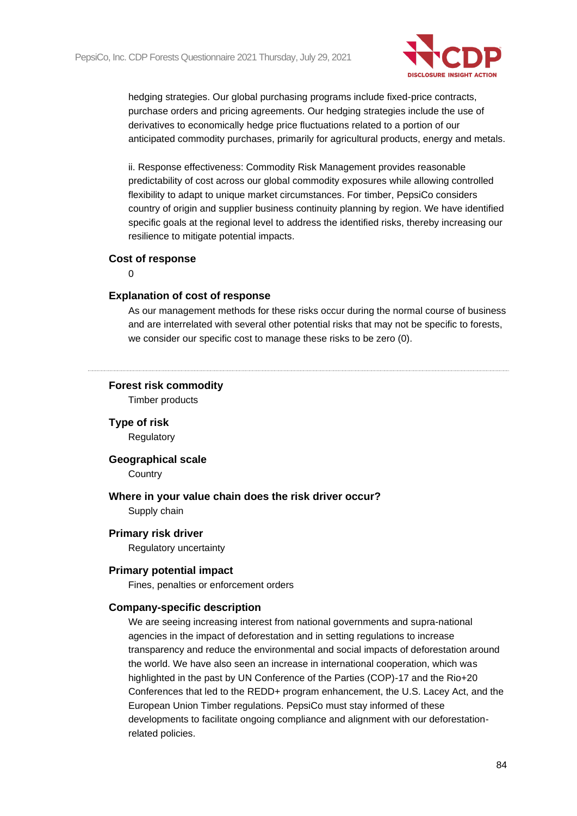

hedging strategies. Our global purchasing programs include fixed-price contracts, purchase orders and pricing agreements. Our hedging strategies include the use of derivatives to economically hedge price fluctuations related to a portion of our anticipated commodity purchases, primarily for agricultural products, energy and metals.

ii. Response effectiveness: Commodity Risk Management provides reasonable predictability of cost across our global commodity exposures while allowing controlled flexibility to adapt to unique market circumstances. For timber, PepsiCo considers country of origin and supplier business continuity planning by region. We have identified specific goals at the regional level to address the identified risks, thereby increasing our resilience to mitigate potential impacts.

#### **Cost of response**

 $\Omega$ 

#### **Explanation of cost of response**

As our management methods for these risks occur during the normal course of business and are interrelated with several other potential risks that may not be specific to forests, we consider our specific cost to manage these risks to be zero (0).

#### **Forest risk commodity**

Timber products

**Type of risk** Regulatory

**Geographical scale**

**Country** 

**Where in your value chain does the risk driver occur?** Supply chain

**Primary risk driver**

Regulatory uncertainty

#### **Primary potential impact**

Fines, penalties or enforcement orders

#### **Company-specific description**

We are seeing increasing interest from national governments and supra-national agencies in the impact of deforestation and in setting regulations to increase transparency and reduce the environmental and social impacts of deforestation around the world. We have also seen an increase in international cooperation, which was highlighted in the past by UN Conference of the Parties (COP)-17 and the Rio+20 Conferences that led to the REDD+ program enhancement, the U.S. Lacey Act, and the European Union Timber regulations. PepsiCo must stay informed of these developments to facilitate ongoing compliance and alignment with our deforestationrelated policies.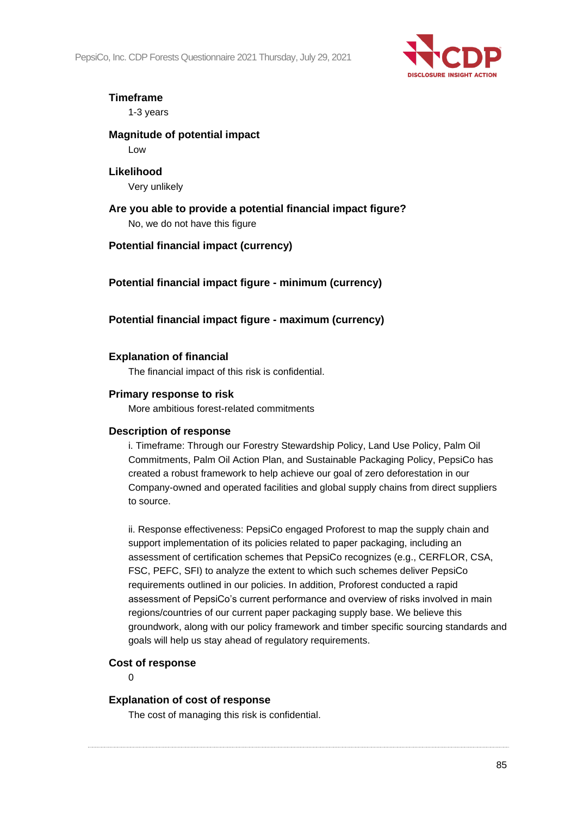PepsiCo, Inc. CDP Forests Questionnaire 2021 Thursday, July 29, 2021



## **Timeframe**

1-3 years

## **Magnitude of potential impact**

Low

## **Likelihood** Very unlikely

**Are you able to provide a potential financial impact figure?** No, we do not have this figure

## **Potential financial impact (currency)**

**Potential financial impact figure - minimum (currency)**

## **Potential financial impact figure - maximum (currency)**

## **Explanation of financial**

The financial impact of this risk is confidential.

## **Primary response to risk**

More ambitious forest-related commitments

## **Description of response**

i. Timeframe: Through our Forestry Stewardship Policy, Land Use Policy, Palm Oil Commitments, Palm Oil Action Plan, and Sustainable Packaging Policy, PepsiCo has created a robust framework to help achieve our goal of zero deforestation in our Company-owned and operated facilities and global supply chains from direct suppliers to source.

ii. Response effectiveness: PepsiCo engaged Proforest to map the supply chain and support implementation of its policies related to paper packaging, including an assessment of certification schemes that PepsiCo recognizes (e.g., CERFLOR, CSA, FSC, PEFC, SFI) to analyze the extent to which such schemes deliver PepsiCo requirements outlined in our policies. In addition, Proforest conducted a rapid assessment of PepsiCo's current performance and overview of risks involved in main regions/countries of our current paper packaging supply base. We believe this groundwork, along with our policy framework and timber specific sourcing standards and goals will help us stay ahead of regulatory requirements.

## **Cost of response**

 $\Omega$ 

## **Explanation of cost of response**

The cost of managing this risk is confidential.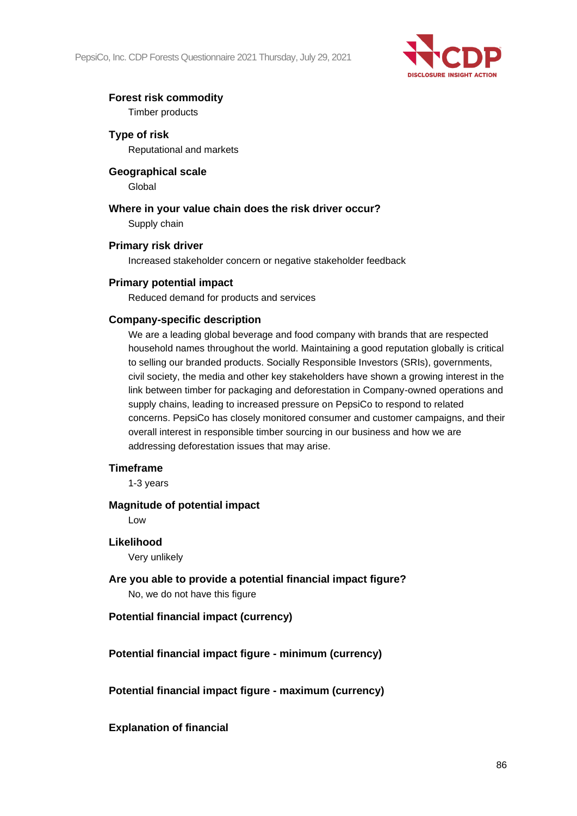PepsiCo, Inc. CDP Forests Questionnaire 2021 Thursday, July 29, 2021



## **Forest risk commodity**

Timber products

**Type of risk** Reputational and markets

**Geographical scale** Global

**Where in your value chain does the risk driver occur?** Supply chain

#### **Primary risk driver**

Increased stakeholder concern or negative stakeholder feedback

## **Primary potential impact**

Reduced demand for products and services

#### **Company-specific description**

We are a leading global beverage and food company with brands that are respected household names throughout the world. Maintaining a good reputation globally is critical to selling our branded products. Socially Responsible Investors (SRIs), governments, civil society, the media and other key stakeholders have shown a growing interest in the link between timber for packaging and deforestation in Company-owned operations and supply chains, leading to increased pressure on PepsiCo to respond to related concerns. PepsiCo has closely monitored consumer and customer campaigns, and their overall interest in responsible timber sourcing in our business and how we are addressing deforestation issues that may arise.

#### **Timeframe**

1-3 years

#### **Magnitude of potential impact**

Low

#### **Likelihood**

Very unlikely

**Are you able to provide a potential financial impact figure?** No, we do not have this figure

## **Potential financial impact (currency)**

**Potential financial impact figure - minimum (currency)**

**Potential financial impact figure - maximum (currency)**

**Explanation of financial**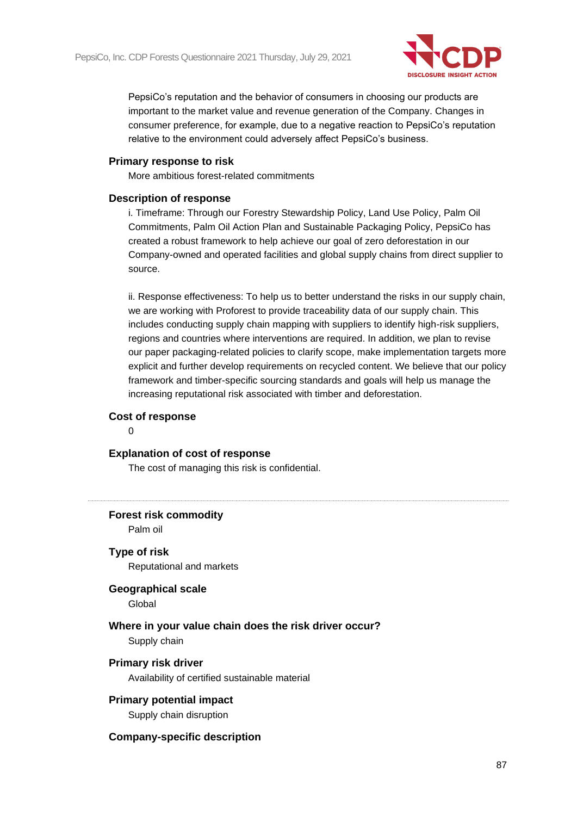

PepsiCo's reputation and the behavior of consumers in choosing our products are important to the market value and revenue generation of the Company. Changes in consumer preference, for example, due to a negative reaction to PepsiCo's reputation relative to the environment could adversely affect PepsiCo's business.

#### **Primary response to risk**

More ambitious forest-related commitments

#### **Description of response**

i. Timeframe: Through our Forestry Stewardship Policy, Land Use Policy, Palm Oil Commitments, Palm Oil Action Plan and Sustainable Packaging Policy, PepsiCo has created a robust framework to help achieve our goal of zero deforestation in our Company-owned and operated facilities and global supply chains from direct supplier to source.

ii. Response effectiveness: To help us to better understand the risks in our supply chain, we are working with Proforest to provide traceability data of our supply chain. This includes conducting supply chain mapping with suppliers to identify high-risk suppliers, regions and countries where interventions are required. In addition, we plan to revise our paper packaging-related policies to clarify scope, make implementation targets more explicit and further develop requirements on recycled content. We believe that our policy framework and timber-specific sourcing standards and goals will help us manage the increasing reputational risk associated with timber and deforestation.

#### **Cost of response**

 $\Omega$ 

#### **Explanation of cost of response**

The cost of managing this risk is confidential.

**Forest risk commodity**

Palm oil

**Type of risk**

Reputational and markets

## **Geographical scale**

**Global** 

## **Where in your value chain does the risk driver occur?** Supply chain

#### **Primary risk driver**

Availability of certified sustainable material

## **Primary potential impact**

Supply chain disruption

#### **Company-specific description**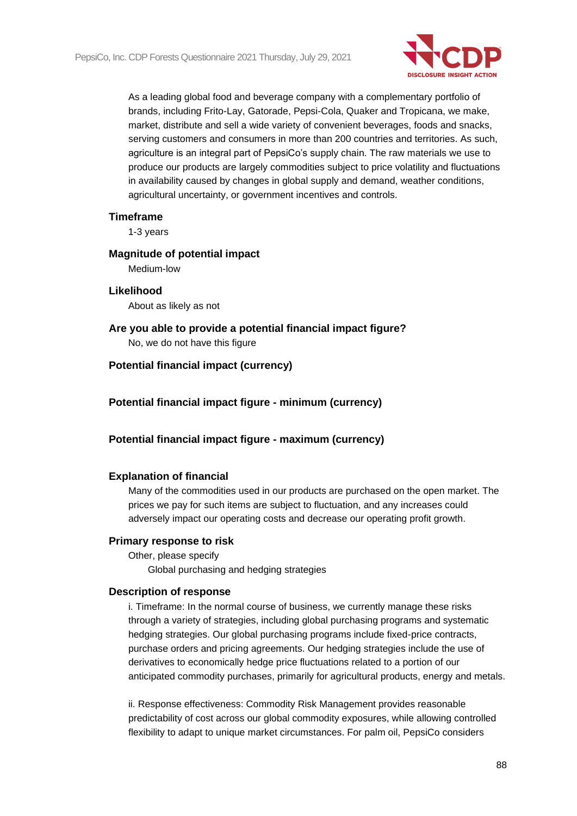

As a leading global food and beverage company with a complementary portfolio of brands, including Frito-Lay, Gatorade, Pepsi-Cola, Quaker and Tropicana, we make, market, distribute and sell a wide variety of convenient beverages, foods and snacks, serving customers and consumers in more than 200 countries and territories. As such, agriculture is an integral part of PepsiCo's supply chain. The raw materials we use to produce our products are largely commodities subject to price volatility and fluctuations in availability caused by changes in global supply and demand, weather conditions, agricultural uncertainty, or government incentives and controls.

#### **Timeframe**

1-3 years

#### **Magnitude of potential impact**

Medium-low

#### **Likelihood**

About as likely as not

**Are you able to provide a potential financial impact figure?** No, we do not have this figure

#### **Potential financial impact (currency)**

**Potential financial impact figure - minimum (currency)**

#### **Potential financial impact figure - maximum (currency)**

#### **Explanation of financial**

Many of the commodities used in our products are purchased on the open market. The prices we pay for such items are subject to fluctuation, and any increases could adversely impact our operating costs and decrease our operating profit growth.

#### **Primary response to risk**

Other, please specify Global purchasing and hedging strategies

#### **Description of response**

i. Timeframe: In the normal course of business, we currently manage these risks through a variety of strategies, including global purchasing programs and systematic hedging strategies. Our global purchasing programs include fixed-price contracts, purchase orders and pricing agreements. Our hedging strategies include the use of derivatives to economically hedge price fluctuations related to a portion of our anticipated commodity purchases, primarily for agricultural products, energy and metals.

ii. Response effectiveness: Commodity Risk Management provides reasonable predictability of cost across our global commodity exposures, while allowing controlled flexibility to adapt to unique market circumstances. For palm oil, PepsiCo considers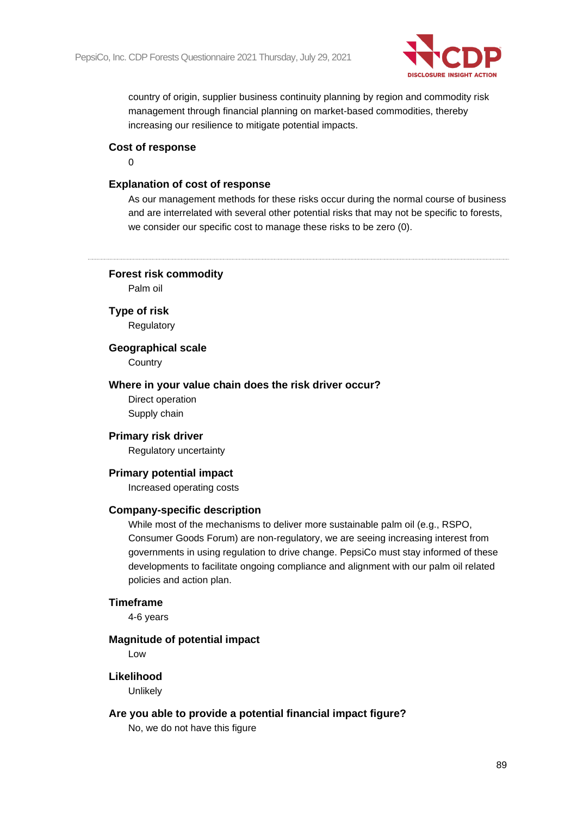

country of origin, supplier business continuity planning by region and commodity risk management through financial planning on market-based commodities, thereby increasing our resilience to mitigate potential impacts.

#### **Cost of response**

 $\Omega$ 

## **Explanation of cost of response**

As our management methods for these risks occur during the normal course of business and are interrelated with several other potential risks that may not be specific to forests, we consider our specific cost to manage these risks to be zero (0).

**Forest risk commodity**

Palm oil

**Type of risk Regulatory** 

**Geographical scale**

**Country** 

#### **Where in your value chain does the risk driver occur?**

Direct operation Supply chain

#### **Primary risk driver**

Regulatory uncertainty

#### **Primary potential impact**

Increased operating costs

#### **Company-specific description**

While most of the mechanisms to deliver more sustainable palm oil (e.g., RSPO, Consumer Goods Forum) are non-regulatory, we are seeing increasing interest from governments in using regulation to drive change. PepsiCo must stay informed of these developments to facilitate ongoing compliance and alignment with our palm oil related policies and action plan.

#### **Timeframe**

4-6 years

#### **Magnitude of potential impact**

Low

#### **Likelihood**

**Unlikely** 

#### **Are you able to provide a potential financial impact figure?**

No, we do not have this figure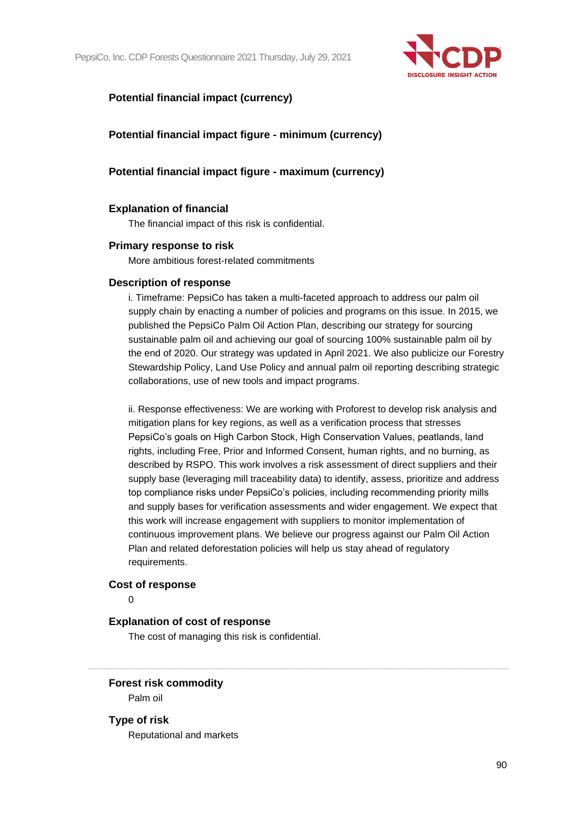PepsiCo, Inc. CDP Forests Questionnaire 2021 Thursday, July 29, 2021



## **Potential financial impact (currency)**

## **Potential financial impact figure - minimum (currency)**

## **Potential financial impact figure - maximum (currency)**

#### **Explanation of financial**

The financial impact of this risk is confidential.

#### **Primary response to risk**

More ambitious forest-related commitments

#### **Description of response**

i. Timeframe: PepsiCo has taken a multi-faceted approach to address our palm oil supply chain by enacting a number of policies and programs on this issue. In 2015, we published the PepsiCo Palm Oil Action Plan, describing our strategy for sourcing sustainable palm oil and achieving our goal of sourcing 100% sustainable palm oil by the end of 2020. Our strategy was updated in April 2021. We also publicize our Forestry Stewardship Policy, Land Use Policy and annual palm oil reporting describing strategic collaborations, use of new tools and impact programs.

ii. Response effectiveness: We are working with Proforest to develop risk analysis and mitigation plans for key regions, as well as a verification process that stresses PepsiCo's goals on High Carbon Stock, High Conservation Values, peatlands, land rights, including Free, Prior and Informed Consent, human rights, and no burning, as described by RSPO. This work involves a risk assessment of direct suppliers and their supply base (leveraging mill traceability data) to identify, assess, prioritize and address top compliance risks under PepsiCo's policies, including recommending priority mills and supply bases for verification assessments and wider engagement. We expect that this work will increase engagement with suppliers to monitor implementation of continuous improvement plans. We believe our progress against our Palm Oil Action Plan and related deforestation policies will help us stay ahead of regulatory requirements.

#### **Cost of response**

 $\Omega$ 

#### **Explanation of cost of response**

The cost of managing this risk is confidential.

#### **Forest risk commodity**

Palm oil

## **Type of risk**

Reputational and markets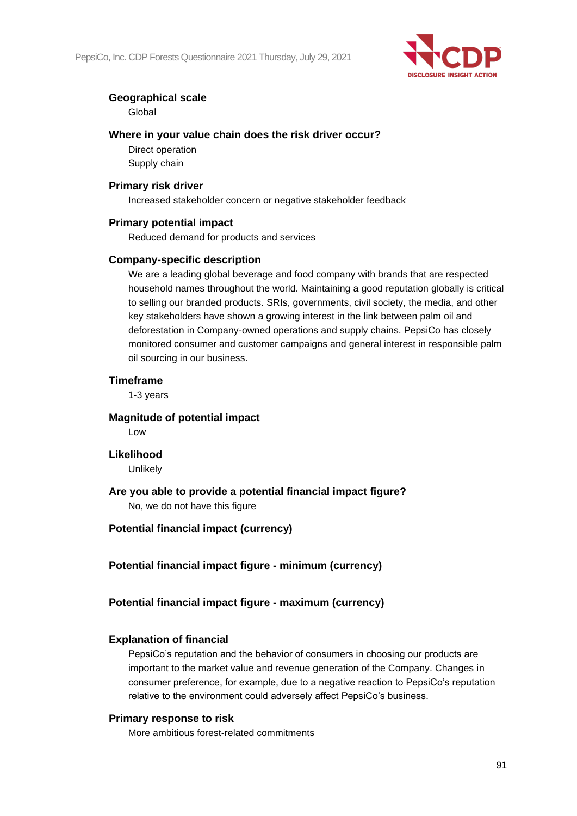

## **Geographical scale**

Global

## **Where in your value chain does the risk driver occur?**

Direct operation Supply chain

#### **Primary risk driver**

Increased stakeholder concern or negative stakeholder feedback

#### **Primary potential impact**

Reduced demand for products and services

#### **Company-specific description**

We are a leading global beverage and food company with brands that are respected household names throughout the world. Maintaining a good reputation globally is critical to selling our branded products. SRIs, governments, civil society, the media, and other key stakeholders have shown a growing interest in the link between palm oil and deforestation in Company-owned operations and supply chains. PepsiCo has closely monitored consumer and customer campaigns and general interest in responsible palm oil sourcing in our business.

#### **Timeframe**

1-3 years

#### **Magnitude of potential impact**

Low

#### **Likelihood**

Unlikely

## **Are you able to provide a potential financial impact figure?**

No, we do not have this figure

## **Potential financial impact (currency)**

**Potential financial impact figure - minimum (currency)**

## **Potential financial impact figure - maximum (currency)**

## **Explanation of financial**

PepsiCo's reputation and the behavior of consumers in choosing our products are important to the market value and revenue generation of the Company. Changes in consumer preference, for example, due to a negative reaction to PepsiCo's reputation relative to the environment could adversely affect PepsiCo's business.

## **Primary response to risk**

More ambitious forest-related commitments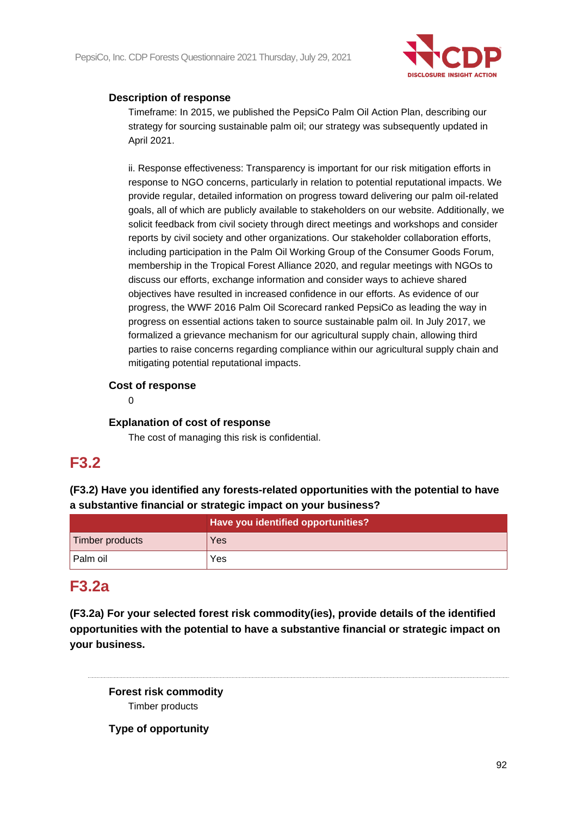

## **Description of response**

Timeframe: In 2015, we published the PepsiCo Palm Oil Action Plan, describing our strategy for sourcing sustainable palm oil; our strategy was subsequently updated in April 2021.

ii. Response effectiveness: Transparency is important for our risk mitigation efforts in response to NGO concerns, particularly in relation to potential reputational impacts. We provide regular, detailed information on progress toward delivering our palm oil-related goals, all of which are publicly available to stakeholders on our website. Additionally, we solicit feedback from civil society through direct meetings and workshops and consider reports by civil society and other organizations. Our stakeholder collaboration efforts, including participation in the Palm Oil Working Group of the Consumer Goods Forum, membership in the Tropical Forest Alliance 2020, and regular meetings with NGOs to discuss our efforts, exchange information and consider ways to achieve shared objectives have resulted in increased confidence in our efforts. As evidence of our progress, the WWF 2016 Palm Oil Scorecard ranked PepsiCo as leading the way in progress on essential actions taken to source sustainable palm oil. In July 2017, we formalized a grievance mechanism for our agricultural supply chain, allowing third parties to raise concerns regarding compliance within our agricultural supply chain and mitigating potential reputational impacts.

## **Cost of response**

0

## **Explanation of cost of response**

The cost of managing this risk is confidential.

## **F3.2**

**(F3.2) Have you identified any forests-related opportunities with the potential to have a substantive financial or strategic impact on your business?**

|                 | Have you identified opportunities? |
|-----------------|------------------------------------|
| Timber products | Yes                                |
| Palm oil        | Yes                                |

## **F3.2a**

**(F3.2a) For your selected forest risk commodity(ies), provide details of the identified opportunities with the potential to have a substantive financial or strategic impact on your business.**

**Forest risk commodity** Timber products

**Type of opportunity**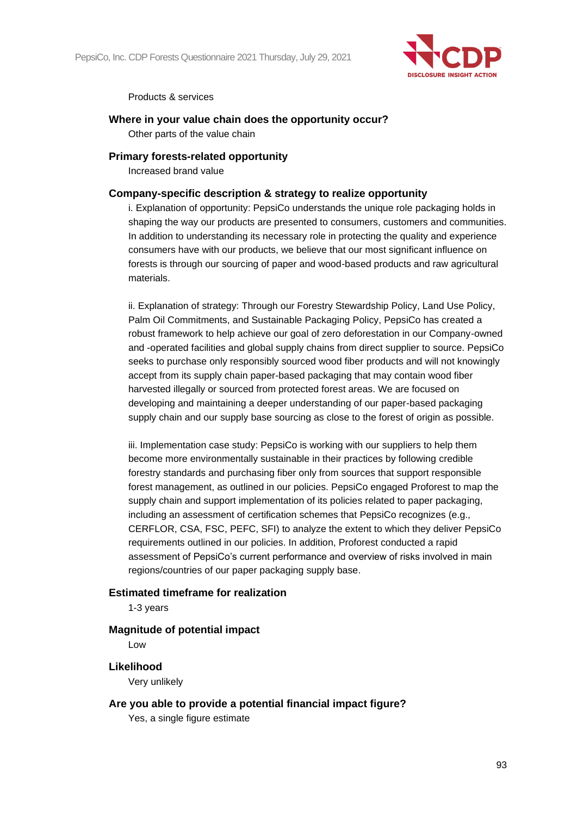

Products & services

#### **Where in your value chain does the opportunity occur?**

Other parts of the value chain

#### **Primary forests-related opportunity**

Increased brand value

#### **Company-specific description & strategy to realize opportunity**

i. Explanation of opportunity: PepsiCo understands the unique role packaging holds in shaping the way our products are presented to consumers, customers and communities. In addition to understanding its necessary role in protecting the quality and experience consumers have with our products, we believe that our most significant influence on forests is through our sourcing of paper and wood-based products and raw agricultural materials.

ii. Explanation of strategy: Through our Forestry Stewardship Policy, Land Use Policy, Palm Oil Commitments, and Sustainable Packaging Policy, PepsiCo has created a robust framework to help achieve our goal of zero deforestation in our Company-owned and -operated facilities and global supply chains from direct supplier to source. PepsiCo seeks to purchase only responsibly sourced wood fiber products and will not knowingly accept from its supply chain paper-based packaging that may contain wood fiber harvested illegally or sourced from protected forest areas. We are focused on developing and maintaining a deeper understanding of our paper-based packaging supply chain and our supply base sourcing as close to the forest of origin as possible.

iii. Implementation case study: PepsiCo is working with our suppliers to help them become more environmentally sustainable in their practices by following credible forestry standards and purchasing fiber only from sources that support responsible forest management, as outlined in our policies. PepsiCo engaged Proforest to map the supply chain and support implementation of its policies related to paper packaging, including an assessment of certification schemes that PepsiCo recognizes (e.g., CERFLOR, CSA, FSC, PEFC, SFI) to analyze the extent to which they deliver PepsiCo requirements outlined in our policies. In addition, Proforest conducted a rapid assessment of PepsiCo's current performance and overview of risks involved in main regions/countries of our paper packaging supply base.

#### **Estimated timeframe for realization**

1-3 years

#### **Magnitude of potential impact**

Low

**Likelihood**

Very unlikely

## **Are you able to provide a potential financial impact figure?**

Yes, a single figure estimate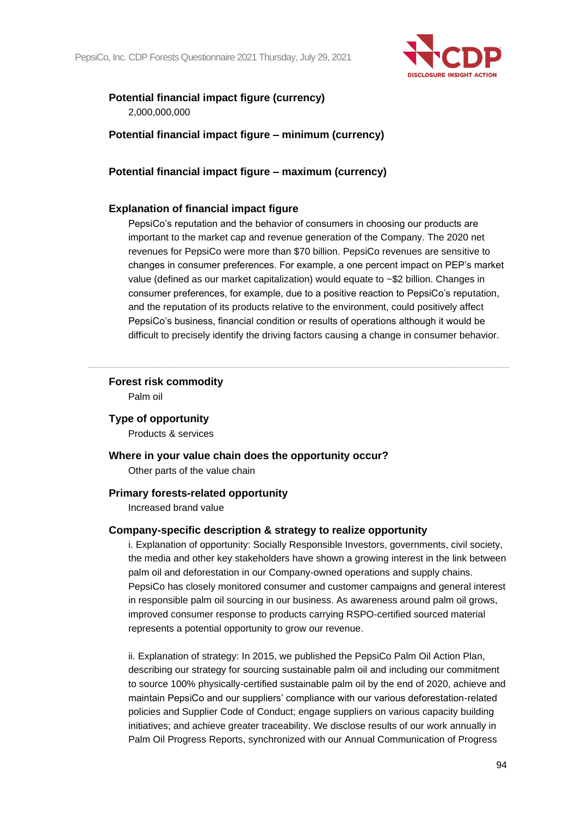

## **Potential financial impact figure (currency)**

2,000,000,000

**Potential financial impact figure – minimum (currency)**

## **Potential financial impact figure – maximum (currency)**

## **Explanation of financial impact figure**

PepsiCo's reputation and the behavior of consumers in choosing our products are important to the market cap and revenue generation of the Company. The 2020 net revenues for PepsiCo were more than \$70 billion. PepsiCo revenues are sensitive to changes in consumer preferences. For example, a one percent impact on PEP's market value (defined as our market capitalization) would equate to ~\$2 billion. Changes in consumer preferences, for example, due to a positive reaction to PepsiCo's reputation, and the reputation of its products relative to the environment, could positively affect PepsiCo's business, financial condition or results of operations although it would be difficult to precisely identify the driving factors causing a change in consumer behavior.

#### **Forest risk commodity** Palm oil

## **Type of opportunity**

Products & services

#### **Where in your value chain does the opportunity occur?**

Other parts of the value chain

#### **Primary forests-related opportunity**

Increased brand value

#### **Company-specific description & strategy to realize opportunity**

i. Explanation of opportunity: Socially Responsible Investors, governments, civil society, the media and other key stakeholders have shown a growing interest in the link between palm oil and deforestation in our Company-owned operations and supply chains. PepsiCo has closely monitored consumer and customer campaigns and general interest in responsible palm oil sourcing in our business. As awareness around palm oil grows, improved consumer response to products carrying RSPO-certified sourced material represents a potential opportunity to grow our revenue.

ii. Explanation of strategy: In 2015, we published the PepsiCo Palm Oil Action Plan, describing our strategy for sourcing sustainable palm oil and including our commitment to source 100% physically-certified sustainable palm oil by the end of 2020, achieve and maintain PepsiCo and our suppliers' compliance with our various deforestation-related policies and Supplier Code of Conduct; engage suppliers on various capacity building initiatives; and achieve greater traceability. We disclose results of our work annually in Palm Oil Progress Reports, synchronized with our Annual Communication of Progress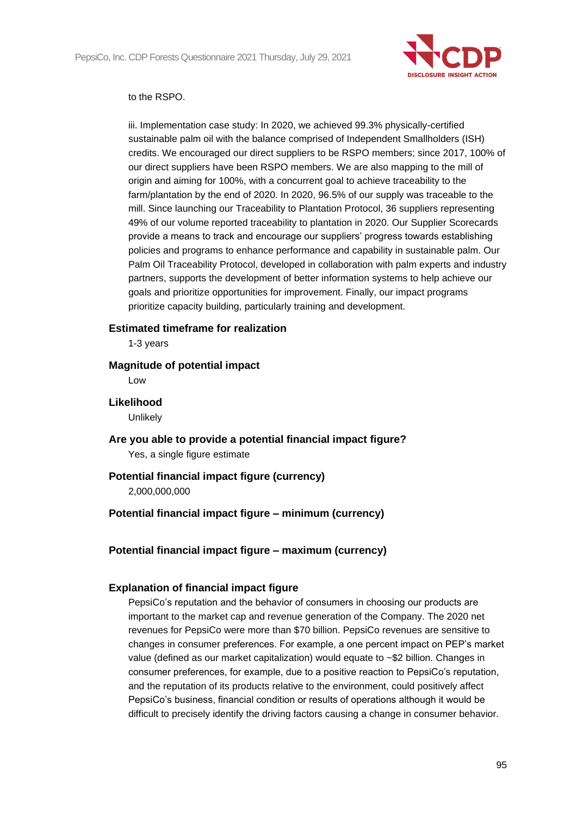

#### to the RSPO.

iii. Implementation case study: In 2020, we achieved 99.3% physically-certified sustainable palm oil with the balance comprised of Independent Smallholders (ISH) credits. We encouraged our direct suppliers to be RSPO members; since 2017, 100% of our direct suppliers have been RSPO members. We are also mapping to the mill of origin and aiming for 100%, with a concurrent goal to achieve traceability to the farm/plantation by the end of 2020. In 2020, 96.5% of our supply was traceable to the mill. Since launching our Traceability to Plantation Protocol, 36 suppliers representing 49% of our volume reported traceability to plantation in 2020. Our Supplier Scorecards provide a means to track and encourage our suppliers' progress towards establishing policies and programs to enhance performance and capability in sustainable palm. Our Palm Oil Traceability Protocol, developed in collaboration with palm experts and industry partners, supports the development of better information systems to help achieve our goals and prioritize opportunities for improvement. Finally, our impact programs prioritize capacity building, particularly training and development.

#### **Estimated timeframe for realization**

1-3 years

#### **Magnitude of potential impact**

Low

**Likelihood**

**Unlikely** 

**Are you able to provide a potential financial impact figure?** Yes, a single figure estimate

## **Potential financial impact figure (currency)**

2,000,000,000

## **Potential financial impact figure – minimum (currency)**

## **Potential financial impact figure – maximum (currency)**

## **Explanation of financial impact figure**

PepsiCo's reputation and the behavior of consumers in choosing our products are important to the market cap and revenue generation of the Company. The 2020 net revenues for PepsiCo were more than \$70 billion. PepsiCo revenues are sensitive to changes in consumer preferences. For example, a one percent impact on PEP's market value (defined as our market capitalization) would equate to ~\$2 billion. Changes in consumer preferences, for example, due to a positive reaction to PepsiCo's reputation, and the reputation of its products relative to the environment, could positively affect PepsiCo's business, financial condition or results of operations although it would be difficult to precisely identify the driving factors causing a change in consumer behavior.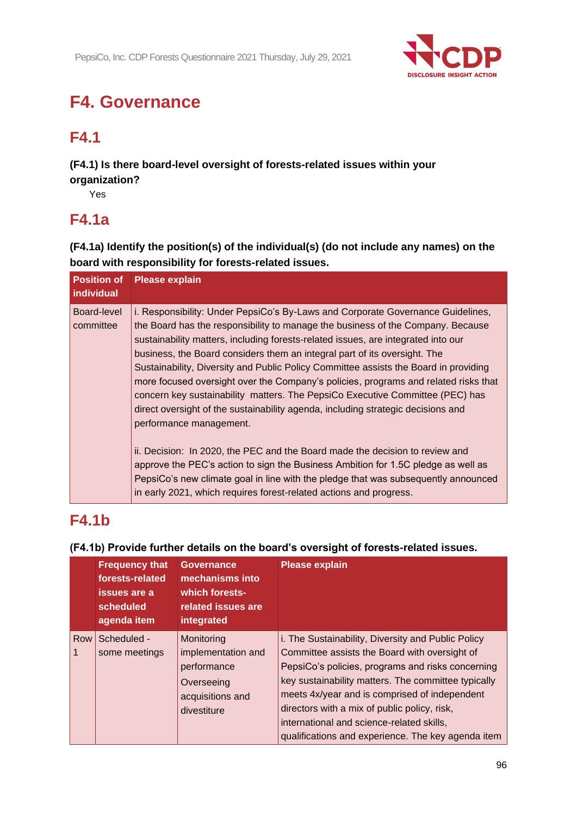

# **F4. Governance**

## **F4.1**

**(F4.1) Is there board-level oversight of forests-related issues within your organization?**

Yes

## **F4.1a**

**(F4.1a) Identify the position(s) of the individual(s) (do not include any names) on the board with responsibility for forests-related issues.**

| <b>Position of</b><br>individual | <b>Please explain</b>                                                                                                                                                                                                                                                                                                                                                                                                                                                                                                                                                                                                                                                                                               |
|----------------------------------|---------------------------------------------------------------------------------------------------------------------------------------------------------------------------------------------------------------------------------------------------------------------------------------------------------------------------------------------------------------------------------------------------------------------------------------------------------------------------------------------------------------------------------------------------------------------------------------------------------------------------------------------------------------------------------------------------------------------|
| Board-level<br>committee         | i. Responsibility: Under PepsiCo's By-Laws and Corporate Governance Guidelines,<br>the Board has the responsibility to manage the business of the Company. Because<br>sustainability matters, including forests-related issues, are integrated into our<br>business, the Board considers them an integral part of its oversight. The<br>Sustainability, Diversity and Public Policy Committee assists the Board in providing<br>more focused oversight over the Company's policies, programs and related risks that<br>concern key sustainability matters. The PepsiCo Executive Committee (PEC) has<br>direct oversight of the sustainability agenda, including strategic decisions and<br>performance management. |
|                                  | ii. Decision: In 2020, the PEC and the Board made the decision to review and<br>approve the PEC's action to sign the Business Ambition for 1.5C pledge as well as<br>PepsiCo's new climate goal in line with the pledge that was subsequently announced<br>in early 2021, which requires forest-related actions and progress.                                                                                                                                                                                                                                                                                                                                                                                       |

## **F4.1b**

#### **Frequency that forests-related issues are a scheduled agenda item Governance mechanisms into which forestsrelated issues are integrated Please explain** Row Scheduled - 1 some meetings **Monitoring** implementation and performance **Overseeing** acquisitions and divestiture i. The Sustainability, Diversity and Public Policy Committee assists the Board with oversight of PepsiCo's policies, programs and risks concerning key sustainability matters. The committee typically meets 4x/year and is comprised of independent directors with a mix of public policy, risk, international and science-related skills, qualifications and experience. The key agenda item

## **(F4.1b) Provide further details on the board's oversight of forests-related issues.**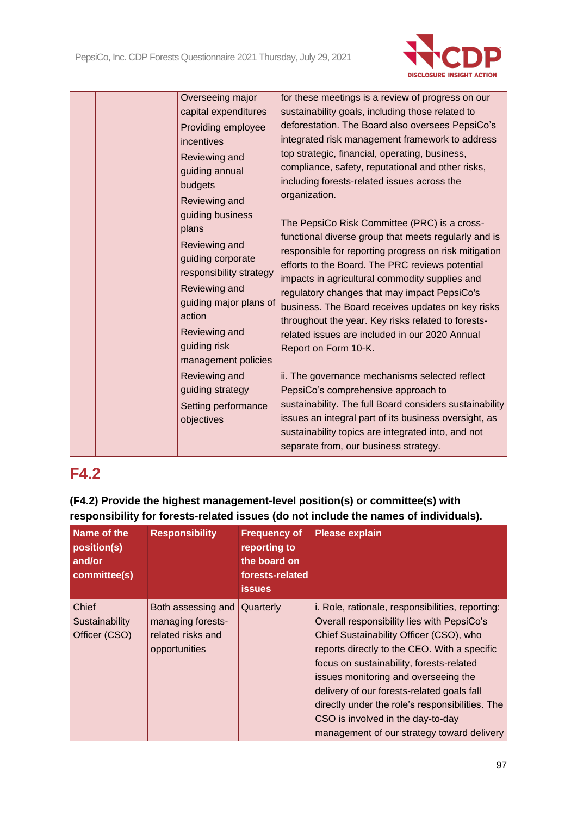

| incentives<br>Reviewing and<br>guiding annual<br>budgets<br>Reviewing and<br>guiding business<br>plans<br>Reviewing and<br>Reviewing and<br>action<br>Reviewing and<br>guiding risk<br>Reviewing and<br>guiding strategy<br>objectives | Overseeing major<br>capital expenditures<br>Providing employee<br>guiding corporate<br>responsibility strategy<br>quiding major plans of<br>management policies<br>Setting performance | for these meetings is a review of progress on our<br>sustainability goals, including those related to<br>deforestation. The Board also oversees PepsiCo's<br>integrated risk management framework to address<br>top strategic, financial, operating, business,<br>compliance, safety, reputational and other risks,<br>including forests-related issues across the<br>organization.<br>The PepsiCo Risk Committee (PRC) is a cross-<br>functional diverse group that meets regularly and is<br>responsible for reporting progress on risk mitigation<br>efforts to the Board. The PRC reviews potential<br>impacts in agricultural commodity supplies and<br>regulatory changes that may impact PepsiCo's<br>business. The Board receives updates on key risks<br>throughout the year. Key risks related to forests-<br>related issues are included in our 2020 Annual<br>Report on Form 10-K.<br>ii. The governance mechanisms selected reflect<br>PepsiCo's comprehensive approach to<br>sustainability. The full Board considers sustainability<br>issues an integral part of its business oversight, as<br>sustainability topics are integrated into, and not<br>separate from, our business strategy. |
|----------------------------------------------------------------------------------------------------------------------------------------------------------------------------------------------------------------------------------------|----------------------------------------------------------------------------------------------------------------------------------------------------------------------------------------|------------------------------------------------------------------------------------------------------------------------------------------------------------------------------------------------------------------------------------------------------------------------------------------------------------------------------------------------------------------------------------------------------------------------------------------------------------------------------------------------------------------------------------------------------------------------------------------------------------------------------------------------------------------------------------------------------------------------------------------------------------------------------------------------------------------------------------------------------------------------------------------------------------------------------------------------------------------------------------------------------------------------------------------------------------------------------------------------------------------------------------------------------------------------------------------------------------|

## **(F4.2) Provide the highest management-level position(s) or committee(s) with responsibility for forests-related issues (do not include the names of individuals).**

| Name of the<br>position(s)<br>and/or<br>committee(s) | <b>Responsibility</b>                                                         | <b>Frequency of</b><br>reporting to<br>the board on<br>forests-related<br><b>issues</b> | <b>Please explain</b>                                                                                                                                                                                                                                                                                                                                                                                                                                             |
|------------------------------------------------------|-------------------------------------------------------------------------------|-----------------------------------------------------------------------------------------|-------------------------------------------------------------------------------------------------------------------------------------------------------------------------------------------------------------------------------------------------------------------------------------------------------------------------------------------------------------------------------------------------------------------------------------------------------------------|
| Chief<br>Sustainability<br>Officer (CSO)             | Both assessing and<br>managing forests-<br>related risks and<br>opportunities | Quarterly                                                                               | i. Role, rationale, responsibilities, reporting:<br>Overall responsibility lies with PepsiCo's<br>Chief Sustainability Officer (CSO), who<br>reports directly to the CEO. With a specific<br>focus on sustainability, forests-related<br>issues monitoring and overseeing the<br>delivery of our forests-related goals fall<br>directly under the role's responsibilities. The<br>CSO is involved in the day-to-day<br>management of our strategy toward delivery |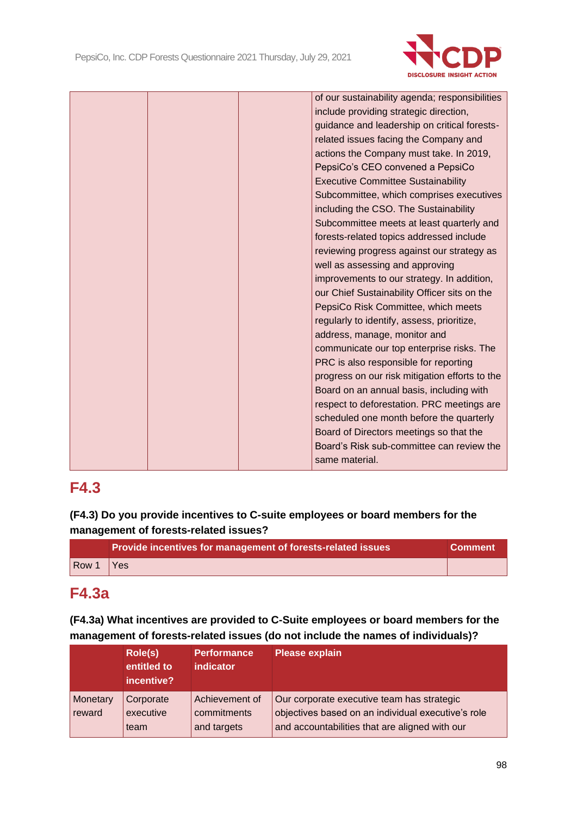

| of our sustainability agenda; responsibilities |  |
|------------------------------------------------|--|
| include providing strategic direction,         |  |
| guidance and leadership on critical forests-   |  |
| related issues facing the Company and          |  |
| actions the Company must take. In 2019,        |  |
| PepsiCo's CEO convened a PepsiCo               |  |
| <b>Executive Committee Sustainability</b>      |  |
| Subcommittee, which comprises executives       |  |
| including the CSO. The Sustainability          |  |
| Subcommittee meets at least quarterly and      |  |
| forests-related topics addressed include       |  |
| reviewing progress against our strategy as     |  |
| well as assessing and approving                |  |
| improvements to our strategy. In addition,     |  |
| our Chief Sustainability Officer sits on the   |  |
| PepsiCo Risk Committee, which meets            |  |
| regularly to identify, assess, prioritize,     |  |
| address, manage, monitor and                   |  |
| communicate our top enterprise risks. The      |  |
| PRC is also responsible for reporting          |  |
| progress on our risk mitigation efforts to the |  |
| Board on an annual basis, including with       |  |
| respect to deforestation. PRC meetings are     |  |
| scheduled one month before the quarterly       |  |
| Board of Directors meetings so that the        |  |
| Board's Risk sub-committee can review the      |  |
| same material.                                 |  |
|                                                |  |

## **(F4.3) Do you provide incentives to C-suite employees or board members for the management of forests-related issues?**

|       | Provide incentives for management of forests-related issues | l Comment <sup>∖</sup> |
|-------|-------------------------------------------------------------|------------------------|
| Row 1 | Yes                                                         |                        |

## **F4.3a**

**(F4.3a) What incentives are provided to C-Suite employees or board members for the management of forests-related issues (do not include the names of individuals)?**

|                    | Role(s)<br>entitled to<br>incentive? | <b>Performance</b><br><b>indicator</b>       | <b>Please explain</b>                                                                                                                              |
|--------------------|--------------------------------------|----------------------------------------------|----------------------------------------------------------------------------------------------------------------------------------------------------|
| Monetary<br>reward | Corporate<br>executive<br>team       | Achievement of<br>commitments<br>and targets | Our corporate executive team has strategic<br>objectives based on an individual executive's role<br>and accountabilities that are aligned with our |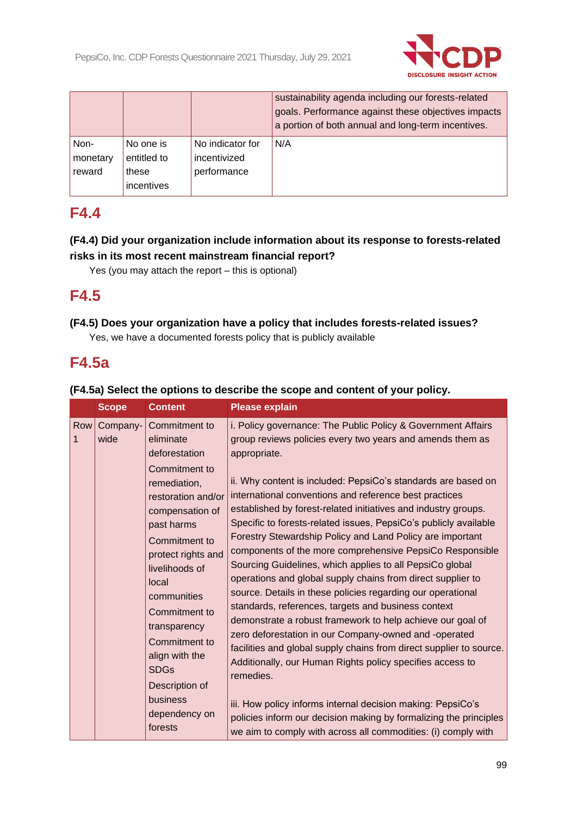

|          |             |                  | sustainability agenda including our forests-related<br>goals. Performance against these objectives impacts<br>a portion of both annual and long-term incentives. |
|----------|-------------|------------------|------------------------------------------------------------------------------------------------------------------------------------------------------------------|
| Non-     | No one is   | No indicator for | N/A                                                                                                                                                              |
| monetary | entitled to | incentivized     |                                                                                                                                                                  |
| reward   | these       | performance      |                                                                                                                                                                  |
|          | incentives  |                  |                                                                                                                                                                  |

## **(F4.4) Did your organization include information about its response to forests-related risks in its most recent mainstream financial report?**

Yes (you may attach the report – this is optional)

## **F4.5**

## **(F4.5) Does your organization have a policy that includes forests-related issues?**

Yes, we have a documented forests policy that is publicly available

## **F4.5a**

|                    | <b>Scope</b>     | <b>Content</b>                                                                                                                                                                                                                                                                                                                                                    | <b>Please explain</b>                                                                                                                                                                                                                                                                                                                                                                                                                                                                                                                                                                                                                                                                                                                                                                                                                                                                                                                                                                                                                                                                                                                                                                                                                                             |
|--------------------|------------------|-------------------------------------------------------------------------------------------------------------------------------------------------------------------------------------------------------------------------------------------------------------------------------------------------------------------------------------------------------------------|-------------------------------------------------------------------------------------------------------------------------------------------------------------------------------------------------------------------------------------------------------------------------------------------------------------------------------------------------------------------------------------------------------------------------------------------------------------------------------------------------------------------------------------------------------------------------------------------------------------------------------------------------------------------------------------------------------------------------------------------------------------------------------------------------------------------------------------------------------------------------------------------------------------------------------------------------------------------------------------------------------------------------------------------------------------------------------------------------------------------------------------------------------------------------------------------------------------------------------------------------------------------|
| Row<br>$\mathbf 1$ | Company-<br>wide | Commitment to<br>eliminate<br>deforestation<br>Commitment to<br>remediation,<br>restoration and/or<br>compensation of<br>past harms<br>Commitment to<br>protect rights and<br>livelihoods of<br>local<br>communities<br>Commitment to<br>transparency<br>Commitment to<br>align with the<br><b>SDGs</b><br>Description of<br>business<br>dependency on<br>forests | i. Policy governance: The Public Policy & Government Affairs<br>group reviews policies every two years and amends them as<br>appropriate.<br>ii. Why content is included: PepsiCo's standards are based on<br>international conventions and reference best practices<br>established by forest-related initiatives and industry groups.<br>Specific to forests-related issues, PepsiCo's publicly available<br>Forestry Stewardship Policy and Land Policy are important<br>components of the more comprehensive PepsiCo Responsible<br>Sourcing Guidelines, which applies to all PepsiCo global<br>operations and global supply chains from direct supplier to<br>source. Details in these policies regarding our operational<br>standards, references, targets and business context<br>demonstrate a robust framework to help achieve our goal of<br>zero deforestation in our Company-owned and -operated<br>facilities and global supply chains from direct supplier to source.<br>Additionally, our Human Rights policy specifies access to<br>remedies.<br>iii. How policy informs internal decision making: PepsiCo's<br>policies inform our decision making by formalizing the principles<br>we aim to comply with across all commodities: (i) comply with |

## **(F4.5a) Select the options to describe the scope and content of your policy.**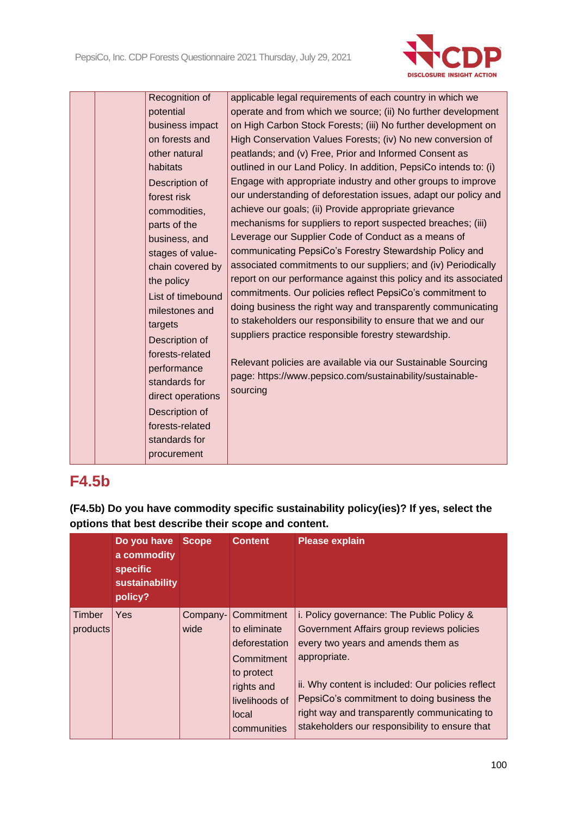

|  | Recognition of<br>potential | applicable legal requirements of each country in which we<br>operate and from which we source; (ii) No further development |
|--|-----------------------------|----------------------------------------------------------------------------------------------------------------------------|
|  | business impact             | on High Carbon Stock Forests; (iii) No further development on                                                              |
|  | on forests and              | High Conservation Values Forests; (iv) No new conversion of                                                                |
|  | other natural               | peatlands; and (v) Free, Prior and Informed Consent as                                                                     |
|  | habitats                    | outlined in our Land Policy. In addition, PepsiCo intends to: (i)                                                          |
|  | Description of              | Engage with appropriate industry and other groups to improve                                                               |
|  | forest risk                 | our understanding of deforestation issues, adapt our policy and                                                            |
|  | commodities,                | achieve our goals; (ii) Provide appropriate grievance                                                                      |
|  | parts of the                | mechanisms for suppliers to report suspected breaches; (iii)                                                               |
|  | business, and               | Leverage our Supplier Code of Conduct as a means of                                                                        |
|  | stages of value-            | communicating PepsiCo's Forestry Stewardship Policy and                                                                    |
|  | chain covered by            | associated commitments to our suppliers; and (iv) Periodically                                                             |
|  | the policy                  | report on our performance against this policy and its associated                                                           |
|  | List of timebound           | commitments. Our policies reflect PepsiCo's commitment to                                                                  |
|  | milestones and              | doing business the right way and transparently communicating                                                               |
|  | targets                     | to stakeholders our responsibility to ensure that we and our                                                               |
|  | Description of              | suppliers practice responsible forestry stewardship.                                                                       |
|  | forests-related             |                                                                                                                            |
|  | performance                 | Relevant policies are available via our Sustainable Sourcing<br>page: https://www.pepsico.com/sustainability/sustainable-  |
|  | standards for               | sourcing                                                                                                                   |
|  | direct operations           |                                                                                                                            |
|  | Description of              |                                                                                                                            |
|  | forests-related             |                                                                                                                            |
|  | standards for               |                                                                                                                            |
|  | procurement                 |                                                                                                                            |

## **F4.5b**

**(F4.5b) Do you have commodity specific sustainability policy(ies)? If yes, select the options that best describe their scope and content.**

|                    | Do you have<br>a commodity<br><b>specific</b><br>sustainability<br>policy? | <b>Scope</b>     | <b>Content</b>                                                                                                                  | <b>Please explain</b>                                                                                                                                                                                                                                                                                                                             |
|--------------------|----------------------------------------------------------------------------|------------------|---------------------------------------------------------------------------------------------------------------------------------|---------------------------------------------------------------------------------------------------------------------------------------------------------------------------------------------------------------------------------------------------------------------------------------------------------------------------------------------------|
| Timber<br>products | <b>Yes</b>                                                                 | Company-<br>wide | Commitment<br>to eliminate<br>deforestation<br>Commitment<br>to protect<br>rights and<br>livelihoods of<br>local<br>communities | i. Policy governance: The Public Policy &<br>Government Affairs group reviews policies<br>every two years and amends them as<br>appropriate.<br>ii. Why content is included: Our policies reflect<br>PepsiCo's commitment to doing business the<br>right way and transparently communicating to<br>stakeholders our responsibility to ensure that |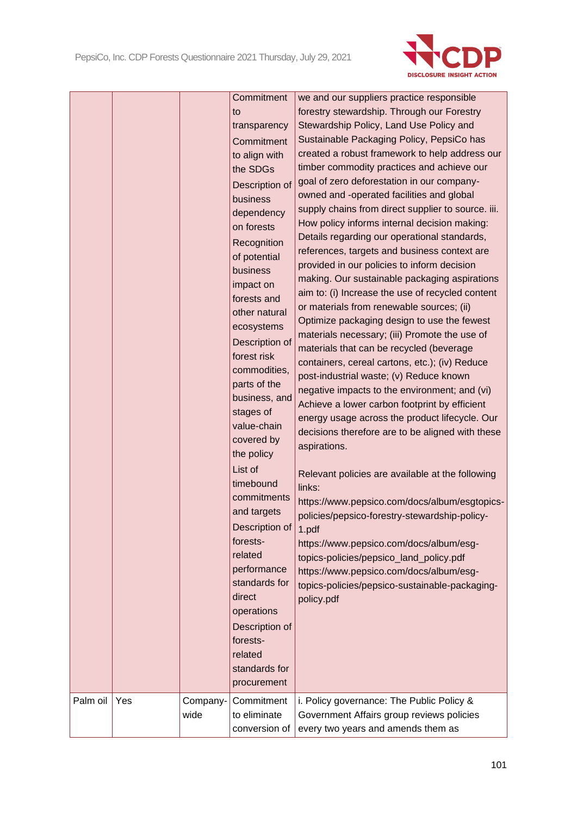

|          |     |                  | Commitment<br>to<br>transparency<br>Commitment<br>to align with<br>the SDGs<br>Description of<br>business<br>dependency<br>on forests<br>Recognition<br>of potential<br>business<br>impact on<br>forests and<br>other natural<br>ecosystems<br>Description of<br>forest risk<br>commodities,<br>parts of the<br>business, and<br>stages of<br>value-chain<br>covered by<br>the policy<br>List of<br>timebound<br>commitments<br>and targets<br>Description of<br>forests-<br>related<br>performance<br>standards for<br>direct<br>operations<br>Description of<br>forests-<br>related<br>standards for<br>procurement | we and our suppliers practice responsible<br>forestry stewardship. Through our Forestry<br>Stewardship Policy, Land Use Policy and<br>Sustainable Packaging Policy, PepsiCo has<br>created a robust framework to help address our<br>timber commodity practices and achieve our<br>goal of zero deforestation in our company-<br>owned and -operated facilities and global<br>supply chains from direct supplier to source. iii.<br>How policy informs internal decision making:<br>Details regarding our operational standards,<br>references, targets and business context are<br>provided in our policies to inform decision<br>making. Our sustainable packaging aspirations<br>aim to: (i) Increase the use of recycled content<br>or materials from renewable sources; (ii)<br>Optimize packaging design to use the fewest<br>materials necessary; (iii) Promote the use of<br>materials that can be recycled (beverage<br>containers, cereal cartons, etc.); (iv) Reduce<br>post-industrial waste; (v) Reduce known<br>negative impacts to the environment; and (vi)<br>Achieve a lower carbon footprint by efficient<br>energy usage across the product lifecycle. Our<br>decisions therefore are to be aligned with these<br>aspirations.<br>Relevant policies are available at the following<br>links:<br>https://www.pepsico.com/docs/album/esgtopics-<br>policies/pepsico-forestry-stewardship-policy-<br>1.pdf<br>https://www.pepsico.com/docs/album/esg-<br>topics-policies/pepsico_land_policy.pdf<br>https://www.pepsico.com/docs/album/esg-<br>topics-policies/pepsico-sustainable-packaging-<br>policy.pdf |
|----------|-----|------------------|-----------------------------------------------------------------------------------------------------------------------------------------------------------------------------------------------------------------------------------------------------------------------------------------------------------------------------------------------------------------------------------------------------------------------------------------------------------------------------------------------------------------------------------------------------------------------------------------------------------------------|------------------------------------------------------------------------------------------------------------------------------------------------------------------------------------------------------------------------------------------------------------------------------------------------------------------------------------------------------------------------------------------------------------------------------------------------------------------------------------------------------------------------------------------------------------------------------------------------------------------------------------------------------------------------------------------------------------------------------------------------------------------------------------------------------------------------------------------------------------------------------------------------------------------------------------------------------------------------------------------------------------------------------------------------------------------------------------------------------------------------------------------------------------------------------------------------------------------------------------------------------------------------------------------------------------------------------------------------------------------------------------------------------------------------------------------------------------------------------------------------------------------------------------------------------------------------------------------------------------------------------|
| Palm oil | Yes | Company-<br>wide | Commitment<br>to eliminate<br>conversion of                                                                                                                                                                                                                                                                                                                                                                                                                                                                                                                                                                           | i. Policy governance: The Public Policy &<br>Government Affairs group reviews policies<br>every two years and amends them as                                                                                                                                                                                                                                                                                                                                                                                                                                                                                                                                                                                                                                                                                                                                                                                                                                                                                                                                                                                                                                                                                                                                                                                                                                                                                                                                                                                                                                                                                                 |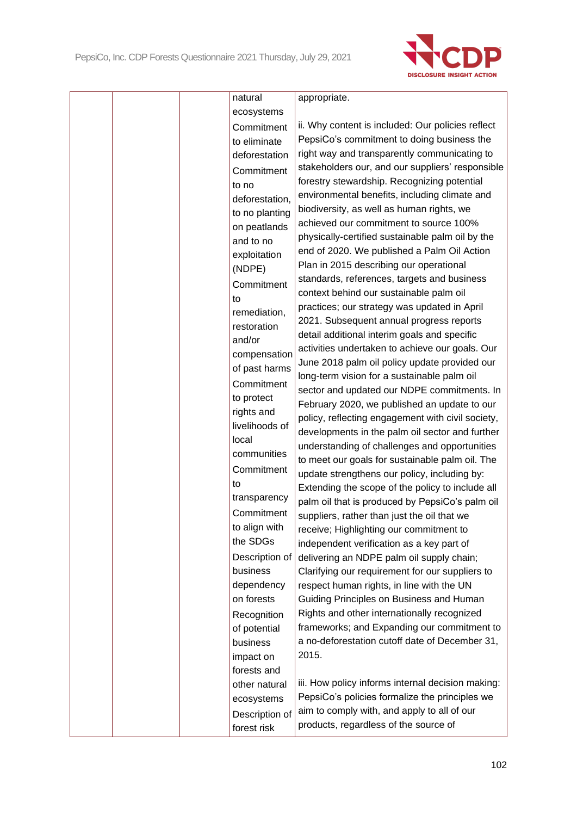

|  | natural        | appropriate.                                      |
|--|----------------|---------------------------------------------------|
|  | ecosystems     |                                                   |
|  | Commitment     | ii. Why content is included: Our policies reflect |
|  | to eliminate   | PepsiCo's commitment to doing business the        |
|  | deforestation  | right way and transparently communicating to      |
|  | Commitment     | stakeholders our, and our suppliers' responsible  |
|  | to no          | forestry stewardship. Recognizing potential       |
|  | deforestation, | environmental benefits, including climate and     |
|  | to no planting | biodiversity, as well as human rights, we         |
|  | on peatlands   | achieved our commitment to source 100%            |
|  | and to no      | physically-certified sustainable palm oil by the  |
|  |                | end of 2020. We published a Palm Oil Action       |
|  | exploitation   | Plan in 2015 describing our operational           |
|  | (NDPE)         | standards, references, targets and business       |
|  | Commitment     | context behind our sustainable palm oil           |
|  | to             | practices; our strategy was updated in April      |
|  | remediation,   | 2021. Subsequent annual progress reports          |
|  | restoration    | detail additional interim goals and specific      |
|  | and/or         | activities undertaken to achieve our goals. Our   |
|  | compensation   | June 2018 palm oil policy update provided our     |
|  | of past harms  | long-term vision for a sustainable palm oil       |
|  | Commitment     | sector and updated our NDPE commitments. In       |
|  | to protect     | February 2020, we published an update to our      |
|  | rights and     | policy, reflecting engagement with civil society, |
|  | livelihoods of | developments in the palm oil sector and further   |
|  | local          | understanding of challenges and opportunities     |
|  | communities    | to meet our goals for sustainable palm oil. The   |
|  | Commitment     | update strengthens our policy, including by:      |
|  | to             | Extending the scope of the policy to include all  |
|  | transparency   | palm oil that is produced by PepsiCo's palm oil   |
|  | Commitment     | suppliers, rather than just the oil that we       |
|  | to align with  | receive; Highlighting our commitment to           |
|  | the SDGs       |                                                   |
|  | Description of | independent verification as a key part of         |
|  | business       | delivering an NDPE palm oil supply chain;         |
|  |                | Clarifying our requirement for our suppliers to   |
|  | dependency     | respect human rights, in line with the UN         |
|  | on forests     | Guiding Principles on Business and Human          |
|  | Recognition    | Rights and other internationally recognized       |
|  | of potential   | frameworks; and Expanding our commitment to       |
|  | business       | a no-deforestation cutoff date of December 31,    |
|  | impact on      | 2015.                                             |
|  | forests and    |                                                   |
|  | other natural  | iii. How policy informs internal decision making: |
|  | ecosystems     | PepsiCo's policies formalize the principles we    |
|  | Description of | aim to comply with, and apply to all of our       |
|  | forest risk    | products, regardless of the source of             |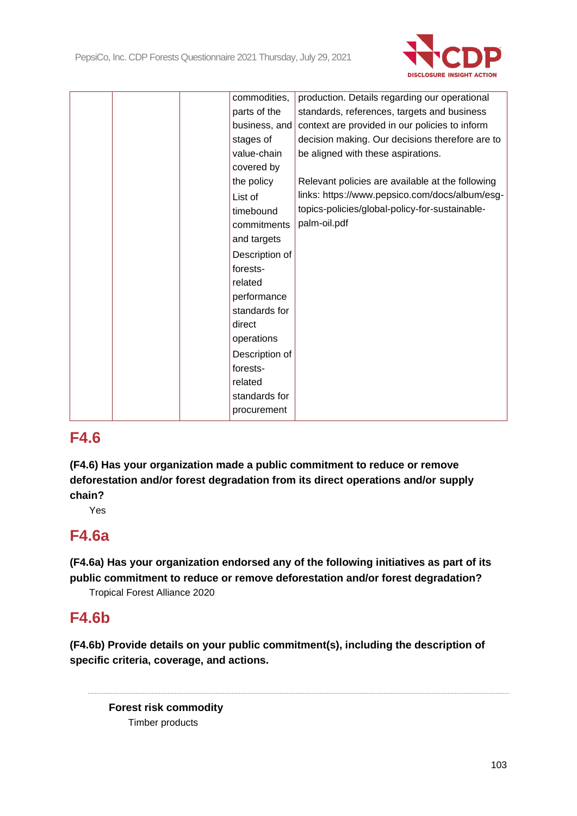

| commodities,   | production. Details regarding our operational    |
|----------------|--------------------------------------------------|
| parts of the   | standards, references, targets and business      |
| business, and  | context are provided in our policies to inform   |
| stages of      | decision making. Our decisions therefore are to  |
| value-chain    | be aligned with these aspirations.               |
| covered by     |                                                  |
| the policy     | Relevant policies are available at the following |
| List of        | links: https://www.pepsico.com/docs/album/esg-   |
| timebound      | topics-policies/global-policy-for-sustainable-   |
| commitments    | palm-oil.pdf                                     |
| and targets    |                                                  |
| Description of |                                                  |
| forests-       |                                                  |
| related        |                                                  |
| performance    |                                                  |
| standards for  |                                                  |
| direct         |                                                  |
|                |                                                  |
| operations     |                                                  |
| Description of |                                                  |
| forests-       |                                                  |
| related        |                                                  |
| standards for  |                                                  |
| procurement    |                                                  |

**(F4.6) Has your organization made a public commitment to reduce or remove deforestation and/or forest degradation from its direct operations and/or supply chain?**

Yes

## **F4.6a**

**(F4.6a) Has your organization endorsed any of the following initiatives as part of its public commitment to reduce or remove deforestation and/or forest degradation?**

Tropical Forest Alliance 2020

## **F4.6b**

**(F4.6b) Provide details on your public commitment(s), including the description of specific criteria, coverage, and actions.**

**Forest risk commodity** Timber products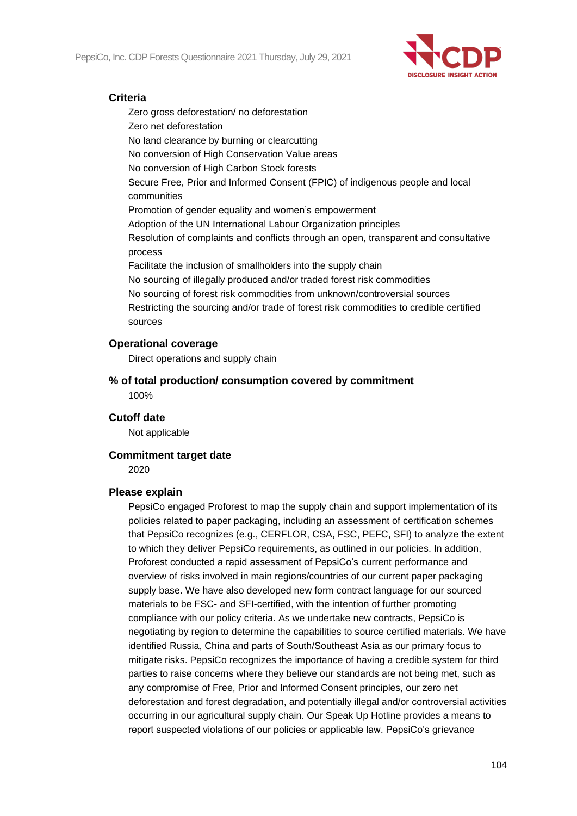

## **Criteria**

Zero gross deforestation/ no deforestation Zero net deforestation No land clearance by burning or clearcutting No conversion of High Conservation Value areas No conversion of High Carbon Stock forests Secure Free, Prior and Informed Consent (FPIC) of indigenous people and local communities Promotion of gender equality and women's empowerment Adoption of the UN International Labour Organization principles Resolution of complaints and conflicts through an open, transparent and consultative process Facilitate the inclusion of smallholders into the supply chain No sourcing of illegally produced and/or traded forest risk commodities No sourcing of forest risk commodities from unknown/controversial sources Restricting the sourcing and/or trade of forest risk commodities to credible certified sources

#### **Operational coverage**

Direct operations and supply chain

**% of total production/ consumption covered by commitment** 100%

#### **Cutoff date**

Not applicable

#### **Commitment target date**

2020

#### **Please explain**

PepsiCo engaged Proforest to map the supply chain and support implementation of its policies related to paper packaging, including an assessment of certification schemes that PepsiCo recognizes (e.g., CERFLOR, CSA, FSC, PEFC, SFI) to analyze the extent to which they deliver PepsiCo requirements, as outlined in our policies. In addition, Proforest conducted a rapid assessment of PepsiCo's current performance and overview of risks involved in main regions/countries of our current paper packaging supply base. We have also developed new form contract language for our sourced materials to be FSC- and SFI-certified, with the intention of further promoting compliance with our policy criteria. As we undertake new contracts, PepsiCo is negotiating by region to determine the capabilities to source certified materials. We have identified Russia, China and parts of South/Southeast Asia as our primary focus to mitigate risks. PepsiCo recognizes the importance of having a credible system for third parties to raise concerns where they believe our standards are not being met, such as any compromise of Free, Prior and Informed Consent principles, our zero net deforestation and forest degradation, and potentially illegal and/or controversial activities occurring in our agricultural supply chain. Our Speak Up Hotline provides a means to report suspected violations of our policies or applicable law. PepsiCo's grievance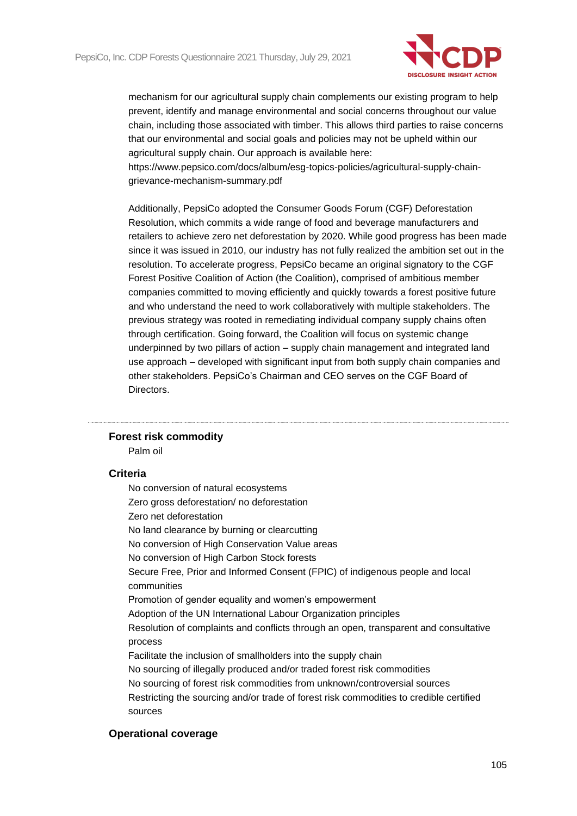

mechanism for our agricultural supply chain complements our existing program to help prevent, identify and manage environmental and social concerns throughout our value chain, including those associated with timber. This allows third parties to raise concerns that our environmental and social goals and policies may not be upheld within our agricultural supply chain. Our approach is available here:

https://www.pepsico.com/docs/album/esg-topics-policies/agricultural-supply-chaingrievance-mechanism-summary.pdf

Additionally, PepsiCo adopted the Consumer Goods Forum (CGF) Deforestation Resolution, which commits a wide range of food and beverage manufacturers and retailers to achieve zero net deforestation by 2020. While good progress has been made since it was issued in 2010, our industry has not fully realized the ambition set out in the resolution. To accelerate progress, PepsiCo became an original signatory to the CGF Forest Positive Coalition of Action (the Coalition), comprised of ambitious member companies committed to moving efficiently and quickly towards a forest positive future and who understand the need to work collaboratively with multiple stakeholders. The previous strategy was rooted in remediating individual company supply chains often through certification. Going forward, the Coalition will focus on systemic change underpinned by two pillars of action – supply chain management and integrated land use approach – developed with significant input from both supply chain companies and other stakeholders. PepsiCo's Chairman and CEO serves on the CGF Board of **Directors** 

## **Forest risk commodity**

Palm oil

#### **Criteria**

No conversion of natural ecosystems Zero gross deforestation/ no deforestation Zero net deforestation No land clearance by burning or clearcutting No conversion of High Conservation Value areas No conversion of High Carbon Stock forests Secure Free, Prior and Informed Consent (FPIC) of indigenous people and local communities Promotion of gender equality and women's empowerment Adoption of the UN International Labour Organization principles Resolution of complaints and conflicts through an open, transparent and consultative process Facilitate the inclusion of smallholders into the supply chain No sourcing of illegally produced and/or traded forest risk commodities No sourcing of forest risk commodities from unknown/controversial sources Restricting the sourcing and/or trade of forest risk commodities to credible certified sources

#### **Operational coverage**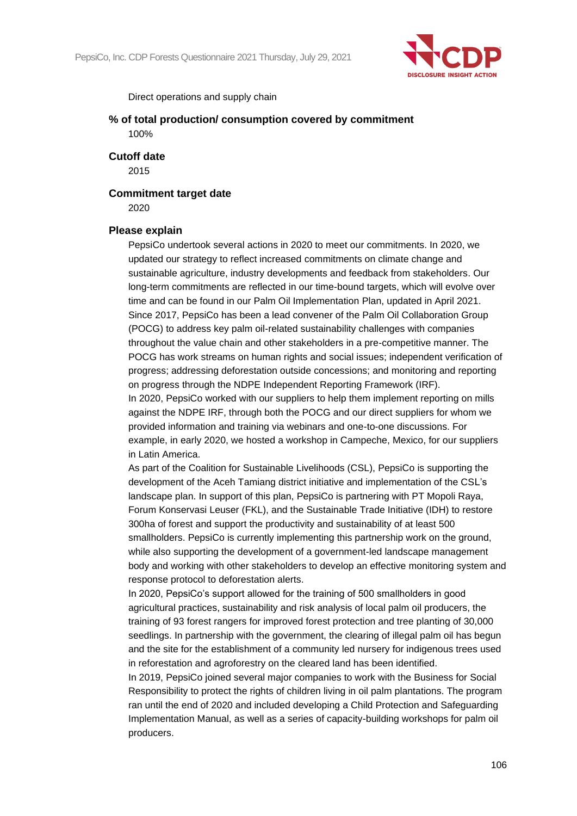

Direct operations and supply chain

**% of total production/ consumption covered by commitment** 100%

**Cutoff date**

2015

**Commitment target date**

2020

#### **Please explain**

PepsiCo undertook several actions in 2020 to meet our commitments. In 2020, we updated our strategy to reflect increased commitments on climate change and sustainable agriculture, industry developments and feedback from stakeholders. Our long-term commitments are reflected in our time-bound targets, which will evolve over time and can be found in our Palm Oil Implementation Plan, updated in April 2021. Since 2017, PepsiCo has been a lead convener of the Palm Oil Collaboration Group (POCG) to address key palm oil-related sustainability challenges with companies throughout the value chain and other stakeholders in a pre-competitive manner. The POCG has work streams on human rights and social issues; independent verification of progress; addressing deforestation outside concessions; and monitoring and reporting on progress through the NDPE Independent Reporting Framework (IRF).

In 2020, PepsiCo worked with our suppliers to help them implement reporting on mills against the NDPE IRF, through both the POCG and our direct suppliers for whom we provided information and training via webinars and one-to-one discussions. For example, in early 2020, we hosted a workshop in Campeche, Mexico, for our suppliers in Latin America.

As part of the Coalition for Sustainable Livelihoods (CSL), PepsiCo is supporting the development of the Aceh Tamiang district initiative and implementation of the CSL's landscape plan. In support of this plan, PepsiCo is partnering with PT Mopoli Raya, Forum Konservasi Leuser (FKL), and the Sustainable Trade Initiative (IDH) to restore 300ha of forest and support the productivity and sustainability of at least 500 smallholders. PepsiCo is currently implementing this partnership work on the ground, while also supporting the development of a government-led landscape management body and working with other stakeholders to develop an effective monitoring system and response protocol to deforestation alerts.

In 2020, PepsiCo's support allowed for the training of 500 smallholders in good agricultural practices, sustainability and risk analysis of local palm oil producers, the training of 93 forest rangers for improved forest protection and tree planting of 30,000 seedlings. In partnership with the government, the clearing of illegal palm oil has begun and the site for the establishment of a community led nursery for indigenous trees used in reforestation and agroforestry on the cleared land has been identified.

In 2019, PepsiCo joined several major companies to work with the Business for Social Responsibility to protect the rights of children living in oil palm plantations. The program ran until the end of 2020 and included developing a Child Protection and Safeguarding Implementation Manual, as well as a series of capacity-building workshops for palm oil producers.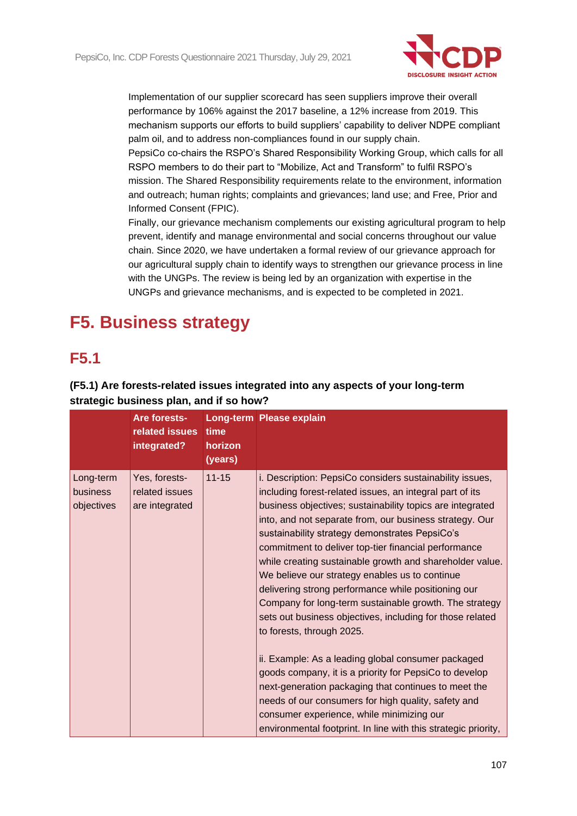

Implementation of our supplier scorecard has seen suppliers improve their overall performance by 106% against the 2017 baseline, a 12% increase from 2019. This mechanism supports our efforts to build suppliers' capability to deliver NDPE compliant palm oil, and to address non-compliances found in our supply chain.

PepsiCo co-chairs the RSPO's Shared Responsibility Working Group, which calls for all RSPO members to do their part to "Mobilize, Act and Transform" to fulfil RSPO's mission. The Shared Responsibility requirements relate to the environment, information and outreach; human rights; complaints and grievances; land use; and Free, Prior and Informed Consent (FPIC).

Finally, our grievance mechanism complements our existing agricultural program to help prevent, identify and manage environmental and social concerns throughout our value chain. Since 2020, we have undertaken a formal review of our grievance approach for our agricultural supply chain to identify ways to strengthen our grievance process in line with the UNGPs. The review is being led by an organization with expertise in the UNGPs and grievance mechanisms, and is expected to be completed in 2021.

# **F5. Business strategy**

## **F5.1**

## **(F5.1) Are forests-related issues integrated into any aspects of your long-term strategic business plan, and if so how?**

|                                     | Are forests-<br>related issues<br>integrated?     | time<br>horizon<br>(years) | <b>Long-term Please explain</b>                                                                                                                                                                                                                                                                                                                                                                                                                                                                                                                                                                                                                                                                                                                                                                                                                                                                                                                                                                                               |
|-------------------------------------|---------------------------------------------------|----------------------------|-------------------------------------------------------------------------------------------------------------------------------------------------------------------------------------------------------------------------------------------------------------------------------------------------------------------------------------------------------------------------------------------------------------------------------------------------------------------------------------------------------------------------------------------------------------------------------------------------------------------------------------------------------------------------------------------------------------------------------------------------------------------------------------------------------------------------------------------------------------------------------------------------------------------------------------------------------------------------------------------------------------------------------|
| Long-term<br>business<br>objectives | Yes, forests-<br>related issues<br>are integrated | $11 - 15$                  | i. Description: PepsiCo considers sustainability issues,<br>including forest-related issues, an integral part of its<br>business objectives; sustainability topics are integrated<br>into, and not separate from, our business strategy. Our<br>sustainability strategy demonstrates PepsiCo's<br>commitment to deliver top-tier financial performance<br>while creating sustainable growth and shareholder value.<br>We believe our strategy enables us to continue<br>delivering strong performance while positioning our<br>Company for long-term sustainable growth. The strategy<br>sets out business objectives, including for those related<br>to forests, through 2025.<br>ii. Example: As a leading global consumer packaged<br>goods company, it is a priority for PepsiCo to develop<br>next-generation packaging that continues to meet the<br>needs of our consumers for high quality, safety and<br>consumer experience, while minimizing our<br>environmental footprint. In line with this strategic priority, |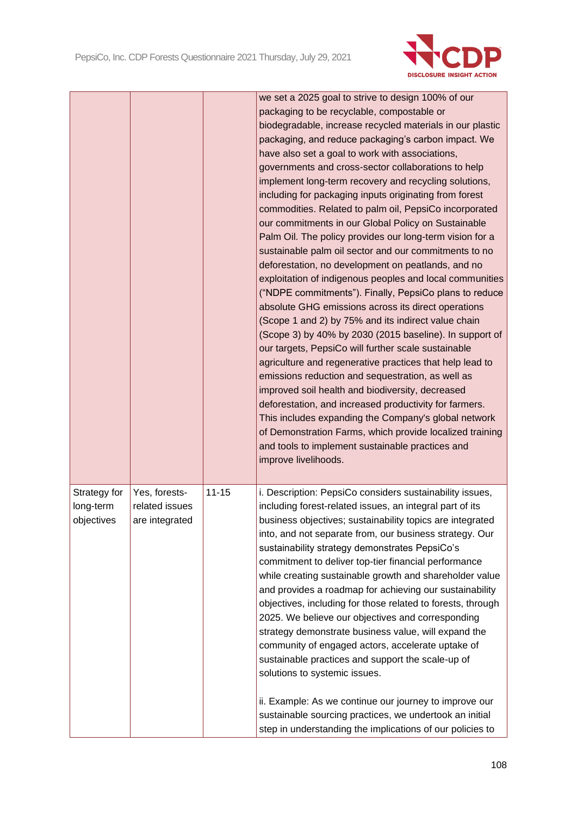

|                                         |                                                   |           | we set a 2025 goal to strive to design 100% of our<br>packaging to be recyclable, compostable or<br>biodegradable, increase recycled materials in our plastic<br>packaging, and reduce packaging's carbon impact. We<br>have also set a goal to work with associations,<br>governments and cross-sector collaborations to help<br>implement long-term recovery and recycling solutions,<br>including for packaging inputs originating from forest<br>commodities. Related to palm oil, PepsiCo incorporated<br>our commitments in our Global Policy on Sustainable<br>Palm Oil. The policy provides our long-term vision for a<br>sustainable palm oil sector and our commitments to no<br>deforestation, no development on peatlands, and no<br>exploitation of indigenous peoples and local communities<br>("NDPE commitments"). Finally, PepsiCo plans to reduce<br>absolute GHG emissions across its direct operations<br>(Scope 1 and 2) by 75% and its indirect value chain<br>(Scope 3) by 40% by 2030 (2015 baseline). In support of<br>our targets, PepsiCo will further scale sustainable<br>agriculture and regenerative practices that help lead to<br>emissions reduction and sequestration, as well as<br>improved soil health and biodiversity, decreased<br>deforestation, and increased productivity for farmers.<br>This includes expanding the Company's global network<br>of Demonstration Farms, which provide localized training<br>and tools to implement sustainable practices and<br>improve livelihoods. |
|-----------------------------------------|---------------------------------------------------|-----------|------------------------------------------------------------------------------------------------------------------------------------------------------------------------------------------------------------------------------------------------------------------------------------------------------------------------------------------------------------------------------------------------------------------------------------------------------------------------------------------------------------------------------------------------------------------------------------------------------------------------------------------------------------------------------------------------------------------------------------------------------------------------------------------------------------------------------------------------------------------------------------------------------------------------------------------------------------------------------------------------------------------------------------------------------------------------------------------------------------------------------------------------------------------------------------------------------------------------------------------------------------------------------------------------------------------------------------------------------------------------------------------------------------------------------------------------------------------------------------------------------------------------------------|
| Strategy for<br>long-term<br>objectives | Yes, forests-<br>related issues<br>are integrated | $11 - 15$ | i. Description: PepsiCo considers sustainability issues,<br>including forest-related issues, an integral part of its<br>business objectives; sustainability topics are integrated<br>into, and not separate from, our business strategy. Our<br>sustainability strategy demonstrates PepsiCo's<br>commitment to deliver top-tier financial performance<br>while creating sustainable growth and shareholder value<br>and provides a roadmap for achieving our sustainability<br>objectives, including for those related to forests, through<br>2025. We believe our objectives and corresponding<br>strategy demonstrate business value, will expand the<br>community of engaged actors, accelerate uptake of<br>sustainable practices and support the scale-up of<br>solutions to systemic issues.<br>ii. Example: As we continue our journey to improve our<br>sustainable sourcing practices, we undertook an initial                                                                                                                                                                                                                                                                                                                                                                                                                                                                                                                                                                                                           |
|                                         |                                                   |           | step in understanding the implications of our policies to                                                                                                                                                                                                                                                                                                                                                                                                                                                                                                                                                                                                                                                                                                                                                                                                                                                                                                                                                                                                                                                                                                                                                                                                                                                                                                                                                                                                                                                                          |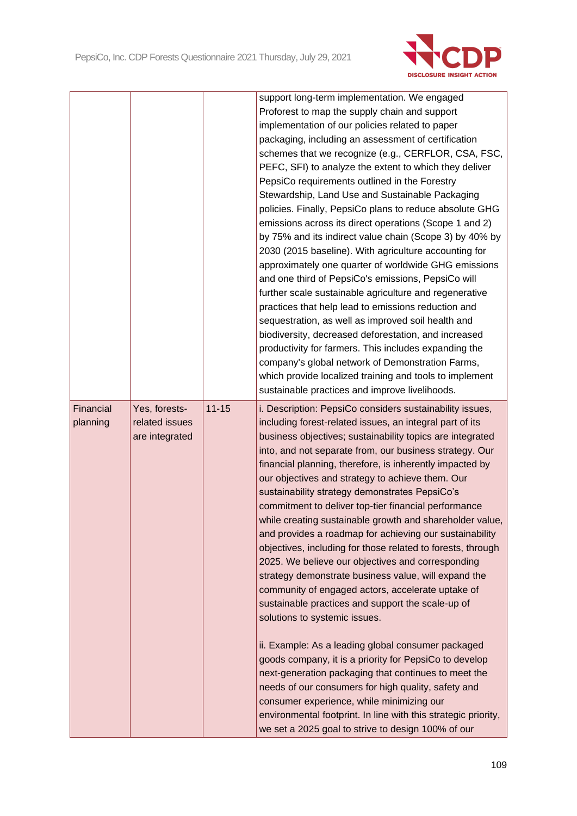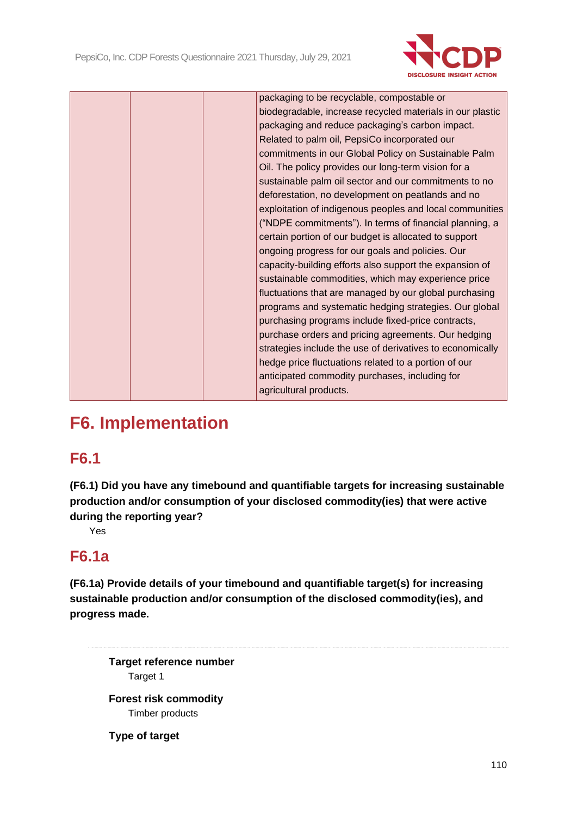

| biodegradable, increase recycled materials in our plastic |  |
|-----------------------------------------------------------|--|
| packaging and reduce packaging's carbon impact.           |  |
| Related to palm oil, PepsiCo incorporated our             |  |
| commitments in our Global Policy on Sustainable Palm      |  |
| Oil. The policy provides our long-term vision for a       |  |
| sustainable palm oil sector and our commitments to no     |  |
| deforestation, no development on peatlands and no         |  |
| exploitation of indigenous peoples and local communities  |  |
| ("NDPE commitments"). In terms of financial planning, a   |  |
| certain portion of our budget is allocated to support     |  |
| ongoing progress for our goals and policies. Our          |  |
| capacity-building efforts also support the expansion of   |  |
| sustainable commodities, which may experience price       |  |
| fluctuations that are managed by our global purchasing    |  |
| programs and systematic hedging strategies. Our global    |  |
| purchasing programs include fixed-price contracts,        |  |
| purchase orders and pricing agreements. Our hedging       |  |
| strategies include the use of derivatives to economically |  |
| hedge price fluctuations related to a portion of our      |  |
| anticipated commodity purchases, including for            |  |
| agricultural products.                                    |  |

# **F6. Implementation**

## **F6.1**

**(F6.1) Did you have any timebound and quantifiable targets for increasing sustainable production and/or consumption of your disclosed commodity(ies) that were active during the reporting year?**

Yes

# **F6.1a**

**(F6.1a) Provide details of your timebound and quantifiable target(s) for increasing sustainable production and/or consumption of the disclosed commodity(ies), and progress made.**

**Target reference number** Target 1

**Forest risk commodity** Timber products

**Type of target**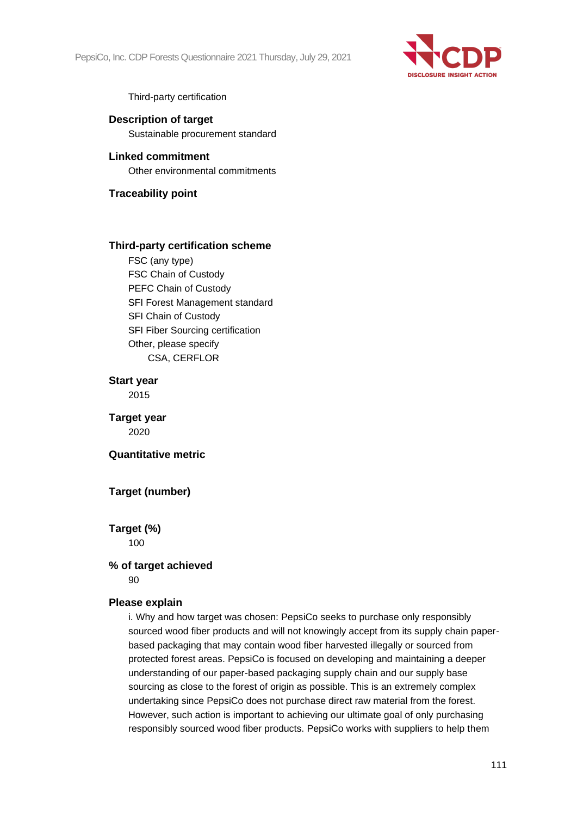

Third-party certification

**Description of target** Sustainable procurement standard

**Linked commitment** Other environmental commitments

**Traceability point**

#### **Third-party certification scheme**

FSC (any type) FSC Chain of Custody PEFC Chain of Custody SFI Forest Management standard SFI Chain of Custody SFI Fiber Sourcing certification Other, please specify CSA, CERFLOR

**Start year** 2015

**Target year** 2020

#### **Quantitative metric**

## **Target (number)**

**Target (%)** 100

#### **% of target achieved**

90

#### **Please explain**

i. Why and how target was chosen: PepsiCo seeks to purchase only responsibly sourced wood fiber products and will not knowingly accept from its supply chain paperbased packaging that may contain wood fiber harvested illegally or sourced from protected forest areas. PepsiCo is focused on developing and maintaining a deeper understanding of our paper-based packaging supply chain and our supply base sourcing as close to the forest of origin as possible. This is an extremely complex undertaking since PepsiCo does not purchase direct raw material from the forest. However, such action is important to achieving our ultimate goal of only purchasing responsibly sourced wood fiber products. PepsiCo works with suppliers to help them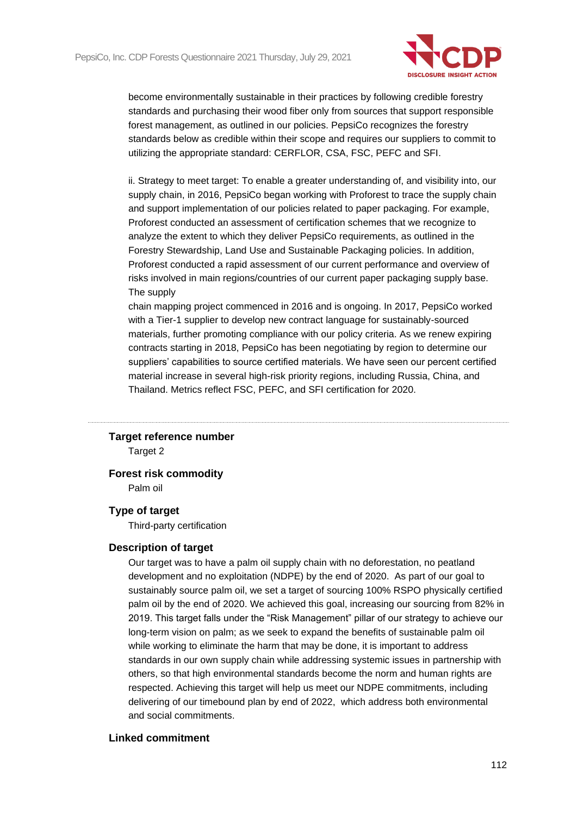

become environmentally sustainable in their practices by following credible forestry standards and purchasing their wood fiber only from sources that support responsible forest management, as outlined in our policies. PepsiCo recognizes the forestry standards below as credible within their scope and requires our suppliers to commit to utilizing the appropriate standard: CERFLOR, CSA, FSC, PEFC and SFI.

ii. Strategy to meet target: To enable a greater understanding of, and visibility into, our supply chain, in 2016, PepsiCo began working with Proforest to trace the supply chain and support implementation of our policies related to paper packaging. For example, Proforest conducted an assessment of certification schemes that we recognize to analyze the extent to which they deliver PepsiCo requirements, as outlined in the Forestry Stewardship, Land Use and Sustainable Packaging policies. In addition, Proforest conducted a rapid assessment of our current performance and overview of risks involved in main regions/countries of our current paper packaging supply base. The supply

chain mapping project commenced in 2016 and is ongoing. In 2017, PepsiCo worked with a Tier-1 supplier to develop new contract language for sustainably-sourced materials, further promoting compliance with our policy criteria. As we renew expiring contracts starting in 2018, PepsiCo has been negotiating by region to determine our suppliers' capabilities to source certified materials. We have seen our percent certified material increase in several high-risk priority regions, including Russia, China, and Thailand. Metrics reflect FSC, PEFC, and SFI certification for 2020.

#### **Target reference number**

Target 2

#### **Forest risk commodity**

Palm oil

#### **Type of target**

Third-party certification

#### **Description of target**

Our target was to have a palm oil supply chain with no deforestation, no peatland development and no exploitation (NDPE) by the end of 2020. As part of our goal to sustainably source palm oil, we set a target of sourcing 100% RSPO physically certified palm oil by the end of 2020. We achieved this goal, increasing our sourcing from 82% in 2019. This target falls under the "Risk Management" pillar of our strategy to achieve our long-term vision on palm; as we seek to expand the benefits of sustainable palm oil while working to eliminate the harm that may be done, it is important to address standards in our own supply chain while addressing systemic issues in partnership with others, so that high environmental standards become the norm and human rights are respected. Achieving this target will help us meet our NDPE commitments, including delivering of our timebound plan by end of 2022, which address both environmental and social commitments.

#### **Linked commitment**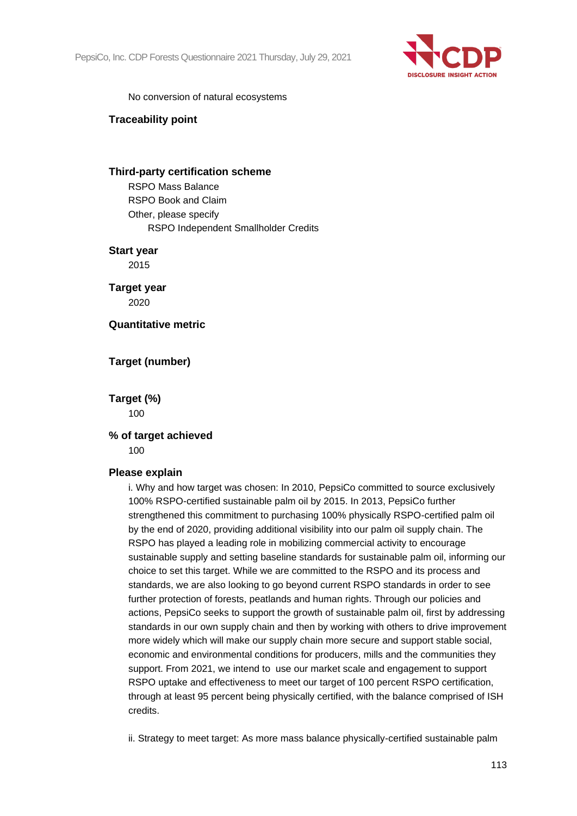

No conversion of natural ecosystems

#### **Traceability point**

#### **Third-party certification scheme**

RSPO Mass Balance RSPO Book and Claim Other, please specify RSPO Independent Smallholder Credits

#### **Start year**

2015

**Target year** 2020

#### **Quantitative metric**

#### **Target (number)**

**Target (%)** 100

#### **% of target achieved** 100

#### **Please explain**

i. Why and how target was chosen: In 2010, PepsiCo committed to source exclusively 100% RSPO-certified sustainable palm oil by 2015. In 2013, PepsiCo further strengthened this commitment to purchasing 100% physically RSPO-certified palm oil by the end of 2020, providing additional visibility into our palm oil supply chain. The RSPO has played a leading role in mobilizing commercial activity to encourage sustainable supply and setting baseline standards for sustainable palm oil, informing our choice to set this target. While we are committed to the RSPO and its process and standards, we are also looking to go beyond current RSPO standards in order to see further protection of forests, peatlands and human rights. Through our policies and actions, PepsiCo seeks to support the growth of sustainable palm oil, first by addressing standards in our own supply chain and then by working with others to drive improvement more widely which will make our supply chain more secure and support stable social, economic and environmental conditions for producers, mills and the communities they support. From 2021, we intend to use our market scale and engagement to support RSPO uptake and effectiveness to meet our target of 100 percent RSPO certification, through at least 95 percent being physically certified, with the balance comprised of ISH credits.

ii. Strategy to meet target: As more mass balance physically-certified sustainable palm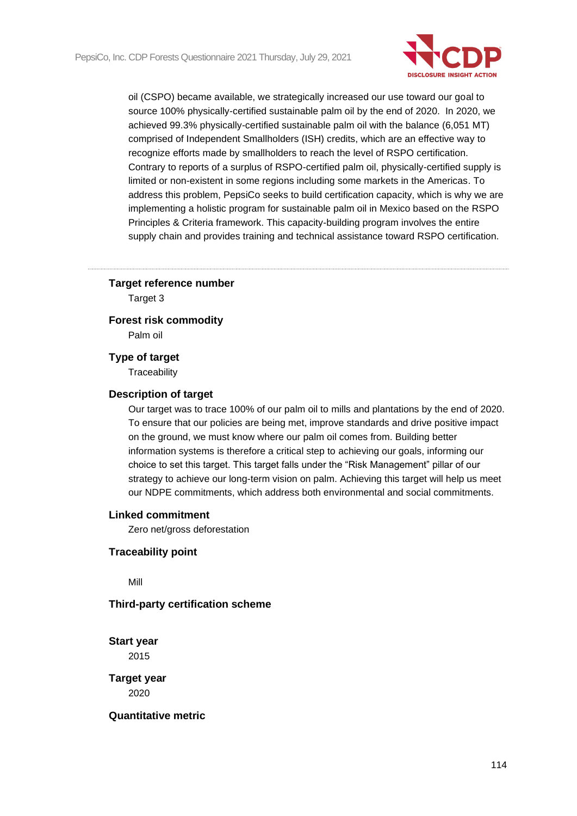

oil (CSPO) became available, we strategically increased our use toward our goal to source 100% physically-certified sustainable palm oil by the end of 2020. In 2020, we achieved 99.3% physically-certified sustainable palm oil with the balance (6,051 MT) comprised of Independent Smallholders (ISH) credits, which are an effective way to recognize efforts made by smallholders to reach the level of RSPO certification. Contrary to reports of a surplus of RSPO-certified palm oil, physically-certified supply is limited or non-existent in some regions including some markets in the Americas. To address this problem, PepsiCo seeks to build certification capacity, which is why we are implementing a holistic program for sustainable palm oil in Mexico based on the RSPO Principles & Criteria framework. This capacity-building program involves the entire supply chain and provides training and technical assistance toward RSPO certification.

#### **Target reference number**

Target 3

#### **Forest risk commodity**

Palm oil

#### **Type of target**

**Traceability** 

#### **Description of target**

Our target was to trace 100% of our palm oil to mills and plantations by the end of 2020. To ensure that our policies are being met, improve standards and drive positive impact on the ground, we must know where our palm oil comes from. Building better information systems is therefore a critical step to achieving our goals, informing our choice to set this target. This target falls under the "Risk Management" pillar of our strategy to achieve our long-term vision on palm. Achieving this target will help us meet our NDPE commitments, which address both environmental and social commitments.

#### **Linked commitment**

Zero net/gross deforestation

#### **Traceability point**

Mill

## **Third-party certification scheme**

**Start year** 2015

**Target year** 2020

**Quantitative metric**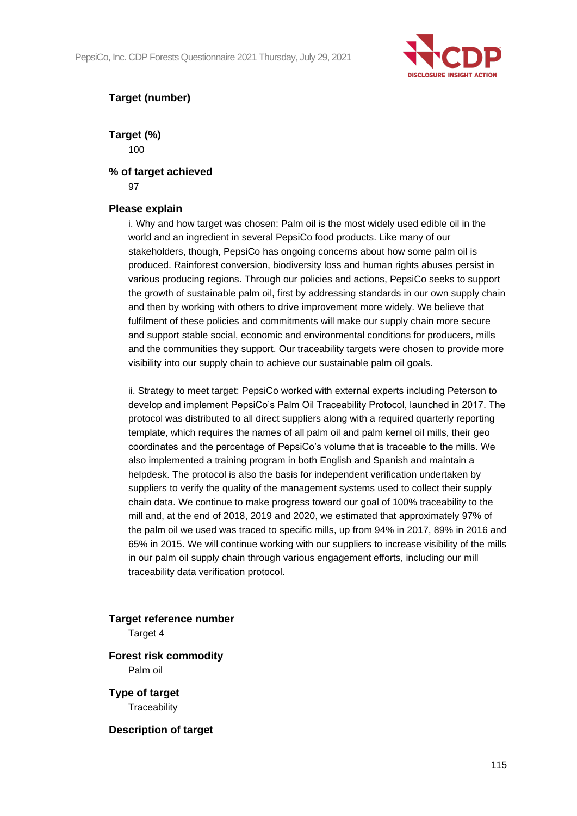

## **Target (number)**

**Target (%)** 100

### **% of target achieved**

97

## **Please explain**

i. Why and how target was chosen: Palm oil is the most widely used edible oil in the world and an ingredient in several PepsiCo food products. Like many of our stakeholders, though, PepsiCo has ongoing concerns about how some palm oil is produced. Rainforest conversion, biodiversity loss and human rights abuses persist in various producing regions. Through our policies and actions, PepsiCo seeks to support the growth of sustainable palm oil, first by addressing standards in our own supply chain and then by working with others to drive improvement more widely. We believe that fulfilment of these policies and commitments will make our supply chain more secure and support stable social, economic and environmental conditions for producers, mills and the communities they support. Our traceability targets were chosen to provide more visibility into our supply chain to achieve our sustainable palm oil goals.

ii. Strategy to meet target: PepsiCo worked with external experts including Peterson to develop and implement PepsiCo's Palm Oil Traceability Protocol, launched in 2017. The protocol was distributed to all direct suppliers along with a required quarterly reporting template, which requires the names of all palm oil and palm kernel oil mills, their geo coordinates and the percentage of PepsiCo's volume that is traceable to the mills. We also implemented a training program in both English and Spanish and maintain a helpdesk. The protocol is also the basis for independent verification undertaken by suppliers to verify the quality of the management systems used to collect their supply chain data. We continue to make progress toward our goal of 100% traceability to the mill and, at the end of 2018, 2019 and 2020, we estimated that approximately 97% of the palm oil we used was traced to specific mills, up from 94% in 2017, 89% in 2016 and 65% in 2015. We will continue working with our suppliers to increase visibility of the mills in our palm oil supply chain through various engagement efforts, including our mill traceability data verification protocol.

**Target reference number** Target 4

**Forest risk commodity** Palm oil

**Type of target Traceability** 

**Description of target**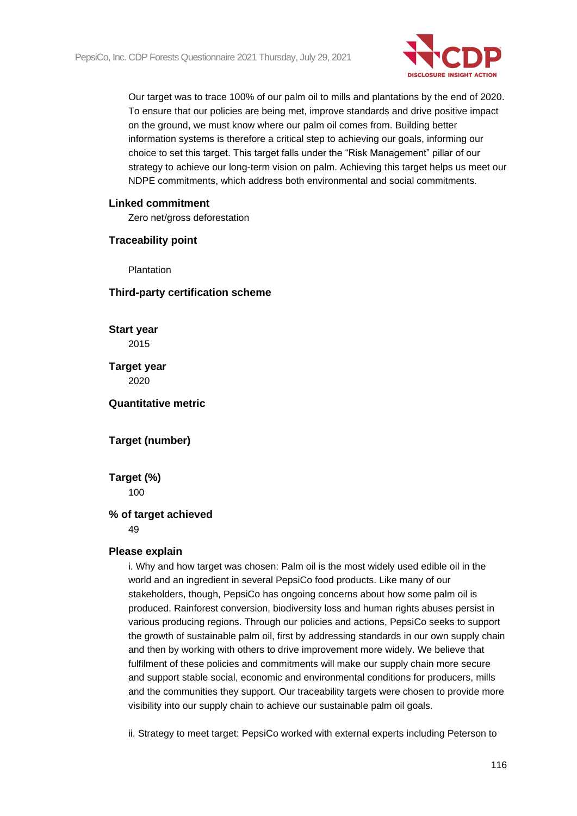

Our target was to trace 100% of our palm oil to mills and plantations by the end of 2020. To ensure that our policies are being met, improve standards and drive positive impact on the ground, we must know where our palm oil comes from. Building better information systems is therefore a critical step to achieving our goals, informing our choice to set this target. This target falls under the "Risk Management" pillar of our strategy to achieve our long-term vision on palm. Achieving this target helps us meet our NDPE commitments, which address both environmental and social commitments.

#### **Linked commitment**

Zero net/gross deforestation

#### **Traceability point**

Plantation

## **Third-party certification scheme**

**Start year** 2015

**Target year** 2020

## **Quantitative metric**

## **Target (number)**

**Target (%)** 100

## **% of target achieved**

49

#### **Please explain**

i. Why and how target was chosen: Palm oil is the most widely used edible oil in the world and an ingredient in several PepsiCo food products. Like many of our stakeholders, though, PepsiCo has ongoing concerns about how some palm oil is produced. Rainforest conversion, biodiversity loss and human rights abuses persist in various producing regions. Through our policies and actions, PepsiCo seeks to support the growth of sustainable palm oil, first by addressing standards in our own supply chain and then by working with others to drive improvement more widely. We believe that fulfilment of these policies and commitments will make our supply chain more secure and support stable social, economic and environmental conditions for producers, mills and the communities they support. Our traceability targets were chosen to provide more visibility into our supply chain to achieve our sustainable palm oil goals.

ii. Strategy to meet target: PepsiCo worked with external experts including Peterson to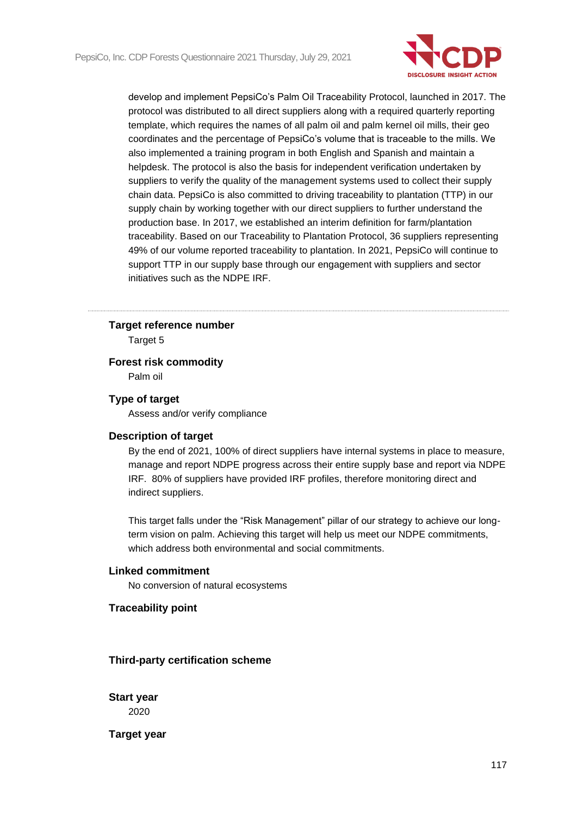

develop and implement PepsiCo's Palm Oil Traceability Protocol, launched in 2017. The protocol was distributed to all direct suppliers along with a required quarterly reporting template, which requires the names of all palm oil and palm kernel oil mills, their geo coordinates and the percentage of PepsiCo's volume that is traceable to the mills. We also implemented a training program in both English and Spanish and maintain a helpdesk. The protocol is also the basis for independent verification undertaken by suppliers to verify the quality of the management systems used to collect their supply chain data. PepsiCo is also committed to driving traceability to plantation (TTP) in our supply chain by working together with our direct suppliers to further understand the production base. In 2017, we established an interim definition for farm/plantation traceability. Based on our Traceability to Plantation Protocol, 36 suppliers representing 49% of our volume reported traceability to plantation. In 2021, PepsiCo will continue to support TTP in our supply base through our engagement with suppliers and sector initiatives such as the NDPE IRF.

#### **Target reference number**

Target 5

### **Forest risk commodity**

Palm oil

#### **Type of target**

Assess and/or verify compliance

#### **Description of target**

By the end of 2021, 100% of direct suppliers have internal systems in place to measure, manage and report NDPE progress across their entire supply base and report via NDPE IRF. 80% of suppliers have provided IRF profiles, therefore monitoring direct and indirect suppliers.

This target falls under the "Risk Management" pillar of our strategy to achieve our longterm vision on palm. Achieving this target will help us meet our NDPE commitments, which address both environmental and social commitments.

## **Linked commitment**

No conversion of natural ecosystems

#### **Traceability point**

**Third-party certification scheme**

**Start year** 2020

**Target year**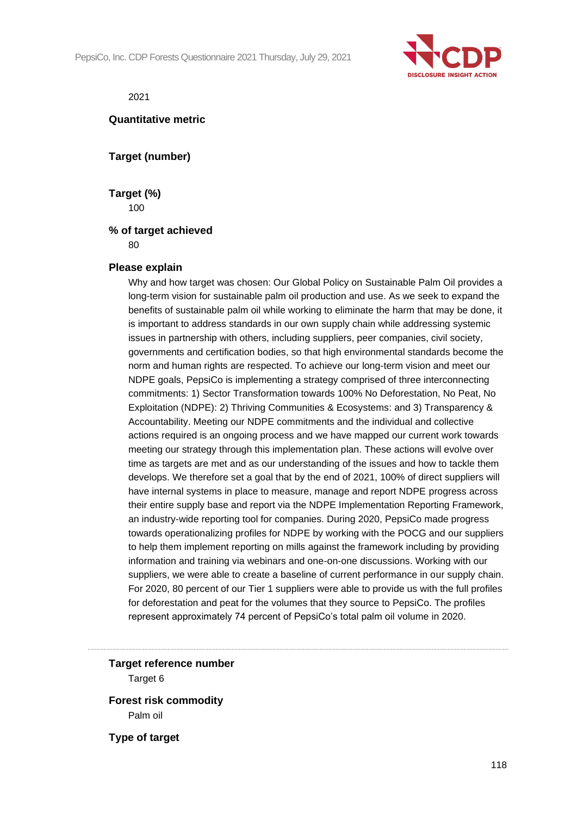

2021

#### **Quantitative metric**

**Target (number)**

**Target (%)** 100

#### **% of target achieved**

80

#### **Please explain**

Why and how target was chosen: Our Global Policy on Sustainable Palm Oil provides a long-term vision for sustainable palm oil production and use. As we seek to expand the benefits of sustainable palm oil while working to eliminate the harm that may be done, it is important to address standards in our own supply chain while addressing systemic issues in partnership with others, including suppliers, peer companies, civil society, governments and certification bodies, so that high environmental standards become the norm and human rights are respected. To achieve our long-term vision and meet our NDPE goals, PepsiCo is implementing a strategy comprised of three interconnecting commitments: 1) Sector Transformation towards 100% No Deforestation, No Peat, No Exploitation (NDPE): 2) Thriving Communities & Ecosystems: and 3) Transparency & Accountability. Meeting our NDPE commitments and the individual and collective actions required is an ongoing process and we have mapped our current work towards meeting our strategy through this implementation plan. These actions will evolve over time as targets are met and as our understanding of the issues and how to tackle them develops. We therefore set a goal that by the end of 2021, 100% of direct suppliers will have internal systems in place to measure, manage and report NDPE progress across their entire supply base and report via the NDPE Implementation Reporting Framework, an industry-wide reporting tool for companies. During 2020, PepsiCo made progress towards operationalizing profiles for NDPE by working with the POCG and our suppliers to help them implement reporting on mills against the framework including by providing information and training via webinars and one-on-one discussions. Working with our suppliers, we were able to create a baseline of current performance in our supply chain. For 2020, 80 percent of our Tier 1 suppliers were able to provide us with the full profiles for deforestation and peat for the volumes that they source to PepsiCo. The profiles represent approximately 74 percent of PepsiCo's total palm oil volume in 2020.

#### **Target reference number**

Target 6

**Forest risk commodity** Palm oil

**Type of target**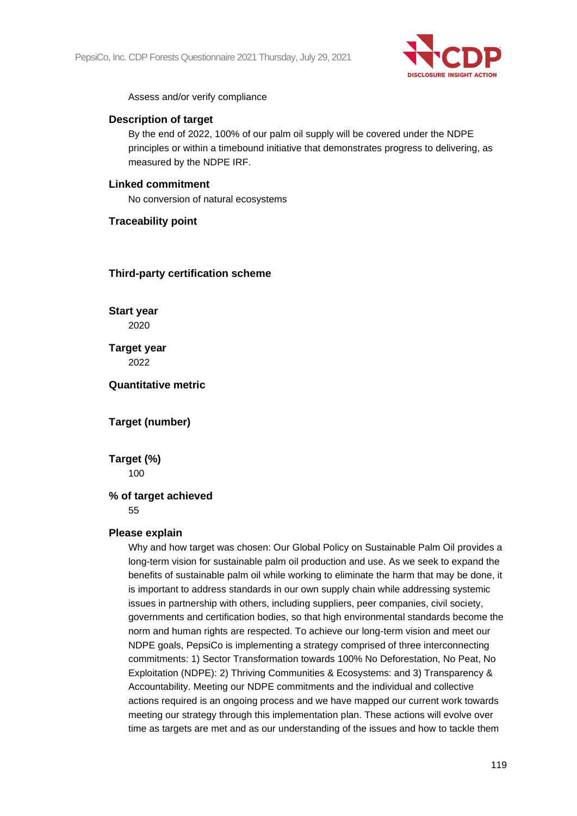

Assess and/or verify compliance

#### **Description of target**

By the end of 2022, 100% of our palm oil supply will be covered under the NDPE principles or within a timebound initiative that demonstrates progress to delivering, as measured by the NDPE IRF.

## **Linked commitment**

No conversion of natural ecosystems

## **Traceability point**

#### **Third-party certification scheme**

**Start year** 2020

**Target year** 2022

**Quantitative metric**

## **Target (number)**

**Target (%)** 100

## **% of target achieved**

55

## **Please explain**

Why and how target was chosen: Our Global Policy on Sustainable Palm Oil provides a long-term vision for sustainable palm oil production and use. As we seek to expand the benefits of sustainable palm oil while working to eliminate the harm that may be done, it is important to address standards in our own supply chain while addressing systemic issues in partnership with others, including suppliers, peer companies, civil society, governments and certification bodies, so that high environmental standards become the norm and human rights are respected. To achieve our long-term vision and meet our NDPE goals, PepsiCo is implementing a strategy comprised of three interconnecting commitments: 1) Sector Transformation towards 100% No Deforestation, No Peat, No Exploitation (NDPE): 2) Thriving Communities & Ecosystems: and 3) Transparency & Accountability. Meeting our NDPE commitments and the individual and collective actions required is an ongoing process and we have mapped our current work towards meeting our strategy through this implementation plan. These actions will evolve over time as targets are met and as our understanding of the issues and how to tackle them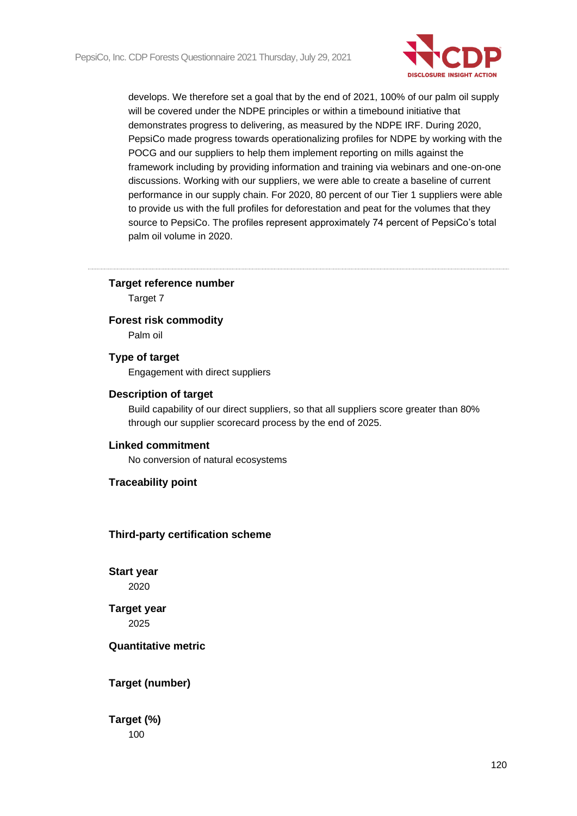

develops. We therefore set a goal that by the end of 2021, 100% of our palm oil supply will be covered under the NDPE principles or within a timebound initiative that demonstrates progress to delivering, as measured by the NDPE IRF. During 2020, PepsiCo made progress towards operationalizing profiles for NDPE by working with the POCG and our suppliers to help them implement reporting on mills against the framework including by providing information and training via webinars and one-on-one discussions. Working with our suppliers, we were able to create a baseline of current performance in our supply chain. For 2020, 80 percent of our Tier 1 suppliers were able to provide us with the full profiles for deforestation and peat for the volumes that they source to PepsiCo. The profiles represent approximately 74 percent of PepsiCo's total palm oil volume in 2020.

#### **Target reference number**

Target 7

#### **Forest risk commodity**

Palm oil

## **Type of target**

Engagement with direct suppliers

#### **Description of target**

Build capability of our direct suppliers, so that all suppliers score greater than 80% through our supplier scorecard process by the end of 2025.

#### **Linked commitment**

No conversion of natural ecosystems

#### **Traceability point**

#### **Third-party certification scheme**

**Start year** 2020

**Target year** 2025

#### **Quantitative metric**

#### **Target (number)**

**Target (%)** 100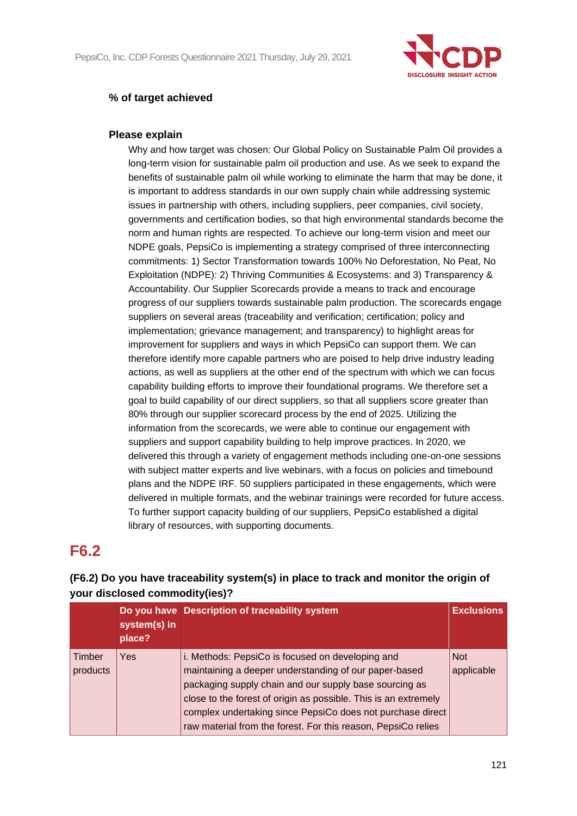

## **% of target achieved**

## **Please explain**

Why and how target was chosen: Our Global Policy on Sustainable Palm Oil provides a long-term vision for sustainable palm oil production and use. As we seek to expand the benefits of sustainable palm oil while working to eliminate the harm that may be done, it is important to address standards in our own supply chain while addressing systemic issues in partnership with others, including suppliers, peer companies, civil society, governments and certification bodies, so that high environmental standards become the norm and human rights are respected. To achieve our long-term vision and meet our NDPE goals, PepsiCo is implementing a strategy comprised of three interconnecting commitments: 1) Sector Transformation towards 100% No Deforestation, No Peat, No Exploitation (NDPE): 2) Thriving Communities & Ecosystems: and 3) Transparency & Accountability. Our Supplier Scorecards provide a means to track and encourage progress of our suppliers towards sustainable palm production. The scorecards engage suppliers on several areas (traceability and verification; certification; policy and implementation; grievance management; and transparency) to highlight areas for improvement for suppliers and ways in which PepsiCo can support them. We can therefore identify more capable partners who are poised to help drive industry leading actions, as well as suppliers at the other end of the spectrum with which we can focus capability building efforts to improve their foundational programs. We therefore set a goal to build capability of our direct suppliers, so that all suppliers score greater than 80% through our supplier scorecard process by the end of 2025. Utilizing the information from the scorecards, we were able to continue our engagement with suppliers and support capability building to help improve practices. In 2020, we delivered this through a variety of engagement methods including one-on-one sessions with subject matter experts and live webinars, with a focus on policies and timebound plans and the NDPE IRF. 50 suppliers participated in these engagements, which were delivered in multiple formats, and the webinar trainings were recorded for future access. To further support capacity building of our suppliers, PepsiCo established a digital library of resources, with supporting documents.

## **F6.2**

| , oar alooloooa ooliiliioalt; (100) l | <b>Exclusions</b> |                                                                                                                                                                                                                                                                                                                                                                       |                          |
|---------------------------------------|-------------------|-----------------------------------------------------------------------------------------------------------------------------------------------------------------------------------------------------------------------------------------------------------------------------------------------------------------------------------------------------------------------|--------------------------|
| place?<br>Timber<br>Yes<br>products   |                   | i. Methods: PepsiCo is focused on developing and<br>maintaining a deeper understanding of our paper-based<br>packaging supply chain and our supply base sourcing as<br>close to the forest of origin as possible. This is an extremely<br>complex undertaking since PepsiCo does not purchase direct<br>raw material from the forest. For this reason, PepsiCo relies | <b>Not</b><br>applicable |

## **(F6.2) Do you have traceability system(s) in place to track and monitor the origin of your disclosed commodity(ies)?**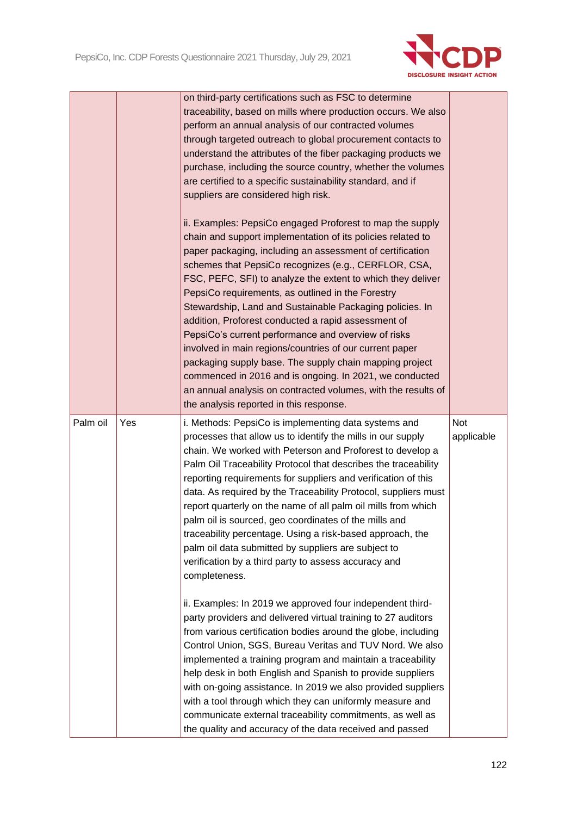

|          |     | on third-party certifications such as FSC to determine         |            |
|----------|-----|----------------------------------------------------------------|------------|
|          |     | traceability, based on mills where production occurs. We also  |            |
|          |     | perform an annual analysis of our contracted volumes           |            |
|          |     | through targeted outreach to global procurement contacts to    |            |
|          |     | understand the attributes of the fiber packaging products we   |            |
|          |     | purchase, including the source country, whether the volumes    |            |
|          |     | are certified to a specific sustainability standard, and if    |            |
|          |     | suppliers are considered high risk.                            |            |
|          |     | ii. Examples: PepsiCo engaged Proforest to map the supply      |            |
|          |     | chain and support implementation of its policies related to    |            |
|          |     | paper packaging, including an assessment of certification      |            |
|          |     | schemes that PepsiCo recognizes (e.g., CERFLOR, CSA,           |            |
|          |     | FSC, PEFC, SFI) to analyze the extent to which they deliver    |            |
|          |     | PepsiCo requirements, as outlined in the Forestry              |            |
|          |     | Stewardship, Land and Sustainable Packaging policies. In       |            |
|          |     | addition, Proforest conducted a rapid assessment of            |            |
|          |     | PepsiCo's current performance and overview of risks            |            |
|          |     | involved in main regions/countries of our current paper        |            |
|          |     | packaging supply base. The supply chain mapping project        |            |
|          |     | commenced in 2016 and is ongoing. In 2021, we conducted        |            |
|          |     | an annual analysis on contracted volumes, with the results of  |            |
|          |     | the analysis reported in this response.                        |            |
| Palm oil | Yes | i. Methods: PepsiCo is implementing data systems and           | <b>Not</b> |
|          |     | processes that allow us to identify the mills in our supply    | applicable |
|          |     | chain. We worked with Peterson and Proforest to develop a      |            |
|          |     | Palm Oil Traceability Protocol that describes the traceability |            |
|          |     | reporting requirements for suppliers and verification of this  |            |
|          |     | data. As required by the Traceability Protocol, suppliers must |            |
|          |     | report quarterly on the name of all palm oil mills from which  |            |
|          |     |                                                                |            |
|          |     | palm oil is sourced, geo coordinates of the mills and          |            |
|          |     | traceability percentage. Using a risk-based approach, the      |            |
|          |     | palm oil data submitted by suppliers are subject to            |            |
|          |     | verification by a third party to assess accuracy and           |            |
|          |     | completeness.                                                  |            |
|          |     |                                                                |            |
|          |     | ii. Examples: In 2019 we approved four independent third-      |            |
|          |     | party providers and delivered virtual training to 27 auditors  |            |
|          |     | from various certification bodies around the globe, including  |            |
|          |     | Control Union, SGS, Bureau Veritas and TUV Nord. We also       |            |
|          |     | implemented a training program and maintain a traceability     |            |
|          |     | help desk in both English and Spanish to provide suppliers     |            |
|          |     | with on-going assistance. In 2019 we also provided suppliers   |            |
|          |     | with a tool through which they can uniformly measure and       |            |
|          |     |                                                                |            |
|          |     | communicate external traceability commitments, as well as      |            |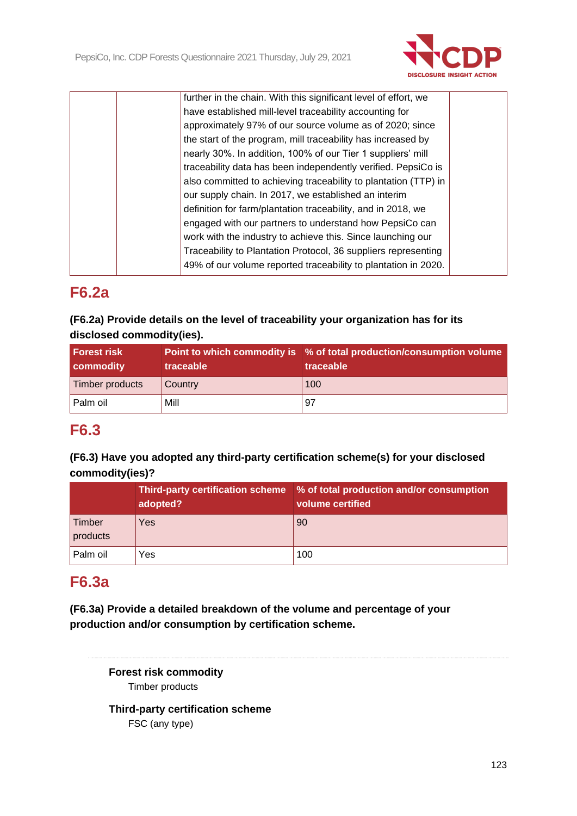

| further in the chain. With this significant level of effort, we |  |
|-----------------------------------------------------------------|--|
| have established mill-level traceability accounting for         |  |
| approximately 97% of our source volume as of 2020; since        |  |
| the start of the program, mill traceability has increased by    |  |
| nearly 30%. In addition, 100% of our Tier 1 suppliers' mill     |  |
| traceability data has been independently verified. PepsiCo is   |  |
| also committed to achieving traceability to plantation (TTP) in |  |
| our supply chain. In 2017, we established an interim            |  |
| definition for farm/plantation traceability, and in 2018, we    |  |
| engaged with our partners to understand how PepsiCo can         |  |
| work with the industry to achieve this. Since launching our     |  |
| Traceability to Plantation Protocol, 36 suppliers representing  |  |
| 49% of our volume reported traceability to plantation in 2020.  |  |
|                                                                 |  |

# **F6.2a**

## **(F6.2a) Provide details on the level of traceability your organization has for its disclosed commodity(ies).**

| <b>Forest risk</b><br><b>commodity</b> | traceable | Point to which commodity is % of total production/consumption volume<br>traceable |  |
|----------------------------------------|-----------|-----------------------------------------------------------------------------------|--|
| Timber products                        | Country   | 100                                                                               |  |
| Palm oil                               | Mill      | 97                                                                                |  |

## **F6.3**

## **(F6.3) Have you adopted any third-party certification scheme(s) for your disclosed commodity(ies)?**

|                    | <b>Third-party certification scheme</b><br>adopted? | % of total production and/or consumption<br>volume certified |
|--------------------|-----------------------------------------------------|--------------------------------------------------------------|
| Timber<br>products | Yes                                                 | 90                                                           |
| Palm oil           | Yes                                                 | 100                                                          |

# **F6.3a**

**(F6.3a) Provide a detailed breakdown of the volume and percentage of your production and/or consumption by certification scheme.**

> **Forest risk commodity** Timber products

**Third-party certification scheme** FSC (any type)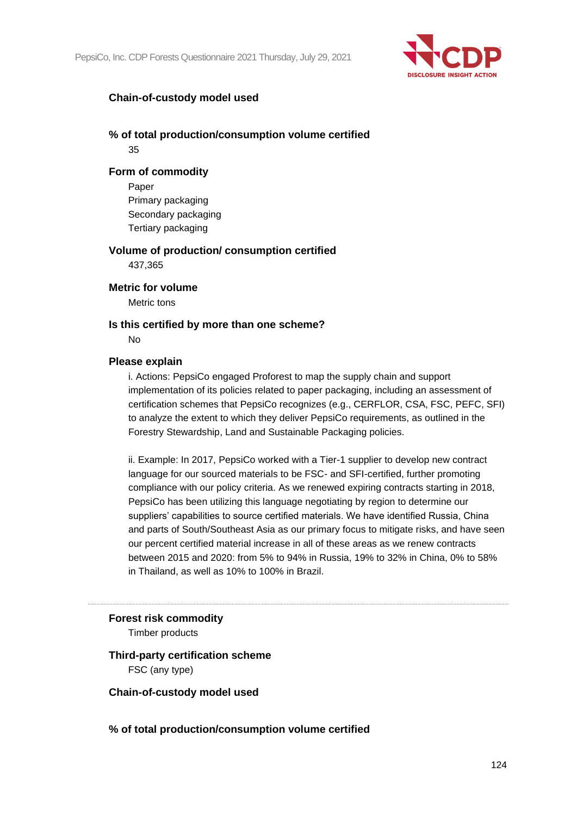

## **Chain-of-custody model used**

## **% of total production/consumption volume certified** 35

#### **Form of commodity**

Paper Primary packaging Secondary packaging Tertiary packaging

## **Volume of production/ consumption certified**

437,365

#### **Metric for volume**

Metric tons

#### **Is this certified by more than one scheme?**

No

#### **Please explain**

i. Actions: PepsiCo engaged Proforest to map the supply chain and support implementation of its policies related to paper packaging, including an assessment of certification schemes that PepsiCo recognizes (e.g., CERFLOR, CSA, FSC, PEFC, SFI) to analyze the extent to which they deliver PepsiCo requirements, as outlined in the Forestry Stewardship, Land and Sustainable Packaging policies.

ii. Example: In 2017, PepsiCo worked with a Tier-1 supplier to develop new contract language for our sourced materials to be FSC- and SFI-certified, further promoting compliance with our policy criteria. As we renewed expiring contracts starting in 2018, PepsiCo has been utilizing this language negotiating by region to determine our suppliers' capabilities to source certified materials. We have identified Russia, China and parts of South/Southeast Asia as our primary focus to mitigate risks, and have seen our percent certified material increase in all of these areas as we renew contracts between 2015 and 2020: from 5% to 94% in Russia, 19% to 32% in China, 0% to 58% in Thailand, as well as 10% to 100% in Brazil.

## **Forest risk commodity**

Timber products

## **Third-party certification scheme** FSC (any type)

**Chain-of-custody model used**

**% of total production/consumption volume certified**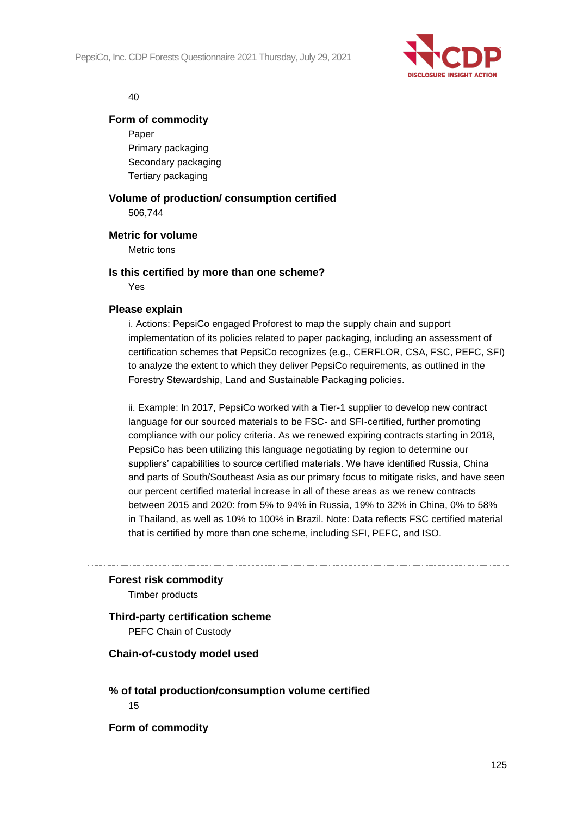

#### 40

#### **Form of commodity**

Paper Primary packaging Secondary packaging Tertiary packaging

## **Volume of production/ consumption certified** 506,744

#### **Metric for volume**

Metric tons

#### **Is this certified by more than one scheme?**

Yes

#### **Please explain**

i. Actions: PepsiCo engaged Proforest to map the supply chain and support implementation of its policies related to paper packaging, including an assessment of certification schemes that PepsiCo recognizes (e.g., CERFLOR, CSA, FSC, PEFC, SFI) to analyze the extent to which they deliver PepsiCo requirements, as outlined in the Forestry Stewardship, Land and Sustainable Packaging policies.

ii. Example: In 2017, PepsiCo worked with a Tier-1 supplier to develop new contract language for our sourced materials to be FSC- and SFI-certified, further promoting compliance with our policy criteria. As we renewed expiring contracts starting in 2018, PepsiCo has been utilizing this language negotiating by region to determine our suppliers' capabilities to source certified materials. We have identified Russia, China and parts of South/Southeast Asia as our primary focus to mitigate risks, and have seen our percent certified material increase in all of these areas as we renew contracts between 2015 and 2020: from 5% to 94% in Russia, 19% to 32% in China, 0% to 58% in Thailand, as well as 10% to 100% in Brazil. Note: Data reflects FSC certified material that is certified by more than one scheme, including SFI, PEFC, and ISO.

#### **Forest risk commodity**

Timber products

## **Third-party certification scheme**

PEFC Chain of Custody

#### **Chain-of-custody model used**

## **% of total production/consumption volume certified** 15

**Form of commodity**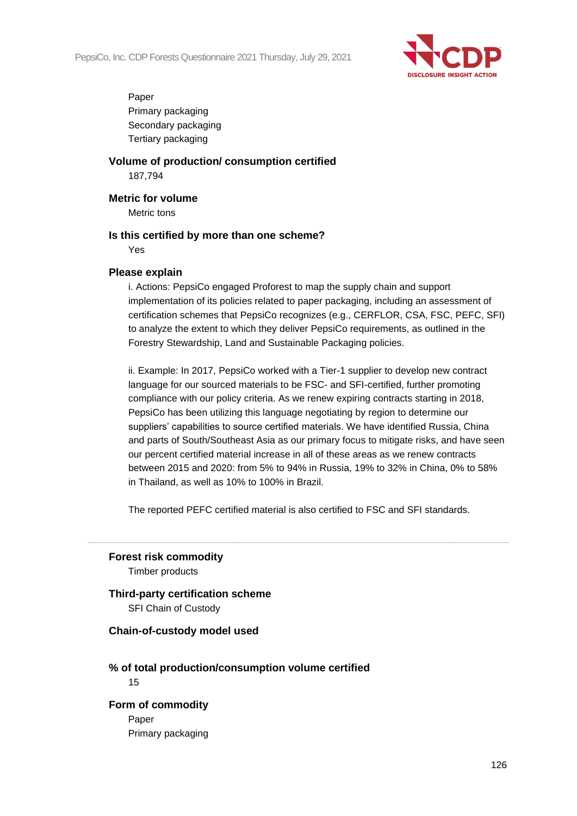

Paper Primary packaging Secondary packaging Tertiary packaging

**Volume of production/ consumption certified** 187,794

**Metric for volume**

Metric tons

## **Is this certified by more than one scheme?**

Yes

#### **Please explain**

i. Actions: PepsiCo engaged Proforest to map the supply chain and support implementation of its policies related to paper packaging, including an assessment of certification schemes that PepsiCo recognizes (e.g., CERFLOR, CSA, FSC, PEFC, SFI) to analyze the extent to which they deliver PepsiCo requirements, as outlined in the Forestry Stewardship, Land and Sustainable Packaging policies.

ii. Example: In 2017, PepsiCo worked with a Tier-1 supplier to develop new contract language for our sourced materials to be FSC- and SFI-certified, further promoting compliance with our policy criteria. As we renew expiring contracts starting in 2018, PepsiCo has been utilizing this language negotiating by region to determine our suppliers' capabilities to source certified materials. We have identified Russia, China and parts of South/Southeast Asia as our primary focus to mitigate risks, and have seen our percent certified material increase in all of these areas as we renew contracts between 2015 and 2020: from 5% to 94% in Russia, 19% to 32% in China, 0% to 58% in Thailand, as well as 10% to 100% in Brazil.

The reported PEFC certified material is also certified to FSC and SFI standards.

**Forest risk commodity** Timber products

**Third-party certification scheme** SFI Chain of Custody

#### **Chain-of-custody model used**

#### **% of total production/consumption volume certified** 15

## **Form of commodity**

Paper Primary packaging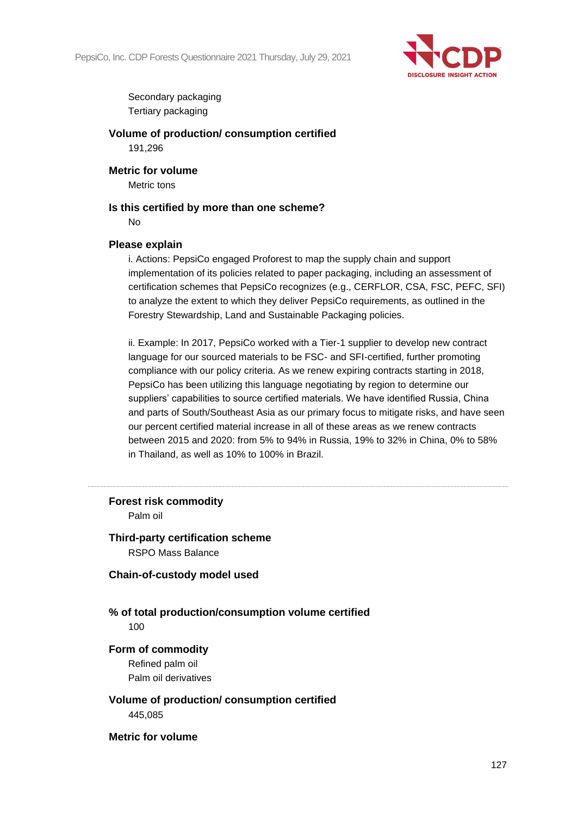

Secondary packaging Tertiary packaging

**Volume of production/ consumption certified** 191,296

**Metric for volume** Metric tons

## **Is this certified by more than one scheme?**

No

## **Please explain**

i. Actions: PepsiCo engaged Proforest to map the supply chain and support implementation of its policies related to paper packaging, including an assessment of certification schemes that PepsiCo recognizes (e.g., CERFLOR, CSA, FSC, PEFC, SFI) to analyze the extent to which they deliver PepsiCo requirements, as outlined in the Forestry Stewardship, Land and Sustainable Packaging policies.

ii. Example: In 2017, PepsiCo worked with a Tier-1 supplier to develop new contract language for our sourced materials to be FSC- and SFI-certified, further promoting compliance with our policy criteria. As we renew expiring contracts starting in 2018, PepsiCo has been utilizing this language negotiating by region to determine our suppliers' capabilities to source certified materials. We have identified Russia, China and parts of South/Southeast Asia as our primary focus to mitigate risks, and have seen our percent certified material increase in all of these areas as we renew contracts between 2015 and 2020: from 5% to 94% in Russia, 19% to 32% in China, 0% to 58% in Thailand, as well as 10% to 100% in Brazil.

#### **Forest risk commodity**

Palm oil

## **Third-party certification scheme** RSPO Mass Balance

**Chain-of-custody model used**

**% of total production/consumption volume certified** 100

#### **Form of commodity**

Refined palm oil Palm oil derivatives

**Volume of production/ consumption certified** 445,085

**Metric for volume**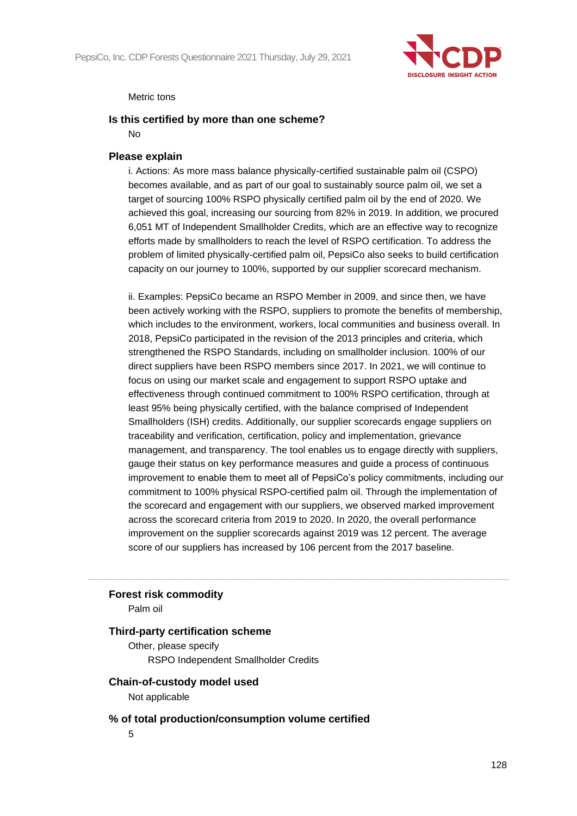

#### Metric tons

#### **Is this certified by more than one scheme?**

No

#### **Please explain**

i. Actions: As more mass balance physically-certified sustainable palm oil (CSPO) becomes available, and as part of our goal to sustainably source palm oil, we set a target of sourcing 100% RSPO physically certified palm oil by the end of 2020. We achieved this goal, increasing our sourcing from 82% in 2019. In addition, we procured 6,051 MT of Independent Smallholder Credits, which are an effective way to recognize efforts made by smallholders to reach the level of RSPO certification. To address the problem of limited physically-certified palm oil, PepsiCo also seeks to build certification capacity on our journey to 100%, supported by our supplier scorecard mechanism.

ii. Examples: PepsiCo became an RSPO Member in 2009, and since then, we have been actively working with the RSPO, suppliers to promote the benefits of membership, which includes to the environment, workers, local communities and business overall. In 2018, PepsiCo participated in the revision of the 2013 principles and criteria, which strengthened the RSPO Standards, including on smallholder inclusion. 100% of our direct suppliers have been RSPO members since 2017. In 2021, we will continue to focus on using our market scale and engagement to support RSPO uptake and effectiveness through continued commitment to 100% RSPO certification, through at least 95% being physically certified, with the balance comprised of Independent Smallholders (ISH) credits. Additionally, our supplier scorecards engage suppliers on traceability and verification, certification, policy and implementation, grievance management, and transparency. The tool enables us to engage directly with suppliers, gauge their status on key performance measures and guide a process of continuous improvement to enable them to meet all of PepsiCo's policy commitments, including our commitment to 100% physical RSPO-certified palm oil. Through the implementation of the scorecard and engagement with our suppliers, we observed marked improvement across the scorecard criteria from 2019 to 2020. In 2020, the overall performance improvement on the supplier scorecards against 2019 was 12 percent. The average score of our suppliers has increased by 106 percent from the 2017 baseline.

#### **Forest risk commodity**

Palm oil

#### **Third-party certification scheme**

Other, please specify RSPO Independent Smallholder Credits

#### **Chain-of-custody model used**

Not applicable

#### **% of total production/consumption volume certified**

5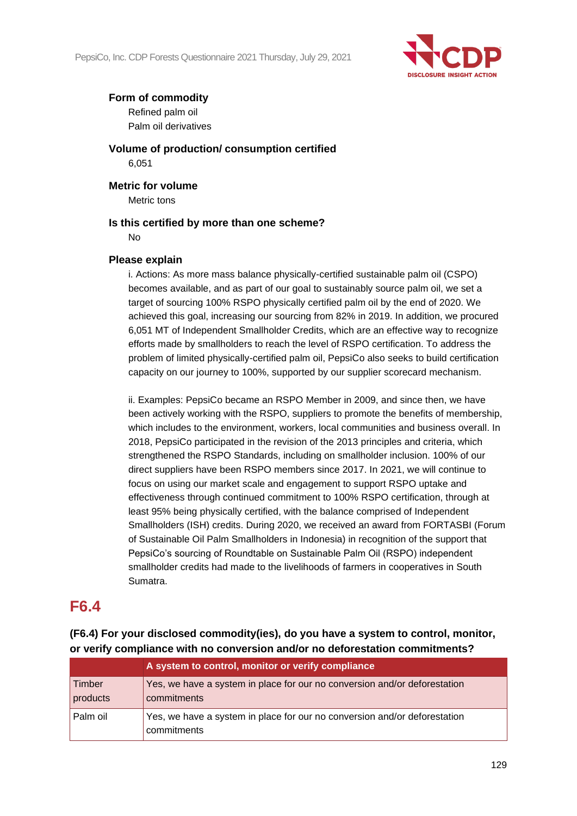

## **Form of commodity**

Refined palm oil Palm oil derivatives

**Volume of production/ consumption certified** 6,051

**Metric for volume** Metric tons

#### **Is this certified by more than one scheme?**

No

## **Please explain**

i. Actions: As more mass balance physically-certified sustainable palm oil (CSPO) becomes available, and as part of our goal to sustainably source palm oil, we set a target of sourcing 100% RSPO physically certified palm oil by the end of 2020. We achieved this goal, increasing our sourcing from 82% in 2019. In addition, we procured 6,051 MT of Independent Smallholder Credits, which are an effective way to recognize efforts made by smallholders to reach the level of RSPO certification. To address the problem of limited physically-certified palm oil, PepsiCo also seeks to build certification capacity on our journey to 100%, supported by our supplier scorecard mechanism.

ii. Examples: PepsiCo became an RSPO Member in 2009, and since then, we have been actively working with the RSPO, suppliers to promote the benefits of membership, which includes to the environment, workers, local communities and business overall. In 2018, PepsiCo participated in the revision of the 2013 principles and criteria, which strengthened the RSPO Standards, including on smallholder inclusion. 100% of our direct suppliers have been RSPO members since 2017. In 2021, we will continue to focus on using our market scale and engagement to support RSPO uptake and effectiveness through continued commitment to 100% RSPO certification, through at least 95% being physically certified, with the balance comprised of Independent Smallholders (ISH) credits. During 2020, we received an award from FORTASBI (Forum of Sustainable Oil Palm Smallholders in Indonesia) in recognition of the support that PepsiCo's sourcing of Roundtable on Sustainable Palm Oil (RSPO) independent smallholder credits had made to the livelihoods of farmers in cooperatives in South Sumatra.

## **F6.4**

**(F6.4) For your disclosed commodity(ies), do you have a system to control, monitor, or verify compliance with no conversion and/or no deforestation commitments?**

|                    | A system to control, monitor or verify compliance                                        |
|--------------------|------------------------------------------------------------------------------------------|
| Timber<br>products | Yes, we have a system in place for our no conversion and/or deforestation<br>commitments |
| Palm oil           | Yes, we have a system in place for our no conversion and/or deforestation<br>commitments |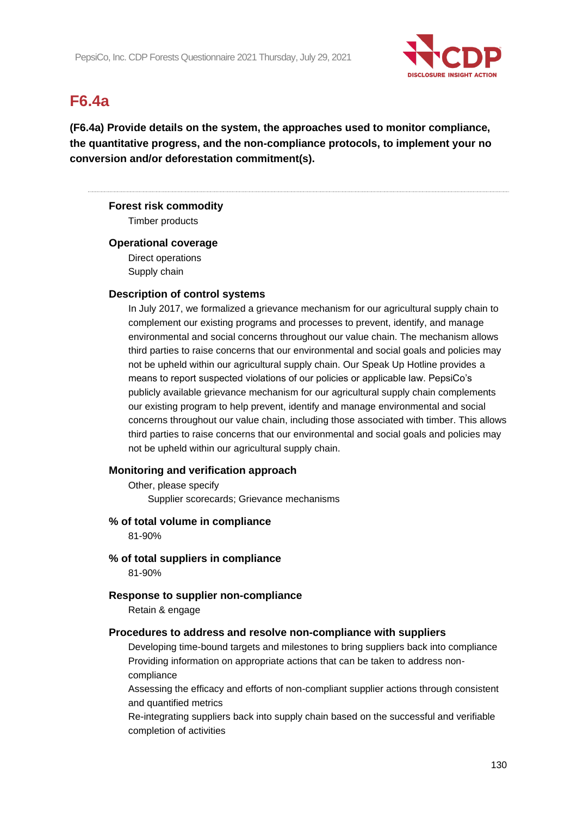

# **F6.4a**

**(F6.4a) Provide details on the system, the approaches used to monitor compliance, the quantitative progress, and the non-compliance protocols, to implement your no conversion and/or deforestation commitment(s).**

#### **Forest risk commodity**

Timber products

#### **Operational coverage**

Direct operations Supply chain

#### **Description of control systems**

In July 2017, we formalized a grievance mechanism for our agricultural supply chain to complement our existing programs and processes to prevent, identify, and manage environmental and social concerns throughout our value chain. The mechanism allows third parties to raise concerns that our environmental and social goals and policies may not be upheld within our agricultural supply chain. Our Speak Up Hotline provides a means to report suspected violations of our policies or applicable law. PepsiCo's publicly available grievance mechanism for our agricultural supply chain complements our existing program to help prevent, identify and manage environmental and social concerns throughout our value chain, including those associated with timber. This allows third parties to raise concerns that our environmental and social goals and policies may not be upheld within our agricultural supply chain.

## **Monitoring and verification approach**

Other, please specify Supplier scorecards; Grievance mechanisms

#### **% of total volume in compliance**

81-90%

**% of total suppliers in compliance** 81-90%

#### **Response to supplier non-compliance**

Retain & engage

#### **Procedures to address and resolve non-compliance with suppliers**

Developing time-bound targets and milestones to bring suppliers back into compliance Providing information on appropriate actions that can be taken to address noncompliance

Assessing the efficacy and efforts of non-compliant supplier actions through consistent and quantified metrics

Re-integrating suppliers back into supply chain based on the successful and verifiable completion of activities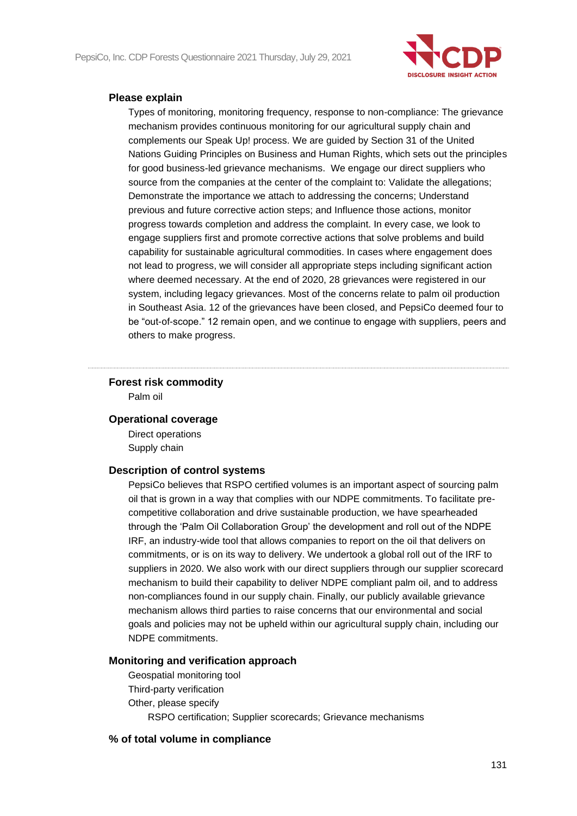

#### **Please explain**

Types of monitoring, monitoring frequency, response to non-compliance: The grievance mechanism provides continuous monitoring for our agricultural supply chain and complements our Speak Up! process. We are guided by Section 31 of the United Nations Guiding Principles on Business and Human Rights, which sets out the principles for good business-led grievance mechanisms. We engage our direct suppliers who source from the companies at the center of the complaint to: Validate the allegations; Demonstrate the importance we attach to addressing the concerns; Understand previous and future corrective action steps; and Influence those actions, monitor progress towards completion and address the complaint. In every case, we look to engage suppliers first and promote corrective actions that solve problems and build capability for sustainable agricultural commodities. In cases where engagement does not lead to progress, we will consider all appropriate steps including significant action where deemed necessary. At the end of 2020, 28 grievances were registered in our system, including legacy grievances. Most of the concerns relate to palm oil production in Southeast Asia. 12 of the grievances have been closed, and PepsiCo deemed four to be "out-of-scope." 12 remain open, and we continue to engage with suppliers, peers and others to make progress.

## **Forest risk commodity**

Palm oil

## **Operational coverage**

Direct operations Supply chain

#### **Description of control systems**

PepsiCo believes that RSPO certified volumes is an important aspect of sourcing palm oil that is grown in a way that complies with our NDPE commitments. To facilitate precompetitive collaboration and drive sustainable production, we have spearheaded through the 'Palm Oil Collaboration Group' the development and roll out of the NDPE IRF, an industry-wide tool that allows companies to report on the oil that delivers on commitments, or is on its way to delivery. We undertook a global roll out of the IRF to suppliers in 2020. We also work with our direct suppliers through our supplier scorecard mechanism to build their capability to deliver NDPE compliant palm oil, and to address non-compliances found in our supply chain. Finally, our publicly available grievance mechanism allows third parties to raise concerns that our environmental and social goals and policies may not be upheld within our agricultural supply chain, including our NDPE commitments.

## **Monitoring and verification approach**

Geospatial monitoring tool Third-party verification Other, please specify RSPO certification; Supplier scorecards; Grievance mechanisms

## **% of total volume in compliance**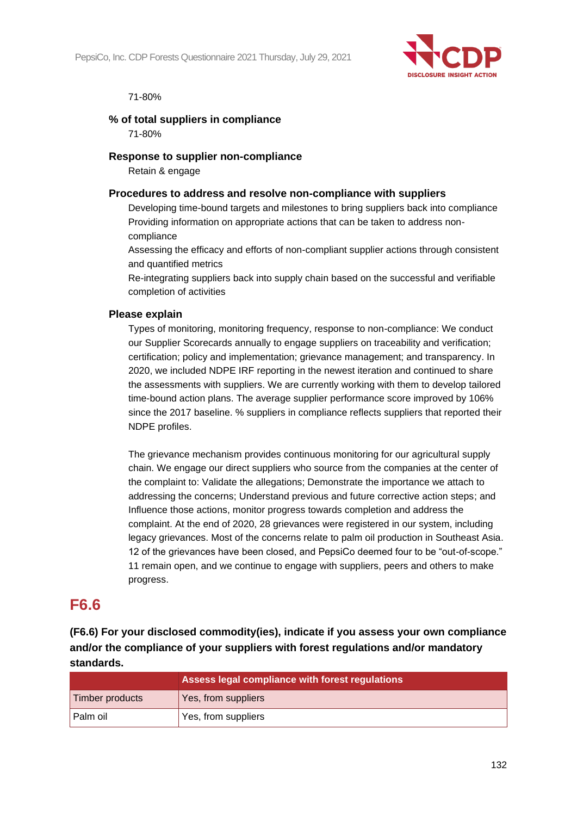

#### 71-80%

#### **% of total suppliers in compliance**

71-80%

#### **Response to supplier non-compliance**

Retain & engage

#### **Procedures to address and resolve non-compliance with suppliers**

Developing time-bound targets and milestones to bring suppliers back into compliance Providing information on appropriate actions that can be taken to address noncompliance

Assessing the efficacy and efforts of non-compliant supplier actions through consistent and quantified metrics

Re-integrating suppliers back into supply chain based on the successful and verifiable completion of activities

#### **Please explain**

Types of monitoring, monitoring frequency, response to non-compliance: We conduct our Supplier Scorecards annually to engage suppliers on traceability and verification; certification; policy and implementation; grievance management; and transparency. In 2020, we included NDPE IRF reporting in the newest iteration and continued to share the assessments with suppliers. We are currently working with them to develop tailored time-bound action plans. The average supplier performance score improved by 106% since the 2017 baseline. % suppliers in compliance reflects suppliers that reported their NDPE profiles.

The grievance mechanism provides continuous monitoring for our agricultural supply chain. We engage our direct suppliers who source from the companies at the center of the complaint to: Validate the allegations; Demonstrate the importance we attach to addressing the concerns; Understand previous and future corrective action steps; and Influence those actions, monitor progress towards completion and address the complaint. At the end of 2020, 28 grievances were registered in our system, including legacy grievances. Most of the concerns relate to palm oil production in Southeast Asia. 12 of the grievances have been closed, and PepsiCo deemed four to be "out-of-scope." 11 remain open, and we continue to engage with suppliers, peers and others to make progress.

## **F6.6**

**(F6.6) For your disclosed commodity(ies), indicate if you assess your own compliance and/or the compliance of your suppliers with forest regulations and/or mandatory standards.**

| Assess legal compliance with forest regulations |                     |  |
|-------------------------------------------------|---------------------|--|
| Timber products                                 | Yes, from suppliers |  |
| Palm oil                                        | Yes, from suppliers |  |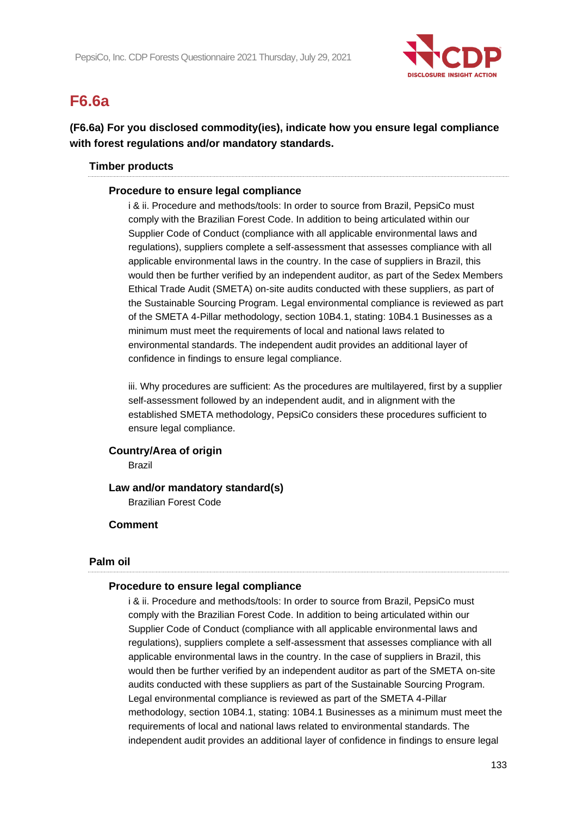

# **F6.6a**

## **(F6.6a) For you disclosed commodity(ies), indicate how you ensure legal compliance with forest regulations and/or mandatory standards.**

## **Timber products**

#### **Procedure to ensure legal compliance**

i & ii. Procedure and methods/tools: In order to source from Brazil, PepsiCo must comply with the Brazilian Forest Code. In addition to being articulated within our Supplier Code of Conduct (compliance with all applicable environmental laws and regulations), suppliers complete a self-assessment that assesses compliance with all applicable environmental laws in the country. In the case of suppliers in Brazil, this would then be further verified by an independent auditor, as part of the Sedex Members Ethical Trade Audit (SMETA) on-site audits conducted with these suppliers, as part of the Sustainable Sourcing Program. Legal environmental compliance is reviewed as part of the SMETA 4-Pillar methodology, section 10B4.1, stating: 10B4.1 Businesses as a minimum must meet the requirements of local and national laws related to environmental standards. The independent audit provides an additional layer of confidence in findings to ensure legal compliance.

iii. Why procedures are sufficient: As the procedures are multilayered, first by a supplier self-assessment followed by an independent audit, and in alignment with the established SMETA methodology, PepsiCo considers these procedures sufficient to ensure legal compliance.

#### **Country/Area of origin**

Brazil

## **Law and/or mandatory standard(s)**

Brazilian Forest Code

## **Comment**

#### **Palm oil**

#### **Procedure to ensure legal compliance**

i & ii. Procedure and methods/tools: In order to source from Brazil, PepsiCo must comply with the Brazilian Forest Code. In addition to being articulated within our Supplier Code of Conduct (compliance with all applicable environmental laws and regulations), suppliers complete a self-assessment that assesses compliance with all applicable environmental laws in the country. In the case of suppliers in Brazil, this would then be further verified by an independent auditor as part of the SMETA on-site audits conducted with these suppliers as part of the Sustainable Sourcing Program. Legal environmental compliance is reviewed as part of the SMETA 4-Pillar methodology, section 10B4.1, stating: 10B4.1 Businesses as a minimum must meet the requirements of local and national laws related to environmental standards. The independent audit provides an additional layer of confidence in findings to ensure legal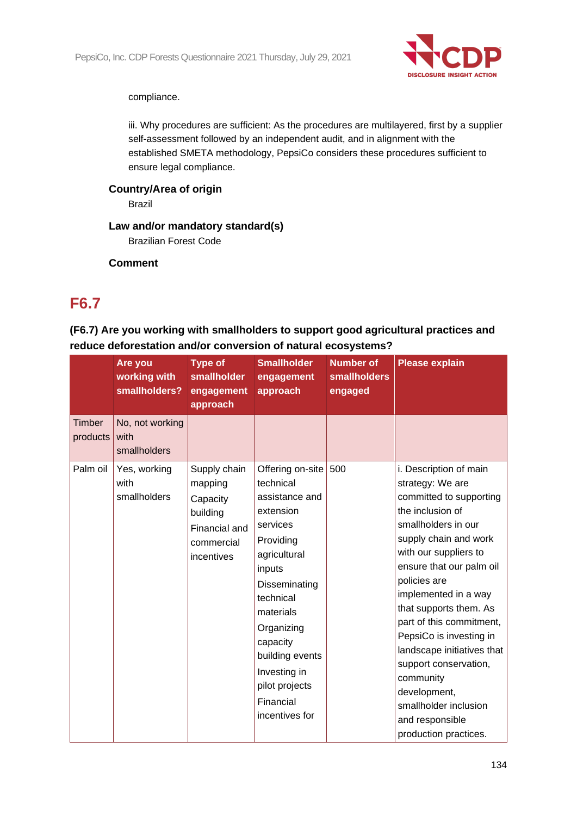

compliance.

iii. Why procedures are sufficient: As the procedures are multilayered, first by a supplier self-assessment followed by an independent audit, and in alignment with the established SMETA methodology, PepsiCo considers these procedures sufficient to ensure legal compliance.

**Country/Area of origin**

Brazil

## **Law and/or mandatory standard(s)**

Brazilian Forest Code

**Comment**

## **F6.7**

## **(F6.7) Are you working with smallholders to support good agricultural practices and reduce deforestation and/or conversion of natural ecosystems?**

|                           | Are you<br>working with<br>smallholders? | <b>Type of</b><br>smallholder<br>engagement<br>approach                                      | <b>Smallholder</b><br>engagement<br>approach                                                                                                                                                                                                                             | <b>Number of</b><br><b>smallholders</b><br>engaged | <b>Please explain</b>                                                                                                                                                                                                                                                                                                                                                                                                                                                            |
|---------------------------|------------------------------------------|----------------------------------------------------------------------------------------------|--------------------------------------------------------------------------------------------------------------------------------------------------------------------------------------------------------------------------------------------------------------------------|----------------------------------------------------|----------------------------------------------------------------------------------------------------------------------------------------------------------------------------------------------------------------------------------------------------------------------------------------------------------------------------------------------------------------------------------------------------------------------------------------------------------------------------------|
| <b>Timber</b><br>products | No, not working<br>with<br>smallholders  |                                                                                              |                                                                                                                                                                                                                                                                          |                                                    |                                                                                                                                                                                                                                                                                                                                                                                                                                                                                  |
| Palm oil                  | Yes, working<br>with<br>smallholders     | Supply chain<br>mapping<br>Capacity<br>building<br>Financial and<br>commercial<br>incentives | Offering on-site<br>technical<br>assistance and<br>extension<br>services<br>Providing<br>agricultural<br>inputs<br>Disseminating<br>technical<br>materials<br>Organizing<br>capacity<br>building events<br>Investing in<br>pilot projects<br>Financial<br>incentives for | 500                                                | i. Description of main<br>strategy: We are<br>committed to supporting<br>the inclusion of<br>smallholders in our<br>supply chain and work<br>with our suppliers to<br>ensure that our palm oil<br>policies are<br>implemented in a way<br>that supports them. As<br>part of this commitment,<br>PepsiCo is investing in<br>landscape initiatives that<br>support conservation,<br>community<br>development,<br>smallholder inclusion<br>and responsible<br>production practices. |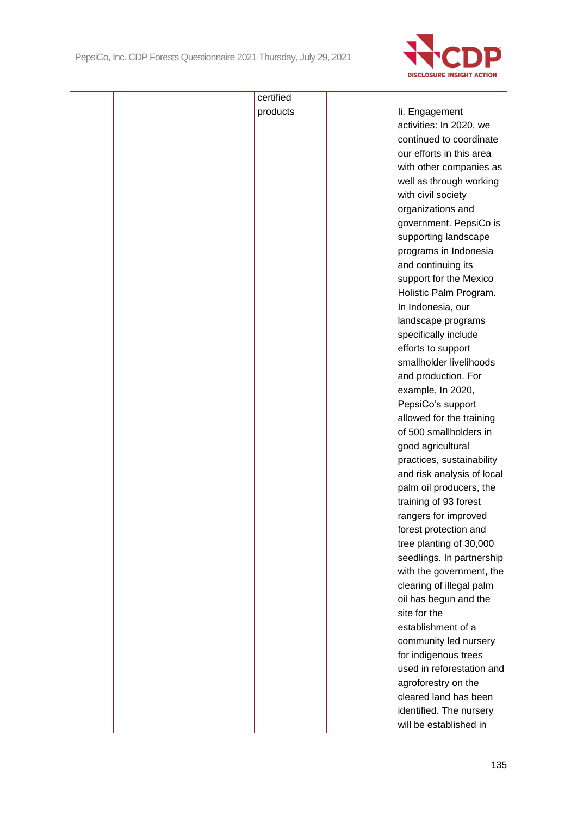

|  |  | certified |                            |  |
|--|--|-----------|----------------------------|--|
|  |  | products  | li. Engagement             |  |
|  |  |           | activities: In 2020, we    |  |
|  |  |           | continued to coordinate    |  |
|  |  |           | our efforts in this area   |  |
|  |  |           | with other companies as    |  |
|  |  |           | well as through working    |  |
|  |  |           | with civil society         |  |
|  |  |           | organizations and          |  |
|  |  |           | government. PepsiCo is     |  |
|  |  |           | supporting landscape       |  |
|  |  |           | programs in Indonesia      |  |
|  |  |           | and continuing its         |  |
|  |  |           | support for the Mexico     |  |
|  |  |           | Holistic Palm Program.     |  |
|  |  |           | In Indonesia, our          |  |
|  |  |           | landscape programs         |  |
|  |  |           | specifically include       |  |
|  |  |           | efforts to support         |  |
|  |  |           | smallholder livelihoods    |  |
|  |  |           | and production. For        |  |
|  |  |           | example, In 2020,          |  |
|  |  |           | PepsiCo's support          |  |
|  |  |           | allowed for the training   |  |
|  |  |           | of 500 smallholders in     |  |
|  |  |           | good agricultural          |  |
|  |  |           | practices, sustainability  |  |
|  |  |           | and risk analysis of local |  |
|  |  |           | palm oil producers, the    |  |
|  |  |           | training of 93 forest      |  |
|  |  |           | rangers for improved       |  |
|  |  |           | forest protection and      |  |
|  |  |           | tree planting of 30,000    |  |
|  |  |           | seedlings. In partnership  |  |
|  |  |           | with the government, the   |  |
|  |  |           | clearing of illegal palm   |  |
|  |  |           | oil has begun and the      |  |
|  |  |           | site for the               |  |
|  |  |           | establishment of a         |  |
|  |  |           | community led nursery      |  |
|  |  |           | for indigenous trees       |  |
|  |  |           | used in reforestation and  |  |
|  |  |           | agroforestry on the        |  |
|  |  |           | cleared land has been      |  |
|  |  |           | identified. The nursery    |  |
|  |  |           | will be established in     |  |
|  |  |           |                            |  |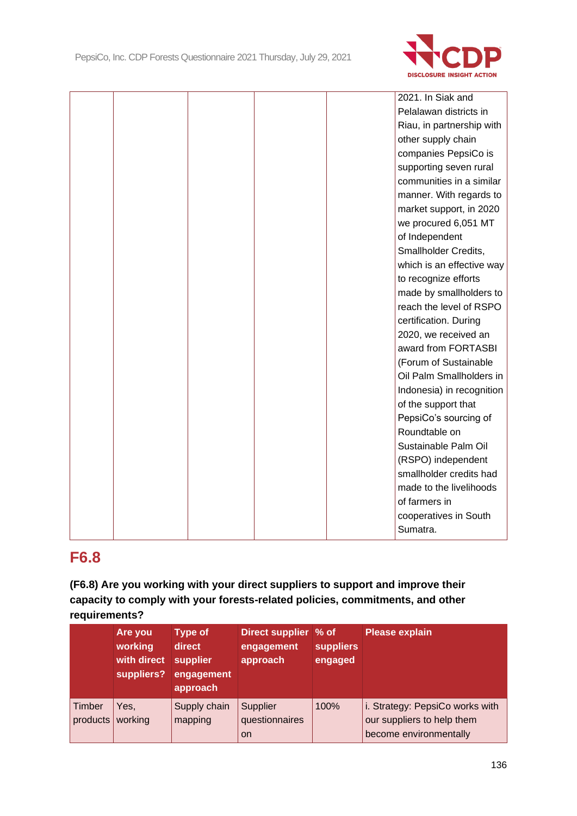

|  |  | 2021. In Siak and         |
|--|--|---------------------------|
|  |  | Pelalawan districts in    |
|  |  | Riau, in partnership with |
|  |  | other supply chain        |
|  |  | companies PepsiCo is      |
|  |  | supporting seven rural    |
|  |  | communities in a similar  |
|  |  | manner. With regards to   |
|  |  | market support, in 2020   |
|  |  | we procured 6,051 MT      |
|  |  | of Independent            |
|  |  | Smallholder Credits,      |
|  |  | which is an effective way |
|  |  | to recognize efforts      |
|  |  | made by smallholders to   |
|  |  | reach the level of RSPO   |
|  |  | certification. During     |
|  |  | 2020, we received an      |
|  |  | award from FORTASBI       |
|  |  | (Forum of Sustainable     |
|  |  | Oil Palm Smallholders in  |
|  |  | Indonesia) in recognition |
|  |  | of the support that       |
|  |  | PepsiCo's sourcing of     |
|  |  | Roundtable on             |
|  |  | Sustainable Palm Oil      |
|  |  | (RSPO) independent        |
|  |  | smallholder credits had   |
|  |  | made to the livelihoods   |
|  |  | of farmers in             |
|  |  | cooperatives in South     |
|  |  | Sumatra.                  |

## **F6.8**

**(F6.8) Are you working with your direct suppliers to support and improve their capacity to comply with your forests-related policies, commitments, and other requirements?**

|                    | Are you<br>working<br>with direct<br>suppliers? | <b>Type of</b><br>direct<br>supplier<br>engagement<br>approach | Direct supplier % of<br>engagement<br>approach | <b>suppliers</b><br>engaged | <b>Please explain</b>                                         |
|--------------------|-------------------------------------------------|----------------------------------------------------------------|------------------------------------------------|-----------------------------|---------------------------------------------------------------|
| Timber<br>products | Yes,<br>working                                 | Supply chain<br>mapping                                        | Supplier<br>questionnaires                     | 100%                        | i. Strategy: PepsiCo works with<br>our suppliers to help them |
|                    |                                                 |                                                                | <b>on</b>                                      |                             | become environmentally                                        |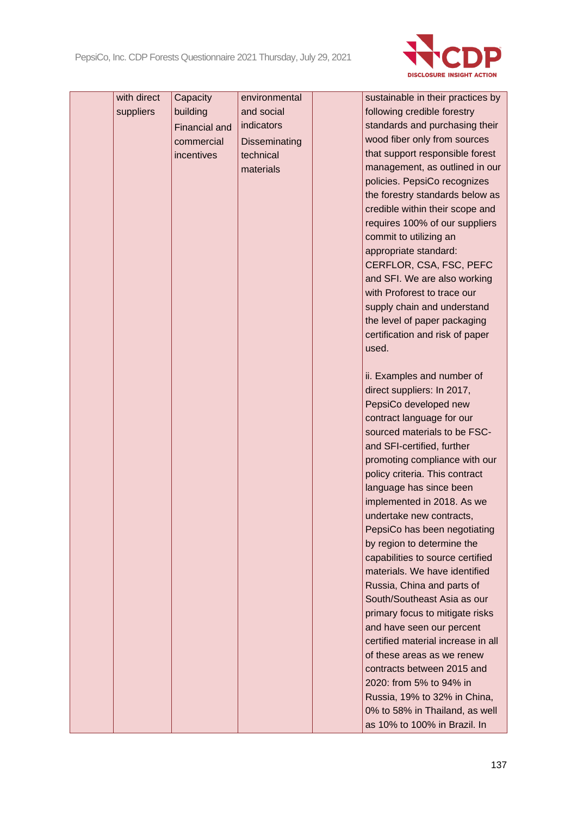

| with direct | Capacity             | environmental        | sustainable in their practices by                         |
|-------------|----------------------|----------------------|-----------------------------------------------------------|
| suppliers   | building             | and social           | following credible forestry                               |
|             | <b>Financial and</b> | indicators           | standards and purchasing their                            |
|             | commercial           | <b>Disseminating</b> | wood fiber only from sources                              |
|             | incentives           | technical            | that support responsible forest                           |
|             |                      | materials            | management, as outlined in our                            |
|             |                      |                      | policies. PepsiCo recognizes                              |
|             |                      |                      | the forestry standards below as                           |
|             |                      |                      | credible within their scope and                           |
|             |                      |                      | requires 100% of our suppliers                            |
|             |                      |                      | commit to utilizing an                                    |
|             |                      |                      | appropriate standard:                                     |
|             |                      |                      | CERFLOR, CSA, FSC, PEFC                                   |
|             |                      |                      | and SFI. We are also working                              |
|             |                      |                      | with Proforest to trace our                               |
|             |                      |                      | supply chain and understand                               |
|             |                      |                      | the level of paper packaging                              |
|             |                      |                      | certification and risk of paper                           |
|             |                      |                      | used.                                                     |
|             |                      |                      |                                                           |
|             |                      |                      | ii. Examples and number of                                |
|             |                      |                      | direct suppliers: In 2017,                                |
|             |                      |                      | PepsiCo developed new                                     |
|             |                      |                      | contract language for our                                 |
|             |                      |                      | sourced materials to be FSC-                              |
|             |                      |                      | and SFI-certified, further                                |
|             |                      |                      | promoting compliance with our                             |
|             |                      |                      | policy criteria. This contract<br>language has since been |
|             |                      |                      | implemented in 2018. As we                                |
|             |                      |                      | undertake new contracts,                                  |
|             |                      |                      | PepsiCo has been negotiating                              |
|             |                      |                      | by region to determine the                                |
|             |                      |                      | capabilities to source certified                          |
|             |                      |                      | materials. We have identified                             |
|             |                      |                      | Russia, China and parts of                                |
|             |                      |                      | South/Southeast Asia as our                               |
|             |                      |                      | primary focus to mitigate risks                           |
|             |                      |                      | and have seen our percent                                 |
|             |                      |                      | certified material increase in all                        |
|             |                      |                      | of these areas as we renew                                |
|             |                      |                      | contracts between 2015 and                                |
|             |                      |                      | 2020: from 5% to 94% in                                   |
|             |                      |                      | Russia, 19% to 32% in China,                              |
|             |                      |                      | 0% to 58% in Thailand, as well                            |
|             |                      |                      | as 10% to 100% in Brazil. In                              |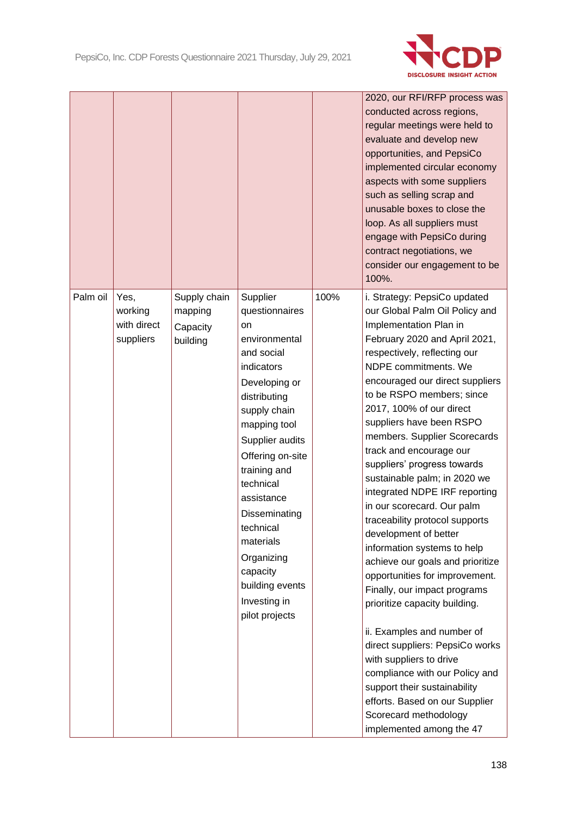

|          |                                             |                                                 |                                                                                                                                                                                                                                                                                                                                                            |      | 2020, our RFI/RFP process was<br>conducted across regions,<br>regular meetings were held to<br>evaluate and develop new<br>opportunities, and PepsiCo<br>implemented circular economy<br>aspects with some suppliers<br>such as selling scrap and<br>unusable boxes to close the<br>loop. As all suppliers must<br>engage with PepsiCo during<br>contract negotiations, we<br>consider our engagement to be<br>100%.                                                                                                                                                                                                                                                                                                                                                                                                                                                                                                                                                                     |
|----------|---------------------------------------------|-------------------------------------------------|------------------------------------------------------------------------------------------------------------------------------------------------------------------------------------------------------------------------------------------------------------------------------------------------------------------------------------------------------------|------|------------------------------------------------------------------------------------------------------------------------------------------------------------------------------------------------------------------------------------------------------------------------------------------------------------------------------------------------------------------------------------------------------------------------------------------------------------------------------------------------------------------------------------------------------------------------------------------------------------------------------------------------------------------------------------------------------------------------------------------------------------------------------------------------------------------------------------------------------------------------------------------------------------------------------------------------------------------------------------------|
| Palm oil | Yes,<br>working<br>with direct<br>suppliers | Supply chain<br>mapping<br>Capacity<br>building | Supplier<br>questionnaires<br>on<br>environmental<br>and social<br>indicators<br>Developing or<br>distributing<br>supply chain<br>mapping tool<br>Supplier audits<br>Offering on-site<br>training and<br>technical<br>assistance<br>Disseminating<br>technical<br>materials<br>Organizing<br>capacity<br>building events<br>Investing in<br>pilot projects | 100% | i. Strategy: PepsiCo updated<br>our Global Palm Oil Policy and<br>Implementation Plan in<br>February 2020 and April 2021,<br>respectively, reflecting our<br>NDPE commitments. We<br>encouraged our direct suppliers<br>to be RSPO members; since<br>2017, 100% of our direct<br>suppliers have been RSPO<br>members. Supplier Scorecards<br>track and encourage our<br>suppliers' progress towards<br>sustainable palm; in 2020 we<br>integrated NDPE IRF reporting<br>in our scorecard. Our palm<br>traceability protocol supports<br>development of better<br>information systems to help<br>achieve our goals and prioritize<br>opportunities for improvement.<br>Finally, our impact programs<br>prioritize capacity building.<br>ii. Examples and number of<br>direct suppliers: PepsiCo works<br>with suppliers to drive<br>compliance with our Policy and<br>support their sustainability<br>efforts. Based on our Supplier<br>Scorecard methodology<br>implemented among the 47 |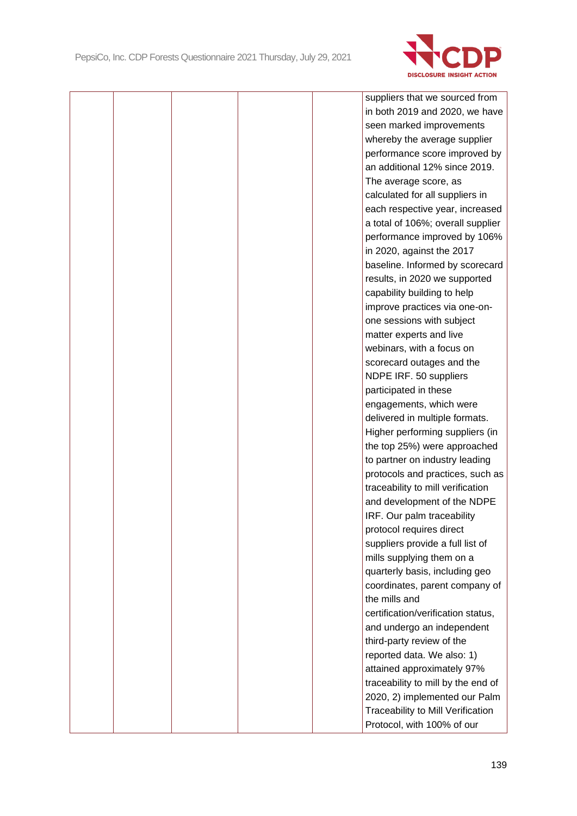

|  |  | suppliers that we sourced from     |
|--|--|------------------------------------|
|  |  | in both 2019 and 2020, we have     |
|  |  | seen marked improvements           |
|  |  | whereby the average supplier       |
|  |  | performance score improved by      |
|  |  | an additional 12% since 2019.      |
|  |  | The average score, as              |
|  |  | calculated for all suppliers in    |
|  |  | each respective year, increased    |
|  |  | a total of 106%; overall supplier  |
|  |  | performance improved by 106%       |
|  |  | in 2020, against the 2017          |
|  |  | baseline. Informed by scorecard    |
|  |  | results, in 2020 we supported      |
|  |  | capability building to help        |
|  |  | improve practices via one-on-      |
|  |  | one sessions with subject          |
|  |  | matter experts and live            |
|  |  | webinars, with a focus on          |
|  |  | scorecard outages and the          |
|  |  | NDPE IRF. 50 suppliers             |
|  |  | participated in these              |
|  |  | engagements, which were            |
|  |  | delivered in multiple formats.     |
|  |  | Higher performing suppliers (in    |
|  |  | the top 25%) were approached       |
|  |  | to partner on industry leading     |
|  |  | protocols and practices, such as   |
|  |  | traceability to mill verification  |
|  |  | and development of the NDPE        |
|  |  | IRF. Our palm traceability         |
|  |  | protocol requires direct           |
|  |  | suppliers provide a full list of   |
|  |  | mills supplying them on a          |
|  |  | quarterly basis, including geo     |
|  |  | coordinates, parent company of     |
|  |  | the mills and                      |
|  |  | certification/verification status, |
|  |  | and undergo an independent         |
|  |  | third-party review of the          |
|  |  | reported data. We also: 1)         |
|  |  | attained approximately 97%         |
|  |  | traceability to mill by the end of |
|  |  | 2020, 2) implemented our Palm      |
|  |  | Traceability to Mill Verification  |
|  |  | Protocol, with 100% of our         |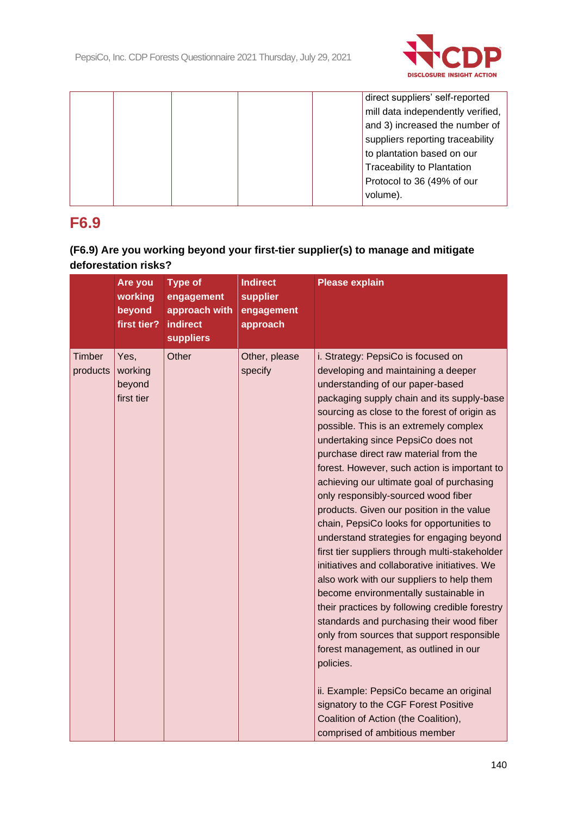

|  |  |  | direct suppliers' self-reported   |
|--|--|--|-----------------------------------|
|  |  |  | mill data independently verified, |
|  |  |  | and 3) increased the number of    |
|  |  |  | suppliers reporting traceability  |
|  |  |  | to plantation based on our        |
|  |  |  | <b>Traceability to Plantation</b> |
|  |  |  | Protocol to 36 (49% of our        |
|  |  |  | volume).                          |
|  |  |  |                                   |

## **F6.9**

## **(F6.9) Are you working beyond your first-tier supplier(s) to manage and mitigate deforestation risks?**

|                    | Are you<br>working<br>beyond<br>first tier? | <b>Type of</b><br>engagement<br>approach with<br><b>indirect</b><br><b>suppliers</b> | <b>Indirect</b><br>supplier<br>engagement<br>approach | <b>Please explain</b>                                                                                                                                                                                                                                                                                                                                                                                                                                                                                                                                                                                                                                                                                                                                                                                                                                                                                                                                                                                                                                                                                                                                                   |
|--------------------|---------------------------------------------|--------------------------------------------------------------------------------------|-------------------------------------------------------|-------------------------------------------------------------------------------------------------------------------------------------------------------------------------------------------------------------------------------------------------------------------------------------------------------------------------------------------------------------------------------------------------------------------------------------------------------------------------------------------------------------------------------------------------------------------------------------------------------------------------------------------------------------------------------------------------------------------------------------------------------------------------------------------------------------------------------------------------------------------------------------------------------------------------------------------------------------------------------------------------------------------------------------------------------------------------------------------------------------------------------------------------------------------------|
| Timber<br>products | Yes,<br>working<br>beyond<br>first tier     | Other                                                                                | Other, please<br>specify                              | i. Strategy: PepsiCo is focused on<br>developing and maintaining a deeper<br>understanding of our paper-based<br>packaging supply chain and its supply-base<br>sourcing as close to the forest of origin as<br>possible. This is an extremely complex<br>undertaking since PepsiCo does not<br>purchase direct raw material from the<br>forest. However, such action is important to<br>achieving our ultimate goal of purchasing<br>only responsibly-sourced wood fiber<br>products. Given our position in the value<br>chain, PepsiCo looks for opportunities to<br>understand strategies for engaging beyond<br>first tier suppliers through multi-stakeholder<br>initiatives and collaborative initiatives. We<br>also work with our suppliers to help them<br>become environmentally sustainable in<br>their practices by following credible forestry<br>standards and purchasing their wood fiber<br>only from sources that support responsible<br>forest management, as outlined in our<br>policies.<br>ii. Example: PepsiCo became an original<br>signatory to the CGF Forest Positive<br>Coalition of Action (the Coalition),<br>comprised of ambitious member |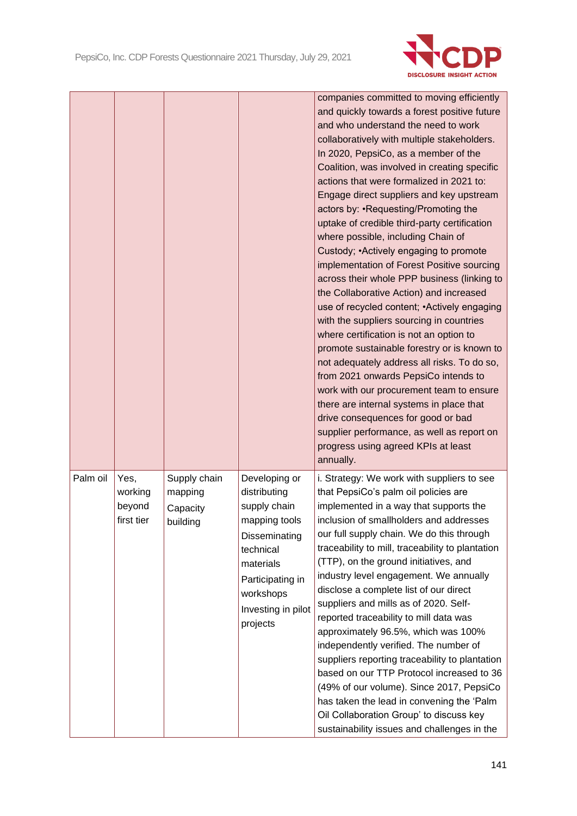

|          |                                         |                                                 |                                                                                                                                                                              | companies committed to moving efficiently<br>and quickly towards a forest positive future<br>and who understand the need to work<br>collaboratively with multiple stakeholders.<br>In 2020, PepsiCo, as a member of the<br>Coalition, was involved in creating specific<br>actions that were formalized in 2021 to:<br>Engage direct suppliers and key upstream<br>actors by: • Requesting/Promoting the<br>uptake of credible third-party certification<br>where possible, including Chain of<br>Custody; • Actively engaging to promote<br>implementation of Forest Positive sourcing<br>across their whole PPP business (linking to<br>the Collaborative Action) and increased<br>use of recycled content; • Actively engaging<br>with the suppliers sourcing in countries<br>where certification is not an option to<br>promote sustainable forestry or is known to<br>not adequately address all risks. To do so,<br>from 2021 onwards PepsiCo intends to<br>work with our procurement team to ensure<br>there are internal systems in place that<br>drive consequences for good or bad<br>supplier performance, as well as report on<br>progress using agreed KPIs at least<br>annually. |
|----------|-----------------------------------------|-------------------------------------------------|------------------------------------------------------------------------------------------------------------------------------------------------------------------------------|------------------------------------------------------------------------------------------------------------------------------------------------------------------------------------------------------------------------------------------------------------------------------------------------------------------------------------------------------------------------------------------------------------------------------------------------------------------------------------------------------------------------------------------------------------------------------------------------------------------------------------------------------------------------------------------------------------------------------------------------------------------------------------------------------------------------------------------------------------------------------------------------------------------------------------------------------------------------------------------------------------------------------------------------------------------------------------------------------------------------------------------------------------------------------------------------|
| Palm oil | Yes,<br>working<br>beyond<br>first tier | Supply chain<br>mapping<br>Capacity<br>building | Developing or<br>distributing<br>supply chain<br>mapping tools<br>Disseminating<br>technical<br>materials<br>Participating in<br>workshops<br>Investing in pilot<br>projects | i. Strategy: We work with suppliers to see<br>that PepsiCo's palm oil policies are<br>implemented in a way that supports the<br>inclusion of smallholders and addresses<br>our full supply chain. We do this through<br>traceability to mill, traceability to plantation<br>(TTP), on the ground initiatives, and<br>industry level engagement. We annually<br>disclose a complete list of our direct<br>suppliers and mills as of 2020. Self-<br>reported traceability to mill data was<br>approximately 96.5%, which was 100%<br>independently verified. The number of<br>suppliers reporting traceability to plantation<br>based on our TTP Protocol increased to 36<br>(49% of our volume). Since 2017, PepsiCo<br>has taken the lead in convening the 'Palm<br>Oil Collaboration Group' to discuss key<br>sustainability issues and challenges in the                                                                                                                                                                                                                                                                                                                                     |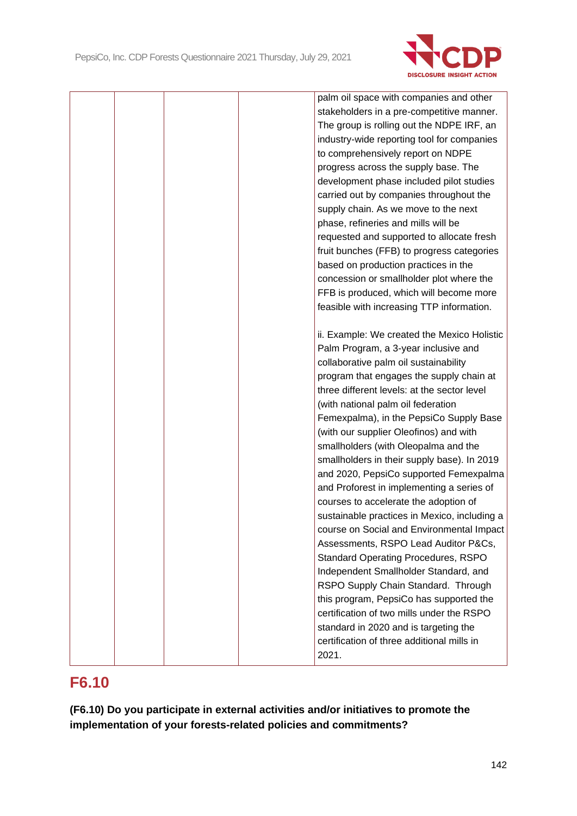

|  |  | palm oil space with companies and other      |
|--|--|----------------------------------------------|
|  |  | stakeholders in a pre-competitive manner.    |
|  |  | The group is rolling out the NDPE IRF, an    |
|  |  | industry-wide reporting tool for companies   |
|  |  | to comprehensively report on NDPE            |
|  |  | progress across the supply base. The         |
|  |  | development phase included pilot studies     |
|  |  | carried out by companies throughout the      |
|  |  | supply chain. As we move to the next         |
|  |  | phase, refineries and mills will be          |
|  |  | requested and supported to allocate fresh    |
|  |  | fruit bunches (FFB) to progress categories   |
|  |  | based on production practices in the         |
|  |  | concession or smallholder plot where the     |
|  |  | FFB is produced, which will become more      |
|  |  | feasible with increasing TTP information.    |
|  |  |                                              |
|  |  | ii. Example: We created the Mexico Holistic  |
|  |  | Palm Program, a 3-year inclusive and         |
|  |  | collaborative palm oil sustainability        |
|  |  | program that engages the supply chain at     |
|  |  | three different levels: at the sector level  |
|  |  | (with national palm oil federation           |
|  |  | Femexpalma), in the PepsiCo Supply Base      |
|  |  | (with our supplier Oleofinos) and with       |
|  |  | smallholders (with Oleopalma and the         |
|  |  | smallholders in their supply base). In 2019  |
|  |  | and 2020, PepsiCo supported Femexpalma       |
|  |  | and Proforest in implementing a series of    |
|  |  | courses to accelerate the adoption of        |
|  |  | sustainable practices in Mexico, including a |
|  |  | course on Social and Environmental Impact    |
|  |  | Assessments, RSPO Lead Auditor P&Cs,         |
|  |  | <b>Standard Operating Procedures, RSPO</b>   |
|  |  | Independent Smallholder Standard, and        |
|  |  | RSPO Supply Chain Standard. Through          |
|  |  | this program, PepsiCo has supported the      |
|  |  | certification of two mills under the RSPO    |
|  |  | standard in 2020 and is targeting the        |
|  |  | certification of three additional mills in   |
|  |  | 2021.                                        |
|  |  |                                              |

# **F6.10**

**(F6.10) Do you participate in external activities and/or initiatives to promote the implementation of your forests-related policies and commitments?**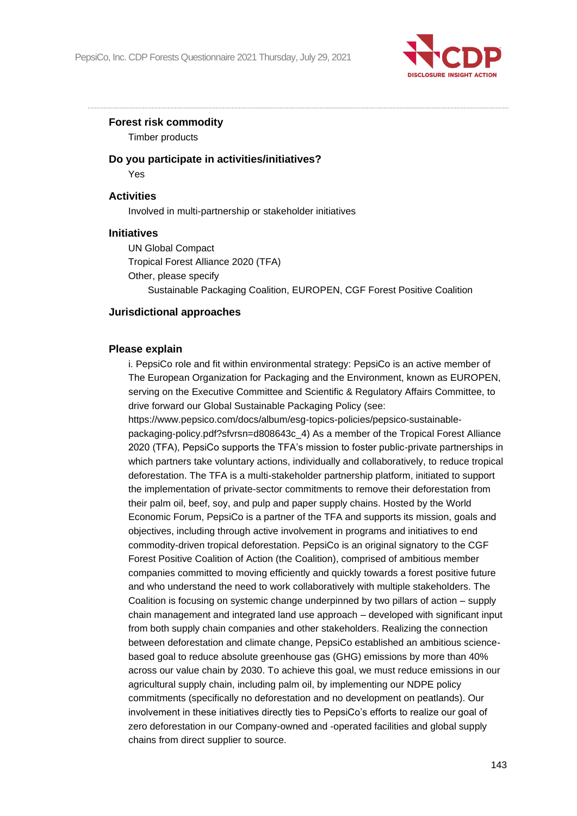

#### **Forest risk commodity**

Timber products

#### **Do you participate in activities/initiatives?**

Yes

#### **Activities**

Involved in multi-partnership or stakeholder initiatives

#### **Initiatives**

UN Global Compact Tropical Forest Alliance 2020 (TFA) Other, please specify Sustainable Packaging Coalition, EUROPEN, CGF Forest Positive Coalition

#### **Jurisdictional approaches**

#### **Please explain**

i. PepsiCo role and fit within environmental strategy: PepsiCo is an active member of The European Organization for Packaging and the Environment, known as EUROPEN, serving on the Executive Committee and Scientific & Regulatory Affairs Committee, to drive forward our Global Sustainable Packaging Policy (see:

https://www.pepsico.com/docs/album/esg-topics-policies/pepsico-sustainablepackaging-policy.pdf?sfvrsn=d808643c\_4) As a member of the Tropical Forest Alliance 2020 (TFA), PepsiCo supports the TFA's mission to foster public-private partnerships in which partners take voluntary actions, individually and collaboratively, to reduce tropical deforestation. The TFA is a multi-stakeholder partnership platform, initiated to support the implementation of private-sector commitments to remove their deforestation from their palm oil, beef, soy, and pulp and paper supply chains. Hosted by the World Economic Forum, PepsiCo is a partner of the TFA and supports its mission, goals and objectives, including through active involvement in programs and initiatives to end commodity-driven tropical deforestation. PepsiCo is an original signatory to the CGF Forest Positive Coalition of Action (the Coalition), comprised of ambitious member companies committed to moving efficiently and quickly towards a forest positive future and who understand the need to work collaboratively with multiple stakeholders. The Coalition is focusing on systemic change underpinned by two pillars of action – supply chain management and integrated land use approach – developed with significant input from both supply chain companies and other stakeholders. Realizing the connection between deforestation and climate change, PepsiCo established an ambitious sciencebased goal to reduce absolute greenhouse gas (GHG) emissions by more than 40% across our value chain by 2030. To achieve this goal, we must reduce emissions in our agricultural supply chain, including palm oil, by implementing our NDPE policy commitments (specifically no deforestation and no development on peatlands). Our involvement in these initiatives directly ties to PepsiCo's efforts to realize our goal of zero deforestation in our Company-owned and -operated facilities and global supply chains from direct supplier to source.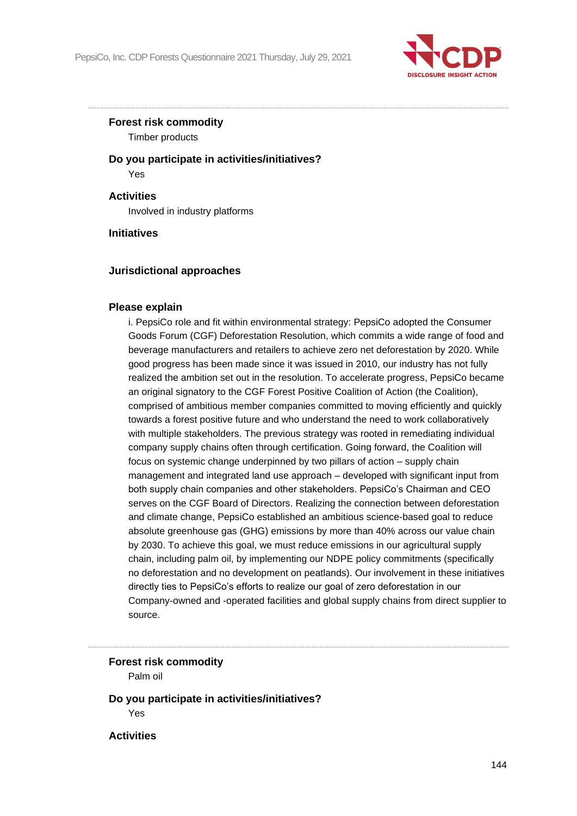

## **Forest risk commodity**

Timber products

**Do you participate in activities/initiatives?** Yes

**Activities**

Involved in industry platforms

**Initiatives**

## **Jurisdictional approaches**

#### **Please explain**

i. PepsiCo role and fit within environmental strategy: PepsiCo adopted the Consumer Goods Forum (CGF) Deforestation Resolution, which commits a wide range of food and beverage manufacturers and retailers to achieve zero net deforestation by 2020. While good progress has been made since it was issued in 2010, our industry has not fully realized the ambition set out in the resolution. To accelerate progress, PepsiCo became an original signatory to the CGF Forest Positive Coalition of Action (the Coalition), comprised of ambitious member companies committed to moving efficiently and quickly towards a forest positive future and who understand the need to work collaboratively with multiple stakeholders. The previous strategy was rooted in remediating individual company supply chains often through certification. Going forward, the Coalition will focus on systemic change underpinned by two pillars of action – supply chain management and integrated land use approach – developed with significant input from both supply chain companies and other stakeholders. PepsiCo's Chairman and CEO serves on the CGF Board of Directors. Realizing the connection between deforestation and climate change, PepsiCo established an ambitious science-based goal to reduce absolute greenhouse gas (GHG) emissions by more than 40% across our value chain by 2030. To achieve this goal, we must reduce emissions in our agricultural supply chain, including palm oil, by implementing our NDPE policy commitments (specifically no deforestation and no development on peatlands). Our involvement in these initiatives directly ties to PepsiCo's efforts to realize our goal of zero deforestation in our Company-owned and -operated facilities and global supply chains from direct supplier to source.

**Forest risk commodity** Palm oil

**Do you participate in activities/initiatives?** Yes

**Activities**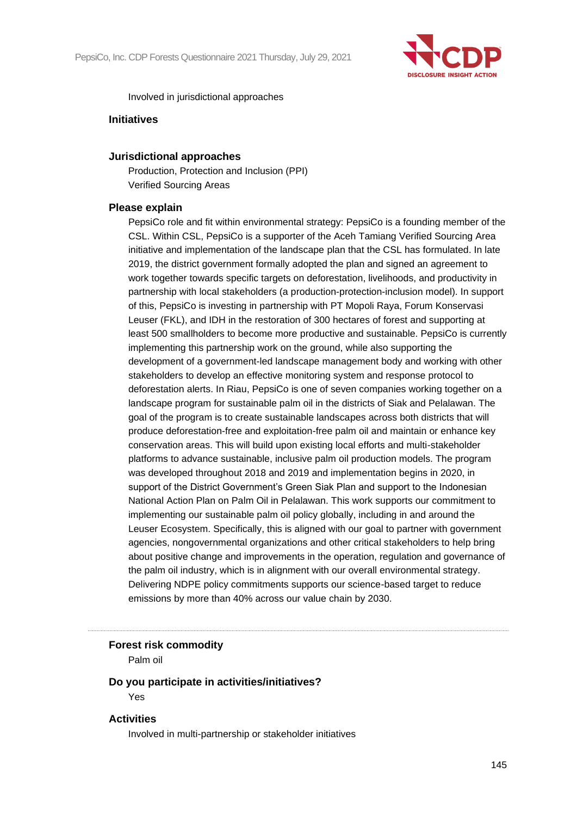

#### Involved in jurisdictional approaches

## **Initiatives**

#### **Jurisdictional approaches**

Production, Protection and Inclusion (PPI) Verified Sourcing Areas

## **Please explain**

PepsiCo role and fit within environmental strategy: PepsiCo is a founding member of the CSL. Within CSL, PepsiCo is a supporter of the Aceh Tamiang Verified Sourcing Area initiative and implementation of the landscape plan that the CSL has formulated. In late 2019, the district government formally adopted the plan and signed an agreement to work together towards specific targets on deforestation, livelihoods, and productivity in partnership with local stakeholders (a production-protection-inclusion model). In support of this, PepsiCo is investing in partnership with PT Mopoli Raya, Forum Konservasi Leuser (FKL), and IDH in the restoration of 300 hectares of forest and supporting at least 500 smallholders to become more productive and sustainable. PepsiCo is currently implementing this partnership work on the ground, while also supporting the development of a government-led landscape management body and working with other stakeholders to develop an effective monitoring system and response protocol to deforestation alerts. In Riau, PepsiCo is one of seven companies working together on a landscape program for sustainable palm oil in the districts of Siak and Pelalawan. The goal of the program is to create sustainable landscapes across both districts that will produce deforestation-free and exploitation-free palm oil and maintain or enhance key conservation areas. This will build upon existing local efforts and multi-stakeholder platforms to advance sustainable, inclusive palm oil production models. The program was developed throughout 2018 and 2019 and implementation begins in 2020, in support of the District Government's Green Siak Plan and support to the Indonesian National Action Plan on Palm Oil in Pelalawan. This work supports our commitment to implementing our sustainable palm oil policy globally, including in and around the Leuser Ecosystem. Specifically, this is aligned with our goal to partner with government agencies, nongovernmental organizations and other critical stakeholders to help bring about positive change and improvements in the operation, regulation and governance of the palm oil industry, which is in alignment with our overall environmental strategy. Delivering NDPE policy commitments supports our science-based target to reduce emissions by more than 40% across our value chain by 2030.

#### **Forest risk commodity**

Palm oil

## **Do you participate in activities/initiatives?**

Yes

## **Activities**

Involved in multi-partnership or stakeholder initiatives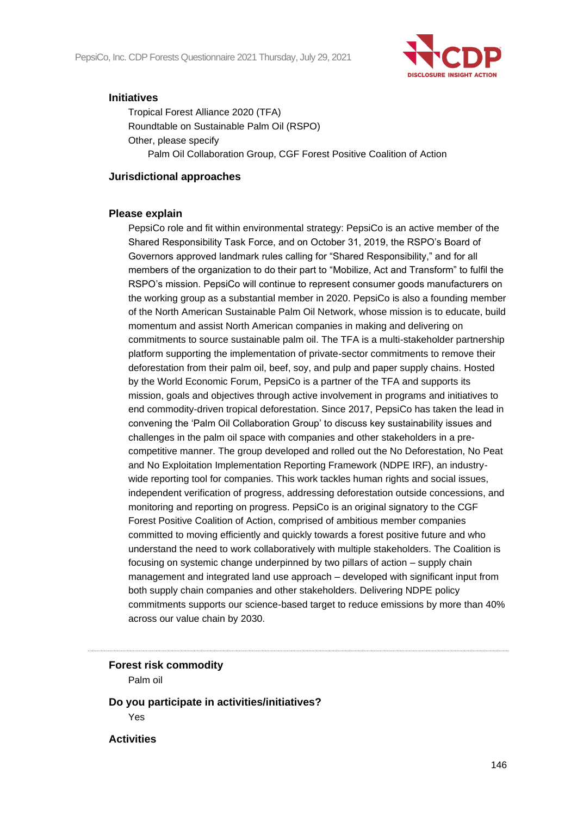

## **Initiatives**

Tropical Forest Alliance 2020 (TFA) Roundtable on Sustainable Palm Oil (RSPO) Other, please specify Palm Oil Collaboration Group, CGF Forest Positive Coalition of Action

## **Jurisdictional approaches**

## **Please explain**

PepsiCo role and fit within environmental strategy: PepsiCo is an active member of the Shared Responsibility Task Force, and on October 31, 2019, the RSPO's Board of Governors approved landmark rules calling for "Shared Responsibility," and for all members of the organization to do their part to "Mobilize, Act and Transform" to fulfil the RSPO's mission. PepsiCo will continue to represent consumer goods manufacturers on the working group as a substantial member in 2020. PepsiCo is also a founding member of the North American Sustainable Palm Oil Network, whose mission is to educate, build momentum and assist North American companies in making and delivering on commitments to source sustainable palm oil. The TFA is a multi-stakeholder partnership platform supporting the implementation of private-sector commitments to remove their deforestation from their palm oil, beef, soy, and pulp and paper supply chains. Hosted by the World Economic Forum, PepsiCo is a partner of the TFA and supports its mission, goals and objectives through active involvement in programs and initiatives to end commodity-driven tropical deforestation. Since 2017, PepsiCo has taken the lead in convening the 'Palm Oil Collaboration Group' to discuss key sustainability issues and challenges in the palm oil space with companies and other stakeholders in a precompetitive manner. The group developed and rolled out the No Deforestation, No Peat and No Exploitation Implementation Reporting Framework (NDPE IRF), an industrywide reporting tool for companies. This work tackles human rights and social issues, independent verification of progress, addressing deforestation outside concessions, and monitoring and reporting on progress. PepsiCo is an original signatory to the CGF Forest Positive Coalition of Action, comprised of ambitious member companies committed to moving efficiently and quickly towards a forest positive future and who understand the need to work collaboratively with multiple stakeholders. The Coalition is focusing on systemic change underpinned by two pillars of action – supply chain management and integrated land use approach – developed with significant input from both supply chain companies and other stakeholders. Delivering NDPE policy commitments supports our science-based target to reduce emissions by more than 40% across our value chain by 2030.

## **Forest risk commodity**

Palm oil

**Do you participate in activities/initiatives?** Yes

**Activities**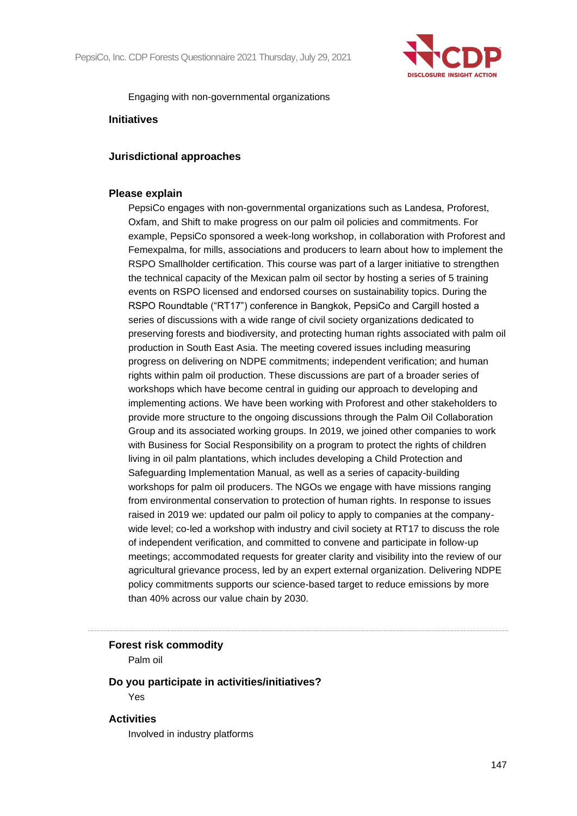

#### Engaging with non-governmental organizations

## **Initiatives**

#### **Jurisdictional approaches**

#### **Please explain**

PepsiCo engages with non-governmental organizations such as Landesa, Proforest, Oxfam, and Shift to make progress on our palm oil policies and commitments. For example, PepsiCo sponsored a week-long workshop, in collaboration with Proforest and Femexpalma, for mills, associations and producers to learn about how to implement the RSPO Smallholder certification. This course was part of a larger initiative to strengthen the technical capacity of the Mexican palm oil sector by hosting a series of 5 training events on RSPO licensed and endorsed courses on sustainability topics. During the RSPO Roundtable ("RT17") conference in Bangkok, PepsiCo and Cargill hosted a series of discussions with a wide range of civil society organizations dedicated to preserving forests and biodiversity, and protecting human rights associated with palm oil production in South East Asia. The meeting covered issues including measuring progress on delivering on NDPE commitments; independent verification; and human rights within palm oil production. These discussions are part of a broader series of workshops which have become central in guiding our approach to developing and implementing actions. We have been working with Proforest and other stakeholders to provide more structure to the ongoing discussions through the Palm Oil Collaboration Group and its associated working groups. In 2019, we joined other companies to work with Business for Social Responsibility on a program to protect the rights of children living in oil palm plantations, which includes developing a Child Protection and Safeguarding Implementation Manual, as well as a series of capacity-building workshops for palm oil producers. The NGOs we engage with have missions ranging from environmental conservation to protection of human rights. In response to issues raised in 2019 we: updated our palm oil policy to apply to companies at the companywide level; co-led a workshop with industry and civil society at RT17 to discuss the role of independent verification, and committed to convene and participate in follow-up meetings; accommodated requests for greater clarity and visibility into the review of our agricultural grievance process, led by an expert external organization. Delivering NDPE policy commitments supports our science-based target to reduce emissions by more than 40% across our value chain by 2030.

#### **Forest risk commodity**

Palm oil

#### **Do you participate in activities/initiatives?** Yes

## **Activities**

Involved in industry platforms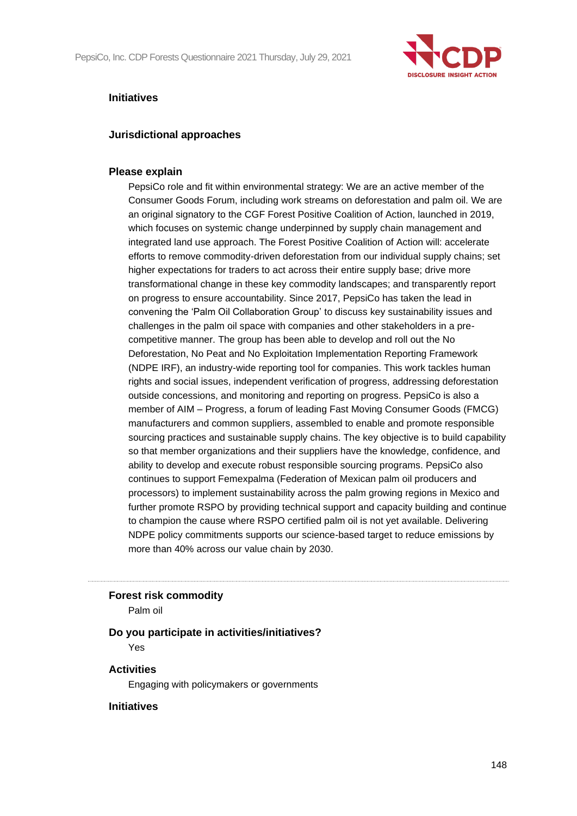

## **Initiatives**

## **Jurisdictional approaches**

## **Please explain**

PepsiCo role and fit within environmental strategy: We are an active member of the Consumer Goods Forum, including work streams on deforestation and palm oil. We are an original signatory to the CGF Forest Positive Coalition of Action, launched in 2019, which focuses on systemic change underpinned by supply chain management and integrated land use approach. The Forest Positive Coalition of Action will: accelerate efforts to remove commodity-driven deforestation from our individual supply chains; set higher expectations for traders to act across their entire supply base; drive more transformational change in these key commodity landscapes; and transparently report on progress to ensure accountability. Since 2017, PepsiCo has taken the lead in convening the 'Palm Oil Collaboration Group' to discuss key sustainability issues and challenges in the palm oil space with companies and other stakeholders in a precompetitive manner. The group has been able to develop and roll out the No Deforestation, No Peat and No Exploitation Implementation Reporting Framework (NDPE IRF), an industry-wide reporting tool for companies. This work tackles human rights and social issues, independent verification of progress, addressing deforestation outside concessions, and monitoring and reporting on progress. PepsiCo is also a member of AIM – Progress, a forum of leading Fast Moving Consumer Goods (FMCG) manufacturers and common suppliers, assembled to enable and promote responsible sourcing practices and sustainable supply chains. The key objective is to build capability so that member organizations and their suppliers have the knowledge, confidence, and ability to develop and execute robust responsible sourcing programs. PepsiCo also continues to support Femexpalma (Federation of Mexican palm oil producers and processors) to implement sustainability across the palm growing regions in Mexico and further promote RSPO by providing technical support and capacity building and continue to champion the cause where RSPO certified palm oil is not yet available. Delivering NDPE policy commitments supports our science-based target to reduce emissions by more than 40% across our value chain by 2030.

#### **Forest risk commodity**

Palm oil

## **Do you participate in activities/initiatives?**

Yes

## **Activities**

Engaging with policymakers or governments

## **Initiatives**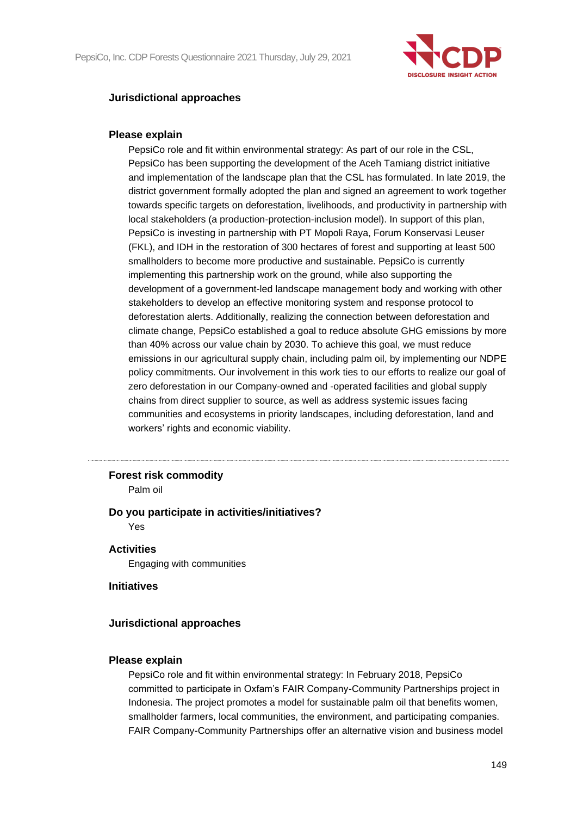

## **Jurisdictional approaches**

## **Please explain**

PepsiCo role and fit within environmental strategy: As part of our role in the CSL, PepsiCo has been supporting the development of the Aceh Tamiang district initiative and implementation of the landscape plan that the CSL has formulated. In late 2019, the district government formally adopted the plan and signed an agreement to work together towards specific targets on deforestation, livelihoods, and productivity in partnership with local stakeholders (a production-protection-inclusion model). In support of this plan, PepsiCo is investing in partnership with PT Mopoli Raya, Forum Konservasi Leuser (FKL), and IDH in the restoration of 300 hectares of forest and supporting at least 500 smallholders to become more productive and sustainable. PepsiCo is currently implementing this partnership work on the ground, while also supporting the development of a government-led landscape management body and working with other stakeholders to develop an effective monitoring system and response protocol to deforestation alerts. Additionally, realizing the connection between deforestation and climate change, PepsiCo established a goal to reduce absolute GHG emissions by more than 40% across our value chain by 2030. To achieve this goal, we must reduce emissions in our agricultural supply chain, including palm oil, by implementing our NDPE policy commitments. Our involvement in this work ties to our efforts to realize our goal of zero deforestation in our Company-owned and -operated facilities and global supply chains from direct supplier to source, as well as address systemic issues facing communities and ecosystems in priority landscapes, including deforestation, land and workers' rights and economic viability.

#### **Forest risk commodity**

Palm oil

## **Do you participate in activities/initiatives?**

Yes

## **Activities**

Engaging with communities

#### **Initiatives**

## **Jurisdictional approaches**

#### **Please explain**

PepsiCo role and fit within environmental strategy: In February 2018, PepsiCo committed to participate in Oxfam's FAIR Company-Community Partnerships project in Indonesia. The project promotes a model for sustainable palm oil that benefits women, smallholder farmers, local communities, the environment, and participating companies. FAIR Company-Community Partnerships offer an alternative vision and business model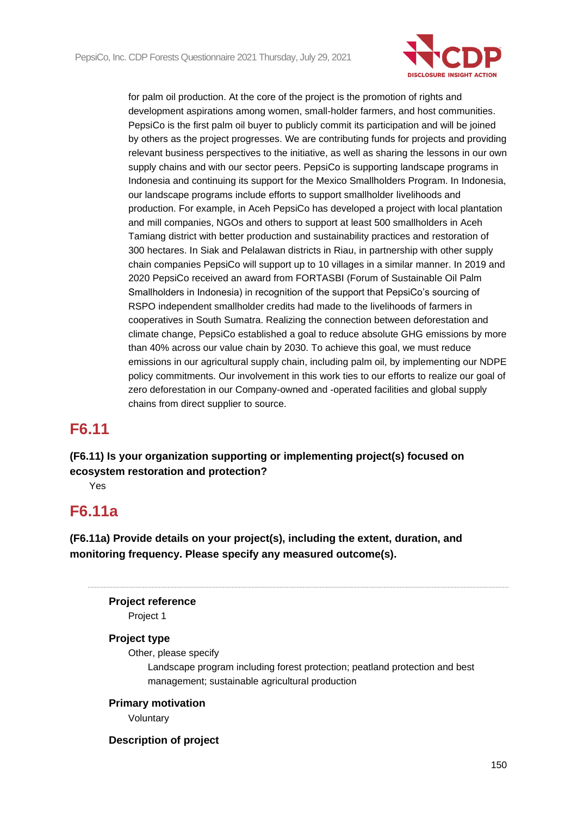

for palm oil production. At the core of the project is the promotion of rights and development aspirations among women, small-holder farmers, and host communities. PepsiCo is the first palm oil buyer to publicly commit its participation and will be joined by others as the project progresses. We are contributing funds for projects and providing relevant business perspectives to the initiative, as well as sharing the lessons in our own supply chains and with our sector peers. PepsiCo is supporting landscape programs in Indonesia and continuing its support for the Mexico Smallholders Program. In Indonesia, our landscape programs include efforts to support smallholder livelihoods and production. For example, in Aceh PepsiCo has developed a project with local plantation and mill companies, NGOs and others to support at least 500 smallholders in Aceh Tamiang district with better production and sustainability practices and restoration of 300 hectares. In Siak and Pelalawan districts in Riau, in partnership with other supply chain companies PepsiCo will support up to 10 villages in a similar manner. In 2019 and 2020 PepsiCo received an award from FORTASBI (Forum of Sustainable Oil Palm Smallholders in Indonesia) in recognition of the support that PepsiCo's sourcing of RSPO independent smallholder credits had made to the livelihoods of farmers in cooperatives in South Sumatra. Realizing the connection between deforestation and climate change, PepsiCo established a goal to reduce absolute GHG emissions by more than 40% across our value chain by 2030. To achieve this goal, we must reduce emissions in our agricultural supply chain, including palm oil, by implementing our NDPE policy commitments. Our involvement in this work ties to our efforts to realize our goal of zero deforestation in our Company-owned and -operated facilities and global supply chains from direct supplier to source.

# **F6.11**

**(F6.11) Is your organization supporting or implementing project(s) focused on ecosystem restoration and protection?**

Yes

# **F6.11a**

**(F6.11a) Provide details on your project(s), including the extent, duration, and monitoring frequency. Please specify any measured outcome(s).**

## **Project reference**

Project 1

## **Project type**

Other, please specify

Landscape program including forest protection; peatland protection and best management; sustainable agricultural production

## **Primary motivation**

Voluntary

## **Description of project**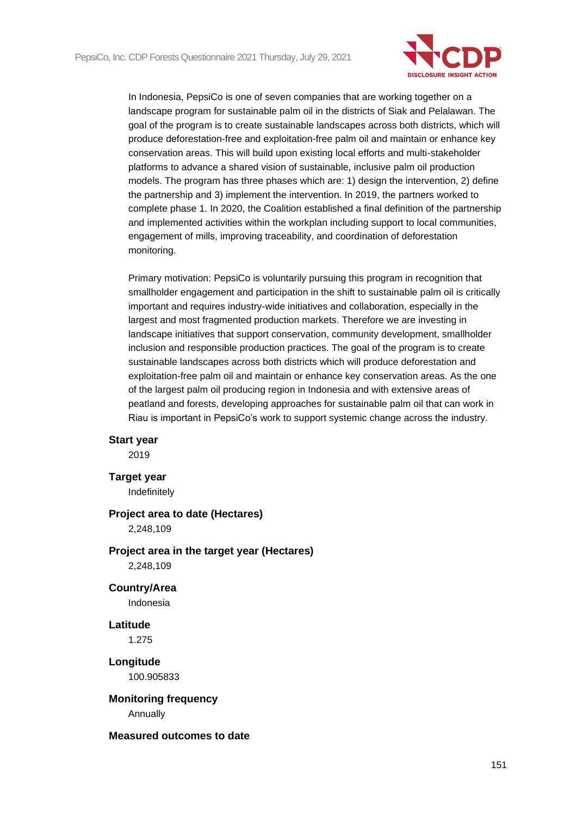

In Indonesia, PepsiCo is one of seven companies that are working together on a landscape program for sustainable palm oil in the districts of Siak and Pelalawan. The goal of the program is to create sustainable landscapes across both districts, which will produce deforestation-free and exploitation-free palm oil and maintain or enhance key conservation areas. This will build upon existing local efforts and multi-stakeholder platforms to advance a shared vision of sustainable, inclusive palm oil production models. The program has three phases which are: 1) design the intervention, 2) define the partnership and 3) implement the intervention. In 2019, the partners worked to complete phase 1. In 2020, the Coalition established a final definition of the partnership and implemented activities within the workplan including support to local communities, engagement of mills, improving traceability, and coordination of deforestation monitoring.

Primary motivation: PepsiCo is voluntarily pursuing this program in recognition that smallholder engagement and participation in the shift to sustainable palm oil is critically important and requires industry-wide initiatives and collaboration, especially in the largest and most fragmented production markets. Therefore we are investing in landscape initiatives that support conservation, community development, smallholder inclusion and responsible production practices. The goal of the program is to create sustainable landscapes across both districts which will produce deforestation and exploitation-free palm oil and maintain or enhance key conservation areas. As the one of the largest palm oil producing region in Indonesia and with extensive areas of peatland and forests, developing approaches for sustainable palm oil that can work in Riau is important in PepsiCo's work to support systemic change across the industry.

#### **Start year**

2019

#### **Target year**

Indefinitely

## **Project area to date (Hectares)**

2,248,109

## **Project area in the target year (Hectares)**

2,248,109

## **Country/Area**

Indonesia

## **Latitude**

1.275

## **Longitude** 100.905833

**Monitoring frequency**

Annually

#### **Measured outcomes to date**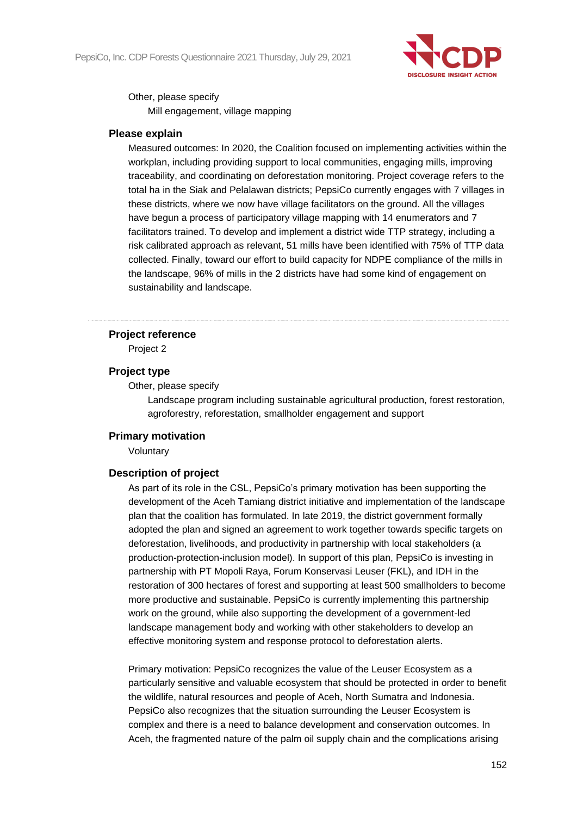

Other, please specify

Mill engagement, village mapping

## **Please explain**

Measured outcomes: In 2020, the Coalition focused on implementing activities within the workplan, including providing support to local communities, engaging mills, improving traceability, and coordinating on deforestation monitoring. Project coverage refers to the total ha in the Siak and Pelalawan districts; PepsiCo currently engages with 7 villages in these districts, where we now have village facilitators on the ground. All the villages have begun a process of participatory village mapping with 14 enumerators and 7 facilitators trained. To develop and implement a district wide TTP strategy, including a risk calibrated approach as relevant, 51 mills have been identified with 75% of TTP data collected. Finally, toward our effort to build capacity for NDPE compliance of the mills in the landscape, 96% of mills in the 2 districts have had some kind of engagement on sustainability and landscape.

## **Project reference**

Project 2

## **Project type**

Other, please specify

Landscape program including sustainable agricultural production, forest restoration, agroforestry, reforestation, smallholder engagement and support

## **Primary motivation**

Voluntary

## **Description of project**

As part of its role in the CSL, PepsiCo's primary motivation has been supporting the development of the Aceh Tamiang district initiative and implementation of the landscape plan that the coalition has formulated. In late 2019, the district government formally adopted the plan and signed an agreement to work together towards specific targets on deforestation, livelihoods, and productivity in partnership with local stakeholders (a production-protection-inclusion model). In support of this plan, PepsiCo is investing in partnership with PT Mopoli Raya, Forum Konservasi Leuser (FKL), and IDH in the restoration of 300 hectares of forest and supporting at least 500 smallholders to become more productive and sustainable. PepsiCo is currently implementing this partnership work on the ground, while also supporting the development of a government-led landscape management body and working with other stakeholders to develop an effective monitoring system and response protocol to deforestation alerts.

Primary motivation: PepsiCo recognizes the value of the Leuser Ecosystem as a particularly sensitive and valuable ecosystem that should be protected in order to benefit the wildlife, natural resources and people of Aceh, North Sumatra and Indonesia. PepsiCo also recognizes that the situation surrounding the Leuser Ecosystem is complex and there is a need to balance development and conservation outcomes. In Aceh, the fragmented nature of the palm oil supply chain and the complications arising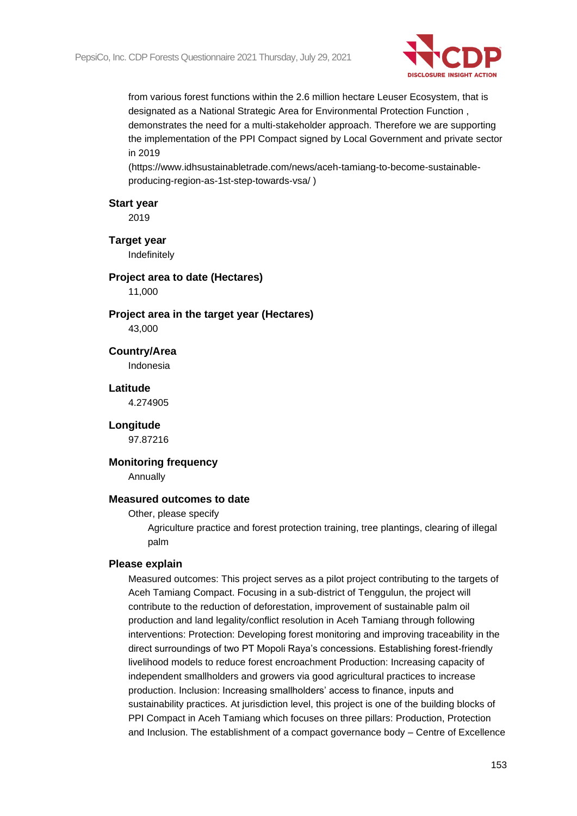

from various forest functions within the 2.6 million hectare Leuser Ecosystem, that is designated as a National Strategic Area for Environmental Protection Function , demonstrates the need for a multi-stakeholder approach. Therefore we are supporting the implementation of the PPI Compact signed by Local Government and private sector in 2019

(https://www.idhsustainabletrade.com/news/aceh-tamiang-to-become-sustainableproducing-region-as-1st-step-towards-vsa/ )

#### **Start year**

2019

#### **Target year**

Indefinitely

# **Project area to date (Hectares)**

11,000

## **Project area in the target year (Hectares)**

43,000

## **Country/Area** Indonesia

## **Latitude**

4.274905

#### **Longitude**

97.87216

## **Monitoring frequency**

Annually

#### **Measured outcomes to date**

#### Other, please specify

Agriculture practice and forest protection training, tree plantings, clearing of illegal palm

#### **Please explain**

Measured outcomes: This project serves as a pilot project contributing to the targets of Aceh Tamiang Compact. Focusing in a sub-district of Tenggulun, the project will contribute to the reduction of deforestation, improvement of sustainable palm oil production and land legality/conflict resolution in Aceh Tamiang through following interventions: Protection: Developing forest monitoring and improving traceability in the direct surroundings of two PT Mopoli Raya's concessions. Establishing forest-friendly livelihood models to reduce forest encroachment Production: Increasing capacity of independent smallholders and growers via good agricultural practices to increase production. Inclusion: Increasing smallholders' access to finance, inputs and sustainability practices. At jurisdiction level, this project is one of the building blocks of PPI Compact in Aceh Tamiang which focuses on three pillars: Production, Protection and Inclusion. The establishment of a compact governance body – Centre of Excellence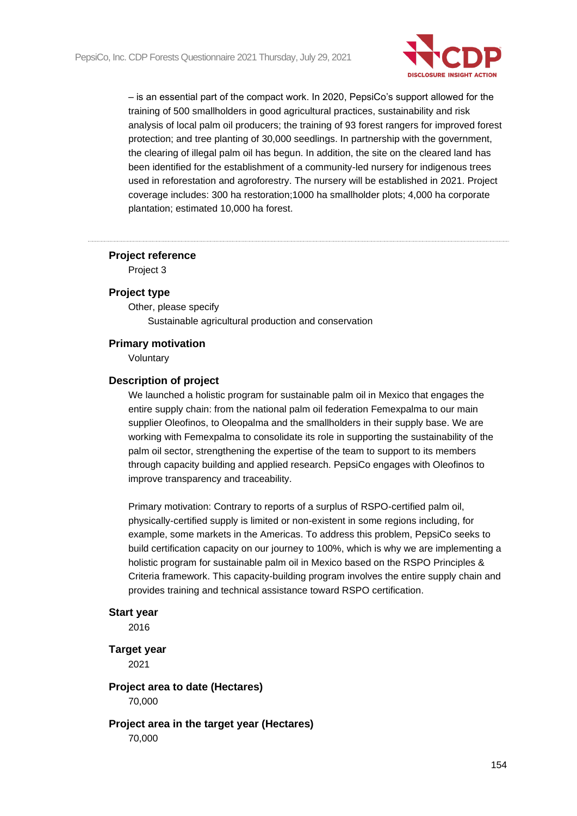

– is an essential part of the compact work. In 2020, PepsiCo's support allowed for the training of 500 smallholders in good agricultural practices, sustainability and risk analysis of local palm oil producers; the training of 93 forest rangers for improved forest protection; and tree planting of 30,000 seedlings. In partnership with the government, the clearing of illegal palm oil has begun. In addition, the site on the cleared land has been identified for the establishment of a community-led nursery for indigenous trees used in reforestation and agroforestry. The nursery will be established in 2021. Project coverage includes: 300 ha restoration;1000 ha smallholder plots; 4,000 ha corporate plantation; estimated 10,000 ha forest.

#### **Project reference**

Project 3

## **Project type**

Other, please specify Sustainable agricultural production and conservation

## **Primary motivation**

Voluntary

#### **Description of project**

We launched a holistic program for sustainable palm oil in Mexico that engages the entire supply chain: from the national palm oil federation Femexpalma to our main supplier Oleofinos, to Oleopalma and the smallholders in their supply base. We are working with Femexpalma to consolidate its role in supporting the sustainability of the palm oil sector, strengthening the expertise of the team to support to its members through capacity building and applied research. PepsiCo engages with Oleofinos to improve transparency and traceability.

Primary motivation: Contrary to reports of a surplus of RSPO-certified palm oil, physically-certified supply is limited or non-existent in some regions including, for example, some markets in the Americas. To address this problem, PepsiCo seeks to build certification capacity on our journey to 100%, which is why we are implementing a holistic program for sustainable palm oil in Mexico based on the RSPO Principles & Criteria framework. This capacity-building program involves the entire supply chain and provides training and technical assistance toward RSPO certification.

#### **Start year**

2016

## **Target year**

2021

## **Project area to date (Hectares)** 70,000

**Project area in the target year (Hectares)** 70,000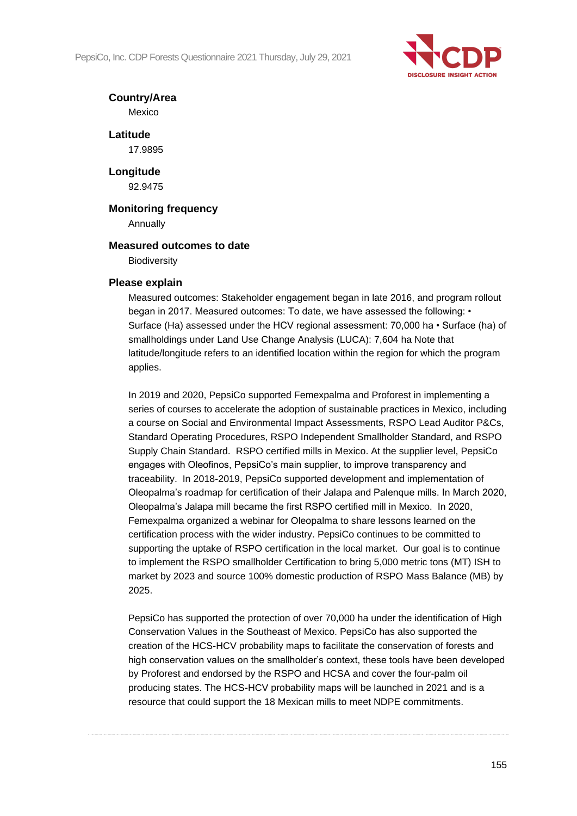PepsiCo, Inc. CDP Forests Questionnaire 2021 Thursday, July 29, 2021



## **Country/Area**

Mexico

**Latitude** 17.9895

**Longitude** 92.9475

# **Monitoring frequency**

Annually

## **Measured outcomes to date**

**Biodiversity** 

## **Please explain**

Measured outcomes: Stakeholder engagement began in late 2016, and program rollout began in 2017. Measured outcomes: To date, we have assessed the following: • Surface (Ha) assessed under the HCV regional assessment: 70,000 ha • Surface (ha) of smallholdings under Land Use Change Analysis (LUCA): 7,604 ha Note that latitude/longitude refers to an identified location within the region for which the program applies.

In 2019 and 2020, PepsiCo supported Femexpalma and Proforest in implementing a series of courses to accelerate the adoption of sustainable practices in Mexico, including a course on Social and Environmental Impact Assessments, RSPO Lead Auditor P&Cs, Standard Operating Procedures, RSPO Independent Smallholder Standard, and RSPO Supply Chain Standard. RSPO certified mills in Mexico. At the supplier level, PepsiCo engages with Oleofinos, PepsiCo's main supplier, to improve transparency and traceability. In 2018-2019, PepsiCo supported development and implementation of Oleopalma's roadmap for certification of their Jalapa and Palenque mills. In March 2020, Oleopalma's Jalapa mill became the first RSPO certified mill in Mexico. In 2020, Femexpalma organized a webinar for Oleopalma to share lessons learned on the certification process with the wider industry. PepsiCo continues to be committed to supporting the uptake of RSPO certification in the local market. Our goal is to continue to implement the RSPO smallholder Certification to bring 5,000 metric tons (MT) ISH to market by 2023 and source 100% domestic production of RSPO Mass Balance (MB) by 2025.

PepsiCo has supported the protection of over 70,000 ha under the identification of High Conservation Values in the Southeast of Mexico. PepsiCo has also supported the creation of the HCS-HCV probability maps to facilitate the conservation of forests and high conservation values on the smallholder's context, these tools have been developed by Proforest and endorsed by the RSPO and HCSA and cover the four-palm oil producing states. The HCS-HCV probability maps will be launched in 2021 and is a resource that could support the 18 Mexican mills to meet NDPE commitments.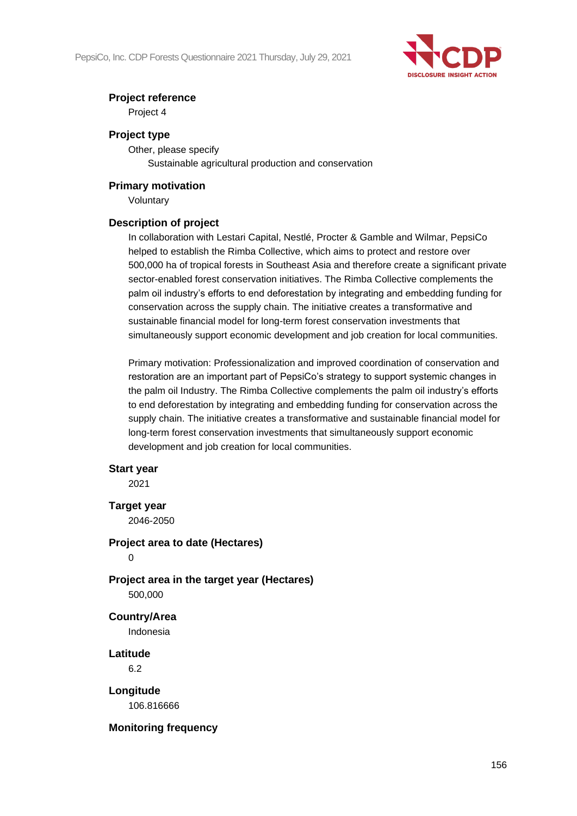

## **Project reference**

Project 4

## **Project type**

Other, please specify Sustainable agricultural production and conservation

## **Primary motivation**

Voluntary

## **Description of project**

In collaboration with Lestari Capital, Nestlé, Procter & Gamble and Wilmar, PepsiCo helped to establish the Rimba Collective, which aims to protect and restore over 500,000 ha of tropical forests in Southeast Asia and therefore create a significant private sector-enabled forest conservation initiatives. The Rimba Collective complements the palm oil industry's efforts to end deforestation by integrating and embedding funding for conservation across the supply chain. The initiative creates a transformative and sustainable financial model for long-term forest conservation investments that simultaneously support economic development and job creation for local communities.

Primary motivation: Professionalization and improved coordination of conservation and restoration are an important part of PepsiCo's strategy to support systemic changes in the palm oil Industry. The Rimba Collective complements the palm oil industry's efforts to end deforestation by integrating and embedding funding for conservation across the supply chain. The initiative creates a transformative and sustainable financial model for long-term forest conservation investments that simultaneously support economic development and job creation for local communities.

## **Start year**

2021

**Target year**

2046-2050

## **Project area to date (Hectares)**

 $\Omega$ 

**Project area in the target year (Hectares)**

500,000

## **Country/Area**

Indonesia

**Latitude**

6.2

**Longitude**

106.816666

## **Monitoring frequency**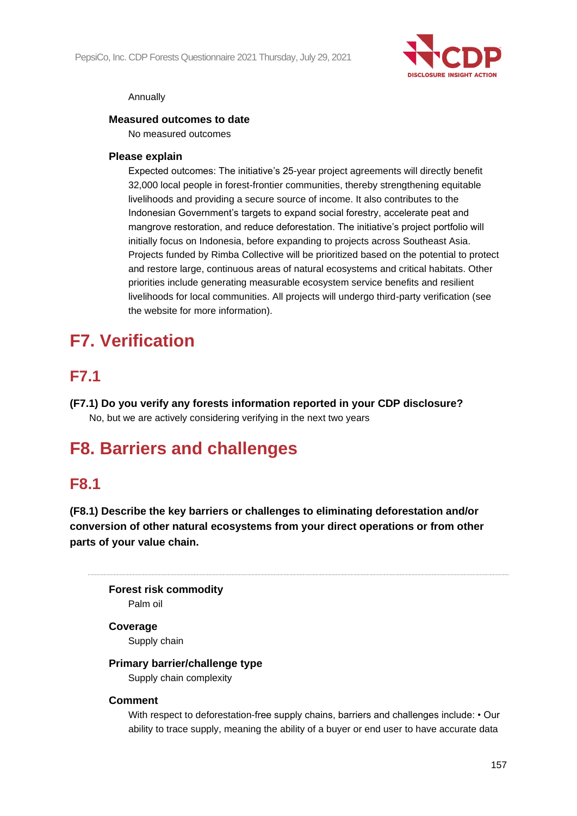

## Annually

## **Measured outcomes to date**

No measured outcomes

## **Please explain**

Expected outcomes: The initiative's 25-year project agreements will directly benefit 32,000 local people in forest-frontier communities, thereby strengthening equitable livelihoods and providing a secure source of income. It also contributes to the Indonesian Government's targets to expand social forestry, accelerate peat and mangrove restoration, and reduce deforestation. The initiative's project portfolio will initially focus on Indonesia, before expanding to projects across Southeast Asia. Projects funded by Rimba Collective will be prioritized based on the potential to protect and restore large, continuous areas of natural ecosystems and critical habitats. Other priorities include generating measurable ecosystem service benefits and resilient livelihoods for local communities. All projects will undergo third-party verification (see the website for more information).

# **F7. Verification**

# **F7.1**

**(F7.1) Do you verify any forests information reported in your CDP disclosure?** No, but we are actively considering verifying in the next two years

# **F8. Barriers and challenges**

## **F8.1**

**(F8.1) Describe the key barriers or challenges to eliminating deforestation and/or conversion of other natural ecosystems from your direct operations or from other parts of your value chain.**

**Forest risk commodity** Palm oil

## **Coverage**

Supply chain

## **Primary barrier/challenge type**

Supply chain complexity

## **Comment**

With respect to deforestation-free supply chains, barriers and challenges include: • Our ability to trace supply, meaning the ability of a buyer or end user to have accurate data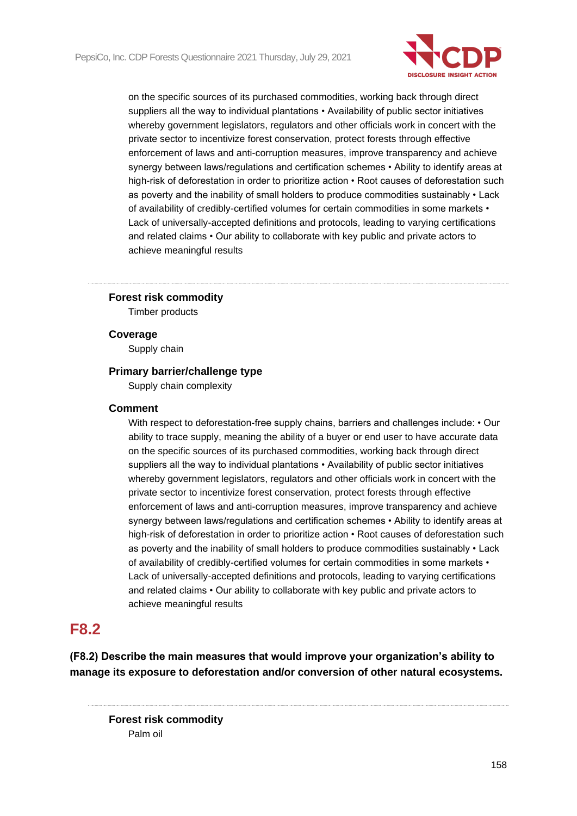

on the specific sources of its purchased commodities, working back through direct suppliers all the way to individual plantations • Availability of public sector initiatives whereby government legislators, regulators and other officials work in concert with the private sector to incentivize forest conservation, protect forests through effective enforcement of laws and anti-corruption measures, improve transparency and achieve synergy between laws/regulations and certification schemes • Ability to identify areas at high-risk of deforestation in order to prioritize action • Root causes of deforestation such as poverty and the inability of small holders to produce commodities sustainably • Lack of availability of credibly-certified volumes for certain commodities in some markets • Lack of universally-accepted definitions and protocols, leading to varying certifications and related claims • Our ability to collaborate with key public and private actors to achieve meaningful results

## **Forest risk commodity**

Timber products

#### **Coverage**

Supply chain

#### **Primary barrier/challenge type**

Supply chain complexity

#### **Comment**

With respect to deforestation-free supply chains, barriers and challenges include: • Our ability to trace supply, meaning the ability of a buyer or end user to have accurate data on the specific sources of its purchased commodities, working back through direct suppliers all the way to individual plantations • Availability of public sector initiatives whereby government legislators, regulators and other officials work in concert with the private sector to incentivize forest conservation, protect forests through effective enforcement of laws and anti-corruption measures, improve transparency and achieve synergy between laws/regulations and certification schemes • Ability to identify areas at high-risk of deforestation in order to prioritize action • Root causes of deforestation such as poverty and the inability of small holders to produce commodities sustainably • Lack of availability of credibly-certified volumes for certain commodities in some markets • Lack of universally-accepted definitions and protocols, leading to varying certifications and related claims • Our ability to collaborate with key public and private actors to achieve meaningful results

## **F8.2**

**(F8.2) Describe the main measures that would improve your organization's ability to manage its exposure to deforestation and/or conversion of other natural ecosystems.**

**Forest risk commodity** Palm oil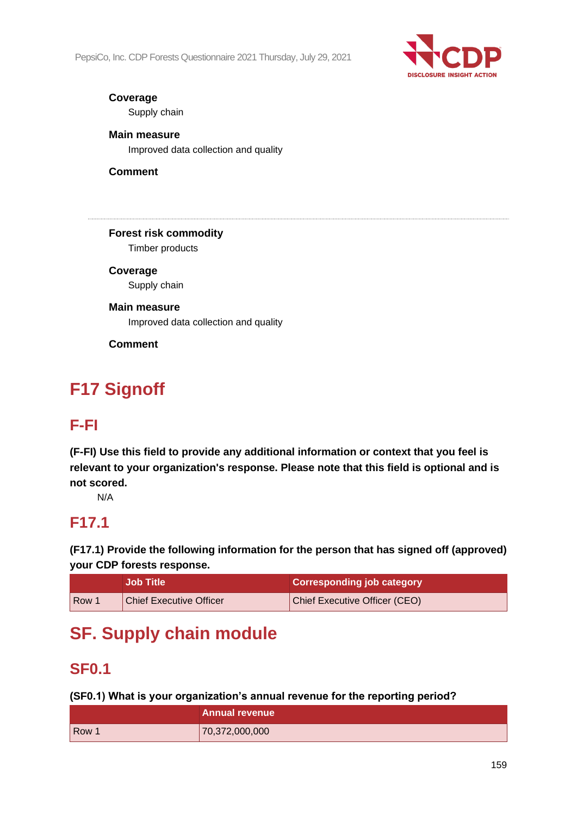PepsiCo, Inc. CDP Forests Questionnaire 2021 Thursday, July 29, 2021



## **Coverage**

Supply chain

## **Main measure**

Improved data collection and quality

## **Comment**

**Forest risk commodity**

Timber products

**Coverage** Supply chain

## **Main measure**

Improved data collection and quality

**Comment**

# **F17 Signoff**

# **F-FI**

**(F-FI) Use this field to provide any additional information or context that you feel is relevant to your organization's response. Please note that this field is optional and is not scored.**

N/A

# **F17.1**

**(F17.1) Provide the following information for the person that has signed off (approved) your CDP forests response.**

|                  | <b>Job Title</b>               | <b>Corresponding job category</b> |
|------------------|--------------------------------|-----------------------------------|
| Row <sup>7</sup> | <b>Chief Executive Officer</b> | Chief Executive Officer (CEO)     |

# **SF. Supply chain module**

# **SF0.1**

## **(SF0.1) What is your organization's annual revenue for the reporting period?**

|       | <b>Annual revenue</b> |
|-------|-----------------------|
| Row 1 | 70,372,000,000        |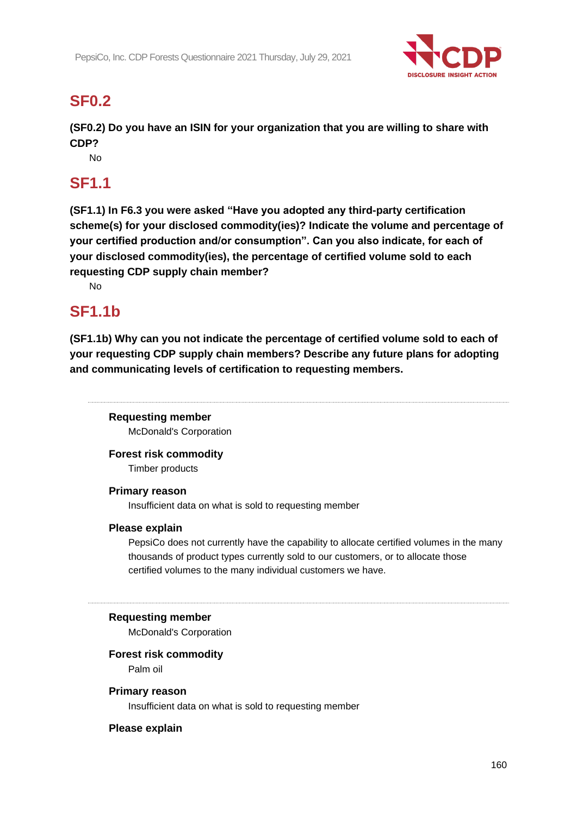

# **SF0.2**

**(SF0.2) Do you have an ISIN for your organization that you are willing to share with CDP?**

No

# **SF1.1**

**(SF1.1) In F6.3 you were asked "Have you adopted any third-party certification scheme(s) for your disclosed commodity(ies)? Indicate the volume and percentage of your certified production and/or consumption". Can you also indicate, for each of your disclosed commodity(ies), the percentage of certified volume sold to each requesting CDP supply chain member?**

No

# **SF1.1b**

**(SF1.1b) Why can you not indicate the percentage of certified volume sold to each of your requesting CDP supply chain members? Describe any future plans for adopting and communicating levels of certification to requesting members.**

**Requesting member** McDonald's Corporation

**Forest risk commodity**

Timber products

## **Primary reason**

Insufficient data on what is sold to requesting member

## **Please explain**

PepsiCo does not currently have the capability to allocate certified volumes in the many thousands of product types currently sold to our customers, or to allocate those certified volumes to the many individual customers we have.

## **Requesting member**

McDonald's Corporation

## **Forest risk commodity**

Palm oil

## **Primary reason**

Insufficient data on what is sold to requesting member

## **Please explain**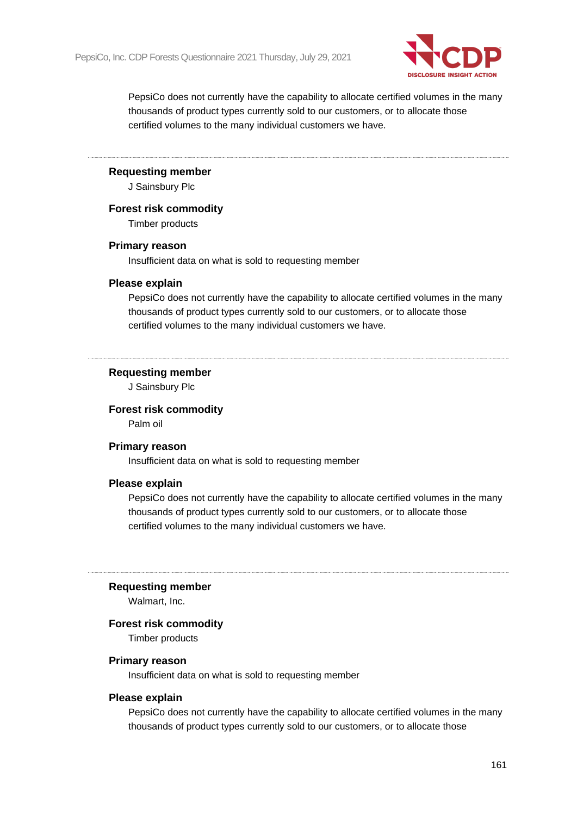

PepsiCo does not currently have the capability to allocate certified volumes in the many thousands of product types currently sold to our customers, or to allocate those certified volumes to the many individual customers we have.

#### **Requesting member**

J Sainsbury Plc

#### **Forest risk commodity**

Timber products

#### **Primary reason**

Insufficient data on what is sold to requesting member

#### **Please explain**

PepsiCo does not currently have the capability to allocate certified volumes in the many thousands of product types currently sold to our customers, or to allocate those certified volumes to the many individual customers we have.

#### **Requesting member**

J Sainsbury Plc

#### **Forest risk commodity**

Palm oil

#### **Primary reason**

Insufficient data on what is sold to requesting member

## **Please explain**

PepsiCo does not currently have the capability to allocate certified volumes in the many thousands of product types currently sold to our customers, or to allocate those certified volumes to the many individual customers we have.

#### **Requesting member**

Walmart, Inc.

## **Forest risk commodity**

Timber products

#### **Primary reason**

Insufficient data on what is sold to requesting member

## **Please explain**

PepsiCo does not currently have the capability to allocate certified volumes in the many thousands of product types currently sold to our customers, or to allocate those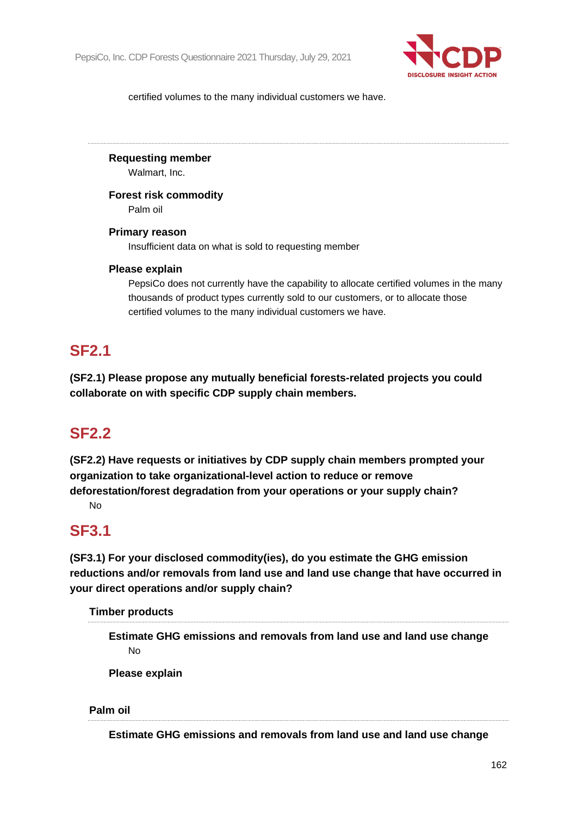

certified volumes to the many individual customers we have.

## **Requesting member**

Walmart, Inc.

## **Forest risk commodity**

Palm oil

## **Primary reason**

Insufficient data on what is sold to requesting member

## **Please explain**

PepsiCo does not currently have the capability to allocate certified volumes in the many thousands of product types currently sold to our customers, or to allocate those certified volumes to the many individual customers we have.

## **SF2.1**

**(SF2.1) Please propose any mutually beneficial forests-related projects you could collaborate on with specific CDP supply chain members.**

# **SF2.2**

**(SF2.2) Have requests or initiatives by CDP supply chain members prompted your organization to take organizational-level action to reduce or remove** 

**deforestation/forest degradation from your operations or your supply chain?** No

# **SF3.1**

**(SF3.1) For your disclosed commodity(ies), do you estimate the GHG emission reductions and/or removals from land use and land use change that have occurred in your direct operations and/or supply chain?**

**Timber products**

**Estimate GHG emissions and removals from land use and land use change** No

**Please explain**

**Palm oil**

**Estimate GHG emissions and removals from land use and land use change**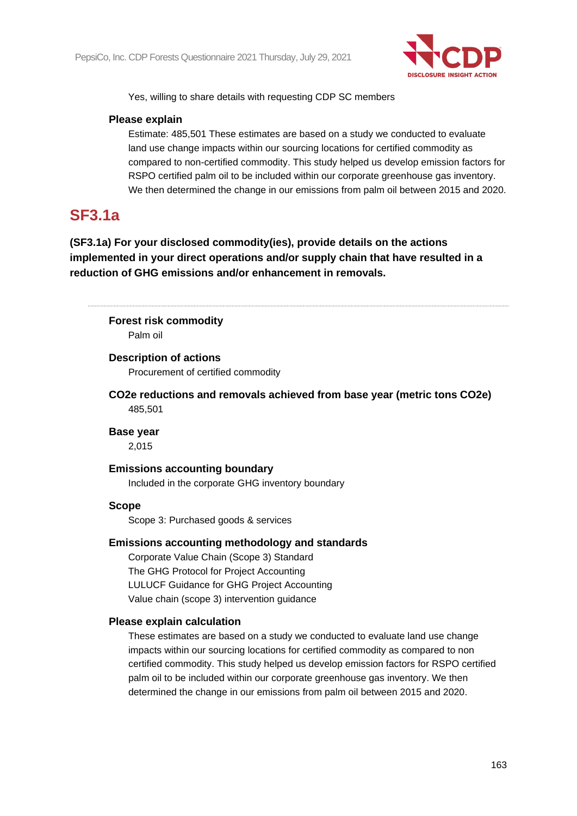

Yes, willing to share details with requesting CDP SC members

## **Please explain**

Estimate: 485,501 These estimates are based on a study we conducted to evaluate land use change impacts within our sourcing locations for certified commodity as compared to non-certified commodity. This study helped us develop emission factors for RSPO certified palm oil to be included within our corporate greenhouse gas inventory. We then determined the change in our emissions from palm oil between 2015 and 2020.

# **SF3.1a**

**(SF3.1a) For your disclosed commodity(ies), provide details on the actions implemented in your direct operations and/or supply chain that have resulted in a reduction of GHG emissions and/or enhancement in removals.**

**Forest risk commodity** Palm oil

## **Description of actions**

Procurement of certified commodity

**CO2e reductions and removals achieved from base year (metric tons CO2e)** 485,501

## **Base year**

2,015

## **Emissions accounting boundary**

Included in the corporate GHG inventory boundary

## **Scope**

Scope 3: Purchased goods & services

## **Emissions accounting methodology and standards**

Corporate Value Chain (Scope 3) Standard The GHG Protocol for Project Accounting LULUCF Guidance for GHG Project Accounting Value chain (scope 3) intervention guidance

## **Please explain calculation**

These estimates are based on a study we conducted to evaluate land use change impacts within our sourcing locations for certified commodity as compared to non certified commodity. This study helped us develop emission factors for RSPO certified palm oil to be included within our corporate greenhouse gas inventory. We then determined the change in our emissions from palm oil between 2015 and 2020.